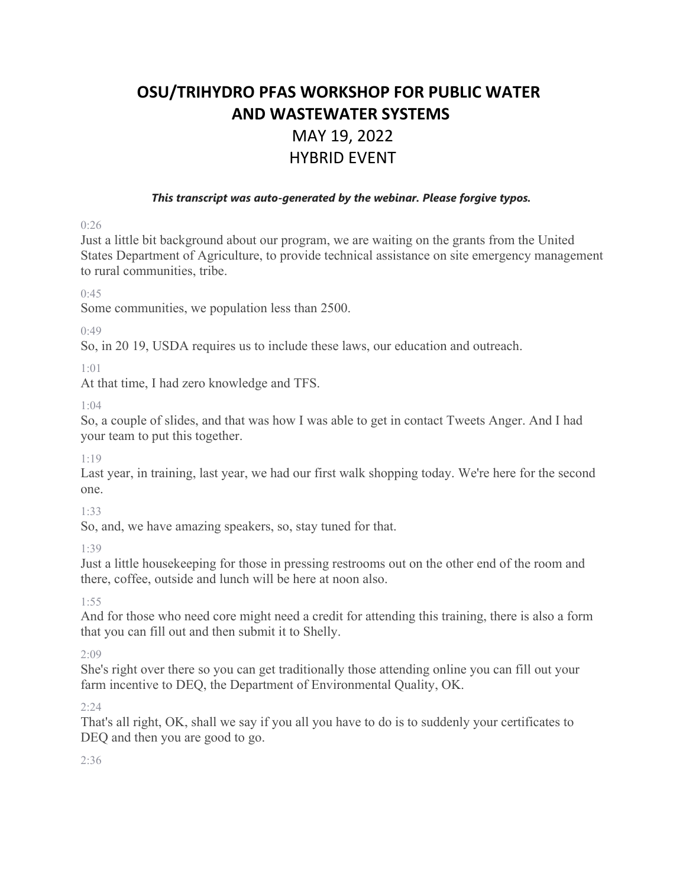# **OSU/TRIHYDRO PFAS WORKSHOP FOR PUBLIC WATER AND WASTEWATER SYSTEMS** MAY 19, 2022 HYBRID EVENT

#### *This transcript was auto-generated by the webinar. Please forgive typos.*

0:26

Just a little bit background about our program, we are waiting on the grants from the United States Department of Agriculture, to provide technical assistance on site emergency management to rural communities, tribe.

 $0.45$ 

Some communities, we population less than 2500.

0:49

So, in 20 19, USDA requires us to include these laws, our education and outreach.

1:01

At that time, I had zero knowledge and TFS.

1:04

So, a couple of slides, and that was how I was able to get in contact Tweets Anger. And I had your team to put this together.

1:19

Last year, in training, last year, we had our first walk shopping today. We're here for the second one.

1:33

So, and, we have amazing speakers, so, stay tuned for that.

1:39

Just a little housekeeping for those in pressing restrooms out on the other end of the room and there, coffee, outside and lunch will be here at noon also.

1:55

And for those who need core might need a credit for attending this training, there is also a form that you can fill out and then submit it to Shelly.

2:09

She's right over there so you can get traditionally those attending online you can fill out your farm incentive to DEQ, the Department of Environmental Quality, OK.

 $2:24$ 

That's all right, OK, shall we say if you all you have to do is to suddenly your certificates to DEQ and then you are good to go.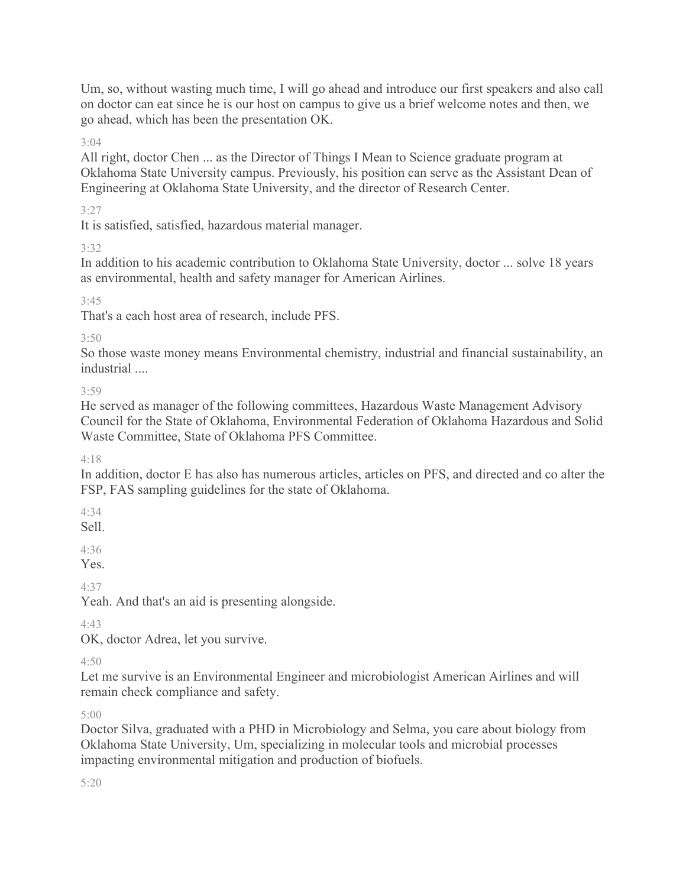Um, so, without wasting much time, I will go ahead and introduce our first speakers and also call on doctor can eat since he is our host on campus to give us a brief welcome notes and then, we go ahead, which has been the presentation OK.

3:04

All right, doctor Chen ... as the Director of Things I Mean to Science graduate program at Oklahoma State University campus. Previously, his position can serve as the Assistant Dean of Engineering at Oklahoma State University, and the director of Research Center.

3:27

It is satisfied, satisfied, hazardous material manager.

3:32

In addition to his academic contribution to Oklahoma State University, doctor ... solve 18 years as environmental, health and safety manager for American Airlines.

3:45

That's a each host area of research, include PFS.

 $3.50$ 

So those waste money means Environmental chemistry, industrial and financial sustainability, an industrial ....

3:59

He served as manager of the following committees, Hazardous Waste Management Advisory Council for the State of Oklahoma, Environmental Federation of Oklahoma Hazardous and Solid Waste Committee, State of Oklahoma PFS Committee.

 $4.18$ 

In addition, doctor E has also has numerous articles, articles on PFS, and directed and co alter the FSP, FAS sampling guidelines for the state of Oklahoma.

4:34

Sell.

4:36

Yes.

4:37

Yeah. And that's an aid is presenting alongside.

4:43

OK, doctor Adrea, let you survive.

 $4.50$ 

Let me survive is an Environmental Engineer and microbiologist American Airlines and will remain check compliance and safety.

5:00

Doctor Silva, graduated with a PHD in Microbiology and Selma, you care about biology from Oklahoma State University, Um, specializing in molecular tools and microbial processes impacting environmental mitigation and production of biofuels.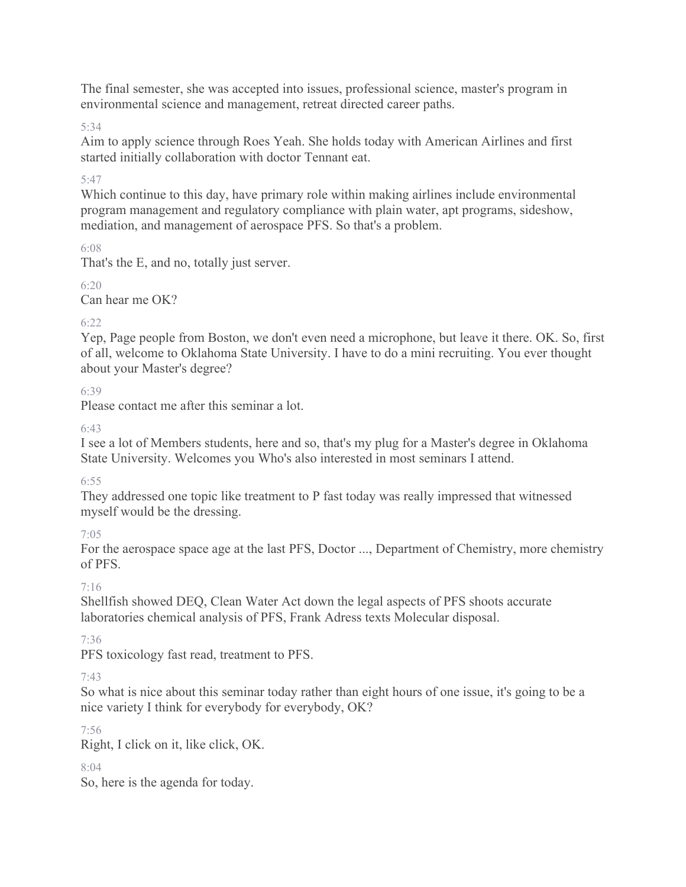The final semester, she was accepted into issues, professional science, master's program in environmental science and management, retreat directed career paths.

# 5:34

Aim to apply science through Roes Yeah. She holds today with American Airlines and first started initially collaboration with doctor Tennant eat.

# 5:47

Which continue to this day, have primary role within making airlines include environmental program management and regulatory compliance with plain water, apt programs, sideshow, mediation, and management of aerospace PFS. So that's a problem.

6:08

That's the E, and no, totally just server.

6:20

Can hear me OK?

# 6:22

Yep, Page people from Boston, we don't even need a microphone, but leave it there. OK. So, first of all, welcome to Oklahoma State University. I have to do a mini recruiting. You ever thought about your Master's degree?

# 6:39

Please contact me after this seminar a lot.

# 6:43

I see a lot of Members students, here and so, that's my plug for a Master's degree in Oklahoma State University. Welcomes you Who's also interested in most seminars I attend.

# 6:55

They addressed one topic like treatment to P fast today was really impressed that witnessed myself would be the dressing.

# 7:05

For the aerospace space age at the last PFS, Doctor ..., Department of Chemistry, more chemistry of PFS.

# 7:16

Shellfish showed DEQ, Clean Water Act down the legal aspects of PFS shoots accurate laboratories chemical analysis of PFS, Frank Adress texts Molecular disposal.

# 7:36

PFS toxicology fast read, treatment to PFS.

# 7:43

So what is nice about this seminar today rather than eight hours of one issue, it's going to be a nice variety I think for everybody for everybody, OK?

# 7:56

Right, I click on it, like click, OK.

# $8.04$

So, here is the agenda for today.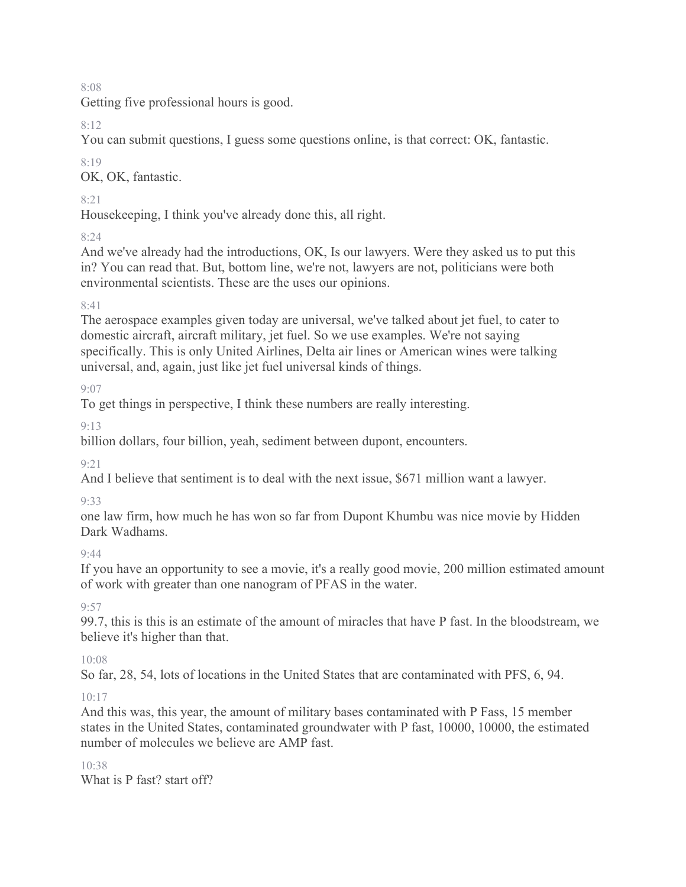Getting five professional hours is good.

# 8:12

You can submit questions, I guess some questions online, is that correct: OK, fantastic.

### 8:19

OK, OK, fantastic.

# 8:21

Housekeeping, I think you've already done this, all right.

# 8:24

And we've already had the introductions, OK, Is our lawyers. Were they asked us to put this in? You can read that. But, bottom line, we're not, lawyers are not, politicians were both environmental scientists. These are the uses our opinions.

# $8.41$

The aerospace examples given today are universal, we've talked about jet fuel, to cater to domestic aircraft, aircraft military, jet fuel. So we use examples. We're not saying specifically. This is only United Airlines, Delta air lines or American wines were talking universal, and, again, just like jet fuel universal kinds of things.

# 9:07

To get things in perspective, I think these numbers are really interesting.

# 9:13

billion dollars, four billion, yeah, sediment between dupont, encounters.

# 9:21

And I believe that sentiment is to deal with the next issue, \$671 million want a lawyer.

# 9:33

one law firm, how much he has won so far from Dupont Khumbu was nice movie by Hidden Dark Wadhams.

# $Q \cdot \Delta\Delta$

If you have an opportunity to see a movie, it's a really good movie, 200 million estimated amount of work with greater than one nanogram of PFAS in the water.

# $9.57$

99.7, this is this is an estimate of the amount of miracles that have P fast. In the bloodstream, we believe it's higher than that.

# 10:08

So far, 28, 54, lots of locations in the United States that are contaminated with PFS, 6, 94.

# 10:17

And this was, this year, the amount of military bases contaminated with P Fass, 15 member states in the United States, contaminated groundwater with P fast, 10000, 10000, the estimated number of molecules we believe are AMP fast.

#### 10:38 What is P fast? start off?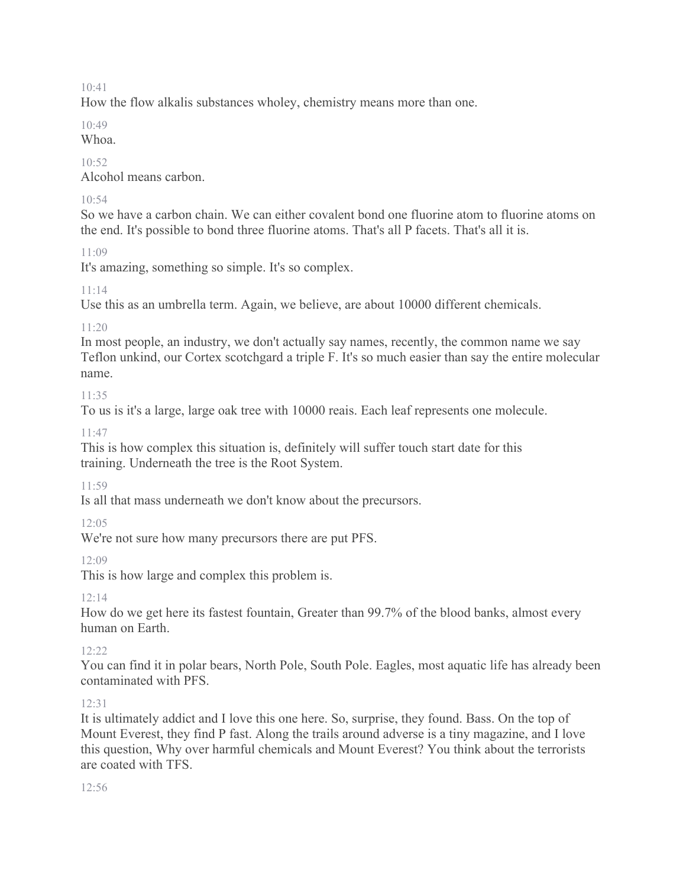How the flow alkalis substances wholey, chemistry means more than one.

10:49

Whoa.

 $10.52$ 

Alcohol means carbon.

# $10.54$

So we have a carbon chain. We can either covalent bond one fluorine atom to fluorine atoms on the end. It's possible to bond three fluorine atoms. That's all P facets. That's all it is.

 $11.09$ 

It's amazing, something so simple. It's so complex.

# 11:14

Use this as an umbrella term. Again, we believe, are about 10000 different chemicals.

# $11:20$

In most people, an industry, we don't actually say names, recently, the common name we say Teflon unkind, our Cortex scotchgard a triple F. It's so much easier than say the entire molecular name.

11:35

To us is it's a large, large oak tree with 10000 reais. Each leaf represents one molecule.

11:47

This is how complex this situation is, definitely will suffer touch start date for this training. Underneath the tree is the Root System.

11:59

Is all that mass underneath we don't know about the precursors.

12:05

We're not sure how many precursors there are put PFS.

12:09

This is how large and complex this problem is.

12:14

How do we get here its fastest fountain, Greater than 99.7% of the blood banks, almost every human on Earth.

12:22

You can find it in polar bears, North Pole, South Pole. Eagles, most aquatic life has already been contaminated with PFS.

# 12:31

It is ultimately addict and I love this one here. So, surprise, they found. Bass. On the top of Mount Everest, they find P fast. Along the trails around adverse is a tiny magazine, and I love this question, Why over harmful chemicals and Mount Everest? You think about the terrorists are coated with TFS.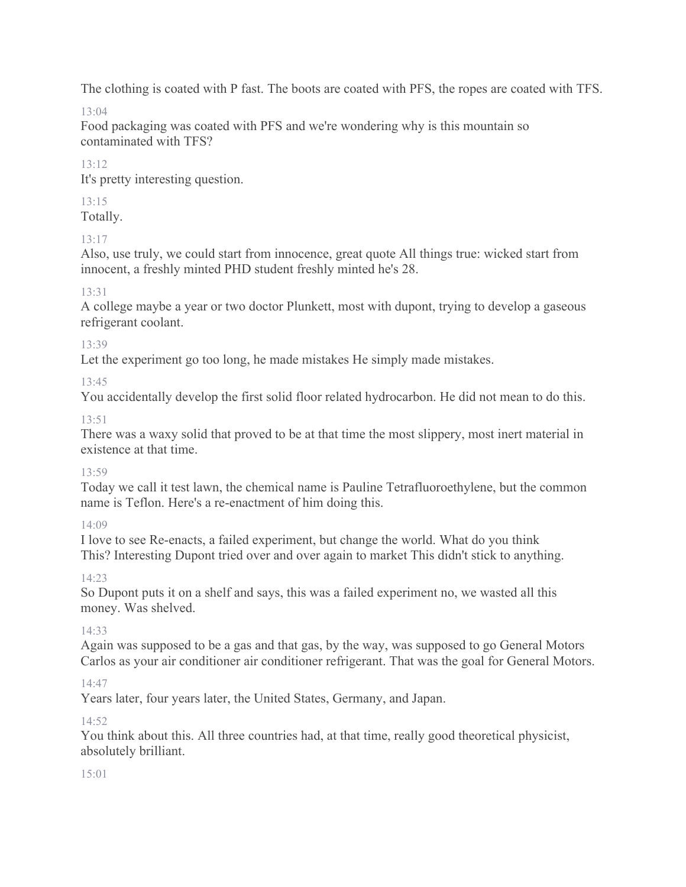The clothing is coated with P fast. The boots are coated with PFS, the ropes are coated with TFS.

 $13.04$ 

Food packaging was coated with PFS and we're wondering why is this mountain so contaminated with TFS?

 $13.12$ 

It's pretty interesting question.

13:15

Totally.

13:17

Also, use truly, we could start from innocence, great quote All things true: wicked start from innocent, a freshly minted PHD student freshly minted he's 28.

# 13:31

A college maybe a year or two doctor Plunkett, most with dupont, trying to develop a gaseous refrigerant coolant.

13:39

Let the experiment go too long, he made mistakes He simply made mistakes.

13:45

You accidentally develop the first solid floor related hydrocarbon. He did not mean to do this.

# 13:51

There was a waxy solid that proved to be at that time the most slippery, most inert material in existence at that time.

# 13:59

Today we call it test lawn, the chemical name is Pauline Tetrafluoroethylene, but the common name is Teflon. Here's a re-enactment of him doing this.

# 14:09

I love to see Re-enacts, a failed experiment, but change the world. What do you think This? Interesting Dupont tried over and over again to market This didn't stick to anything.

# 14:23

So Dupont puts it on a shelf and says, this was a failed experiment no, we wasted all this money. Was shelved.

# 14:33

Again was supposed to be a gas and that gas, by the way, was supposed to go General Motors Carlos as your air conditioner air conditioner refrigerant. That was the goal for General Motors.

# 14:47

Years later, four years later, the United States, Germany, and Japan.

# 14:52

You think about this. All three countries had, at that time, really good theoretical physicist, absolutely brilliant.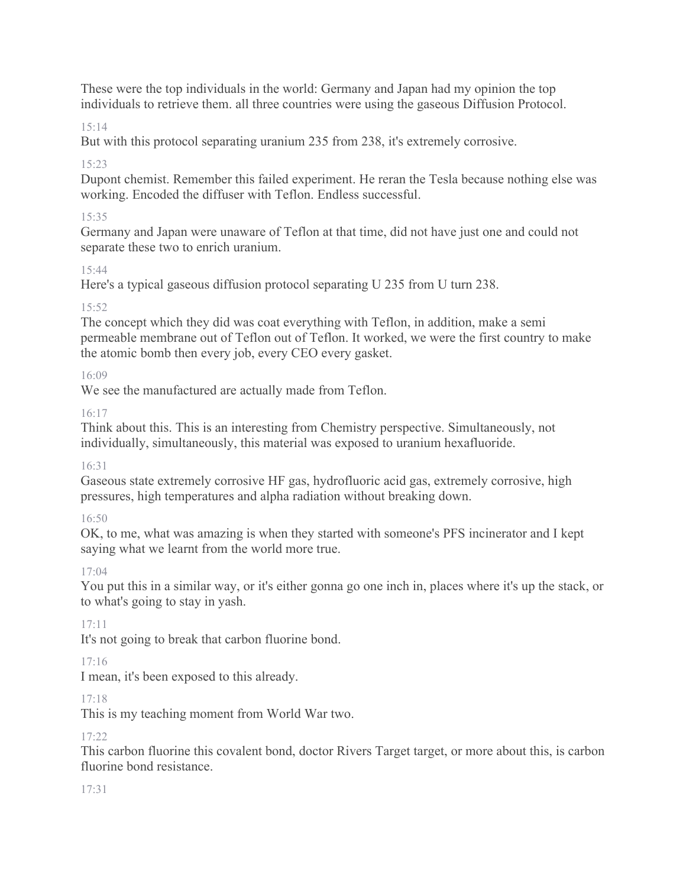These were the top individuals in the world: Germany and Japan had my opinion the top individuals to retrieve them. all three countries were using the gaseous Diffusion Protocol.

# 15:14

But with this protocol separating uranium 235 from 238, it's extremely corrosive.

# 15:23

Dupont chemist. Remember this failed experiment. He reran the Tesla because nothing else was working. Encoded the diffuser with Teflon. Endless successful.

# 15:35

Germany and Japan were unaware of Teflon at that time, did not have just one and could not separate these two to enrich uranium.

# 15:44

Here's a typical gaseous diffusion protocol separating U 235 from U turn 238.

# 15:52

The concept which they did was coat everything with Teflon, in addition, make a semi permeable membrane out of Teflon out of Teflon. It worked, we were the first country to make the atomic bomb then every job, every CEO every gasket.

# 16:09

We see the manufactured are actually made from Teflon.

# 16:17

Think about this. This is an interesting from Chemistry perspective. Simultaneously, not individually, simultaneously, this material was exposed to uranium hexafluoride.

# 16:31

Gaseous state extremely corrosive HF gas, hydrofluoric acid gas, extremely corrosive, high pressures, high temperatures and alpha radiation without breaking down.

# 16:50

OK, to me, what was amazing is when they started with someone's PFS incinerator and I kept saying what we learnt from the world more true.

# 17:04

You put this in a similar way, or it's either gonna go one inch in, places where it's up the stack, or to what's going to stay in yash.

# 17:11

It's not going to break that carbon fluorine bond.

# 17:16

I mean, it's been exposed to this already.

# 17:18

This is my teaching moment from World War two.

# 17:22

This carbon fluorine this covalent bond, doctor Rivers Target target, or more about this, is carbon fluorine bond resistance.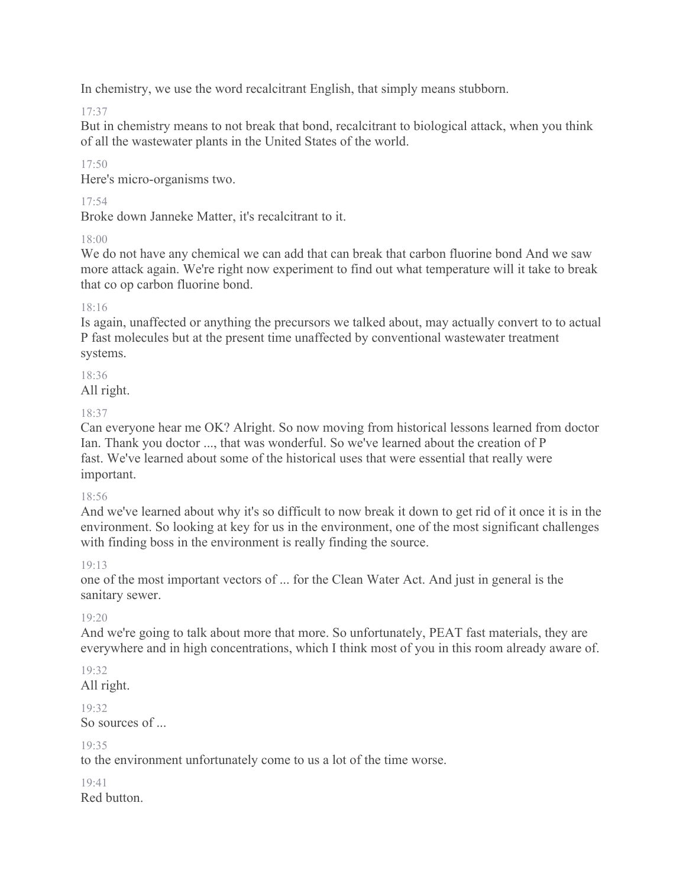In chemistry, we use the word recalcitrant English, that simply means stubborn.

17:37

But in chemistry means to not break that bond, recalcitrant to biological attack, when you think of all the wastewater plants in the United States of the world.

 $17.50$ 

Here's micro-organisms two.

17:54

Broke down Janneke Matter, it's recalcitrant to it.

18:00

We do not have any chemical we can add that can break that carbon fluorine bond And we saw more attack again. We're right now experiment to find out what temperature will it take to break that co op carbon fluorine bond.

18:16

Is again, unaffected or anything the precursors we talked about, may actually convert to to actual P fast molecules but at the present time unaffected by conventional wastewater treatment systems.

18:36

All right.

# 18:37

Can everyone hear me OK? Alright. So now moving from historical lessons learned from doctor Ian. Thank you doctor ..., that was wonderful. So we've learned about the creation of P fast. We've learned about some of the historical uses that were essential that really were important.

# 18:56

And we've learned about why it's so difficult to now break it down to get rid of it once it is in the environment. So looking at key for us in the environment, one of the most significant challenges with finding boss in the environment is really finding the source.

# 19:13

one of the most important vectors of ... for the Clean Water Act. And just in general is the sanitary sewer.

# 19:20

And we're going to talk about more that more. So unfortunately, PEAT fast materials, they are everywhere and in high concentrations, which I think most of you in this room already aware of.

# 19:32

All right.

# 19:32

So sources of ...

# 19:35

to the environment unfortunately come to us a lot of the time worse.

19:41 Red button.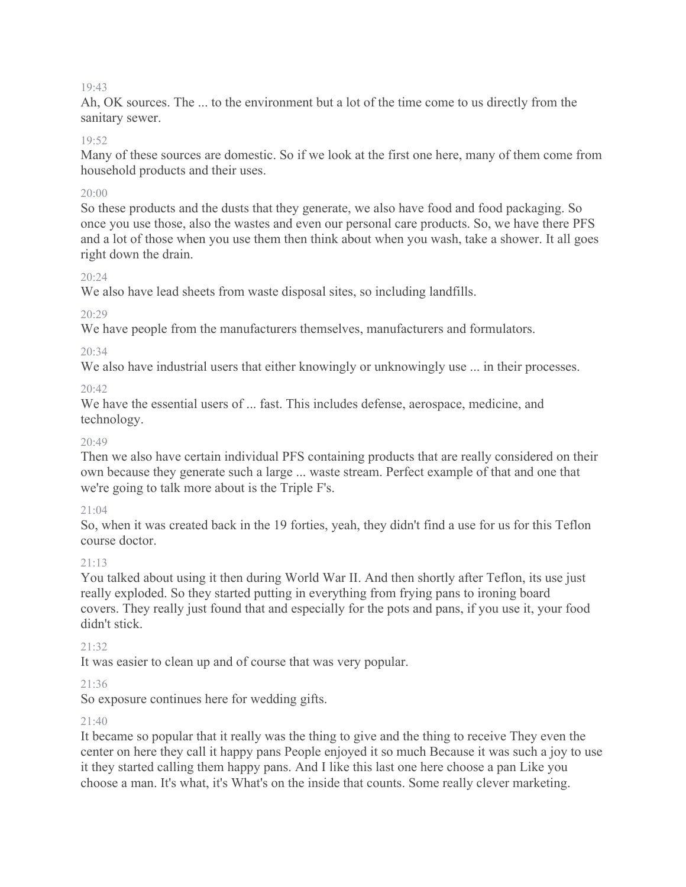Ah, OK sources. The ... to the environment but a lot of the time come to us directly from the sanitary sewer.

#### 19:52

Many of these sources are domestic. So if we look at the first one here, many of them come from household products and their uses.

#### 20:00

So these products and the dusts that they generate, we also have food and food packaging. So once you use those, also the wastes and even our personal care products. So, we have there PFS and a lot of those when you use them then think about when you wash, take a shower. It all goes right down the drain.

#### 20:24

We also have lead sheets from waste disposal sites, so including landfills.

#### 20:29

We have people from the manufacturers themselves, manufacturers and formulators.

#### 20:34

We also have industrial users that either knowingly or unknowingly use ... in their processes.

### $20.42$

We have the essential users of ... fast. This includes defense, aerospace, medicine, and technology.

#### 20:49

Then we also have certain individual PFS containing products that are really considered on their own because they generate such a large ... waste stream. Perfect example of that and one that we're going to talk more about is the Triple F's.

#### 21:04

So, when it was created back in the 19 forties, yeah, they didn't find a use for us for this Teflon course doctor.

#### 21:13

You talked about using it then during World War II. And then shortly after Teflon, its use just really exploded. So they started putting in everything from frying pans to ironing board covers. They really just found that and especially for the pots and pans, if you use it, your food didn't stick.

#### 21:32

It was easier to clean up and of course that was very popular.

#### 21:36

So exposure continues here for wedding gifts.

#### 21:40

It became so popular that it really was the thing to give and the thing to receive They even the center on here they call it happy pans People enjoyed it so much Because it was such a joy to use it they started calling them happy pans. And I like this last one here choose a pan Like you choose a man. It's what, it's What's on the inside that counts. Some really clever marketing.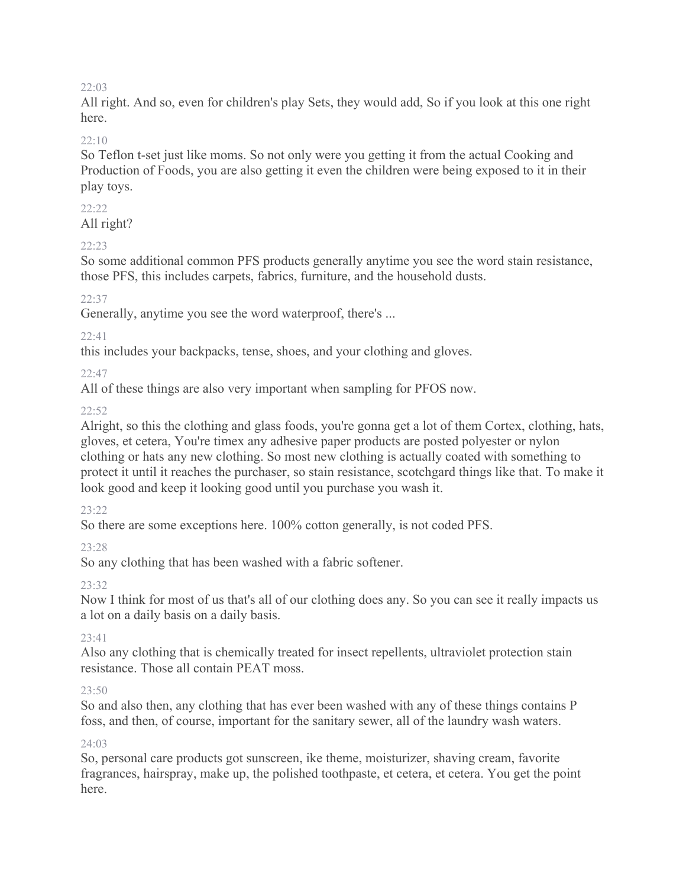All right. And so, even for children's play Sets, they would add, So if you look at this one right here.

### 22:10

So Teflon t-set just like moms. So not only were you getting it from the actual Cooking and Production of Foods, you are also getting it even the children were being exposed to it in their play toys.

### 22:22

All right?

### 22:23

So some additional common PFS products generally anytime you see the word stain resistance, those PFS, this includes carpets, fabrics, furniture, and the household dusts.

### 22:37

Generally, anytime you see the word waterproof, there's ...

### 22:41

this includes your backpacks, tense, shoes, and your clothing and gloves.

### 22:47

All of these things are also very important when sampling for PFOS now.

# 22:52

Alright, so this the clothing and glass foods, you're gonna get a lot of them Cortex, clothing, hats, gloves, et cetera, You're timex any adhesive paper products are posted polyester or nylon clothing or hats any new clothing. So most new clothing is actually coated with something to protect it until it reaches the purchaser, so stain resistance, scotchgard things like that. To make it look good and keep it looking good until you purchase you wash it.

#### 23:22

So there are some exceptions here. 100% cotton generally, is not coded PFS.

# 23:28

So any clothing that has been washed with a fabric softener.

# 23:32

Now I think for most of us that's all of our clothing does any. So you can see it really impacts us a lot on a daily basis on a daily basis.

# 23:41

Also any clothing that is chemically treated for insect repellents, ultraviolet protection stain resistance. Those all contain PEAT moss.

#### 23:50

So and also then, any clothing that has ever been washed with any of these things contains P foss, and then, of course, important for the sanitary sewer, all of the laundry wash waters.

# 24:03

So, personal care products got sunscreen, ike theme, moisturizer, shaving cream, favorite fragrances, hairspray, make up, the polished toothpaste, et cetera, et cetera. You get the point here.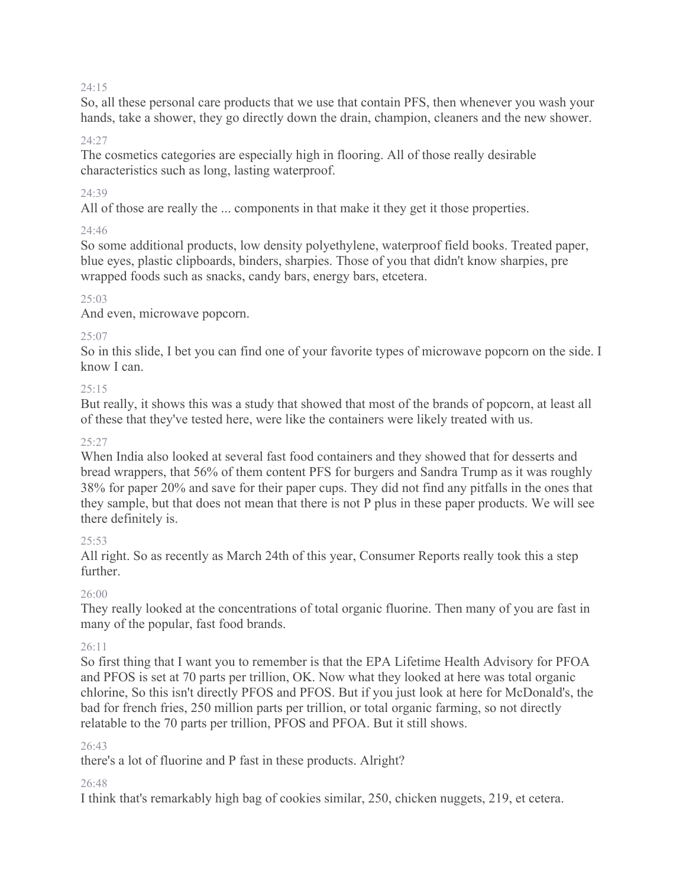So, all these personal care products that we use that contain PFS, then whenever you wash your hands, take a shower, they go directly down the drain, champion, cleaners and the new shower.

#### 24:27

The cosmetics categories are especially high in flooring. All of those really desirable characteristics such as long, lasting waterproof.

#### 24:39

All of those are really the ... components in that make it they get it those properties.

### $24.46$

So some additional products, low density polyethylene, waterproof field books. Treated paper, blue eyes, plastic clipboards, binders, sharpies. Those of you that didn't know sharpies, pre wrapped foods such as snacks, candy bars, energy bars, etcetera.

### 25:03

And even, microwave popcorn.

### $25:07$

So in this slide, I bet you can find one of your favorite types of microwave popcorn on the side. I know I can.

### $25.15$

But really, it shows this was a study that showed that most of the brands of popcorn, at least all of these that they've tested here, were like the containers were likely treated with us.

#### $25:27$

When India also looked at several fast food containers and they showed that for desserts and bread wrappers, that 56% of them content PFS for burgers and Sandra Trump as it was roughly 38% for paper 20% and save for their paper cups. They did not find any pitfalls in the ones that they sample, but that does not mean that there is not P plus in these paper products. We will see there definitely is.

#### 25:53

All right. So as recently as March 24th of this year, Consumer Reports really took this a step further.

# 26:00

They really looked at the concentrations of total organic fluorine. Then many of you are fast in many of the popular, fast food brands.

# 26:11

So first thing that I want you to remember is that the EPA Lifetime Health Advisory for PFOA and PFOS is set at 70 parts per trillion, OK. Now what they looked at here was total organic chlorine, So this isn't directly PFOS and PFOS. But if you just look at here for McDonald's, the bad for french fries, 250 million parts per trillion, or total organic farming, so not directly relatable to the 70 parts per trillion, PFOS and PFOA. But it still shows.

#### 26:43

there's a lot of fluorine and P fast in these products. Alright?

#### 26:48

I think that's remarkably high bag of cookies similar, 250, chicken nuggets, 219, et cetera.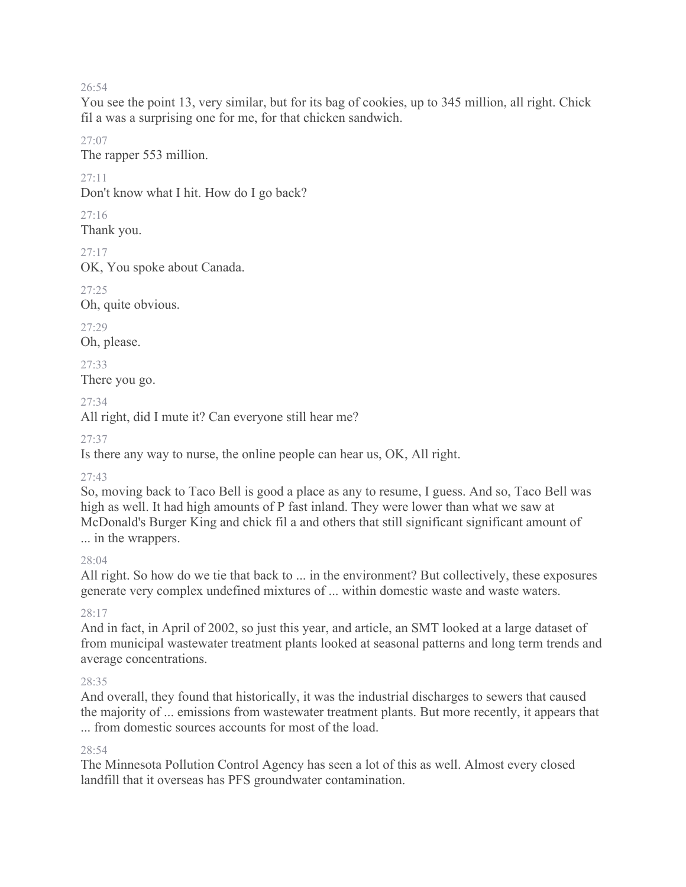You see the point 13, very similar, but for its bag of cookies, up to 345 million, all right. Chick fil a was a surprising one for me, for that chicken sandwich.

27:07

The rapper 553 million.

27:11

Don't know what I hit. How do I go back?

27:16

Thank you.

27:17

OK, You spoke about Canada.

27:25

Oh, quite obvious.

27:29

Oh, please.

27:33

There you go.

27:34

All right, did I mute it? Can everyone still hear me?

27:37

Is there any way to nurse, the online people can hear us, OK, All right.

# 27:43

So, moving back to Taco Bell is good a place as any to resume, I guess. And so, Taco Bell was high as well. It had high amounts of P fast inland. They were lower than what we saw at McDonald's Burger King and chick fil a and others that still significant significant amount of ... in the wrappers.

# 28:04

All right. So how do we tie that back to ... in the environment? But collectively, these exposures generate very complex undefined mixtures of ... within domestic waste and waste waters.

# 28:17

And in fact, in April of 2002, so just this year, and article, an SMT looked at a large dataset of from municipal wastewater treatment plants looked at seasonal patterns and long term trends and average concentrations.

# 28:35

And overall, they found that historically, it was the industrial discharges to sewers that caused the majority of ... emissions from wastewater treatment plants. But more recently, it appears that ... from domestic sources accounts for most of the load.

# 28:54

The Minnesota Pollution Control Agency has seen a lot of this as well. Almost every closed landfill that it overseas has PFS groundwater contamination.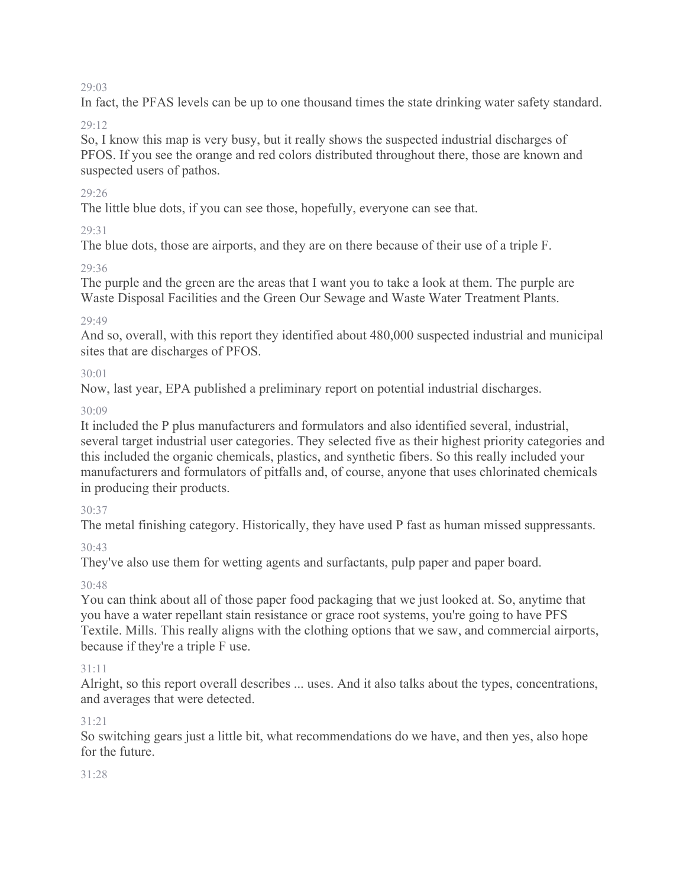In fact, the PFAS levels can be up to one thousand times the state drinking water safety standard.

# 29:12

So, I know this map is very busy, but it really shows the suspected industrial discharges of PFOS. If you see the orange and red colors distributed throughout there, those are known and suspected users of pathos.

# 29:26

The little blue dots, if you can see those, hopefully, everyone can see that.

# $29.31$

The blue dots, those are airports, and they are on there because of their use of a triple F.

# 29:36

The purple and the green are the areas that I want you to take a look at them. The purple are Waste Disposal Facilities and the Green Our Sewage and Waste Water Treatment Plants.

# 29:49

And so, overall, with this report they identified about 480,000 suspected industrial and municipal sites that are discharges of PFOS.

# 30:01

Now, last year, EPA published a preliminary report on potential industrial discharges.

# 30:09

It included the P plus manufacturers and formulators and also identified several, industrial, several target industrial user categories. They selected five as their highest priority categories and this included the organic chemicals, plastics, and synthetic fibers. So this really included your manufacturers and formulators of pitfalls and, of course, anyone that uses chlorinated chemicals in producing their products.

# 30:37

The metal finishing category. Historically, they have used P fast as human missed suppressants.

# 30:43

They've also use them for wetting agents and surfactants, pulp paper and paper board.

# 30:48

You can think about all of those paper food packaging that we just looked at. So, anytime that you have a water repellant stain resistance or grace root systems, you're going to have PFS Textile. Mills. This really aligns with the clothing options that we saw, and commercial airports, because if they're a triple F use.

# 31:11

Alright, so this report overall describes ... uses. And it also talks about the types, concentrations, and averages that were detected.

# 31:21

So switching gears just a little bit, what recommendations do we have, and then yes, also hope for the future.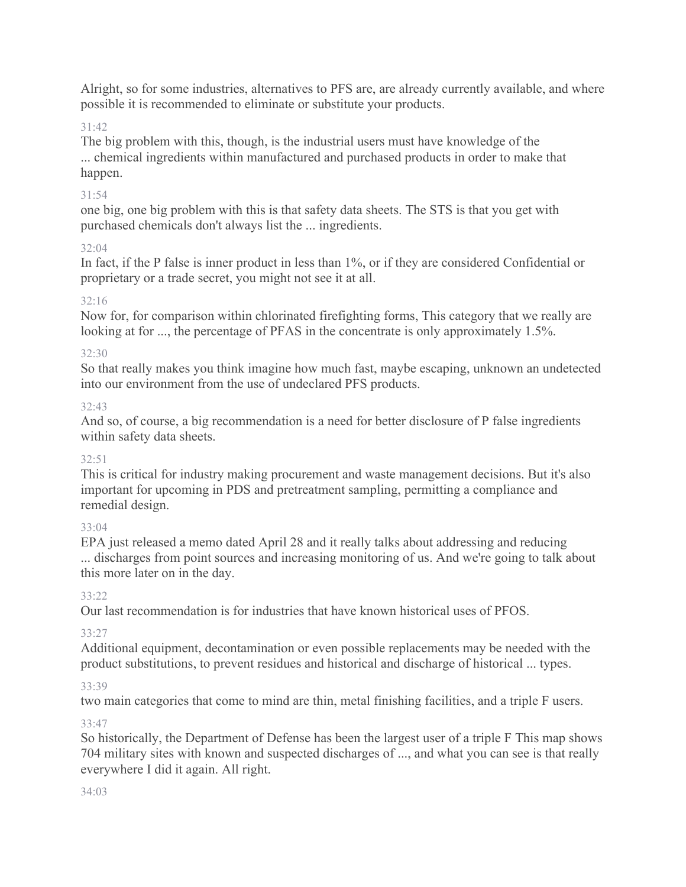Alright, so for some industries, alternatives to PFS are, are already currently available, and where possible it is recommended to eliminate or substitute your products.

# 31:42

The big problem with this, though, is the industrial users must have knowledge of the ... chemical ingredients within manufactured and purchased products in order to make that happen.

### 31:54

one big, one big problem with this is that safety data sheets. The STS is that you get with purchased chemicals don't always list the ... ingredients.

### 32:04

In fact, if the P false is inner product in less than 1%, or if they are considered Confidential or proprietary or a trade secret, you might not see it at all.

# 32:16

Now for, for comparison within chlorinated firefighting forms, This category that we really are looking at for ..., the percentage of PFAS in the concentrate is only approximately 1.5%.

### 32:30

So that really makes you think imagine how much fast, maybe escaping, unknown an undetected into our environment from the use of undeclared PFS products.

# 32:43

And so, of course, a big recommendation is a need for better disclosure of P false ingredients within safety data sheets.

# $32:51$

This is critical for industry making procurement and waste management decisions. But it's also important for upcoming in PDS and pretreatment sampling, permitting a compliance and remedial design.

# 33:04

EPA just released a memo dated April 28 and it really talks about addressing and reducing ... discharges from point sources and increasing monitoring of us. And we're going to talk about this more later on in the day.

# $33.22$

Our last recommendation is for industries that have known historical uses of PFOS.

# 33:27

Additional equipment, decontamination or even possible replacements may be needed with the product substitutions, to prevent residues and historical and discharge of historical ... types.

#### 33:39

two main categories that come to mind are thin, metal finishing facilities, and a triple F users.

# 33:47

So historically, the Department of Defense has been the largest user of a triple F This map shows 704 military sites with known and suspected discharges of ..., and what you can see is that really everywhere I did it again. All right.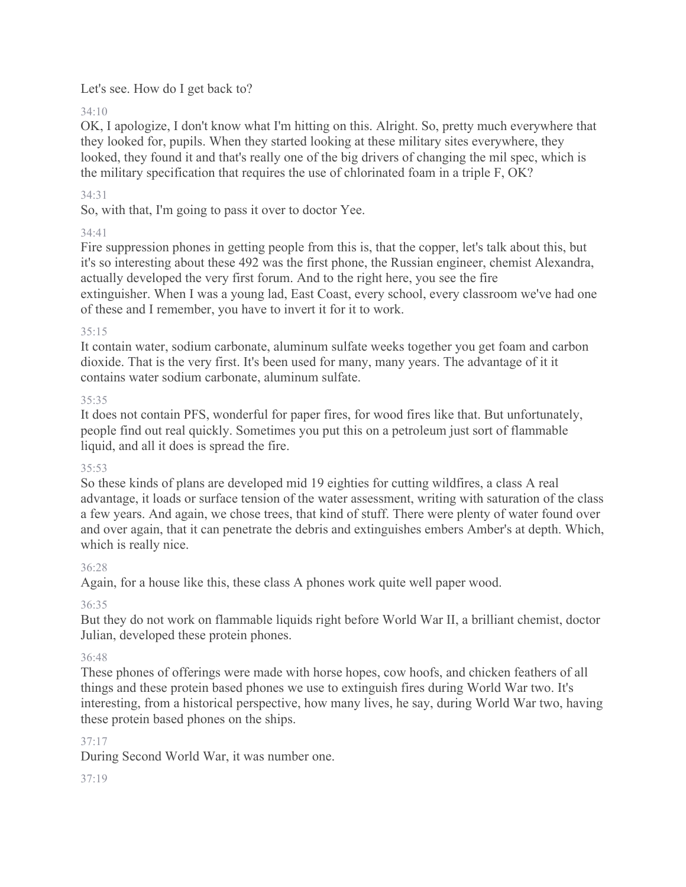# Let's see. How do I get back to?

34:10

OK, I apologize, I don't know what I'm hitting on this. Alright. So, pretty much everywhere that they looked for, pupils. When they started looking at these military sites everywhere, they looked, they found it and that's really one of the big drivers of changing the mil spec, which is the military specification that requires the use of chlorinated foam in a triple F, OK?

# 34:31

So, with that, I'm going to pass it over to doctor Yee.

# 34:41

Fire suppression phones in getting people from this is, that the copper, let's talk about this, but it's so interesting about these 492 was the first phone, the Russian engineer, chemist Alexandra, actually developed the very first forum. And to the right here, you see the fire extinguisher. When I was a young lad, East Coast, every school, every classroom we've had one of these and I remember, you have to invert it for it to work.

# 35:15

It contain water, sodium carbonate, aluminum sulfate weeks together you get foam and carbon dioxide. That is the very first. It's been used for many, many years. The advantage of it it contains water sodium carbonate, aluminum sulfate.

# 35:35

It does not contain PFS, wonderful for paper fires, for wood fires like that. But unfortunately, people find out real quickly. Sometimes you put this on a petroleum just sort of flammable liquid, and all it does is spread the fire.

# 35:53

So these kinds of plans are developed mid 19 eighties for cutting wildfires, a class A real advantage, it loads or surface tension of the water assessment, writing with saturation of the class a few years. And again, we chose trees, that kind of stuff. There were plenty of water found over and over again, that it can penetrate the debris and extinguishes embers Amber's at depth. Which, which is really nice.

# 36:28

Again, for a house like this, these class A phones work quite well paper wood.

# 36:35

But they do not work on flammable liquids right before World War II, a brilliant chemist, doctor Julian, developed these protein phones.

# 36:48

These phones of offerings were made with horse hopes, cow hoofs, and chicken feathers of all things and these protein based phones we use to extinguish fires during World War two. It's interesting, from a historical perspective, how many lives, he say, during World War two, having these protein based phones on the ships.

# 37:17

During Second World War, it was number one.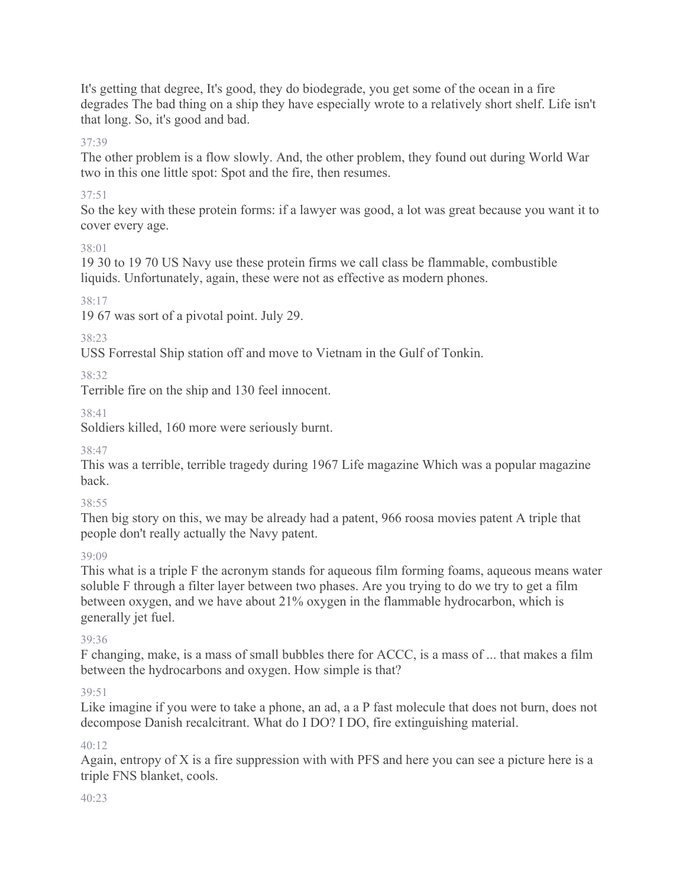It's getting that degree, It's good, they do biodegrade, you get some of the ocean in a fire degrades The bad thing on a ship they have especially wrote to a relatively short shelf. Life isn't that long. So, it's good and bad.

# 37:39

The other problem is a flow slowly. And, the other problem, they found out during World War two in this one little spot: Spot and the fire, then resumes.

# 37:51

So the key with these protein forms: if a lawyer was good, a lot was great because you want it to cover every age.

38:01

19 30 to 19 70 US Navy use these protein firms we call class be flammable, combustible liquids. Unfortunately, again, these were not as effective as modern phones.

38:17

19 67 was sort of a pivotal point. July 29.

38:23

USS Forrestal Ship station off and move to Vietnam in the Gulf of Tonkin.

38:32

Terrible fire on the ship and 130 feel innocent.

38:41

Soldiers killed, 160 more were seriously burnt.

38:47

This was a terrible, terrible tragedy during 1967 Life magazine Which was a popular magazine back.

# 38:55

Then big story on this, we may be already had a patent, 966 roosa movies patent A triple that people don't really actually the Navy patent.

39:09

This what is a triple F the acronym stands for aqueous film forming foams, aqueous means water soluble F through a filter layer between two phases. Are you trying to do we try to get a film between oxygen, and we have about 21% oxygen in the flammable hydrocarbon, which is generally jet fuel.

# 39:36

F changing, make, is a mass of small bubbles there for ACCC, is a mass of ... that makes a film between the hydrocarbons and oxygen. How simple is that?

# $39.51$

Like imagine if you were to take a phone, an ad, a a P fast molecule that does not burn, does not decompose Danish recalcitrant. What do I DO? I DO, fire extinguishing material.

# 40:12

Again, entropy of X is a fire suppression with with PFS and here you can see a picture here is a triple FNS blanket, cools.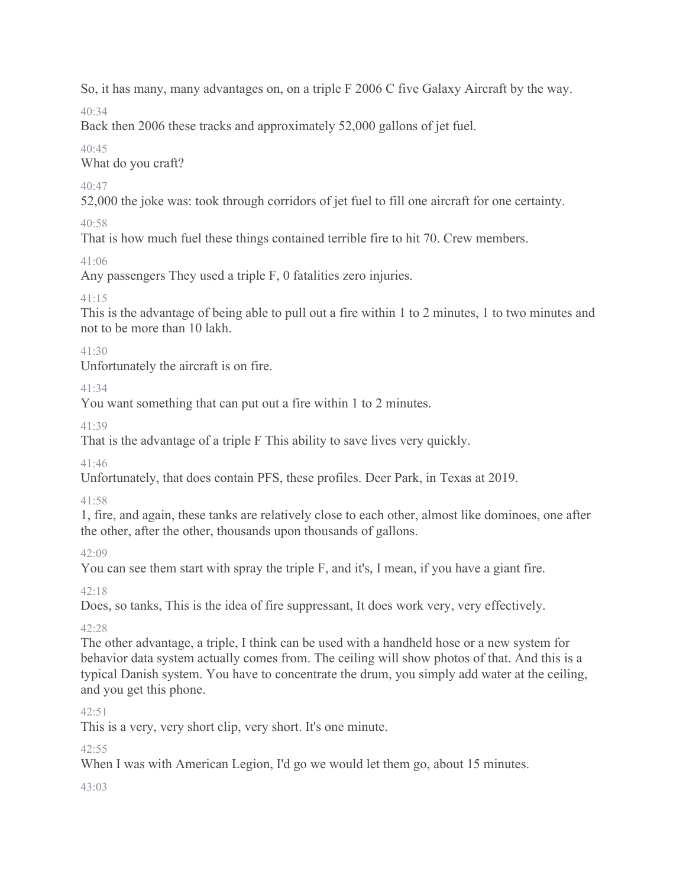So, it has many, many advantages on, on a triple F 2006 C five Galaxy Aircraft by the way.

 $40.34$ 

Back then 2006 these tracks and approximately 52,000 gallons of jet fuel.

40:45

What do you craft?

40:47

52,000 the joke was: took through corridors of jet fuel to fill one aircraft for one certainty.

40:58

That is how much fuel these things contained terrible fire to hit 70. Crew members.

 $41:06$ 

Any passengers They used a triple F, 0 fatalities zero injuries.

41:15

This is the advantage of being able to pull out a fire within 1 to 2 minutes, 1 to two minutes and not to be more than 10 lakh.

41:30

Unfortunately the aircraft is on fire.

41:34

You want something that can put out a fire within 1 to 2 minutes.

41:39

That is the advantage of a triple F This ability to save lives very quickly.

41:46

Unfortunately, that does contain PFS, these profiles. Deer Park, in Texas at 2019.

41:58

1, fire, and again, these tanks are relatively close to each other, almost like dominoes, one after the other, after the other, thousands upon thousands of gallons.

42:09

You can see them start with spray the triple F, and it's, I mean, if you have a giant fire.

42:18

Does, so tanks, This is the idea of fire suppressant, It does work very, very effectively.

42:28

The other advantage, a triple, I think can be used with a handheld hose or a new system for behavior data system actually comes from. The ceiling will show photos of that. And this is a typical Danish system. You have to concentrate the drum, you simply add water at the ceiling, and you get this phone.

# $42:51$

This is a very, very short clip, very short. It's one minute.

 $42.55$ 

When I was with American Legion, I'd go we would let them go, about 15 minutes.

 $43.03$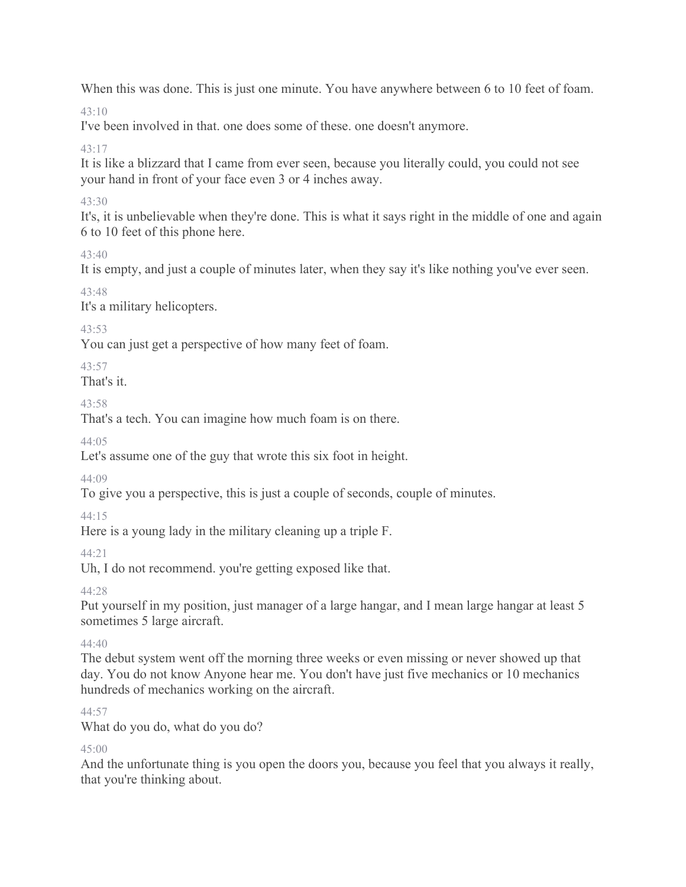When this was done. This is just one minute. You have anywhere between 6 to 10 feet of foam.

 $43 \cdot 10$ 

I've been involved in that. one does some of these. one doesn't anymore.

43:17

It is like a blizzard that I came from ever seen, because you literally could, you could not see your hand in front of your face even 3 or 4 inches away.

# 43:30

It's, it is unbelievable when they're done. This is what it says right in the middle of one and again 6 to 10 feet of this phone here.

43:40

It is empty, and just a couple of minutes later, when they say it's like nothing you've ever seen.

43:48

It's a military helicopters.

43:53

You can just get a perspective of how many feet of foam.

43:57

That's it.

# 43:58

That's a tech. You can imagine how much foam is on there.

 $44.05$ 

Let's assume one of the guy that wrote this six foot in height.

44:09

To give you a perspective, this is just a couple of seconds, couple of minutes.

44:15

Here is a young lady in the military cleaning up a triple F.

44:21

Uh, I do not recommend. you're getting exposed like that.

44:28

Put yourself in my position, just manager of a large hangar, and I mean large hangar at least 5 sometimes 5 large aircraft.

44:40

The debut system went off the morning three weeks or even missing or never showed up that day. You do not know Anyone hear me. You don't have just five mechanics or 10 mechanics hundreds of mechanics working on the aircraft.

44:57

What do you do, what do you do?

45:00

And the unfortunate thing is you open the doors you, because you feel that you always it really, that you're thinking about.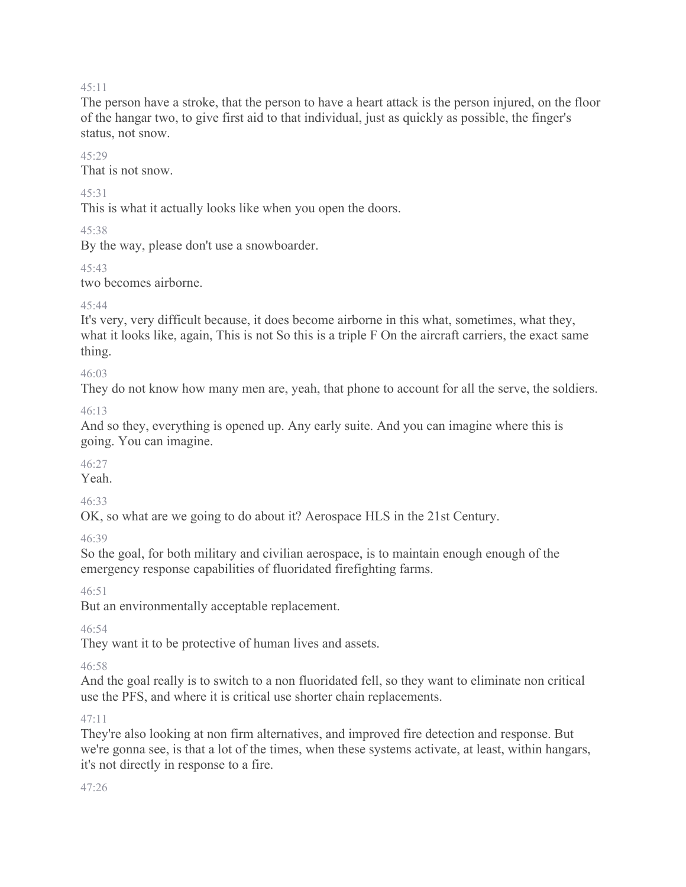The person have a stroke, that the person to have a heart attack is the person injured, on the floor of the hangar two, to give first aid to that individual, just as quickly as possible, the finger's status, not snow.

#### $45.29$

That is not snow.

### 45:31

This is what it actually looks like when you open the doors.

45:38

By the way, please don't use a snowboarder.

45:43

two becomes airborne.

# $45.44$

It's very, very difficult because, it does become airborne in this what, sometimes, what they, what it looks like, again, This is not So this is a triple F On the aircraft carriers, the exact same thing.

# 46:03

They do not know how many men are, yeah, that phone to account for all the serve, the soldiers.

# 46:13

And so they, everything is opened up. Any early suite. And you can imagine where this is going. You can imagine.

# 46:27

Yeah.

# 46:33

OK, so what are we going to do about it? Aerospace HLS in the 21st Century.

# 46:39

So the goal, for both military and civilian aerospace, is to maintain enough enough of the emergency response capabilities of fluoridated firefighting farms.

# 46:51

But an environmentally acceptable replacement.

# $46.54$

They want it to be protective of human lives and assets.

# 46:58

And the goal really is to switch to a non fluoridated fell, so they want to eliminate non critical use the PFS, and where it is critical use shorter chain replacements.

# 47:11

They're also looking at non firm alternatives, and improved fire detection and response. But we're gonna see, is that a lot of the times, when these systems activate, at least, within hangars, it's not directly in response to a fire.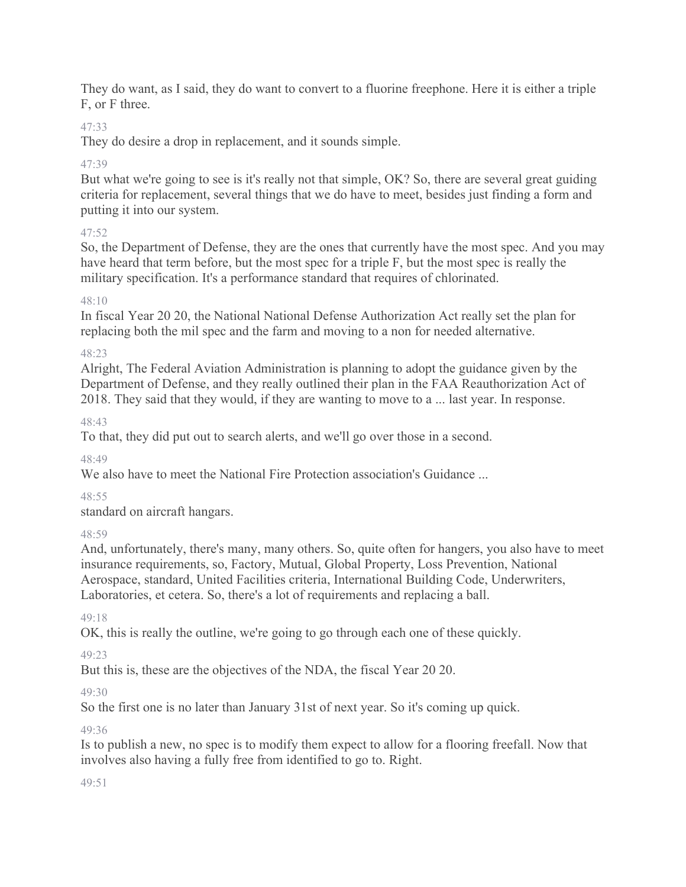They do want, as I said, they do want to convert to a fluorine freephone. Here it is either a triple F, or F three.

# 47:33

They do desire a drop in replacement, and it sounds simple.

# 47:39

But what we're going to see is it's really not that simple, OK? So, there are several great guiding criteria for replacement, several things that we do have to meet, besides just finding a form and putting it into our system.

# 47:52

So, the Department of Defense, they are the ones that currently have the most spec. And you may have heard that term before, but the most spec for a triple F, but the most spec is really the military specification. It's a performance standard that requires of chlorinated.

# 48:10

In fiscal Year 20 20, the National National Defense Authorization Act really set the plan for replacing both the mil spec and the farm and moving to a non for needed alternative.

# 48:23

Alright, The Federal Aviation Administration is planning to adopt the guidance given by the Department of Defense, and they really outlined their plan in the FAA Reauthorization Act of 2018. They said that they would, if they are wanting to move to a ... last year. In response.

48:43

To that, they did put out to search alerts, and we'll go over those in a second.

48:49

We also have to meet the National Fire Protection association's Guidance ...

48:55

standard on aircraft hangars.

48:59

And, unfortunately, there's many, many others. So, quite often for hangers, you also have to meet insurance requirements, so, Factory, Mutual, Global Property, Loss Prevention, National Aerospace, standard, United Facilities criteria, International Building Code, Underwriters, Laboratories, et cetera. So, there's a lot of requirements and replacing a ball.

49:18

OK, this is really the outline, we're going to go through each one of these quickly.

49:23

But this is, these are the objectives of the NDA, the fiscal Year 20 20.

 $49.30$ 

So the first one is no later than January 31st of next year. So it's coming up quick.

49:36

Is to publish a new, no spec is to modify them expect to allow for a flooring freefall. Now that involves also having a fully free from identified to go to. Right.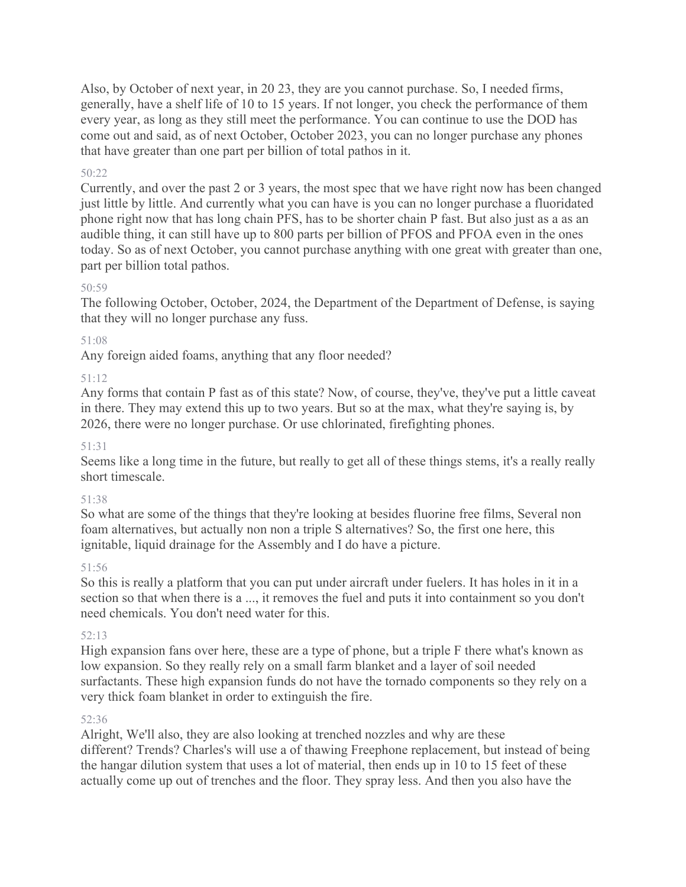Also, by October of next year, in 20 23, they are you cannot purchase. So, I needed firms, generally, have a shelf life of 10 to 15 years. If not longer, you check the performance of them every year, as long as they still meet the performance. You can continue to use the DOD has come out and said, as of next October, October 2023, you can no longer purchase any phones that have greater than one part per billion of total pathos in it.

### 50:22

Currently, and over the past 2 or 3 years, the most spec that we have right now has been changed just little by little. And currently what you can have is you can no longer purchase a fluoridated phone right now that has long chain PFS, has to be shorter chain P fast. But also just as a as an audible thing, it can still have up to 800 parts per billion of PFOS and PFOA even in the ones today. So as of next October, you cannot purchase anything with one great with greater than one, part per billion total pathos.

#### 50:59

The following October, October, 2024, the Department of the Department of Defense, is saying that they will no longer purchase any fuss.

#### 51:08

Any foreign aided foams, anything that any floor needed?

#### 51:12

Any forms that contain P fast as of this state? Now, of course, they've, they've put a little caveat in there. They may extend this up to two years. But so at the max, what they're saying is, by 2026, there were no longer purchase. Or use chlorinated, firefighting phones.

#### 51:31

Seems like a long time in the future, but really to get all of these things stems, it's a really really short timescale.

#### 51:38

So what are some of the things that they're looking at besides fluorine free films, Several non foam alternatives, but actually non non a triple S alternatives? So, the first one here, this ignitable, liquid drainage for the Assembly and I do have a picture.

#### 51:56

So this is really a platform that you can put under aircraft under fuelers. It has holes in it in a section so that when there is a ..., it removes the fuel and puts it into containment so you don't need chemicals. You don't need water for this.

#### 52:13

High expansion fans over here, these are a type of phone, but a triple F there what's known as low expansion. So they really rely on a small farm blanket and a layer of soil needed surfactants. These high expansion funds do not have the tornado components so they rely on a very thick foam blanket in order to extinguish the fire.

#### 52:36

Alright, We'll also, they are also looking at trenched nozzles and why are these different? Trends? Charles's will use a of thawing Freephone replacement, but instead of being the hangar dilution system that uses a lot of material, then ends up in 10 to 15 feet of these actually come up out of trenches and the floor. They spray less. And then you also have the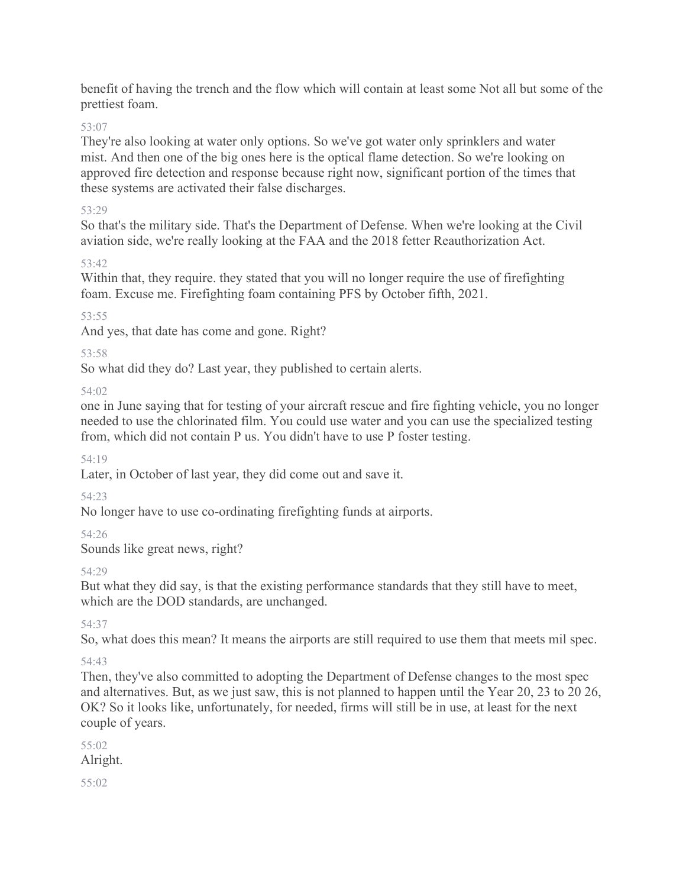benefit of having the trench and the flow which will contain at least some Not all but some of the prettiest foam.

53:07

They're also looking at water only options. So we've got water only sprinklers and water mist. And then one of the big ones here is the optical flame detection. So we're looking on approved fire detection and response because right now, significant portion of the times that these systems are activated their false discharges.

# 53:29

So that's the military side. That's the Department of Defense. When we're looking at the Civil aviation side, we're really looking at the FAA and the 2018 fetter Reauthorization Act.

 $53.42$ 

Within that, they require. they stated that you will no longer require the use of firefighting foam. Excuse me. Firefighting foam containing PFS by October fifth, 2021.

53:55

And yes, that date has come and gone. Right?

53:58

So what did they do? Last year, they published to certain alerts.

54:02

one in June saying that for testing of your aircraft rescue and fire fighting vehicle, you no longer needed to use the chlorinated film. You could use water and you can use the specialized testing from, which did not contain P us. You didn't have to use P foster testing.

54:19

Later, in October of last year, they did come out and save it.

54:23

No longer have to use co-ordinating firefighting funds at airports.

54:26

Sounds like great news, right?

# 54:29

But what they did say, is that the existing performance standards that they still have to meet, which are the DOD standards, are unchanged.

54:37

So, what does this mean? It means the airports are still required to use them that meets mil spec.

# 54:43

Then, they've also committed to adopting the Department of Defense changes to the most spec and alternatives. But, as we just saw, this is not planned to happen until the Year 20, 23 to 20 26, OK? So it looks like, unfortunately, for needed, firms will still be in use, at least for the next couple of years.

55:02 Alright.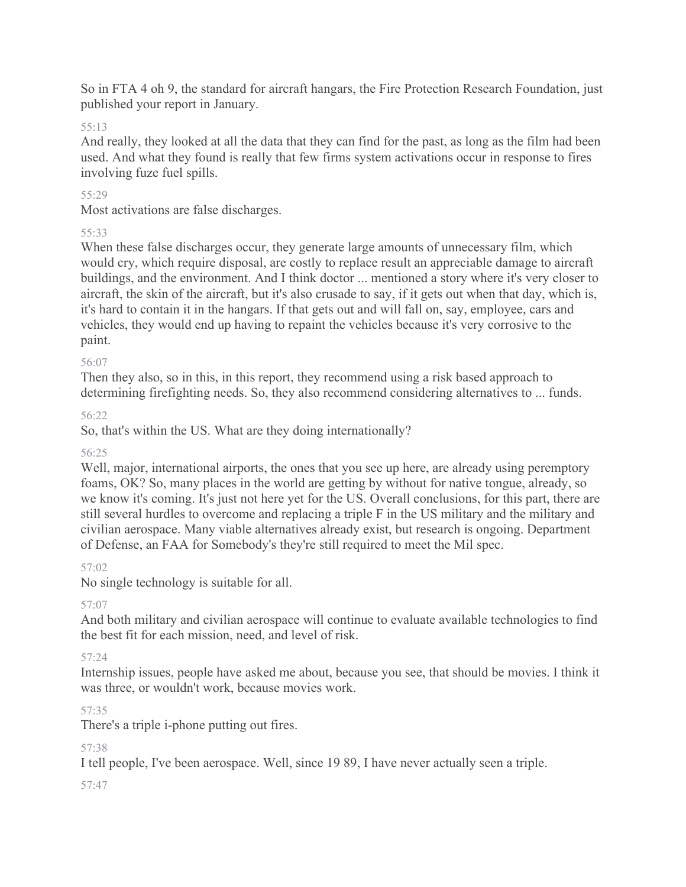So in FTA 4 oh 9, the standard for aircraft hangars, the Fire Protection Research Foundation, just published your report in January.

### 55:13

And really, they looked at all the data that they can find for the past, as long as the film had been used. And what they found is really that few firms system activations occur in response to fires involving fuze fuel spills.

### 55:29

Most activations are false discharges.

### 55:33

When these false discharges occur, they generate large amounts of unnecessary film, which would cry, which require disposal, are costly to replace result an appreciable damage to aircraft buildings, and the environment. And I think doctor ... mentioned a story where it's very closer to aircraft, the skin of the aircraft, but it's also crusade to say, if it gets out when that day, which is, it's hard to contain it in the hangars. If that gets out and will fall on, say, employee, cars and vehicles, they would end up having to repaint the vehicles because it's very corrosive to the paint.

#### 56:07

Then they also, so in this, in this report, they recommend using a risk based approach to determining firefighting needs. So, they also recommend considering alternatives to ... funds.

### 56:22

So, that's within the US. What are they doing internationally?

#### 56:25

Well, major, international airports, the ones that you see up here, are already using peremptory foams, OK? So, many places in the world are getting by without for native tongue, already, so we know it's coming. It's just not here yet for the US. Overall conclusions, for this part, there are still several hurdles to overcome and replacing a triple F in the US military and the military and civilian aerospace. Many viable alternatives already exist, but research is ongoing. Department of Defense, an FAA for Somebody's they're still required to meet the Mil spec.

# 57:02

No single technology is suitable for all.

# 57:07

And both military and civilian aerospace will continue to evaluate available technologies to find the best fit for each mission, need, and level of risk.

#### 57:24

Internship issues, people have asked me about, because you see, that should be movies. I think it was three, or wouldn't work, because movies work.

# 57:35

There's a triple i-phone putting out fires.

# 57:38

I tell people, I've been aerospace. Well, since 19 89, I have never actually seen a triple.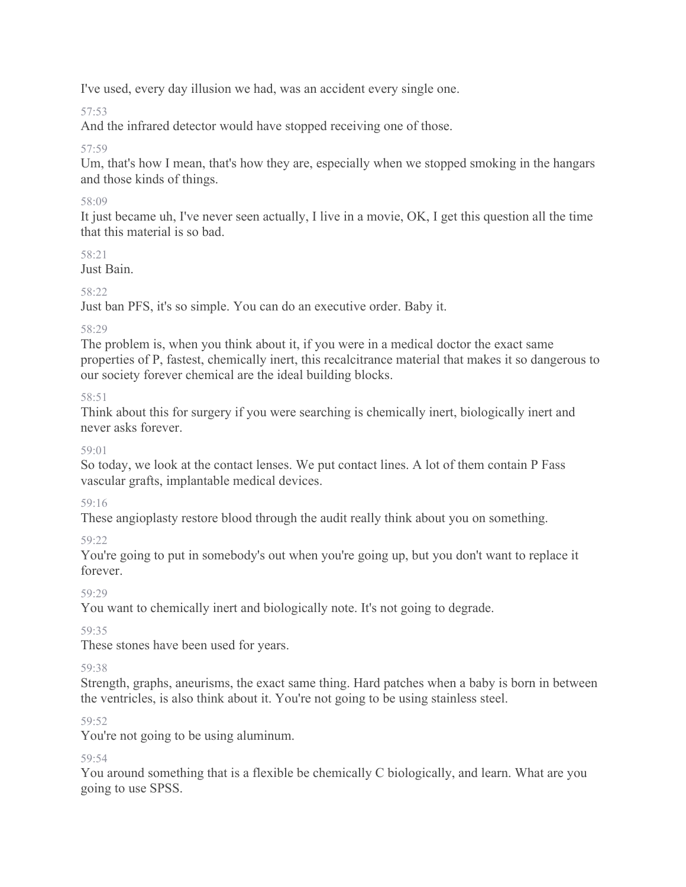I've used, every day illusion we had, was an accident every single one.

57:53

And the infrared detector would have stopped receiving one of those.

57:59

Um, that's how I mean, that's how they are, especially when we stopped smoking in the hangars and those kinds of things.

# 58:09

It just became uh, I've never seen actually, I live in a movie, OK, I get this question all the time that this material is so bad.

# 58:21

Just Bain.

# 58:22

Just ban PFS, it's so simple. You can do an executive order. Baby it.

# 58:29

The problem is, when you think about it, if you were in a medical doctor the exact same properties of P, fastest, chemically inert, this recalcitrance material that makes it so dangerous to our society forever chemical are the ideal building blocks.

# 58:51

Think about this for surgery if you were searching is chemically inert, biologically inert and never asks forever.

# 59:01

So today, we look at the contact lenses. We put contact lines. A lot of them contain P Fass vascular grafts, implantable medical devices.

# 59:16

These angioplasty restore blood through the audit really think about you on something.

# 59:22

You're going to put in somebody's out when you're going up, but you don't want to replace it forever.

# 59:29

You want to chemically inert and biologically note. It's not going to degrade.

59:35

These stones have been used for years.

59:38

Strength, graphs, aneurisms, the exact same thing. Hard patches when a baby is born in between the ventricles, is also think about it. You're not going to be using stainless steel.

# 59:52

You're not going to be using aluminum.

# 59:54

You around something that is a flexible be chemically C biologically, and learn. What are you going to use SPSS.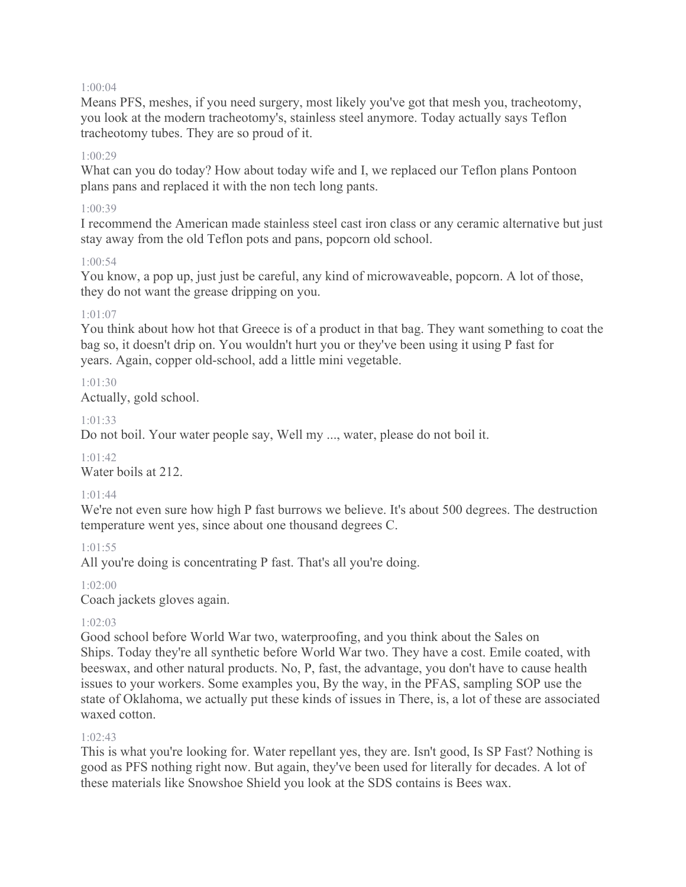#### 1:00:04

Means PFS, meshes, if you need surgery, most likely you've got that mesh you, tracheotomy, you look at the modern tracheotomy's, stainless steel anymore. Today actually says Teflon tracheotomy tubes. They are so proud of it.

#### $1.00.29$

What can you do today? How about today wife and I, we replaced our Teflon plans Pontoon plans pans and replaced it with the non tech long pants.

#### 1:00:39

I recommend the American made stainless steel cast iron class or any ceramic alternative but just stay away from the old Teflon pots and pans, popcorn old school.

# 1:00:54

You know, a pop up, just just be careful, any kind of microwaveable, popcorn. A lot of those, they do not want the grease dripping on you.

# 1:01:07

You think about how hot that Greece is of a product in that bag. They want something to coat the bag so, it doesn't drip on. You wouldn't hurt you or they've been using it using P fast for years. Again, copper old-school, add a little mini vegetable.

### $1.01.30$

Actually, gold school.

### 1:01:33

Do not boil. Your water people say, Well my ..., water, please do not boil it.

#### $1.01.42$

Water boils at 212.

#### 1:01:44

We're not even sure how high P fast burrows we believe. It's about 500 degrees. The destruction temperature went yes, since about one thousand degrees C.

#### 1:01:55

All you're doing is concentrating P fast. That's all you're doing.

#### 1:02:00

Coach jackets gloves again.

#### 1:02:03

Good school before World War two, waterproofing, and you think about the Sales on Ships. Today they're all synthetic before World War two. They have a cost. Emile coated, with beeswax, and other natural products. No, P, fast, the advantage, you don't have to cause health issues to your workers. Some examples you, By the way, in the PFAS, sampling SOP use the state of Oklahoma, we actually put these kinds of issues in There, is, a lot of these are associated waxed cotton.

#### 1:02:43

This is what you're looking for. Water repellant yes, they are. Isn't good, Is SP Fast? Nothing is good as PFS nothing right now. But again, they've been used for literally for decades. A lot of these materials like Snowshoe Shield you look at the SDS contains is Bees wax.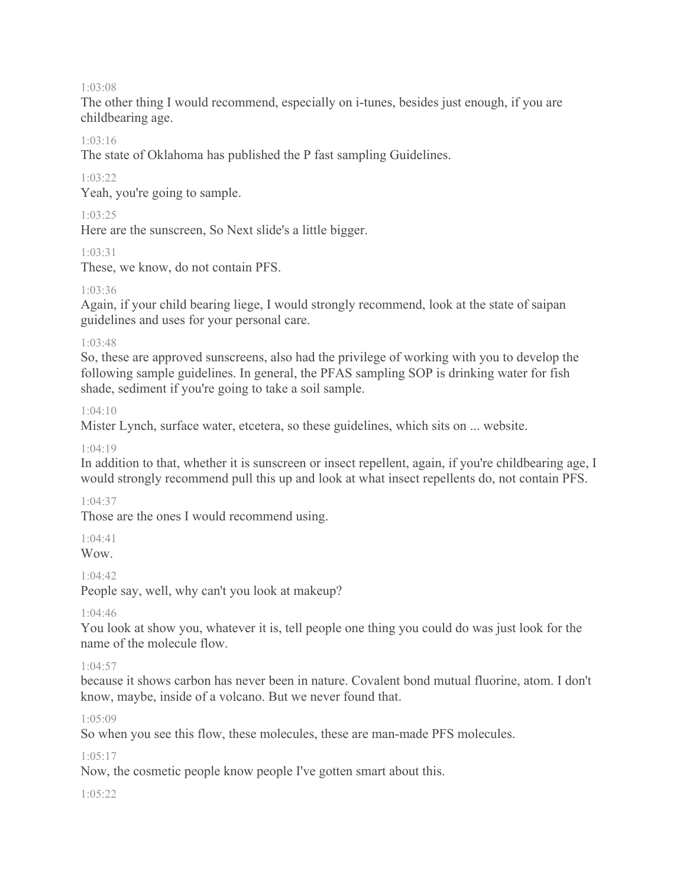#### 1:03:08

The other thing I would recommend, especially on i-tunes, besides just enough, if you are childbearing age.

#### 1:03:16

The state of Oklahoma has published the P fast sampling Guidelines.

#### $1.03.22$

Yeah, you're going to sample.

#### 1:03:25

Here are the sunscreen, So Next slide's a little bigger.

#### 1:03:31

These, we know, do not contain PFS.

#### 1:03:36

Again, if your child bearing liege, I would strongly recommend, look at the state of saipan guidelines and uses for your personal care.

#### 1:03:48

So, these are approved sunscreens, also had the privilege of working with you to develop the following sample guidelines. In general, the PFAS sampling SOP is drinking water for fish shade, sediment if you're going to take a soil sample.

#### 1:04:10

Mister Lynch, surface water, etcetera, so these guidelines, which sits on ... website.

#### 1:04:19

In addition to that, whether it is sunscreen or insect repellent, again, if you're childbearing age, I would strongly recommend pull this up and look at what insect repellents do, not contain PFS.

#### 1:04:37

Those are the ones I would recommend using.

#### 1:04:41

Wow.

#### $1.04.42$

People say, well, why can't you look at makeup?

#### $1.04.46$

You look at show you, whatever it is, tell people one thing you could do was just look for the name of the molecule flow.

#### 1:04:57

because it shows carbon has never been in nature. Covalent bond mutual fluorine, atom. I don't know, maybe, inside of a volcano. But we never found that.

#### 1:05:09

So when you see this flow, these molecules, these are man-made PFS molecules.

#### $1.05.17$

Now, the cosmetic people know people I've gotten smart about this.

#### 1:05:22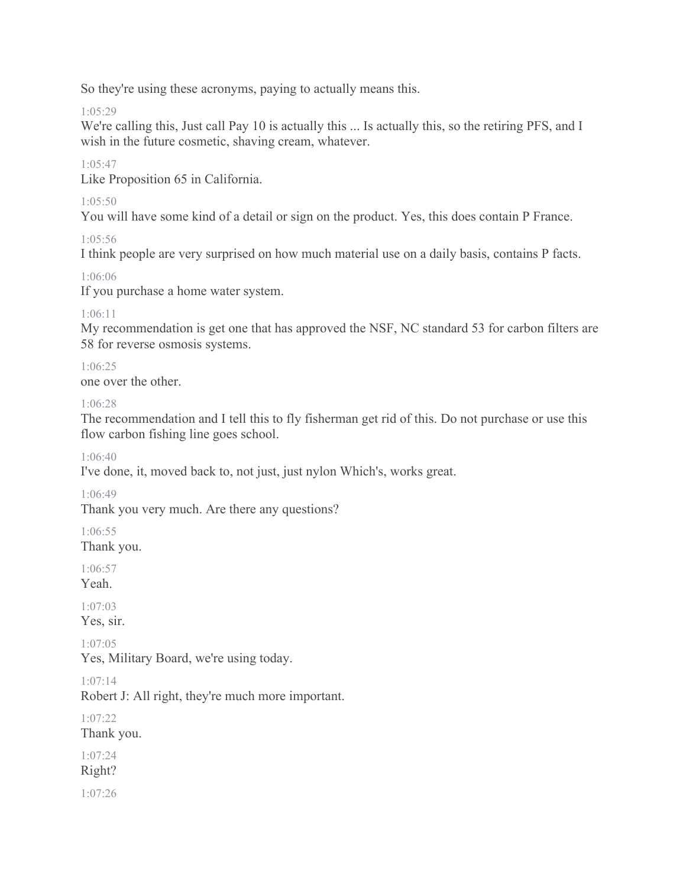So they're using these acronyms, paying to actually means this.

 $1.05.29$ 

We're calling this, Just call Pay 10 is actually this ... Is actually this, so the retiring PFS, and I wish in the future cosmetic, shaving cream, whatever.

 $1.05.47$ 

Like Proposition 65 in California.

1:05:50

You will have some kind of a detail or sign on the product. Yes, this does contain P France.

 $1.05:56$ 

I think people are very surprised on how much material use on a daily basis, contains P facts.

1:06:06

If you purchase a home water system.

1:06:11

My recommendation is get one that has approved the NSF, NC standard 53 for carbon filters are 58 for reverse osmosis systems.

1:06:25

one over the other.

1:06:28

The recommendation and I tell this to fly fisherman get rid of this. Do not purchase or use this flow carbon fishing line goes school.

1:06:40

I've done, it, moved back to, not just, just nylon Which's, works great.

1:06:49

Thank you very much. Are there any questions?

1:06:55

Thank you.

1:06:57 Yeah.

1:07:03 Yes, sir.

1:07:05

Yes, Military Board, we're using today.

1:07:14

Robert J: All right, they're much more important.

1:07:22

Thank you.

1:07:24

Right?

1:07:26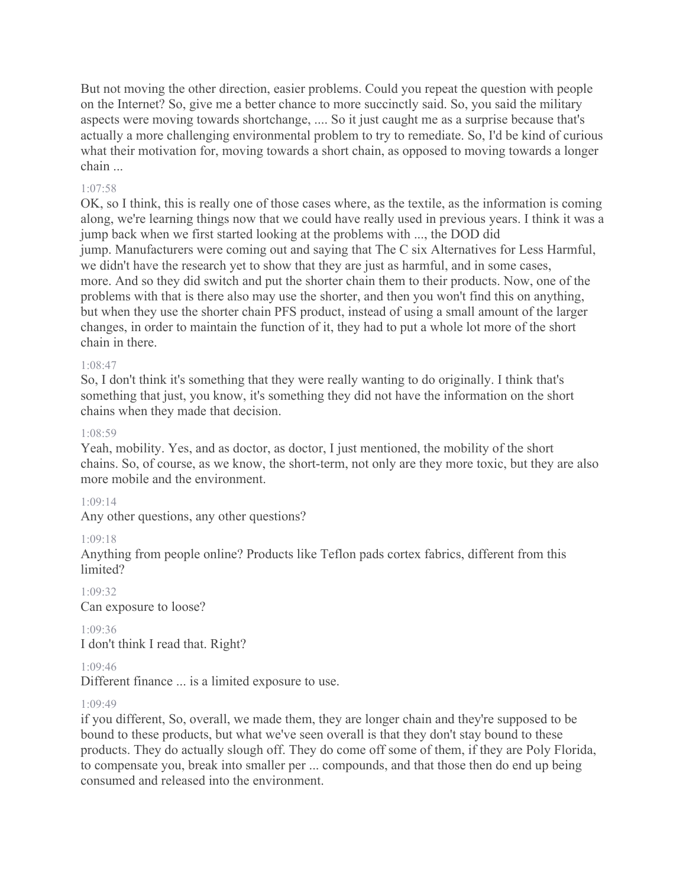But not moving the other direction, easier problems. Could you repeat the question with people on the Internet? So, give me a better chance to more succinctly said. So, you said the military aspects were moving towards shortchange, .... So it just caught me as a surprise because that's actually a more challenging environmental problem to try to remediate. So, I'd be kind of curious what their motivation for, moving towards a short chain, as opposed to moving towards a longer chain ...

#### 1:07:58

OK, so I think, this is really one of those cases where, as the textile, as the information is coming along, we're learning things now that we could have really used in previous years. I think it was a jump back when we first started looking at the problems with ..., the DOD did jump. Manufacturers were coming out and saying that The C six Alternatives for Less Harmful, we didn't have the research yet to show that they are just as harmful, and in some cases, more. And so they did switch and put the shorter chain them to their products. Now, one of the problems with that is there also may use the shorter, and then you won't find this on anything, but when they use the shorter chain PFS product, instead of using a small amount of the larger changes, in order to maintain the function of it, they had to put a whole lot more of the short chain in there.

#### 1:08:47

So, I don't think it's something that they were really wanting to do originally. I think that's something that just, you know, it's something they did not have the information on the short chains when they made that decision.

#### 1:08:59

Yeah, mobility. Yes, and as doctor, as doctor, I just mentioned, the mobility of the short chains. So, of course, as we know, the short-term, not only are they more toxic, but they are also more mobile and the environment.

#### 1:09:14

Any other questions, any other questions?

#### 1:09:18

Anything from people online? Products like Teflon pads cortex fabrics, different from this limited?

1:09:32 Can exposure to loose?

1:09:36 I don't think I read that. Right?

1:09:46

Different finance ... is a limited exposure to use.

#### 1:09:49

if you different, So, overall, we made them, they are longer chain and they're supposed to be bound to these products, but what we've seen overall is that they don't stay bound to these products. They do actually slough off. They do come off some of them, if they are Poly Florida, to compensate you, break into smaller per ... compounds, and that those then do end up being consumed and released into the environment.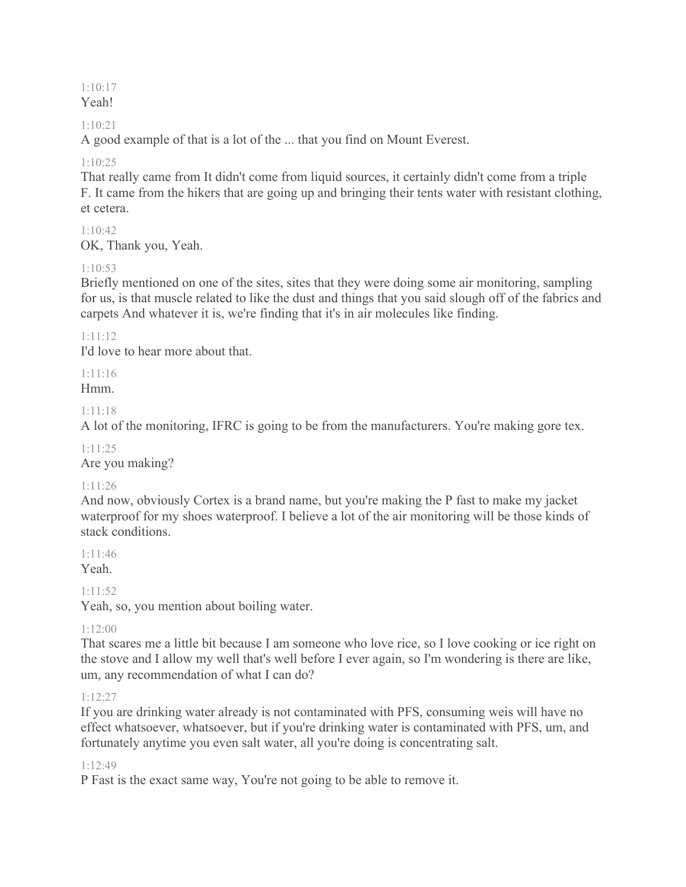#### 1:10:17 Yeah!

### 1:10:21

A good example of that is a lot of the ... that you find on Mount Everest.

### 1:10:25

That really came from It didn't come from liquid sources, it certainly didn't come from a triple F. It came from the hikers that are going up and bringing their tents water with resistant clothing, et cetera.

# $1.10.42$

OK, Thank you, Yeah.

### 1:10:53

Briefly mentioned on one of the sites, sites that they were doing some air monitoring, sampling for us, is that muscle related to like the dust and things that you said slough off of the fabrics and carpets And whatever it is, we're finding that it's in air molecules like finding.

### 1:11:12

I'd love to hear more about that.

# 1:11:16

Hmm.

### 1:11:18

A lot of the monitoring, IFRC is going to be from the manufacturers. You're making gore tex.

#### 1:11:25

Are you making?

# 1:11:26

And now, obviously Cortex is a brand name, but you're making the P fast to make my jacket waterproof for my shoes waterproof. I believe a lot of the air monitoring will be those kinds of stack conditions.

# 1:11:46

Yeah.

# 1:11:52

Yeah, so, you mention about boiling water.

# $1.12:00$

That scares me a little bit because I am someone who love rice, so I love cooking or ice right on the stove and I allow my well that's well before I ever again, so I'm wondering is there are like, um, any recommendation of what I can do?

#### 1:12:27

If you are drinking water already is not contaminated with PFS, consuming weis will have no effect whatsoever, whatsoever, but if you're drinking water is contaminated with PFS, um, and fortunately anytime you even salt water, all you're doing is concentrating salt.

#### 1:12:49

P Fast is the exact same way, You're not going to be able to remove it.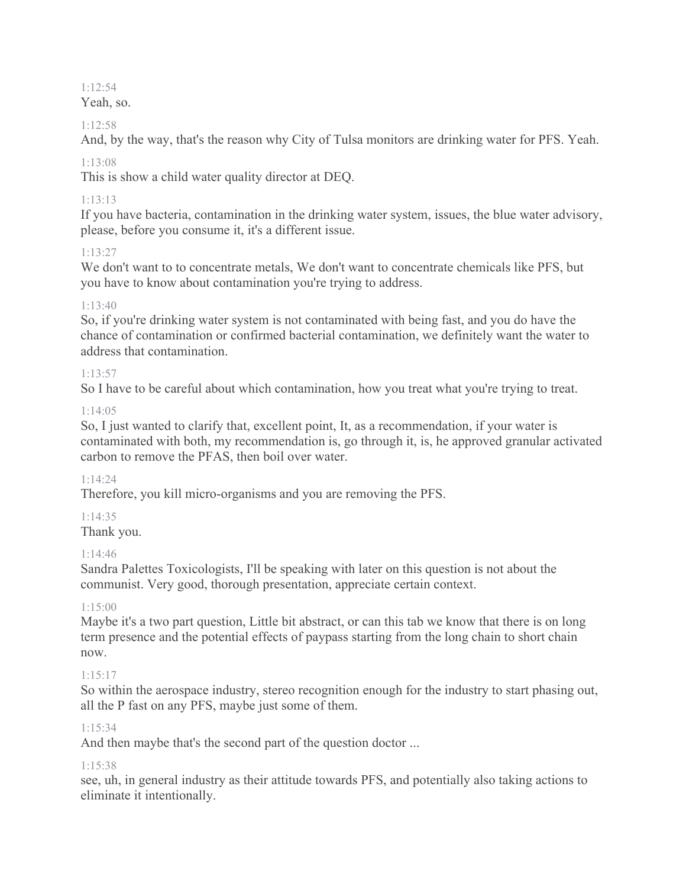# 1:12:54

Yeah, so.

### 1:12:58

And, by the way, that's the reason why City of Tulsa monitors are drinking water for PFS. Yeah.

# 1:13:08

This is show a child water quality director at DEQ.

# 1:13:13

If you have bacteria, contamination in the drinking water system, issues, the blue water advisory, please, before you consume it, it's a different issue.

# 1:13:27

We don't want to to concentrate metals, We don't want to concentrate chemicals like PFS, but you have to know about contamination you're trying to address.

# $1.13.40$

So, if you're drinking water system is not contaminated with being fast, and you do have the chance of contamination or confirmed bacterial contamination, we definitely want the water to address that contamination.

# $1.13.57$

So I have to be careful about which contamination, how you treat what you're trying to treat.

# 1:14:05

So, I just wanted to clarify that, excellent point, It, as a recommendation, if your water is contaminated with both, my recommendation is, go through it, is, he approved granular activated carbon to remove the PFAS, then boil over water.

# 1:14:24

Therefore, you kill micro-organisms and you are removing the PFS.

# 1:14:35

Thank you.

# 1:14:46

Sandra Palettes Toxicologists, I'll be speaking with later on this question is not about the communist. Very good, thorough presentation, appreciate certain context.

# $1.15:00$

Maybe it's a two part question, Little bit abstract, or can this tab we know that there is on long term presence and the potential effects of paypass starting from the long chain to short chain now.

# 1:15:17

So within the aerospace industry, stereo recognition enough for the industry to start phasing out, all the P fast on any PFS, maybe just some of them.

# 1:15:34

And then maybe that's the second part of the question doctor ...

# 1:15:38

see, uh, in general industry as their attitude towards PFS, and potentially also taking actions to eliminate it intentionally.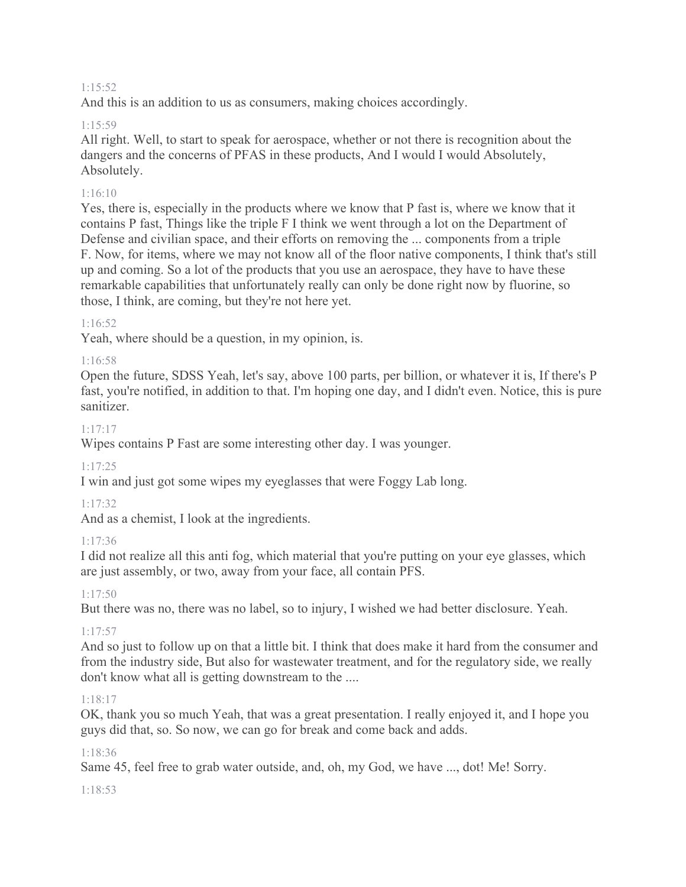#### 1:15:52

And this is an addition to us as consumers, making choices accordingly.

### 1:15:59

All right. Well, to start to speak for aerospace, whether or not there is recognition about the dangers and the concerns of PFAS in these products, And I would I would Absolutely, Absolutely.

### 1:16:10

Yes, there is, especially in the products where we know that P fast is, where we know that it contains P fast, Things like the triple F I think we went through a lot on the Department of Defense and civilian space, and their efforts on removing the ... components from a triple F. Now, for items, where we may not know all of the floor native components, I think that's still up and coming. So a lot of the products that you use an aerospace, they have to have these remarkable capabilities that unfortunately really can only be done right now by fluorine, so those, I think, are coming, but they're not here yet.

### 1:16:52

Yeah, where should be a question, in my opinion, is.

### 1:16:58

Open the future, SDSS Yeah, let's say, above 100 parts, per billion, or whatever it is, If there's P fast, you're notified, in addition to that. I'm hoping one day, and I didn't even. Notice, this is pure sanitizer.

### 1:17:17

Wipes contains P Fast are some interesting other day. I was younger.

#### 1:17:25

I win and just got some wipes my eyeglasses that were Foggy Lab long.

# 1:17:32

And as a chemist, I look at the ingredients.

# 1:17:36

I did not realize all this anti fog, which material that you're putting on your eye glasses, which are just assembly, or two, away from your face, all contain PFS.

# 1:17:50

But there was no, there was no label, so to injury, I wished we had better disclosure. Yeah.

# $1.17.57$

And so just to follow up on that a little bit. I think that does make it hard from the consumer and from the industry side, But also for wastewater treatment, and for the regulatory side, we really don't know what all is getting downstream to the ....

#### 1:18:17

OK, thank you so much Yeah, that was a great presentation. I really enjoyed it, and I hope you guys did that, so. So now, we can go for break and come back and adds.

#### 1:18:36

Same 45, feel free to grab water outside, and, oh, my God, we have ..., dot! Me! Sorry.

#### 1:18:53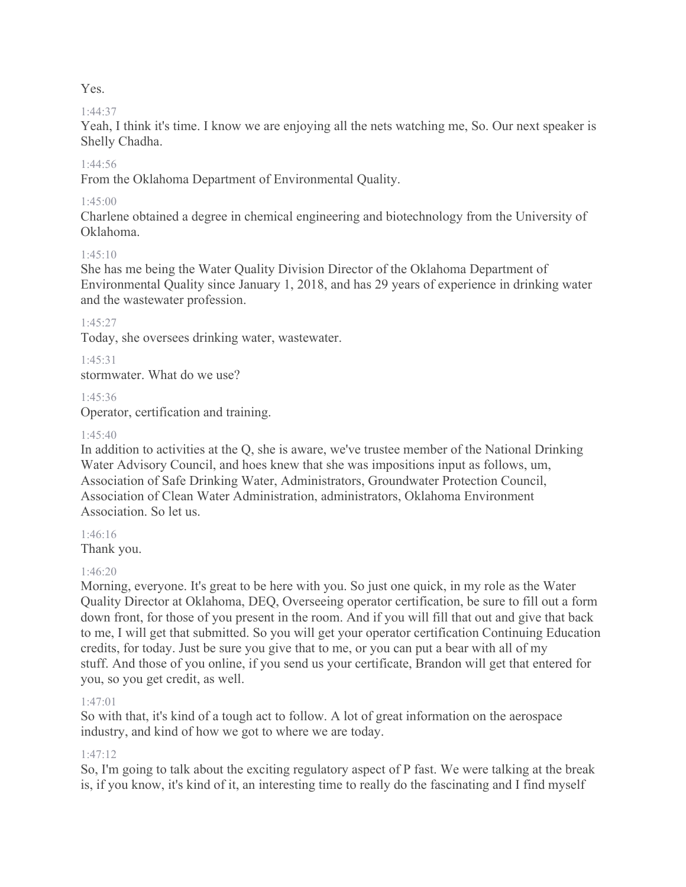### Yes.

# 1:44:37

Yeah, I think it's time. I know we are enjoying all the nets watching me, So. Our next speaker is Shelly Chadha.

# $1.44.56$

From the Oklahoma Department of Environmental Quality.

# 1:45:00

Charlene obtained a degree in chemical engineering and biotechnology from the University of Oklahoma.

# 1:45:10

She has me being the Water Quality Division Director of the Oklahoma Department of Environmental Quality since January 1, 2018, and has 29 years of experience in drinking water and the wastewater profession.

### 1:45:27

Today, she oversees drinking water, wastewater.

1:45:31

stormwater. What do we use?

### 1:45:36

Operator, certification and training.

### $1.45.40$

In addition to activities at the Q, she is aware, we've trustee member of the National Drinking Water Advisory Council, and hoes knew that she was impositions input as follows, um, Association of Safe Drinking Water, Administrators, Groundwater Protection Council, Association of Clean Water Administration, administrators, Oklahoma Environment Association. So let us.

1:46:16

Thank you.

# 1:46:20

Morning, everyone. It's great to be here with you. So just one quick, in my role as the Water Quality Director at Oklahoma, DEQ, Overseeing operator certification, be sure to fill out a form down front, for those of you present in the room. And if you will fill that out and give that back to me, I will get that submitted. So you will get your operator certification Continuing Education credits, for today. Just be sure you give that to me, or you can put a bear with all of my stuff. And those of you online, if you send us your certificate, Brandon will get that entered for you, so you get credit, as well.

# 1:47:01

So with that, it's kind of a tough act to follow. A lot of great information on the aerospace industry, and kind of how we got to where we are today.

# 1:47:12

So, I'm going to talk about the exciting regulatory aspect of P fast. We were talking at the break is, if you know, it's kind of it, an interesting time to really do the fascinating and I find myself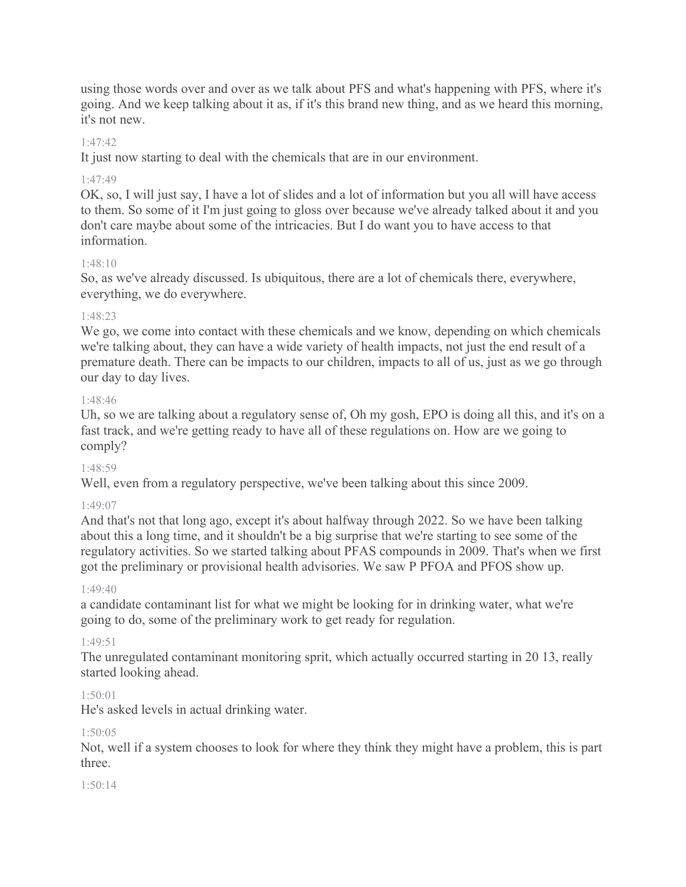using those words over and over as we talk about PFS and what's happening with PFS, where it's going. And we keep talking about it as, if it's this brand new thing, and as we heard this morning, it's not new.

### 1:47:42

It just now starting to deal with the chemicals that are in our environment.

### 1:47:49

OK, so, I will just say, I have a lot of slides and a lot of information but you all will have access to them. So some of it I'm just going to gloss over because we've already talked about it and you don't care maybe about some of the intricacies. But I do want you to have access to that information.

### $1.48 \cdot 10$

So, as we've already discussed. Is ubiquitous, there are a lot of chemicals there, everywhere, everything, we do everywhere.

### 1:48:23

We go, we come into contact with these chemicals and we know, depending on which chemicals we're talking about, they can have a wide variety of health impacts, not just the end result of a premature death. There can be impacts to our children, impacts to all of us, just as we go through our day to day lives.

#### 1:48:46

Uh, so we are talking about a regulatory sense of, Oh my gosh, EPO is doing all this, and it's on a fast track, and we're getting ready to have all of these regulations on. How are we going to comply?

#### 1:48:59

Well, even from a regulatory perspective, we've been talking about this since 2009.

#### 1:49:07

And that's not that long ago, except it's about halfway through 2022. So we have been talking about this a long time, and it shouldn't be a big surprise that we're starting to see some of the regulatory activities. So we started talking about PFAS compounds in 2009. That's when we first got the preliminary or provisional health advisories. We saw P PFOA and PFOS show up.

#### $1.49 \cdot 40$

a candidate contaminant list for what we might be looking for in drinking water, what we're going to do, some of the preliminary work to get ready for regulation.

#### $1.49.51$

The unregulated contaminant monitoring sprit, which actually occurred starting in 20 13, really started looking ahead.

#### $1.50 \cdot 01$

He's asked levels in actual drinking water.

#### 1:50:05

Not, well if a system chooses to look for where they think they might have a problem, this is part three.

#### 1:50:14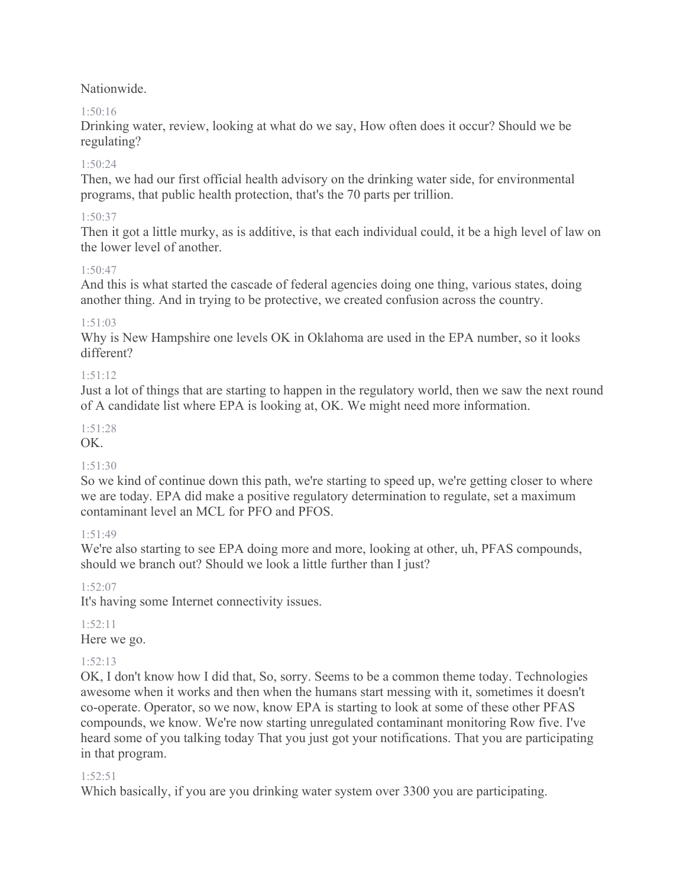Nationwide.

# 1:50:16

Drinking water, review, looking at what do we say, How often does it occur? Should we be regulating?

# $1.50.24$

Then, we had our first official health advisory on the drinking water side, for environmental programs, that public health protection, that's the 70 parts per trillion.

# 1:50:37

Then it got a little murky, as is additive, is that each individual could, it be a high level of law on the lower level of another.

# $1.50.47$

And this is what started the cascade of federal agencies doing one thing, various states, doing another thing. And in trying to be protective, we created confusion across the country.

# 1:51:03

Why is New Hampshire one levels OK in Oklahoma are used in the EPA number, so it looks different?

# 1:51:12

Just a lot of things that are starting to happen in the regulatory world, then we saw the next round of A candidate list where EPA is looking at, OK. We might need more information.

# 1:51:28

OK.

# 1:51:30

So we kind of continue down this path, we're starting to speed up, we're getting closer to where we are today. EPA did make a positive regulatory determination to regulate, set a maximum contaminant level an MCL for PFO and PFOS.

# $1.51.49$

We're also starting to see EPA doing more and more, looking at other, uh, PFAS compounds, should we branch out? Should we look a little further than I just?

1:52:07

It's having some Internet connectivity issues.

# 1:52:11

Here we go.

# 1:52:13

OK, I don't know how I did that, So, sorry. Seems to be a common theme today. Technologies awesome when it works and then when the humans start messing with it, sometimes it doesn't co-operate. Operator, so we now, know EPA is starting to look at some of these other PFAS compounds, we know. We're now starting unregulated contaminant monitoring Row five. I've heard some of you talking today That you just got your notifications. That you are participating in that program.

# 1:52:51

Which basically, if you are you drinking water system over 3300 you are participating.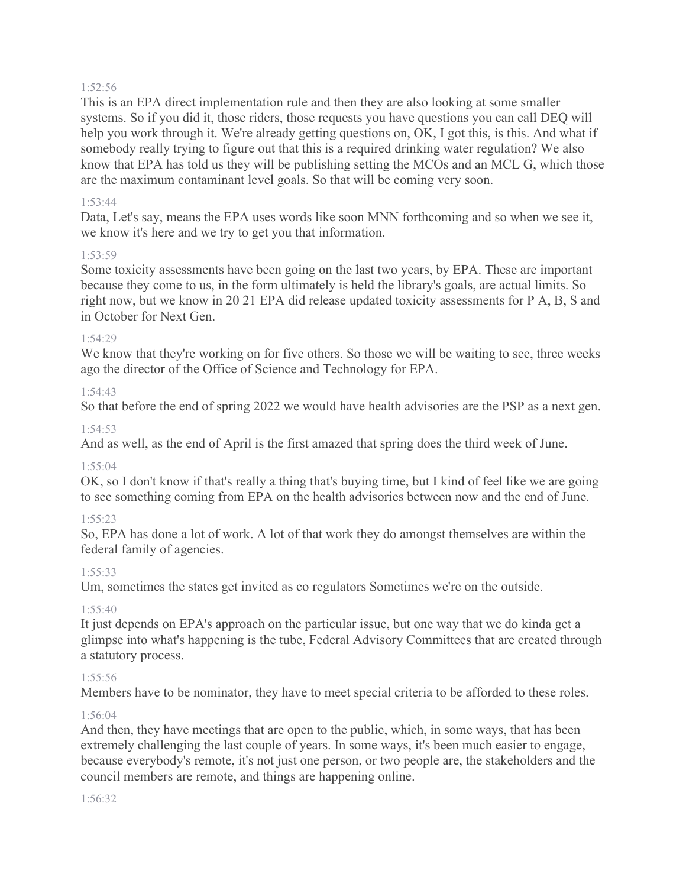#### 1:52:56

This is an EPA direct implementation rule and then they are also looking at some smaller systems. So if you did it, those riders, those requests you have questions you can call DEQ will help you work through it. We're already getting questions on, OK, I got this, is this. And what if somebody really trying to figure out that this is a required drinking water regulation? We also know that EPA has told us they will be publishing setting the MCOs and an MCL G, which those are the maximum contaminant level goals. So that will be coming very soon.

#### 1:53:44

Data, Let's say, means the EPA uses words like soon MNN forthcoming and so when we see it, we know it's here and we try to get you that information.

#### 1:53:59

Some toxicity assessments have been going on the last two years, by EPA. These are important because they come to us, in the form ultimately is held the library's goals, are actual limits. So right now, but we know in 20 21 EPA did release updated toxicity assessments for P A, B, S and in October for Next Gen.

#### 1:54:29

We know that they're working on for five others. So those we will be waiting to see, three weeks ago the director of the Office of Science and Technology for EPA.

### 1:54:43

So that before the end of spring 2022 we would have health advisories are the PSP as a next gen.

#### 1:54:53

And as well, as the end of April is the first amazed that spring does the third week of June.

#### 1:55:04

OK, so I don't know if that's really a thing that's buying time, but I kind of feel like we are going to see something coming from EPA on the health advisories between now and the end of June.

#### 1:55:23

So, EPA has done a lot of work. A lot of that work they do amongst themselves are within the federal family of agencies.

#### 1:55:33

Um, sometimes the states get invited as co regulators Sometimes we're on the outside.

#### 1:55:40

It just depends on EPA's approach on the particular issue, but one way that we do kinda get a glimpse into what's happening is the tube, Federal Advisory Committees that are created through a statutory process.

#### 1:55:56

Members have to be nominator, they have to meet special criteria to be afforded to these roles.

#### 1:56:04

And then, they have meetings that are open to the public, which, in some ways, that has been extremely challenging the last couple of years. In some ways, it's been much easier to engage, because everybody's remote, it's not just one person, or two people are, the stakeholders and the council members are remote, and things are happening online.

#### 1:56:32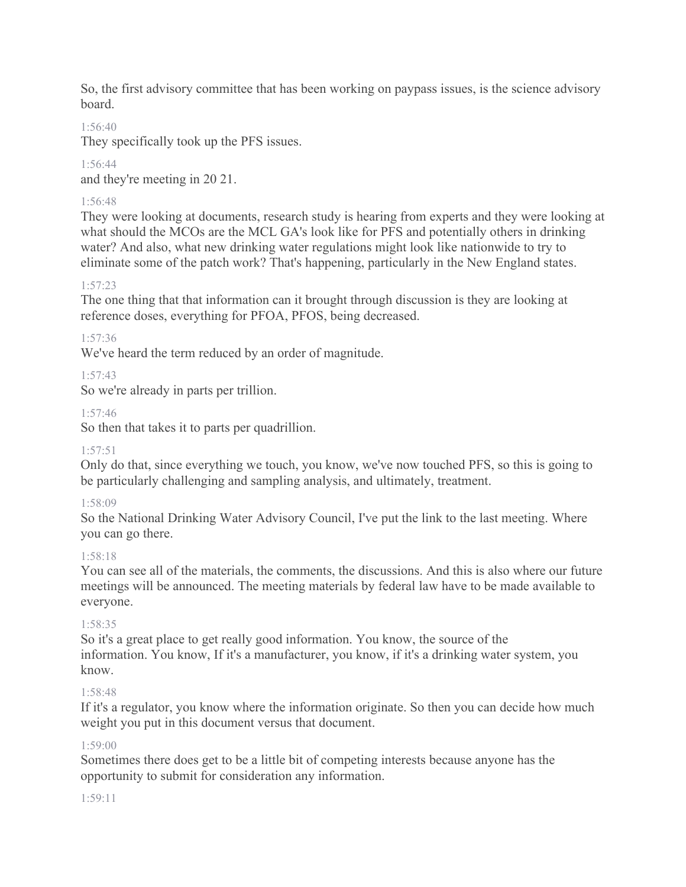So, the first advisory committee that has been working on paypass issues, is the science advisory board.

# 1:56:40

They specifically took up the PFS issues.

# 1:56:44

and they're meeting in 20 21.

# 1:56:48

They were looking at documents, research study is hearing from experts and they were looking at what should the MCOs are the MCL GA's look like for PFS and potentially others in drinking water? And also, what new drinking water regulations might look like nationwide to try to eliminate some of the patch work? That's happening, particularly in the New England states.

# 1:57:23

The one thing that that information can it brought through discussion is they are looking at reference doses, everything for PFOA, PFOS, being decreased.

# 1:57:36

We've heard the term reduced by an order of magnitude.

# 1:57:43

So we're already in parts per trillion.

# 1:57:46

So then that takes it to parts per quadrillion.

# 1:57:51

Only do that, since everything we touch, you know, we've now touched PFS, so this is going to be particularly challenging and sampling analysis, and ultimately, treatment.

# 1:58:09

So the National Drinking Water Advisory Council, I've put the link to the last meeting. Where you can go there.

# 1:58:18

You can see all of the materials, the comments, the discussions. And this is also where our future meetings will be announced. The meeting materials by federal law have to be made available to everyone.

# 1:58:35

So it's a great place to get really good information. You know, the source of the information. You know, If it's a manufacturer, you know, if it's a drinking water system, you know.

# 1:58:48

If it's a regulator, you know where the information originate. So then you can decide how much weight you put in this document versus that document.

# 1:59:00

Sometimes there does get to be a little bit of competing interests because anyone has the opportunity to submit for consideration any information.

# 1:59:11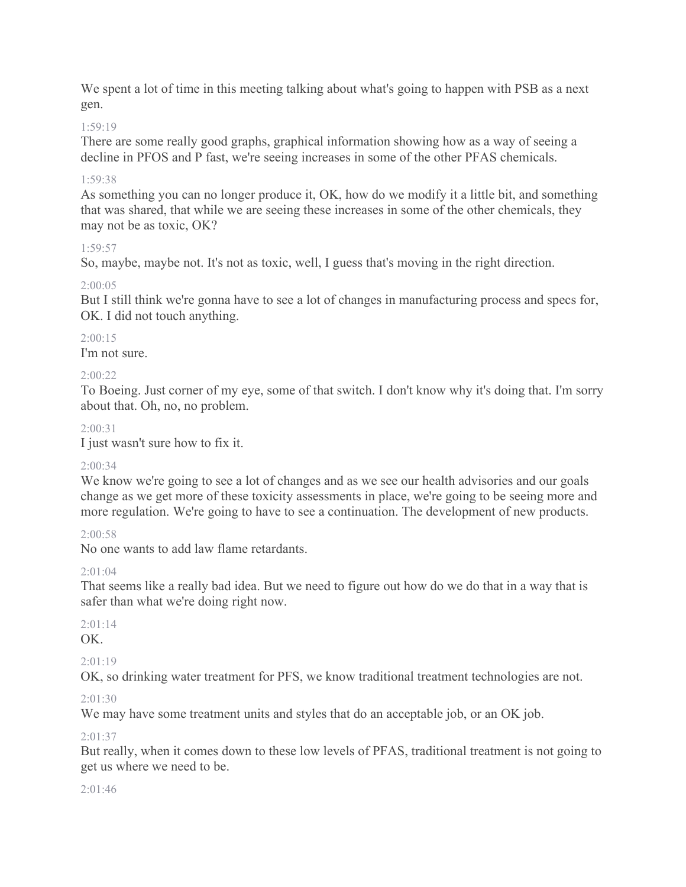We spent a lot of time in this meeting talking about what's going to happen with PSB as a next gen.

#### 1:59:19

There are some really good graphs, graphical information showing how as a way of seeing a decline in PFOS and P fast, we're seeing increases in some of the other PFAS chemicals.

#### 1:59:38

As something you can no longer produce it, OK, how do we modify it a little bit, and something that was shared, that while we are seeing these increases in some of the other chemicals, they may not be as toxic, OK?

#### 1:59:57

So, maybe, maybe not. It's not as toxic, well, I guess that's moving in the right direction.

#### 2:00:05

But I still think we're gonna have to see a lot of changes in manufacturing process and specs for, OK. I did not touch anything.

#### $2:00:15$

I'm not sure.

#### 2:00:22

To Boeing. Just corner of my eye, some of that switch. I don't know why it's doing that. I'm sorry about that. Oh, no, no problem.

#### $2.00.31$

I just wasn't sure how to fix it.

#### $2:00:34$

We know we're going to see a lot of changes and as we see our health advisories and our goals change as we get more of these toxicity assessments in place, we're going to be seeing more and more regulation. We're going to have to see a continuation. The development of new products.

### 2:00:58

No one wants to add law flame retardants.

### $2:01:04$

That seems like a really bad idea. But we need to figure out how do we do that in a way that is safer than what we're doing right now.

### $2:01:14$

OK.

### $2:01:19$

OK, so drinking water treatment for PFS, we know traditional treatment technologies are not.

#### 2:01:30

We may have some treatment units and styles that do an acceptable job, or an OK job.

#### 2:01:37

But really, when it comes down to these low levels of PFAS, traditional treatment is not going to get us where we need to be.

#### $2:01:46$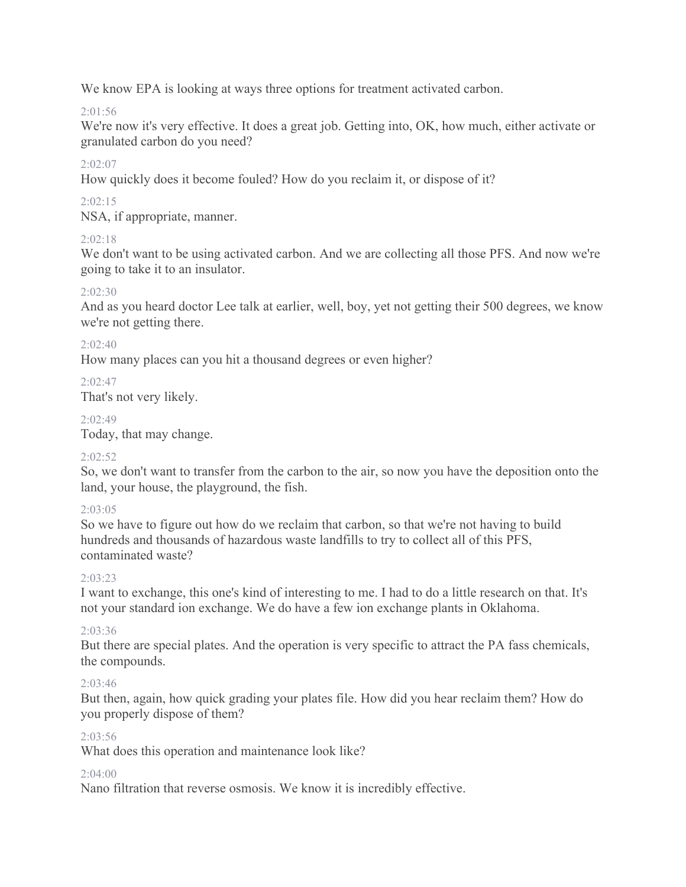We know EPA is looking at ways three options for treatment activated carbon.

# $2:01:56$

We're now it's very effective. It does a great job. Getting into, OK, how much, either activate or granulated carbon do you need?

# 2:02:07

How quickly does it become fouled? How do you reclaim it, or dispose of it?

# $2:02:15$

NSA, if appropriate, manner.

# $2.02.18$

We don't want to be using activated carbon. And we are collecting all those PFS. And now we're going to take it to an insulator.

# $2:02:30$

And as you heard doctor Lee talk at earlier, well, boy, yet not getting their 500 degrees, we know we're not getting there.

# $2:02:40$

How many places can you hit a thousand degrees or even higher?

# 2:02:47

That's not very likely.

# 2:02:49

Today, that may change.

### 2:02:52

So, we don't want to transfer from the carbon to the air, so now you have the deposition onto the land, your house, the playground, the fish.

### 2:03:05

So we have to figure out how do we reclaim that carbon, so that we're not having to build hundreds and thousands of hazardous waste landfills to try to collect all of this PFS, contaminated waste?

### 2:03:23

I want to exchange, this one's kind of interesting to me. I had to do a little research on that. It's not your standard ion exchange. We do have a few ion exchange plants in Oklahoma.

### 2:03:36

But there are special plates. And the operation is very specific to attract the PA fass chemicals, the compounds.

# 2:03:46

But then, again, how quick grading your plates file. How did you hear reclaim them? How do you properly dispose of them?

### 2:03:56

What does this operation and maintenance look like?

### 2:04:00

Nano filtration that reverse osmosis. We know it is incredibly effective.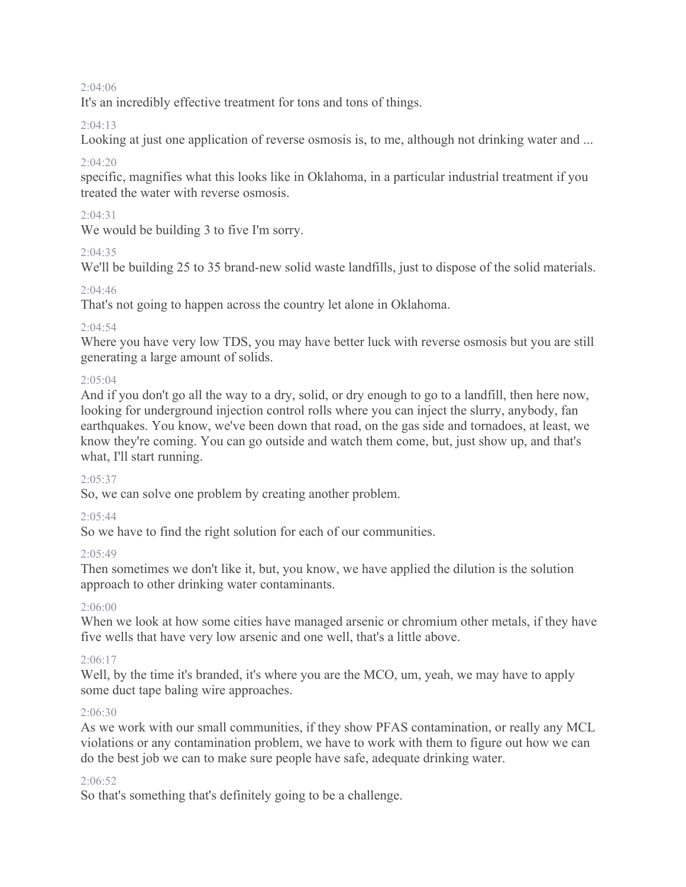#### $2:04:06$

It's an incredibly effective treatment for tons and tons of things.

#### 2:04:13

Looking at just one application of reverse osmosis is, to me, although not drinking water and ...

### 2:04:20

specific, magnifies what this looks like in Oklahoma, in a particular industrial treatment if you treated the water with reverse osmosis.

### 2:04:31

We would be building 3 to five I'm sorry.

### $2.04.35$

We'll be building 25 to 35 brand-new solid waste landfills, just to dispose of the solid materials.

#### 2:04:46

That's not going to happen across the country let alone in Oklahoma.

### $2:04:54$

Where you have very low TDS, you may have better luck with reverse osmosis but you are still generating a large amount of solids.

#### $2.05.04$

And if you don't go all the way to a dry, solid, or dry enough to go to a landfill, then here now, looking for underground injection control rolls where you can inject the slurry, anybody, fan earthquakes. You know, we've been down that road, on the gas side and tornadoes, at least, we know they're coming. You can go outside and watch them come, but, just show up, and that's what, I'll start running.

#### $2.05.37$

So, we can solve one problem by creating another problem.

### $2:05:44$

So we have to find the right solution for each of our communities.

### $2.05.49$

Then sometimes we don't like it, but, you know, we have applied the dilution is the solution approach to other drinking water contaminants.

### 2:06:00

When we look at how some cities have managed arsenic or chromium other metals, if they have five wells that have very low arsenic and one well, that's a little above.

#### 2:06:17

Well, by the time it's branded, it's where you are the MCO, um, yeah, we may have to apply some duct tape baling wire approaches.

#### 2:06:30

As we work with our small communities, if they show PFAS contamination, or really any MCL violations or any contamination problem, we have to work with them to figure out how we can do the best job we can to make sure people have safe, adequate drinking water.

#### $2.06:52$

So that's something that's definitely going to be a challenge.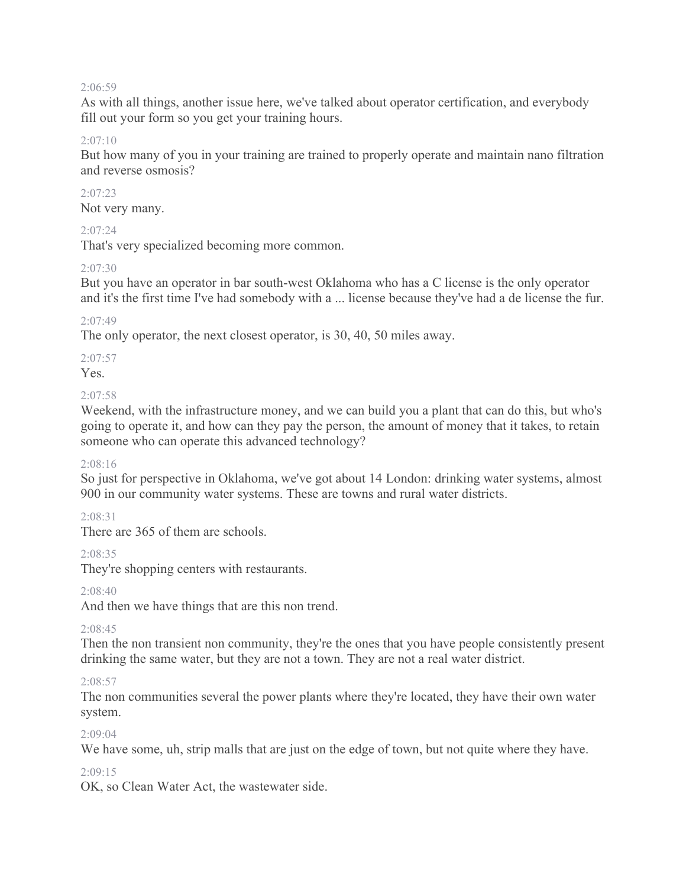#### 2:06:59

As with all things, another issue here, we've talked about operator certification, and everybody fill out your form so you get your training hours.

#### $2:07:10$

But how many of you in your training are trained to properly operate and maintain nano filtration and reverse osmosis?

# 2:07:23

Not very many.

#### $2.07.24$

That's very specialized becoming more common.

#### $2.07.30$

But you have an operator in bar south-west Oklahoma who has a C license is the only operator and it's the first time I've had somebody with a ... license because they've had a de license the fur.

#### 2:07:49

The only operator, the next closest operator, is 30, 40, 50 miles away.

# 2:07:57

Yes.

#### 2:07:58

Weekend, with the infrastructure money, and we can build you a plant that can do this, but who's going to operate it, and how can they pay the person, the amount of money that it takes, to retain someone who can operate this advanced technology?

### 2:08:16

So just for perspective in Oklahoma, we've got about 14 London: drinking water systems, almost 900 in our community water systems. These are towns and rural water districts.

### 2:08:31

There are 365 of them are schools.

### 2:08:35

They're shopping centers with restaurants.

### 2:08:40

And then we have things that are this non trend.

### 2:08:45

Then the non transient non community, they're the ones that you have people consistently present drinking the same water, but they are not a town. They are not a real water district.

#### $2.08.57$

The non communities several the power plants where they're located, they have their own water system.

#### $2:09:04$

We have some, uh, strip malls that are just on the edge of town, but not quite where they have.

#### 2:09:15

OK, so Clean Water Act, the wastewater side.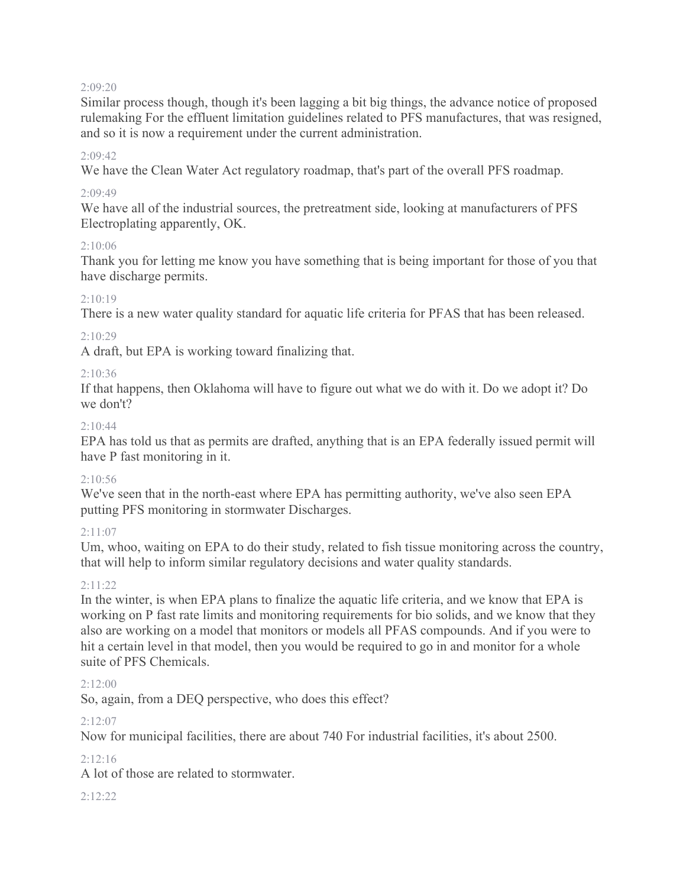#### 2:09:20

Similar process though, though it's been lagging a bit big things, the advance notice of proposed rulemaking For the effluent limitation guidelines related to PFS manufactures, that was resigned, and so it is now a requirement under the current administration.

#### $2.09.42$

We have the Clean Water Act regulatory roadmap, that's part of the overall PFS roadmap.

#### 2:09:49

We have all of the industrial sources, the pretreatment side, looking at manufacturers of PFS Electroplating apparently, OK.

#### 2:10:06

Thank you for letting me know you have something that is being important for those of you that have discharge permits.

### $2:10:19$

There is a new water quality standard for aquatic life criteria for PFAS that has been released.

#### $2:10:29$

A draft, but EPA is working toward finalizing that.

#### 2:10:36

If that happens, then Oklahoma will have to figure out what we do with it. Do we adopt it? Do we don't?

#### $2:10.44$

EPA has told us that as permits are drafted, anything that is an EPA federally issued permit will have P fast monitoring in it.

### $2:10:56$

We've seen that in the north-east where EPA has permitting authority, we've also seen EPA putting PFS monitoring in stormwater Discharges.

### $2:11:07$

Um, whoo, waiting on EPA to do their study, related to fish tissue monitoring across the country, that will help to inform similar regulatory decisions and water quality standards.

#### 2:11:22

In the winter, is when EPA plans to finalize the aquatic life criteria, and we know that EPA is working on P fast rate limits and monitoring requirements for bio solids, and we know that they also are working on a model that monitors or models all PFAS compounds. And if you were to hit a certain level in that model, then you would be required to go in and monitor for a whole suite of PFS Chemicals.

#### $2:12:00$

So, again, from a DEQ perspective, who does this effect?

### 2:12:07

Now for municipal facilities, there are about 740 For industrial facilities, it's about 2500.

### $2:12:16$

A lot of those are related to stormwater.

#### 2:12:22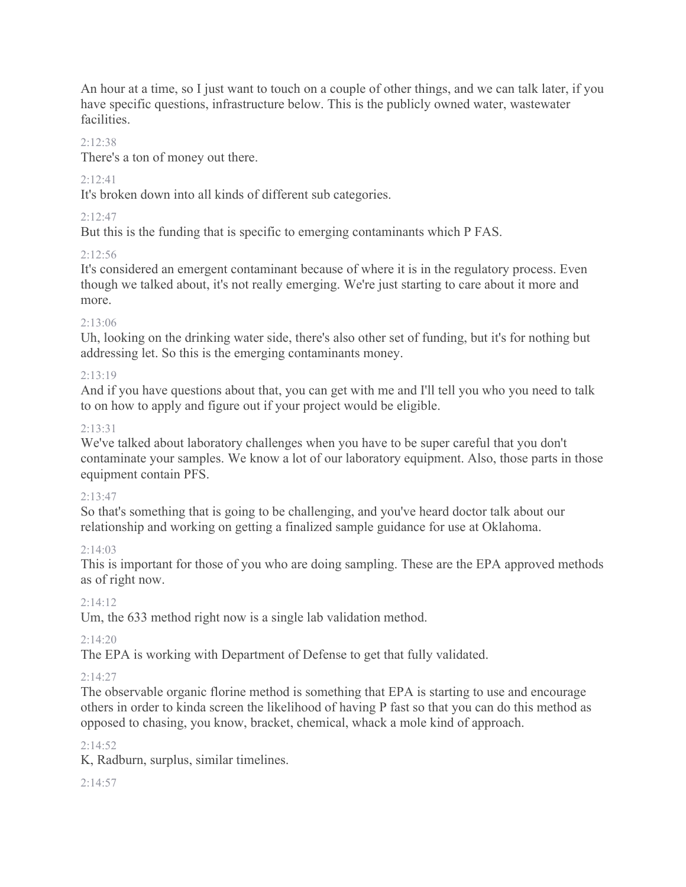An hour at a time, so I just want to touch on a couple of other things, and we can talk later, if you have specific questions, infrastructure below. This is the publicly owned water, wastewater facilities.

### $2:12:38$

There's a ton of money out there.

# 2:12:41

It's broken down into all kinds of different sub categories.

# $2:12:47$

But this is the funding that is specific to emerging contaminants which P FAS.

# 2:12:56

It's considered an emergent contaminant because of where it is in the regulatory process. Even though we talked about, it's not really emerging. We're just starting to care about it more and more.

# 2:13:06

Uh, looking on the drinking water side, there's also other set of funding, but it's for nothing but addressing let. So this is the emerging contaminants money.

# 2:13:19

And if you have questions about that, you can get with me and I'll tell you who you need to talk to on how to apply and figure out if your project would be eligible.

# 2:13:31

We've talked about laboratory challenges when you have to be super careful that you don't contaminate your samples. We know a lot of our laboratory equipment. Also, those parts in those equipment contain PFS.

### $2:13:47$

So that's something that is going to be challenging, and you've heard doctor talk about our relationship and working on getting a finalized sample guidance for use at Oklahoma.

### 2:14:03

This is important for those of you who are doing sampling. These are the EPA approved methods as of right now.

### 2:14:12

Um, the 633 method right now is a single lab validation method.

# $2.14.20$

The EPA is working with Department of Defense to get that fully validated.

### $2:14:27$

The observable organic florine method is something that EPA is starting to use and encourage others in order to kinda screen the likelihood of having P fast so that you can do this method as opposed to chasing, you know, bracket, chemical, whack a mole kind of approach.

### $2:14:52$

K, Radburn, surplus, similar timelines.

2:14:57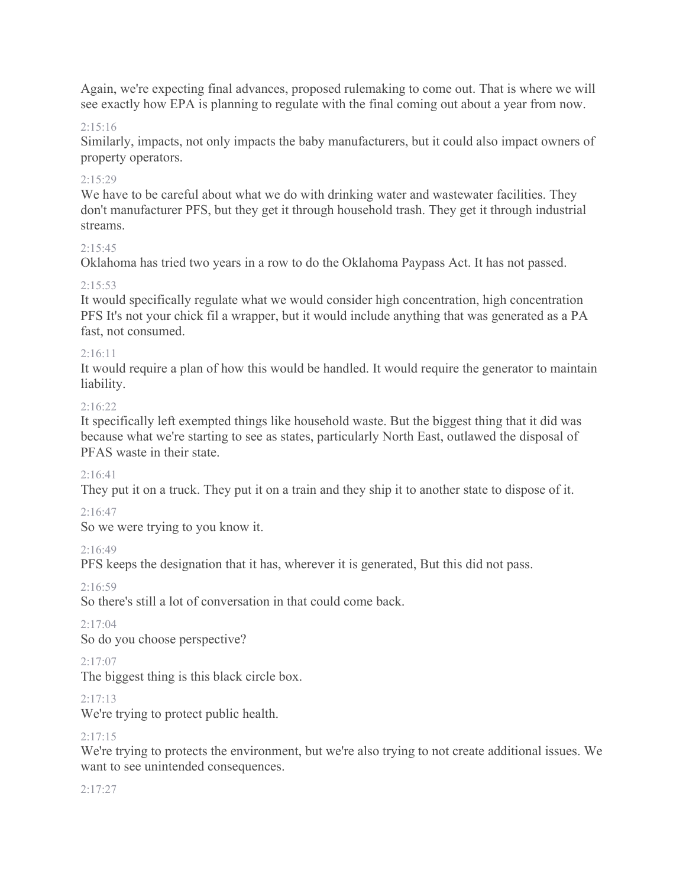Again, we're expecting final advances, proposed rulemaking to come out. That is where we will see exactly how EPA is planning to regulate with the final coming out about a year from now.

#### $2:15:16$

Similarly, impacts, not only impacts the baby manufacturers, but it could also impact owners of property operators.

#### 2:15:29

We have to be careful about what we do with drinking water and wastewater facilities. They don't manufacturer PFS, but they get it through household trash. They get it through industrial streams.

#### $2:15:45$

Oklahoma has tried two years in a row to do the Oklahoma Paypass Act. It has not passed.

#### $2:15:53$

It would specifically regulate what we would consider high concentration, high concentration PFS It's not your chick fil a wrapper, but it would include anything that was generated as a PA fast, not consumed.

#### 2:16:11

It would require a plan of how this would be handled. It would require the generator to maintain liability.

#### $2.16.22$

It specifically left exempted things like household waste. But the biggest thing that it did was because what we're starting to see as states, particularly North East, outlawed the disposal of PFAS waste in their state.

### $2:16:41$

They put it on a truck. They put it on a train and they ship it to another state to dispose of it.

### 2:16:47

So we were trying to you know it.

#### 2:16:49

PFS keeps the designation that it has, wherever it is generated, But this did not pass.

#### 2:16:59

So there's still a lot of conversation in that could come back.

### $2:17:04$

So do you choose perspective?

#### $2:17:07$

The biggest thing is this black circle box.

### $2:17:13$

We're trying to protect public health.

### $2:17:15$

We're trying to protects the environment, but we're also trying to not create additional issues. We want to see unintended consequences.

#### 2:17:27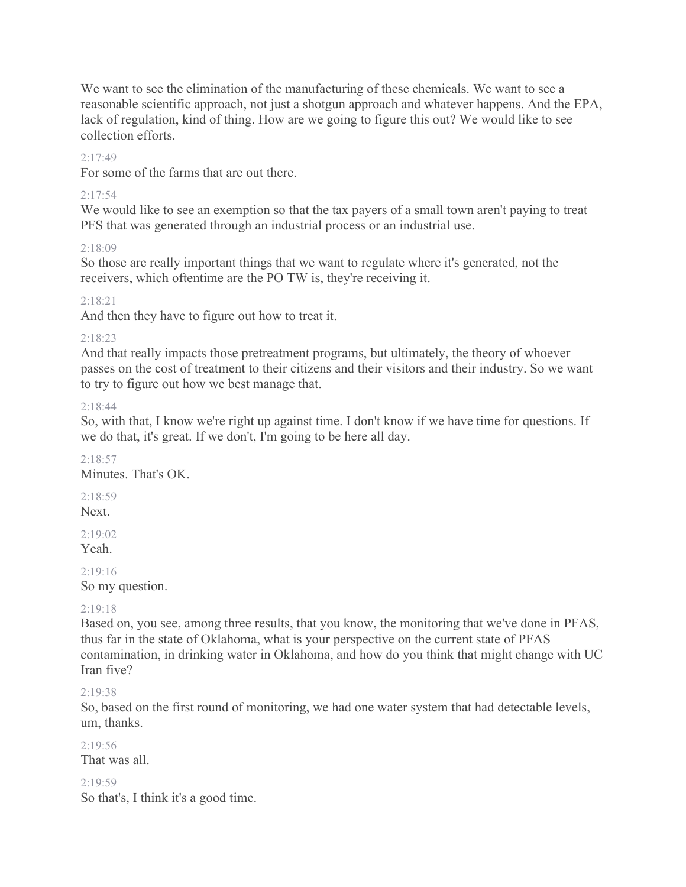We want to see the elimination of the manufacturing of these chemicals. We want to see a reasonable scientific approach, not just a shotgun approach and whatever happens. And the EPA, lack of regulation, kind of thing. How are we going to figure this out? We would like to see collection efforts.

#### $2.17.49$

For some of the farms that are out there.

#### $2:17:54$

We would like to see an exemption so that the tax payers of a small town aren't paying to treat PFS that was generated through an industrial process or an industrial use.

2:18:09

So those are really important things that we want to regulate where it's generated, not the receivers, which oftentime are the PO TW is, they're receiving it.

#### 2:18:21

And then they have to figure out how to treat it.

#### 2:18:23

And that really impacts those pretreatment programs, but ultimately, the theory of whoever passes on the cost of treatment to their citizens and their visitors and their industry. So we want to try to figure out how we best manage that.

#### 2:18:44

So, with that, I know we're right up against time. I don't know if we have time for questions. If we do that, it's great. If we don't, I'm going to be here all day.

 $2.18.57$ Minutes. That's OK.

2:18:59 Next.

 $2.19.02$ 

Yeah.

 $2.19.16$ 

So my question.

#### 2:19:18

Based on, you see, among three results, that you know, the monitoring that we've done in PFAS, thus far in the state of Oklahoma, what is your perspective on the current state of PFAS contamination, in drinking water in Oklahoma, and how do you think that might change with UC Iran five?

#### 2:19:38

So, based on the first round of monitoring, we had one water system that had detectable levels, um, thanks.

 $2.19.56$ That was all.

2:19:59 So that's, I think it's a good time.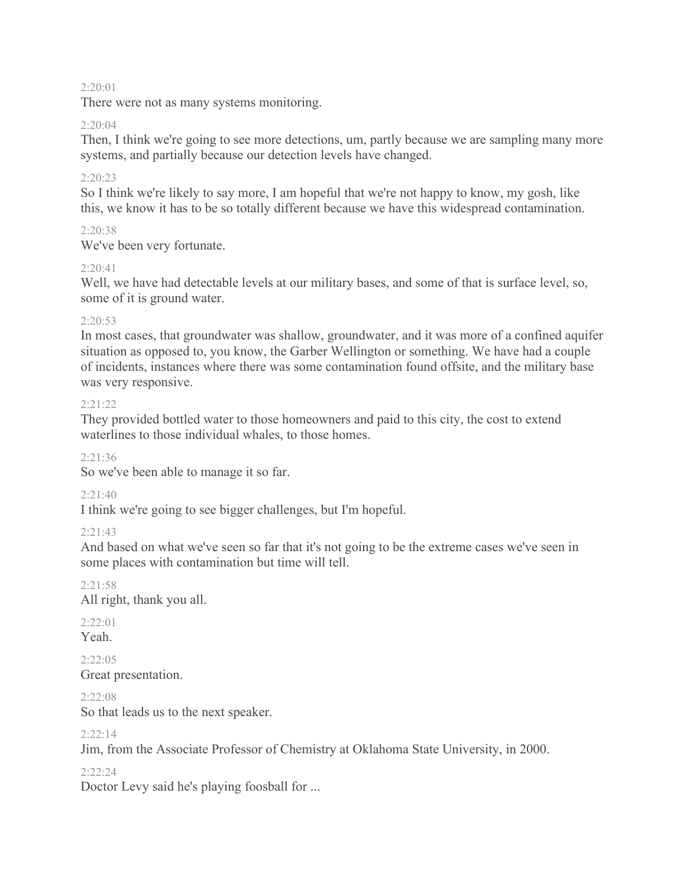#### $2:20:01$

There were not as many systems monitoring.

#### 2:20:04

Then, I think we're going to see more detections, um, partly because we are sampling many more systems, and partially because our detection levels have changed.

#### 2:20:23

So I think we're likely to say more, I am hopeful that we're not happy to know, my gosh, like this, we know it has to be so totally different because we have this widespread contamination.

#### $2:20:38$

We've been very fortunate.

#### $2.20:41$

Well, we have had detectable levels at our military bases, and some of that is surface level, so, some of it is ground water.

#### $2:20:53$

In most cases, that groundwater was shallow, groundwater, and it was more of a confined aquifer situation as opposed to, you know, the Garber Wellington or something. We have had a couple of incidents, instances where there was some contamination found offsite, and the military base was very responsive.

#### $2:21:22$

They provided bottled water to those homeowners and paid to this city, the cost to extend waterlines to those individual whales, to those homes.

#### 2:21:36

So we've been able to manage it so far.

#### 2:21:40

I think we're going to see bigger challenges, but I'm hopeful.

#### 2:21:43

And based on what we've seen so far that it's not going to be the extreme cases we've seen in some places with contamination but time will tell.

#### 2:21:58

All right, thank you all.

# 2:22:01

Yeah.

#### $2:22:05$

Great presentation.

#### 2:22:08

So that leads us to the next speaker.

#### $2:22:14$

Jim, from the Associate Professor of Chemistry at Oklahoma State University, in 2000.

#### 2:22:24

Doctor Levy said he's playing foosball for ...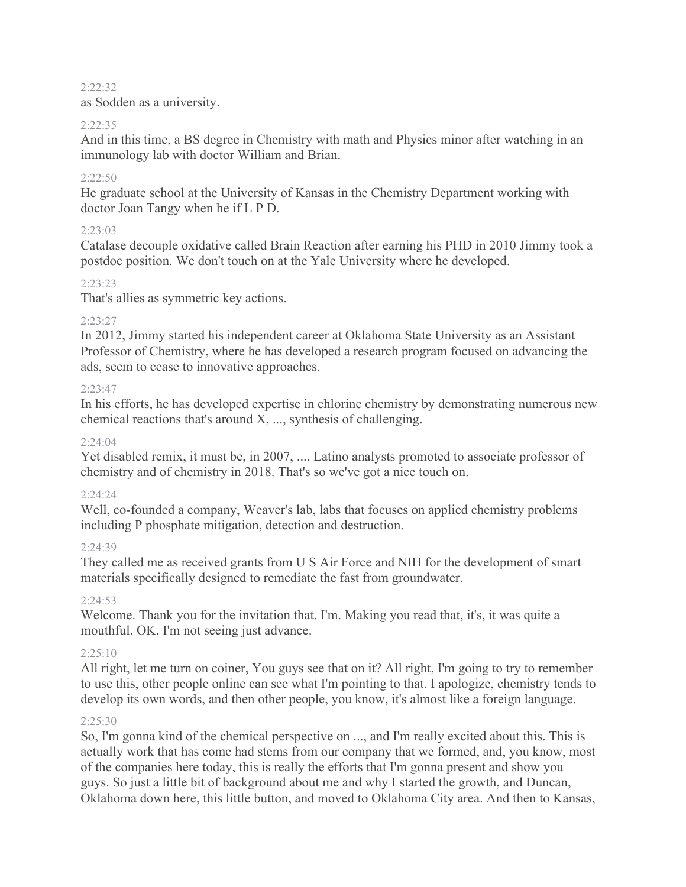#### 2:22:32

as Sodden as a university.

#### 2:22:35

And in this time, a BS degree in Chemistry with math and Physics minor after watching in an immunology lab with doctor William and Brian.

#### $2:22:50$

He graduate school at the University of Kansas in the Chemistry Department working with doctor Joan Tangy when he if L P D.

### 2:23:03

Catalase decouple oxidative called Brain Reaction after earning his PHD in 2010 Jimmy took a postdoc position. We don't touch on at the Yale University where he developed.

### 2:23:23

That's allies as symmetric key actions.

### 2:23:27

In 2012, Jimmy started his independent career at Oklahoma State University as an Assistant Professor of Chemistry, where he has developed a research program focused on advancing the ads, seem to cease to innovative approaches.

### $2:23:47$

In his efforts, he has developed expertise in chlorine chemistry by demonstrating numerous new chemical reactions that's around X, ..., synthesis of challenging.

#### $2:24:04$

Yet disabled remix, it must be, in 2007, ..., Latino analysts promoted to associate professor of chemistry and of chemistry in 2018. That's so we've got a nice touch on.

### 2:24:24

Well, co-founded a company, Weaver's lab, labs that focuses on applied chemistry problems including P phosphate mitigation, detection and destruction.

#### 2:24:39

They called me as received grants from U S Air Force and NIH for the development of smart materials specifically designed to remediate the fast from groundwater.

### 2:24:53

Welcome. Thank you for the invitation that. I'm. Making you read that, it's, it was quite a mouthful. OK, I'm not seeing just advance.

### $2:25:10$

All right, let me turn on coiner, You guys see that on it? All right, I'm going to try to remember to use this, other people online can see what I'm pointing to that. I apologize, chemistry tends to develop its own words, and then other people, you know, it's almost like a foreign language.

### 2:25:30

So, I'm gonna kind of the chemical perspective on ..., and I'm really excited about this. This is actually work that has come had stems from our company that we formed, and, you know, most of the companies here today, this is really the efforts that I'm gonna present and show you guys. So just a little bit of background about me and why I started the growth, and Duncan, Oklahoma down here, this little button, and moved to Oklahoma City area. And then to Kansas,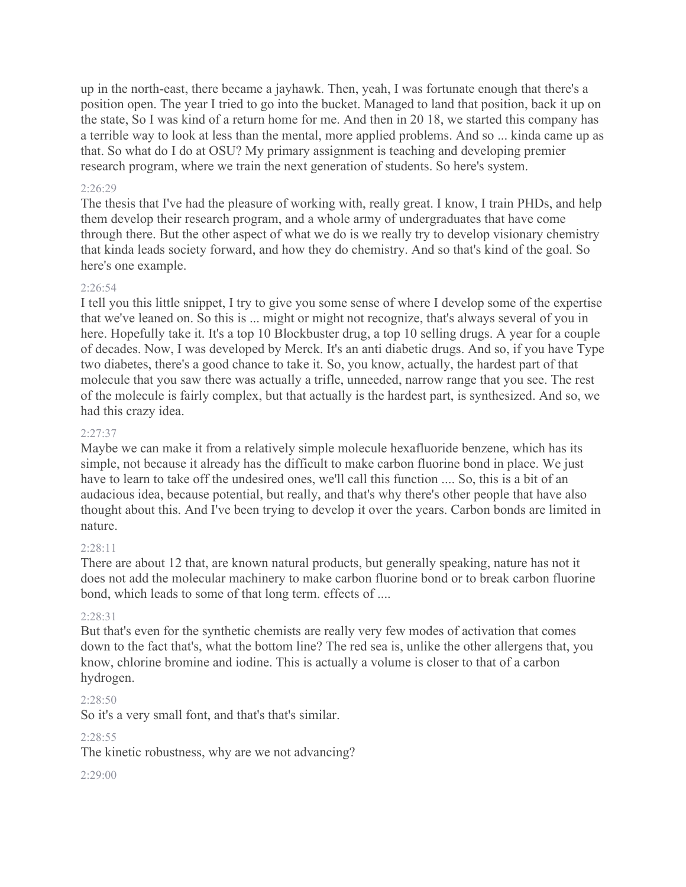up in the north-east, there became a jayhawk. Then, yeah, I was fortunate enough that there's a position open. The year I tried to go into the bucket. Managed to land that position, back it up on the state, So I was kind of a return home for me. And then in 20 18, we started this company has a terrible way to look at less than the mental, more applied problems. And so ... kinda came up as that. So what do I do at OSU? My primary assignment is teaching and developing premier research program, where we train the next generation of students. So here's system.

#### 2:26:29

The thesis that I've had the pleasure of working with, really great. I know, I train PHDs, and help them develop their research program, and a whole army of undergraduates that have come through there. But the other aspect of what we do is we really try to develop visionary chemistry that kinda leads society forward, and how they do chemistry. And so that's kind of the goal. So here's one example.

#### 2:26:54

I tell you this little snippet, I try to give you some sense of where I develop some of the expertise that we've leaned on. So this is ... might or might not recognize, that's always several of you in here. Hopefully take it. It's a top 10 Blockbuster drug, a top 10 selling drugs. A year for a couple of decades. Now, I was developed by Merck. It's an anti diabetic drugs. And so, if you have Type two diabetes, there's a good chance to take it. So, you know, actually, the hardest part of that molecule that you saw there was actually a trifle, unneeded, narrow range that you see. The rest of the molecule is fairly complex, but that actually is the hardest part, is synthesized. And so, we had this crazy idea.

#### 2:27:37

Maybe we can make it from a relatively simple molecule hexafluoride benzene, which has its simple, not because it already has the difficult to make carbon fluorine bond in place. We just have to learn to take off the undesired ones, we'll call this function .... So, this is a bit of an audacious idea, because potential, but really, and that's why there's other people that have also thought about this. And I've been trying to develop it over the years. Carbon bonds are limited in nature.

#### $2.28.11$

There are about 12 that, are known natural products, but generally speaking, nature has not it does not add the molecular machinery to make carbon fluorine bond or to break carbon fluorine bond, which leads to some of that long term. effects of ....

#### 2:28:31

But that's even for the synthetic chemists are really very few modes of activation that comes down to the fact that's, what the bottom line? The red sea is, unlike the other allergens that, you know, chlorine bromine and iodine. This is actually a volume is closer to that of a carbon hydrogen.

#### 2:28:50

So it's a very small font, and that's that's similar.

#### 2:28:55

The kinetic robustness, why are we not advancing?

#### 2:29:00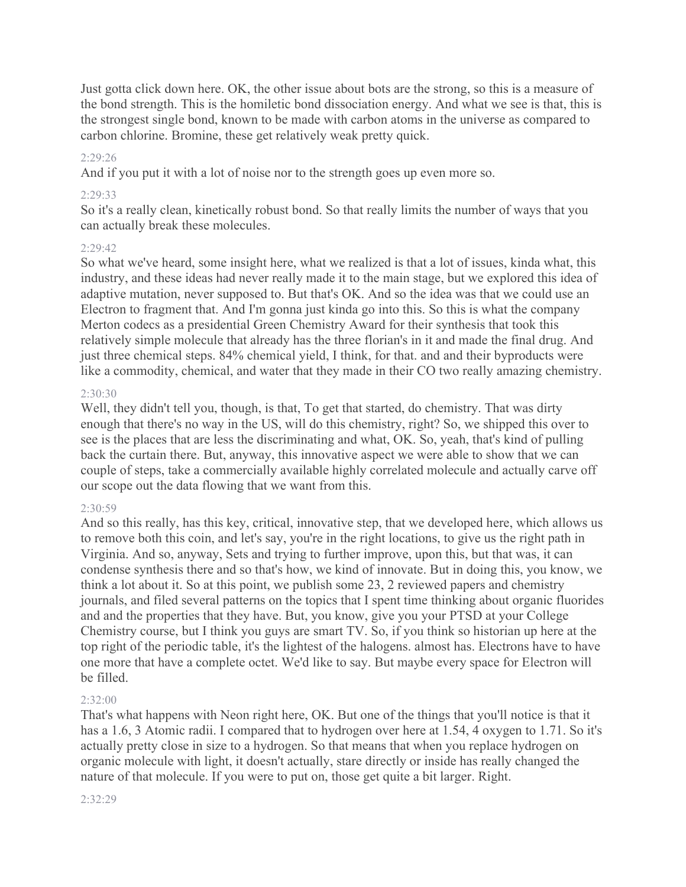Just gotta click down here. OK, the other issue about bots are the strong, so this is a measure of the bond strength. This is the homiletic bond dissociation energy. And what we see is that, this is the strongest single bond, known to be made with carbon atoms in the universe as compared to carbon chlorine. Bromine, these get relatively weak pretty quick.

#### 2:29:26

And if you put it with a lot of noise nor to the strength goes up even more so.

#### 2:29:33

So it's a really clean, kinetically robust bond. So that really limits the number of ways that you can actually break these molecules.

#### $2:29:42$

So what we've heard, some insight here, what we realized is that a lot of issues, kinda what, this industry, and these ideas had never really made it to the main stage, but we explored this idea of adaptive mutation, never supposed to. But that's OK. And so the idea was that we could use an Electron to fragment that. And I'm gonna just kinda go into this. So this is what the company Merton codecs as a presidential Green Chemistry Award for their synthesis that took this relatively simple molecule that already has the three florian's in it and made the final drug. And just three chemical steps. 84% chemical yield, I think, for that. and and their byproducts were like a commodity, chemical, and water that they made in their CO two really amazing chemistry.

#### $2:30:30$

Well, they didn't tell you, though, is that, To get that started, do chemistry. That was dirty enough that there's no way in the US, will do this chemistry, right? So, we shipped this over to see is the places that are less the discriminating and what, OK. So, yeah, that's kind of pulling back the curtain there. But, anyway, this innovative aspect we were able to show that we can couple of steps, take a commercially available highly correlated molecule and actually carve off our scope out the data flowing that we want from this.

#### 2:30:59

And so this really, has this key, critical, innovative step, that we developed here, which allows us to remove both this coin, and let's say, you're in the right locations, to give us the right path in Virginia. And so, anyway, Sets and trying to further improve, upon this, but that was, it can condense synthesis there and so that's how, we kind of innovate. But in doing this, you know, we think a lot about it. So at this point, we publish some 23, 2 reviewed papers and chemistry journals, and filed several patterns on the topics that I spent time thinking about organic fluorides and and the properties that they have. But, you know, give you your PTSD at your College Chemistry course, but I think you guys are smart TV. So, if you think so historian up here at the top right of the periodic table, it's the lightest of the halogens. almost has. Electrons have to have one more that have a complete octet. We'd like to say. But maybe every space for Electron will be filled.

#### $2.32:00$

That's what happens with Neon right here, OK. But one of the things that you'll notice is that it has a 1.6, 3 Atomic radii. I compared that to hydrogen over here at 1.54, 4 oxygen to 1.71. So it's actually pretty close in size to a hydrogen. So that means that when you replace hydrogen on organic molecule with light, it doesn't actually, stare directly or inside has really changed the nature of that molecule. If you were to put on, those get quite a bit larger. Right.

#### 2:32:29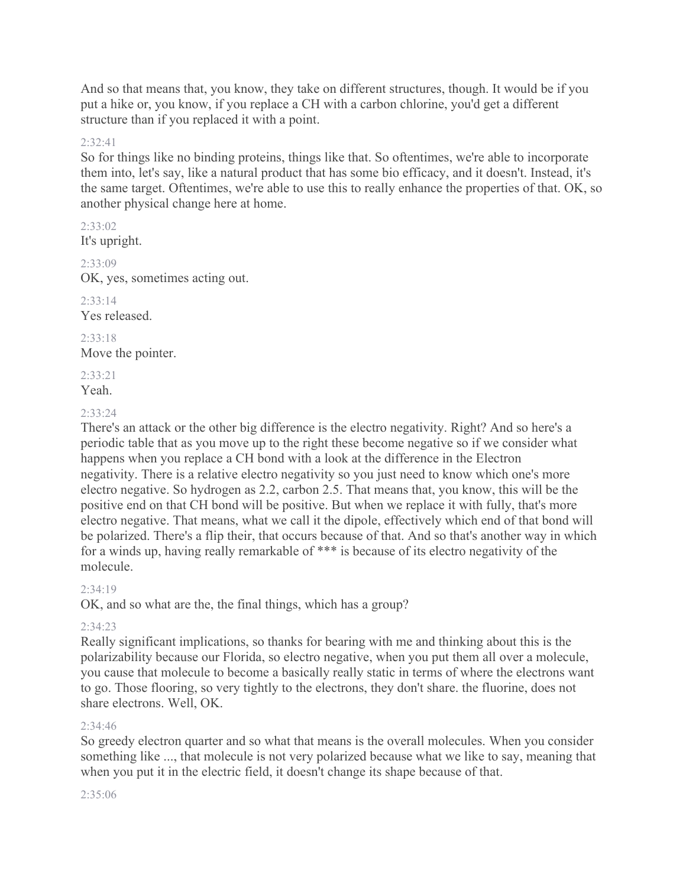And so that means that, you know, they take on different structures, though. It would be if you put a hike or, you know, if you replace a CH with a carbon chlorine, you'd get a different structure than if you replaced it with a point.

#### 2:32:41

So for things like no binding proteins, things like that. So oftentimes, we're able to incorporate them into, let's say, like a natural product that has some bio efficacy, and it doesn't. Instead, it's the same target. Oftentimes, we're able to use this to really enhance the properties of that. OK, so another physical change here at home.

2:33:02 It's upright.

2:33:09

OK, yes, sometimes acting out.  $2.33.14$ 

Yes released.

2:33:18 Move the pointer.

2:33:21

Yeah.

#### 2:33:24

There's an attack or the other big difference is the electro negativity. Right? And so here's a periodic table that as you move up to the right these become negative so if we consider what happens when you replace a CH bond with a look at the difference in the Electron negativity. There is a relative electro negativity so you just need to know which one's more electro negative. So hydrogen as 2.2, carbon 2.5. That means that, you know, this will be the positive end on that CH bond will be positive. But when we replace it with fully, that's more electro negative. That means, what we call it the dipole, effectively which end of that bond will be polarized. There's a flip their, that occurs because of that. And so that's another way in which for a winds up, having really remarkable of \*\*\* is because of its electro negativity of the molecule.

#### $2.34.19$

OK, and so what are the, the final things, which has a group?

#### 2:34:23

Really significant implications, so thanks for bearing with me and thinking about this is the polarizability because our Florida, so electro negative, when you put them all over a molecule, you cause that molecule to become a basically really static in terms of where the electrons want to go. Those flooring, so very tightly to the electrons, they don't share. the fluorine, does not share electrons. Well, OK.

#### $7.34.46$

So greedy electron quarter and so what that means is the overall molecules. When you consider something like ..., that molecule is not very polarized because what we like to say, meaning that when you put it in the electric field, it doesn't change its shape because of that.

#### 2:35:06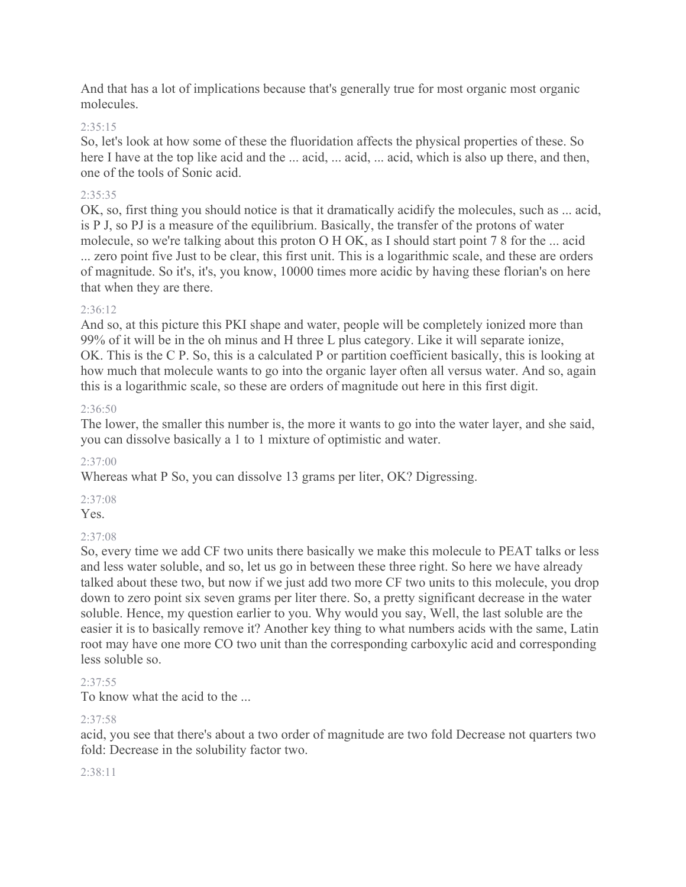And that has a lot of implications because that's generally true for most organic most organic molecules.

#### 2:35:15

So, let's look at how some of these the fluoridation affects the physical properties of these. So here I have at the top like acid and the ... acid, ... acid, ... acid, which is also up there, and then, one of the tools of Sonic acid.

#### 2:35:35

OK, so, first thing you should notice is that it dramatically acidify the molecules, such as ... acid, is P J, so PJ is a measure of the equilibrium. Basically, the transfer of the protons of water molecule, so we're talking about this proton O H OK, as I should start point 7 8 for the ... acid ... zero point five Just to be clear, this first unit. This is a logarithmic scale, and these are orders of magnitude. So it's, it's, you know, 10000 times more acidic by having these florian's on here that when they are there.

#### 2:36:12

And so, at this picture this PKI shape and water, people will be completely ionized more than 99% of it will be in the oh minus and H three L plus category. Like it will separate ionize, OK. This is the C P. So, this is a calculated P or partition coefficient basically, this is looking at how much that molecule wants to go into the organic layer often all versus water. And so, again this is a logarithmic scale, so these are orders of magnitude out here in this first digit.

#### 2:36:50

The lower, the smaller this number is, the more it wants to go into the water layer, and she said, you can dissolve basically a 1 to 1 mixture of optimistic and water.

#### 2:37:00

Whereas what P So, you can dissolve 13 grams per liter, OK? Digressing.

#### 2:37:08

Yes.

### 2:37:08

So, every time we add CF two units there basically we make this molecule to PEAT talks or less and less water soluble, and so, let us go in between these three right. So here we have already talked about these two, but now if we just add two more CF two units to this molecule, you drop down to zero point six seven grams per liter there. So, a pretty significant decrease in the water soluble. Hence, my question earlier to you. Why would you say, Well, the last soluble are the easier it is to basically remove it? Another key thing to what numbers acids with the same, Latin root may have one more CO two unit than the corresponding carboxylic acid and corresponding less soluble so.

#### 2:37:55

To know what the acid to the ...

#### 2:37:58

acid, you see that there's about a two order of magnitude are two fold Decrease not quarters two fold: Decrease in the solubility factor two.

#### 2:38:11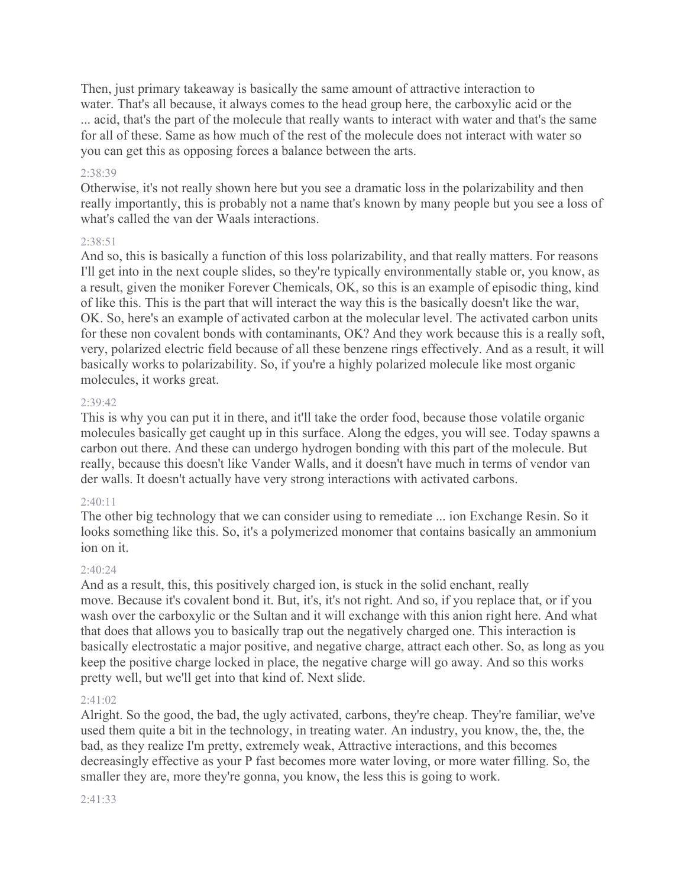Then, just primary takeaway is basically the same amount of attractive interaction to water. That's all because, it always comes to the head group here, the carboxylic acid or the ... acid, that's the part of the molecule that really wants to interact with water and that's the same for all of these. Same as how much of the rest of the molecule does not interact with water so you can get this as opposing forces a balance between the arts.

#### 2:38:39

Otherwise, it's not really shown here but you see a dramatic loss in the polarizability and then really importantly, this is probably not a name that's known by many people but you see a loss of what's called the van der Waals interactions.

#### 2:38:51

And so, this is basically a function of this loss polarizability, and that really matters. For reasons I'll get into in the next couple slides, so they're typically environmentally stable or, you know, as a result, given the moniker Forever Chemicals, OK, so this is an example of episodic thing, kind of like this. This is the part that will interact the way this is the basically doesn't like the war, OK. So, here's an example of activated carbon at the molecular level. The activated carbon units for these non covalent bonds with contaminants, OK? And they work because this is a really soft, very, polarized electric field because of all these benzene rings effectively. And as a result, it will basically works to polarizability. So, if you're a highly polarized molecule like most organic molecules, it works great.

#### 2:39:42

This is why you can put it in there, and it'll take the order food, because those volatile organic molecules basically get caught up in this surface. Along the edges, you will see. Today spawns a carbon out there. And these can undergo hydrogen bonding with this part of the molecule. But really, because this doesn't like Vander Walls, and it doesn't have much in terms of vendor van der walls. It doesn't actually have very strong interactions with activated carbons.

#### $2:40:11$

The other big technology that we can consider using to remediate ... ion Exchange Resin. So it looks something like this. So, it's a polymerized monomer that contains basically an ammonium ion on it.

#### $2.40.24$

And as a result, this, this positively charged ion, is stuck in the solid enchant, really move. Because it's covalent bond it. But, it's, it's not right. And so, if you replace that, or if you wash over the carboxylic or the Sultan and it will exchange with this anion right here. And what that does that allows you to basically trap out the negatively charged one. This interaction is basically electrostatic a major positive, and negative charge, attract each other. So, as long as you keep the positive charge locked in place, the negative charge will go away. And so this works pretty well, but we'll get into that kind of. Next slide.

#### $2.41.02$

Alright. So the good, the bad, the ugly activated, carbons, they're cheap. They're familiar, we've used them quite a bit in the technology, in treating water. An industry, you know, the, the, the bad, as they realize I'm pretty, extremely weak, Attractive interactions, and this becomes decreasingly effective as your P fast becomes more water loving, or more water filling. So, the smaller they are, more they're gonna, you know, the less this is going to work.

#### 2:41:33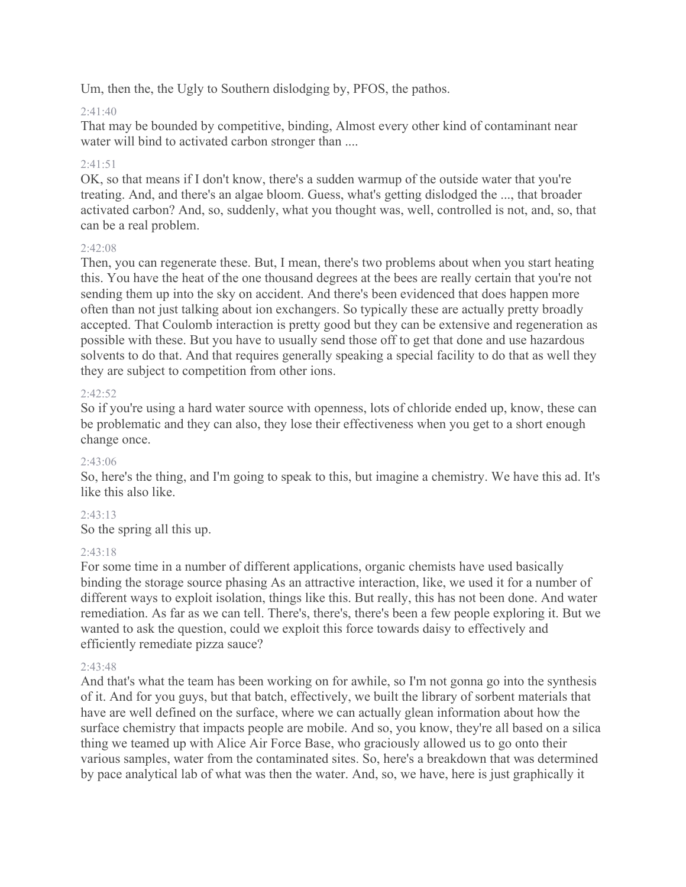Um, then the, the Ugly to Southern dislodging by, PFOS, the pathos.

### 2:41:40

That may be bounded by competitive, binding, Almost every other kind of contaminant near water will bind to activated carbon stronger than ....

### $2.41.51$

OK, so that means if I don't know, there's a sudden warmup of the outside water that you're treating. And, and there's an algae bloom. Guess, what's getting dislodged the ..., that broader activated carbon? And, so, suddenly, what you thought was, well, controlled is not, and, so, that can be a real problem.

#### $2:42:08$

Then, you can regenerate these. But, I mean, there's two problems about when you start heating this. You have the heat of the one thousand degrees at the bees are really certain that you're not sending them up into the sky on accident. And there's been evidenced that does happen more often than not just talking about ion exchangers. So typically these are actually pretty broadly accepted. That Coulomb interaction is pretty good but they can be extensive and regeneration as possible with these. But you have to usually send those off to get that done and use hazardous solvents to do that. And that requires generally speaking a special facility to do that as well they they are subject to competition from other ions.

#### $2.42.52$

So if you're using a hard water source with openness, lots of chloride ended up, know, these can be problematic and they can also, they lose their effectiveness when you get to a short enough change once.

### 2:43:06

So, here's the thing, and I'm going to speak to this, but imagine a chemistry. We have this ad. It's like this also like.

### 2:43:13

So the spring all this up.

### 2:43:18

For some time in a number of different applications, organic chemists have used basically binding the storage source phasing As an attractive interaction, like, we used it for a number of different ways to exploit isolation, things like this. But really, this has not been done. And water remediation. As far as we can tell. There's, there's, there's been a few people exploring it. But we wanted to ask the question, could we exploit this force towards daisy to effectively and efficiently remediate pizza sauce?

### $2.43.48$

And that's what the team has been working on for awhile, so I'm not gonna go into the synthesis of it. And for you guys, but that batch, effectively, we built the library of sorbent materials that have are well defined on the surface, where we can actually glean information about how the surface chemistry that impacts people are mobile. And so, you know, they're all based on a silica thing we teamed up with Alice Air Force Base, who graciously allowed us to go onto their various samples, water from the contaminated sites. So, here's a breakdown that was determined by pace analytical lab of what was then the water. And, so, we have, here is just graphically it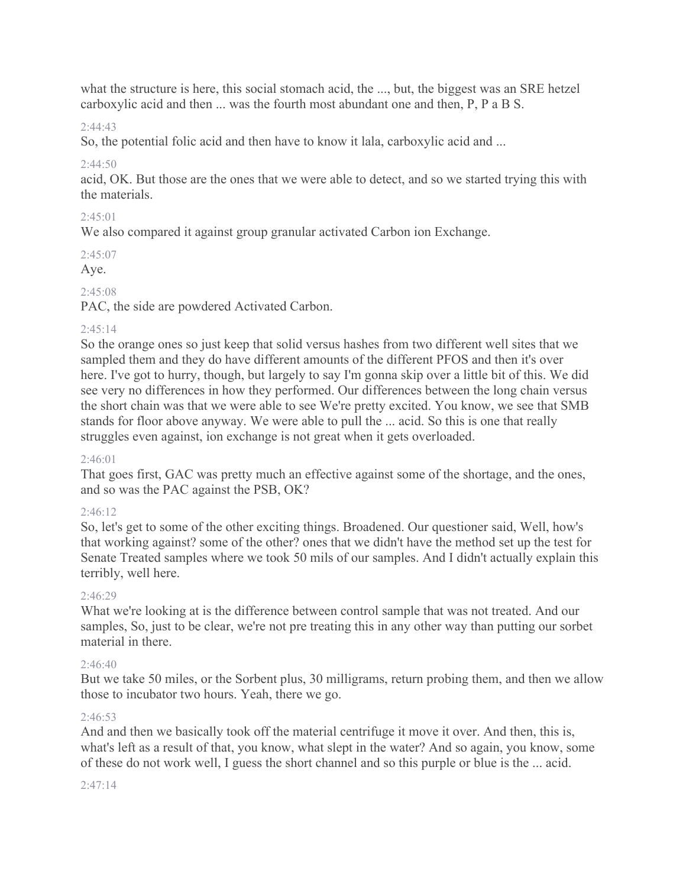what the structure is here, this social stomach acid, the ..., but, the biggest was an SRE hetzel carboxylic acid and then ... was the fourth most abundant one and then, P, P a B S.

#### $2:44:43$

So, the potential folic acid and then have to know it lala, carboxylic acid and ...

### $2.44.50$

acid, OK. But those are the ones that we were able to detect, and so we started trying this with the materials.

#### $2:45:01$

We also compared it against group granular activated Carbon ion Exchange.

#### 2:45:07

Aye.

### 2:45:08

PAC, the side are powdered Activated Carbon.

### $2:45:14$

So the orange ones so just keep that solid versus hashes from two different well sites that we sampled them and they do have different amounts of the different PFOS and then it's over here. I've got to hurry, though, but largely to say I'm gonna skip over a little bit of this. We did see very no differences in how they performed. Our differences between the long chain versus the short chain was that we were able to see We're pretty excited. You know, we see that SMB stands for floor above anyway. We were able to pull the ... acid. So this is one that really struggles even against, ion exchange is not great when it gets overloaded.

### $2:46:01$

That goes first, GAC was pretty much an effective against some of the shortage, and the ones, and so was the PAC against the PSB, OK?

### $2.46.12$

So, let's get to some of the other exciting things. Broadened. Our questioner said, Well, how's that working against? some of the other? ones that we didn't have the method set up the test for Senate Treated samples where we took 50 mils of our samples. And I didn't actually explain this terribly, well here.

### 2:46:29

What we're looking at is the difference between control sample that was not treated. And our samples, So, just to be clear, we're not pre treating this in any other way than putting our sorbet material in there.

### 2:46:40

But we take 50 miles, or the Sorbent plus, 30 milligrams, return probing them, and then we allow those to incubator two hours. Yeah, there we go.

#### $2.46.53$

And and then we basically took off the material centrifuge it move it over. And then, this is, what's left as a result of that, you know, what slept in the water? And so again, you know, some of these do not work well, I guess the short channel and so this purple or blue is the ... acid.

#### 2:47:14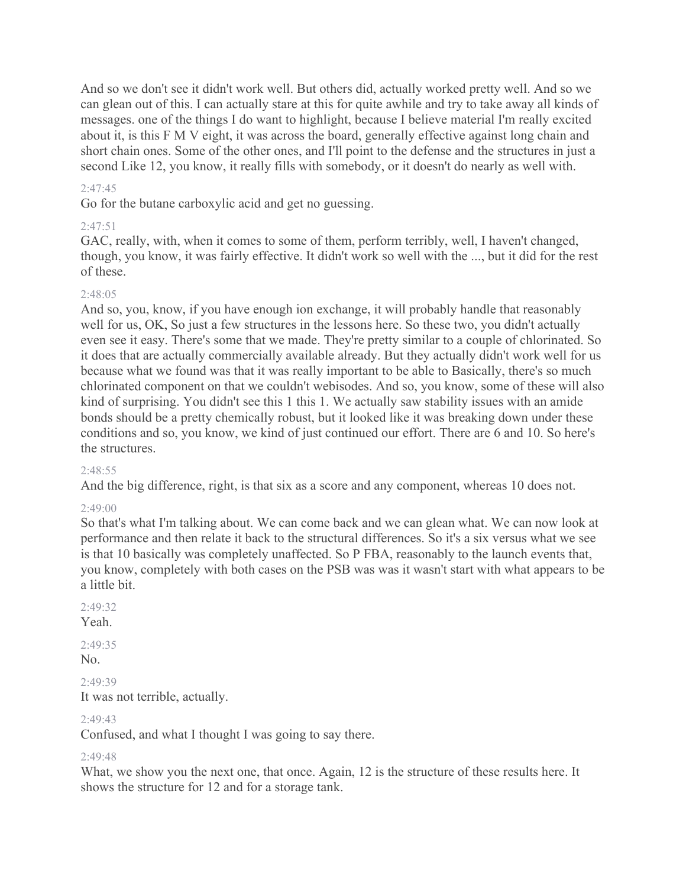And so we don't see it didn't work well. But others did, actually worked pretty well. And so we can glean out of this. I can actually stare at this for quite awhile and try to take away all kinds of messages. one of the things I do want to highlight, because I believe material I'm really excited about it, is this F M V eight, it was across the board, generally effective against long chain and short chain ones. Some of the other ones, and I'll point to the defense and the structures in just a second Like 12, you know, it really fills with somebody, or it doesn't do nearly as well with.

#### $2.47.45$

Go for the butane carboxylic acid and get no guessing.

#### 2:47:51

GAC, really, with, when it comes to some of them, perform terribly, well, I haven't changed, though, you know, it was fairly effective. It didn't work so well with the ..., but it did for the rest of these.

#### 2:48:05

And so, you, know, if you have enough ion exchange, it will probably handle that reasonably well for us, OK, So just a few structures in the lessons here. So these two, you didn't actually even see it easy. There's some that we made. They're pretty similar to a couple of chlorinated. So it does that are actually commercially available already. But they actually didn't work well for us because what we found was that it was really important to be able to Basically, there's so much chlorinated component on that we couldn't webisodes. And so, you know, some of these will also kind of surprising. You didn't see this 1 this 1. We actually saw stability issues with an amide bonds should be a pretty chemically robust, but it looked like it was breaking down under these conditions and so, you know, we kind of just continued our effort. There are 6 and 10. So here's the structures.

#### 2:48:55

And the big difference, right, is that six as a score and any component, whereas 10 does not.

#### $2:49:00$

So that's what I'm talking about. We can come back and we can glean what. We can now look at performance and then relate it back to the structural differences. So it's a six versus what we see is that 10 basically was completely unaffected. So P FBA, reasonably to the launch events that, you know, completely with both cases on the PSB was was it wasn't start with what appears to be a little bit.

#### $7.49.32$

Yeah.

 $2.49.35$  $No.$ 

2:49:39

It was not terrible, actually.

### $2.49.43$

Confused, and what I thought I was going to say there.

#### 2:49:48

What, we show you the next one, that once. Again, 12 is the structure of these results here. It shows the structure for 12 and for a storage tank.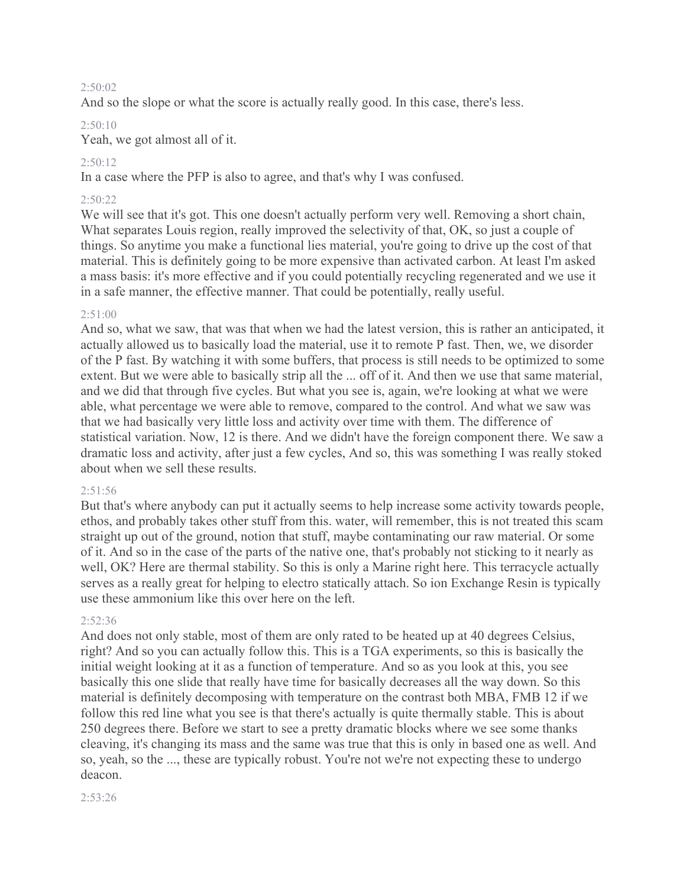#### 2:50:02

And so the slope or what the score is actually really good. In this case, there's less.

#### 2:50:10

Yeah, we got almost all of it.

#### 2:50:12

In a case where the PFP is also to agree, and that's why I was confused.

#### 2:50:22

We will see that it's got. This one doesn't actually perform very well. Removing a short chain, What separates Louis region, really improved the selectivity of that, OK, so just a couple of things. So anytime you make a functional lies material, you're going to drive up the cost of that material. This is definitely going to be more expensive than activated carbon. At least I'm asked a mass basis: it's more effective and if you could potentially recycling regenerated and we use it in a safe manner, the effective manner. That could be potentially, really useful.

#### $2:51:00$

And so, what we saw, that was that when we had the latest version, this is rather an anticipated, it actually allowed us to basically load the material, use it to remote P fast. Then, we, we disorder of the P fast. By watching it with some buffers, that process is still needs to be optimized to some extent. But we were able to basically strip all the ... off of it. And then we use that same material, and we did that through five cycles. But what you see is, again, we're looking at what we were able, what percentage we were able to remove, compared to the control. And what we saw was that we had basically very little loss and activity over time with them. The difference of statistical variation. Now, 12 is there. And we didn't have the foreign component there. We saw a dramatic loss and activity, after just a few cycles, And so, this was something I was really stoked about when we sell these results.

#### 2:51:56

But that's where anybody can put it actually seems to help increase some activity towards people, ethos, and probably takes other stuff from this. water, will remember, this is not treated this scam straight up out of the ground, notion that stuff, maybe contaminating our raw material. Or some of it. And so in the case of the parts of the native one, that's probably not sticking to it nearly as well, OK? Here are thermal stability. So this is only a Marine right here. This terracycle actually serves as a really great for helping to electro statically attach. So ion Exchange Resin is typically use these ammonium like this over here on the left.

#### 2:52:36

And does not only stable, most of them are only rated to be heated up at 40 degrees Celsius, right? And so you can actually follow this. This is a TGA experiments, so this is basically the initial weight looking at it as a function of temperature. And so as you look at this, you see basically this one slide that really have time for basically decreases all the way down. So this material is definitely decomposing with temperature on the contrast both MBA, FMB 12 if we follow this red line what you see is that there's actually is quite thermally stable. This is about 250 degrees there. Before we start to see a pretty dramatic blocks where we see some thanks cleaving, it's changing its mass and the same was true that this is only in based one as well. And so, yeah, so the ..., these are typically robust. You're not we're not expecting these to undergo deacon.

2:53:26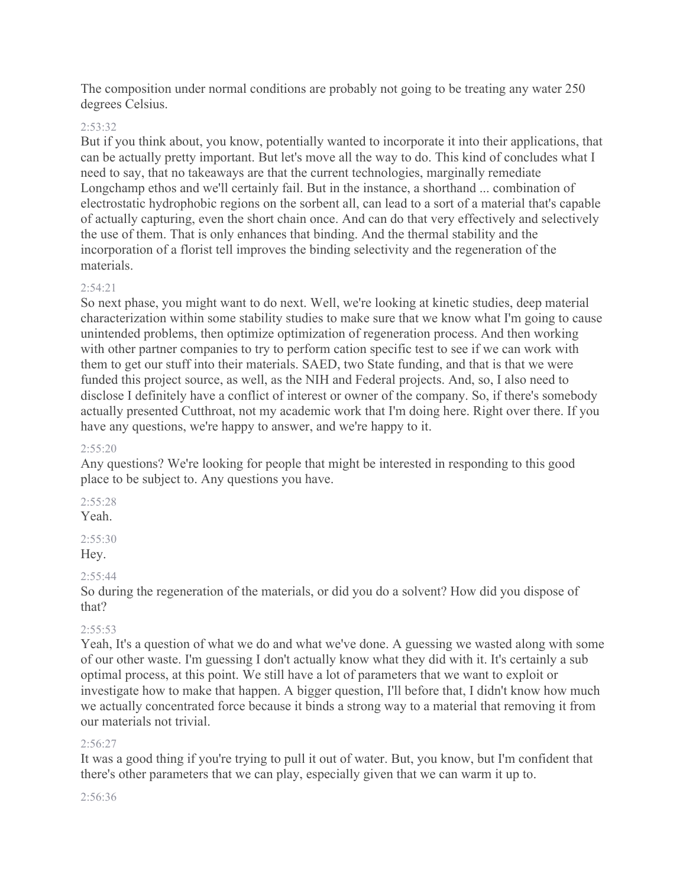The composition under normal conditions are probably not going to be treating any water 250 degrees Celsius.

#### 2:53:32

But if you think about, you know, potentially wanted to incorporate it into their applications, that can be actually pretty important. But let's move all the way to do. This kind of concludes what I need to say, that no takeaways are that the current technologies, marginally remediate Longchamp ethos and we'll certainly fail. But in the instance, a shorthand ... combination of electrostatic hydrophobic regions on the sorbent all, can lead to a sort of a material that's capable of actually capturing, even the short chain once. And can do that very effectively and selectively the use of them. That is only enhances that binding. And the thermal stability and the incorporation of a florist tell improves the binding selectivity and the regeneration of the materials.

#### $2.54.21$

So next phase, you might want to do next. Well, we're looking at kinetic studies, deep material characterization within some stability studies to make sure that we know what I'm going to cause unintended problems, then optimize optimization of regeneration process. And then working with other partner companies to try to perform cation specific test to see if we can work with them to get our stuff into their materials. SAED, two State funding, and that is that we were funded this project source, as well, as the NIH and Federal projects. And, so, I also need to disclose I definitely have a conflict of interest or owner of the company. So, if there's somebody actually presented Cutthroat, not my academic work that I'm doing here. Right over there. If you have any questions, we're happy to answer, and we're happy to it.

#### 2:55:20

Any questions? We're looking for people that might be interested in responding to this good place to be subject to. Any questions you have.

2:55:28 Yeah.

# $2:55:30$

Hey.

### $2:55:44$

So during the regeneration of the materials, or did you do a solvent? How did you dispose of that?

### $2:55:53$

Yeah, It's a question of what we do and what we've done. A guessing we wasted along with some of our other waste. I'm guessing I don't actually know what they did with it. It's certainly a sub optimal process, at this point. We still have a lot of parameters that we want to exploit or investigate how to make that happen. A bigger question, I'll before that, I didn't know how much we actually concentrated force because it binds a strong way to a material that removing it from our materials not trivial.

#### $2.56.27$

It was a good thing if you're trying to pull it out of water. But, you know, but I'm confident that there's other parameters that we can play, especially given that we can warm it up to.

#### 2:56:36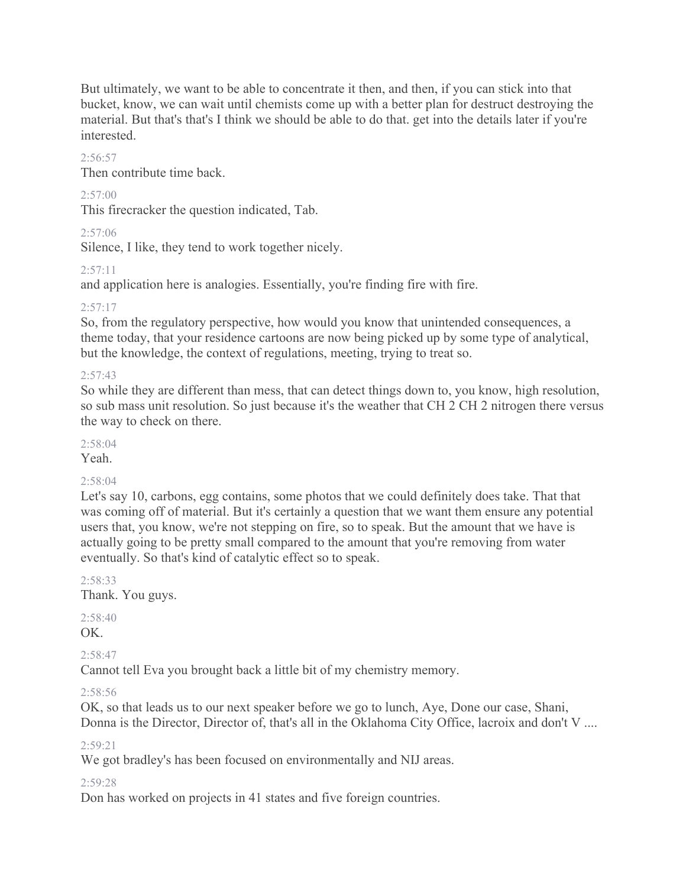But ultimately, we want to be able to concentrate it then, and then, if you can stick into that bucket, know, we can wait until chemists come up with a better plan for destruct destroying the material. But that's that's I think we should be able to do that. get into the details later if you're interested.

#### $2.56:57$

Then contribute time back.

#### $2:57:00$

This firecracker the question indicated, Tab.

2:57:06

Silence, I like, they tend to work together nicely.

#### $2:57:11$

and application here is analogies. Essentially, you're finding fire with fire.

#### $2:57:17$

So, from the regulatory perspective, how would you know that unintended consequences, a theme today, that your residence cartoons are now being picked up by some type of analytical, but the knowledge, the context of regulations, meeting, trying to treat so.

#### $2:57:43$

So while they are different than mess, that can detect things down to, you know, high resolution, so sub mass unit resolution. So just because it's the weather that CH 2 CH 2 nitrogen there versus the way to check on there.

# $2:58:04$

Yeah.

#### 2:58:04

Let's say 10, carbons, egg contains, some photos that we could definitely does take. That that was coming off of material. But it's certainly a question that we want them ensure any potential users that, you know, we're not stepping on fire, so to speak. But the amount that we have is actually going to be pretty small compared to the amount that you're removing from water eventually. So that's kind of catalytic effect so to speak.

2:58:33

Thank. You guys.

2:58:40 OK.

2:58:47

Cannot tell Eva you brought back a little bit of my chemistry memory.

2:58:56

OK, so that leads us to our next speaker before we go to lunch, Aye, Done our case, Shani, Donna is the Director, Director of, that's all in the Oklahoma City Office, lacroix and don't V ....

2:59:21

We got bradley's has been focused on environmentally and NIJ areas.

#### 2:59:28

Don has worked on projects in 41 states and five foreign countries.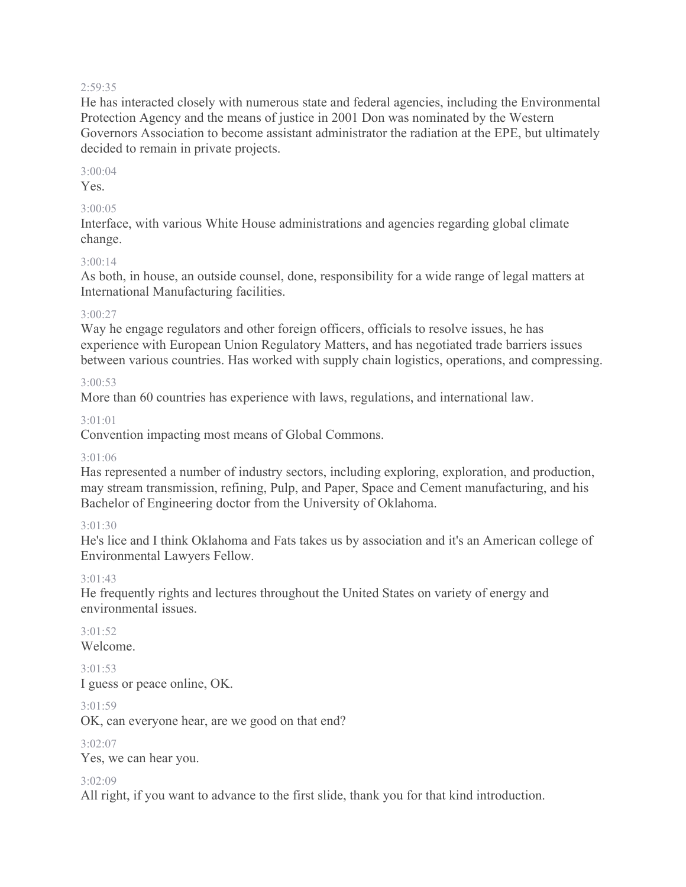#### 2:59:35

He has interacted closely with numerous state and federal agencies, including the Environmental Protection Agency and the means of justice in 2001 Don was nominated by the Western Governors Association to become assistant administrator the radiation at the EPE, but ultimately decided to remain in private projects.

#### 3:00:04

Yes.

#### 3:00:05

Interface, with various White House administrations and agencies regarding global climate change.

#### 3:00:14

As both, in house, an outside counsel, done, responsibility for a wide range of legal matters at International Manufacturing facilities.

#### 3:00:27

Way he engage regulators and other foreign officers, officials to resolve issues, he has experience with European Union Regulatory Matters, and has negotiated trade barriers issues between various countries. Has worked with supply chain logistics, operations, and compressing.

#### 3:00:53

More than 60 countries has experience with laws, regulations, and international law.

#### 3:01:01

Convention impacting most means of Global Commons.

#### 3:01:06

Has represented a number of industry sectors, including exploring, exploration, and production, may stream transmission, refining, Pulp, and Paper, Space and Cement manufacturing, and his Bachelor of Engineering doctor from the University of Oklahoma.

#### 3:01:30

He's lice and I think Oklahoma and Fats takes us by association and it's an American college of Environmental Lawyers Fellow.

#### 3:01:43

He frequently rights and lectures throughout the United States on variety of energy and environmental issues.

 $3.01.52$ Welcome.

3:01:53 I guess or peace online, OK.

### $3.01.59$

OK, can everyone hear, are we good on that end?

#### 3:02:07

Yes, we can hear you.

#### 3:02:09

All right, if you want to advance to the first slide, thank you for that kind introduction.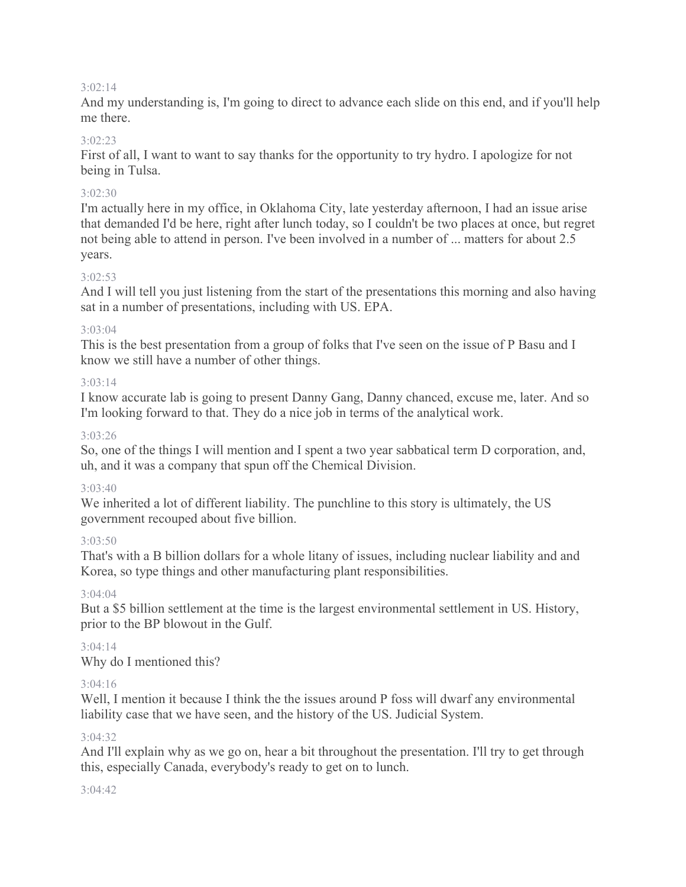#### 3:02:14

And my understanding is, I'm going to direct to advance each slide on this end, and if you'll help me there.

#### $3.02.23$

First of all, I want to want to say thanks for the opportunity to try hydro. I apologize for not being in Tulsa.

#### 3:02:30

I'm actually here in my office, in Oklahoma City, late yesterday afternoon, I had an issue arise that demanded I'd be here, right after lunch today, so I couldn't be two places at once, but regret not being able to attend in person. I've been involved in a number of ... matters for about 2.5 years.

#### 3:02:53

And I will tell you just listening from the start of the presentations this morning and also having sat in a number of presentations, including with US. EPA.

#### $3.03.04$

This is the best presentation from a group of folks that I've seen on the issue of P Basu and I know we still have a number of other things.

#### $3.03.14$

I know accurate lab is going to present Danny Gang, Danny chanced, excuse me, later. And so I'm looking forward to that. They do a nice job in terms of the analytical work.

#### 3:03:26

So, one of the things I will mention and I spent a two year sabbatical term D corporation, and, uh, and it was a company that spun off the Chemical Division.

#### 3:03:40

We inherited a lot of different liability. The punchline to this story is ultimately, the US government recouped about five billion.

### 3:03:50

That's with a B billion dollars for a whole litany of issues, including nuclear liability and and Korea, so type things and other manufacturing plant responsibilities.

### 3:04:04

But a \$5 billion settlement at the time is the largest environmental settlement in US. History, prior to the BP blowout in the Gulf.

### 3:04:14

Why do I mentioned this?

### $3.04.16$

Well, I mention it because I think the the issues around P foss will dwarf any environmental liability case that we have seen, and the history of the US. Judicial System.

#### 3:04:32

And I'll explain why as we go on, hear a bit throughout the presentation. I'll try to get through this, especially Canada, everybody's ready to get on to lunch.

#### 3:04:42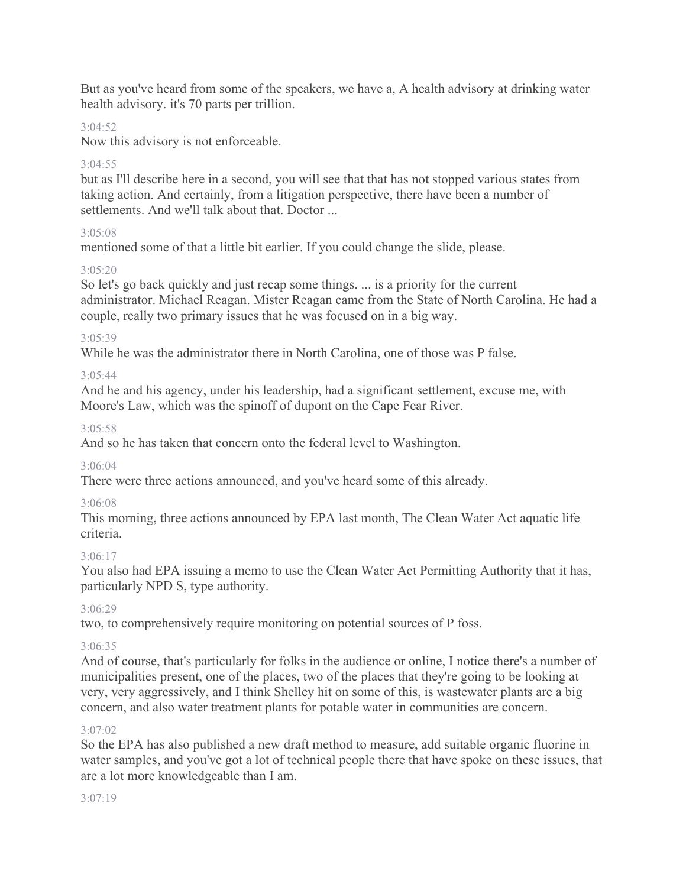But as you've heard from some of the speakers, we have a, A health advisory at drinking water health advisory. it's 70 parts per trillion.

#### 3:04:52

Now this advisory is not enforceable.

#### $3.04.55$

but as I'll describe here in a second, you will see that that has not stopped various states from taking action. And certainly, from a litigation perspective, there have been a number of settlements. And we'll talk about that. Doctor ...

#### 3:05:08

mentioned some of that a little bit earlier. If you could change the slide, please.

#### 3:05:20

So let's go back quickly and just recap some things. ... is a priority for the current administrator. Michael Reagan. Mister Reagan came from the State of North Carolina. He had a couple, really two primary issues that he was focused on in a big way.

#### 3:05:39

While he was the administrator there in North Carolina, one of those was P false.

### 3:05:44

And he and his agency, under his leadership, had a significant settlement, excuse me, with Moore's Law, which was the spinoff of dupont on the Cape Fear River.

#### 3:05:58

And so he has taken that concern onto the federal level to Washington.

#### 3:06:04

There were three actions announced, and you've heard some of this already.

### 3:06:08

This morning, three actions announced by EPA last month, The Clean Water Act aquatic life criteria.

### 3:06:17

You also had EPA issuing a memo to use the Clean Water Act Permitting Authority that it has, particularly NPD S, type authority.

### 3:06:29

two, to comprehensively require monitoring on potential sources of P foss.

### 3:06:35

And of course, that's particularly for folks in the audience or online, I notice there's a number of municipalities present, one of the places, two of the places that they're going to be looking at very, very aggressively, and I think Shelley hit on some of this, is wastewater plants are a big concern, and also water treatment plants for potable water in communities are concern.

#### 3:07:02

So the EPA has also published a new draft method to measure, add suitable organic fluorine in water samples, and you've got a lot of technical people there that have spoke on these issues, that are a lot more knowledgeable than I am.

#### 3:07:19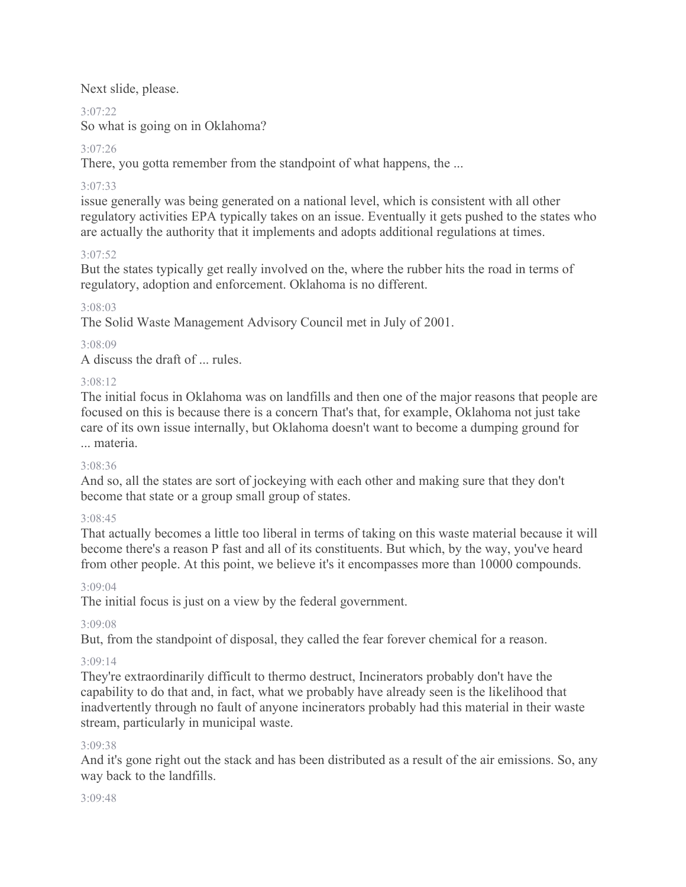Next slide, please.

# $3.07.22$

So what is going on in Oklahoma?

# 3:07:26

There, you gotta remember from the standpoint of what happens, the ...

# 3:07:33

issue generally was being generated on a national level, which is consistent with all other regulatory activities EPA typically takes on an issue. Eventually it gets pushed to the states who are actually the authority that it implements and adopts additional regulations at times.

# 3:07:52

But the states typically get really involved on the, where the rubber hits the road in terms of regulatory, adoption and enforcement. Oklahoma is no different.

### 3:08:03

The Solid Waste Management Advisory Council met in July of 2001.

### 3:08:09

A discuss the draft of ... rules.

# 3:08:12

The initial focus in Oklahoma was on landfills and then one of the major reasons that people are focused on this is because there is a concern That's that, for example, Oklahoma not just take care of its own issue internally, but Oklahoma doesn't want to become a dumping ground for ... materia.

### 3:08:36

And so, all the states are sort of jockeying with each other and making sure that they don't become that state or a group small group of states.

# 3:08:45

That actually becomes a little too liberal in terms of taking on this waste material because it will become there's a reason P fast and all of its constituents. But which, by the way, you've heard from other people. At this point, we believe it's it encompasses more than 10000 compounds.

### 3:09:04

The initial focus is just on a view by the federal government.

### 3:09:08

But, from the standpoint of disposal, they called the fear forever chemical for a reason.

### 3:09:14

They're extraordinarily difficult to thermo destruct, Incinerators probably don't have the capability to do that and, in fact, what we probably have already seen is the likelihood that inadvertently through no fault of anyone incinerators probably had this material in their waste stream, particularly in municipal waste.

### 3:09:38

And it's gone right out the stack and has been distributed as a result of the air emissions. So, any way back to the landfills.

### 3:09:48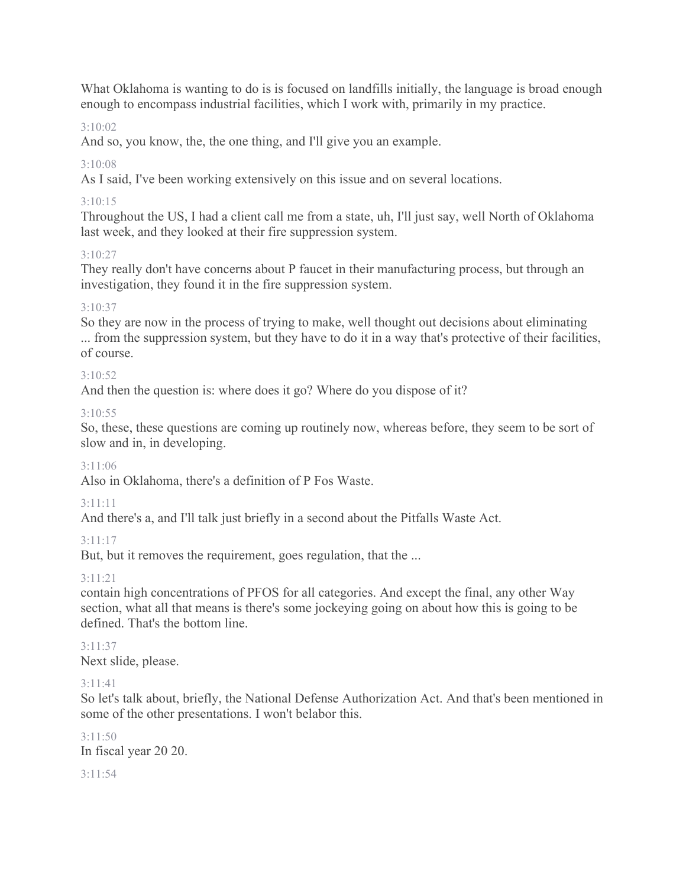What Oklahoma is wanting to do is is focused on landfills initially, the language is broad enough enough to encompass industrial facilities, which I work with, primarily in my practice.

# 3:10:02

And so, you know, the, the one thing, and I'll give you an example.

# $3.10:08$

As I said, I've been working extensively on this issue and on several locations.

# 3:10:15

Throughout the US, I had a client call me from a state, uh, I'll just say, well North of Oklahoma last week, and they looked at their fire suppression system.

### 3:10:27

They really don't have concerns about P faucet in their manufacturing process, but through an investigation, they found it in the fire suppression system.

#### 3:10:37

So they are now in the process of trying to make, well thought out decisions about eliminating ... from the suppression system, but they have to do it in a way that's protective of their facilities, of course.

#### 3:10:52

And then the question is: where does it go? Where do you dispose of it?

#### 3:10:55

So, these, these questions are coming up routinely now, whereas before, they seem to be sort of slow and in, in developing.

### 3:11:06

Also in Oklahoma, there's a definition of P Fos Waste.

#### 3:11:11

And there's a, and I'll talk just briefly in a second about the Pitfalls Waste Act.

### 3:11:17

But, but it removes the requirement, goes regulation, that the ...

### 3:11:21

contain high concentrations of PFOS for all categories. And except the final, any other Way section, what all that means is there's some jockeying going on about how this is going to be defined. That's the bottom line.

3:11:37 Next slide, please.

### 3:11:41

So let's talk about, briefly, the National Defense Authorization Act. And that's been mentioned in some of the other presentations. I won't belabor this.

#### 3:11:50

In fiscal year 20 20.

#### 3:11:54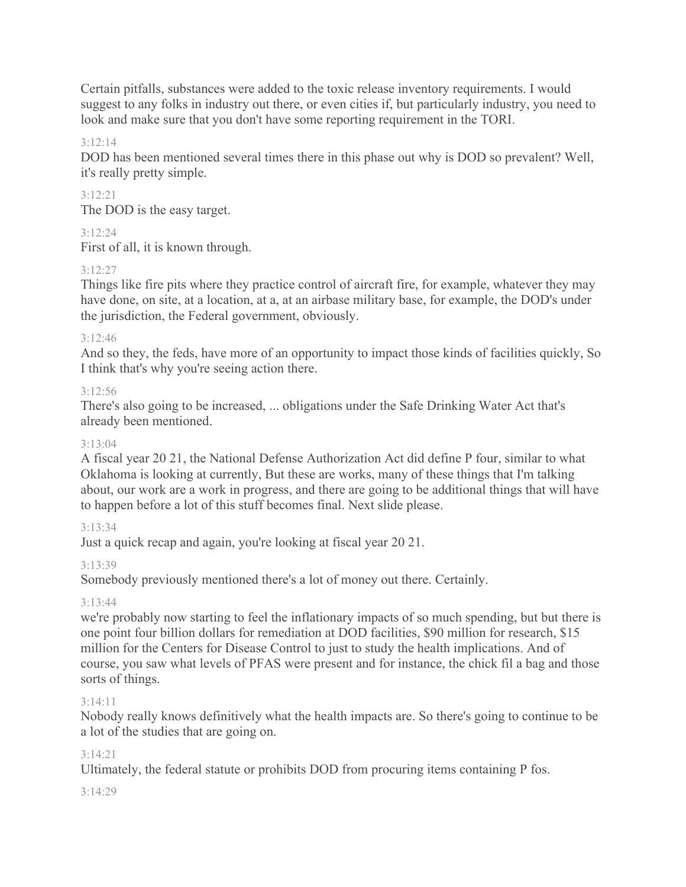Certain pitfalls, substances were added to the toxic release inventory requirements. I would suggest to any folks in industry out there, or even cities if, but particularly industry, you need to look and make sure that you don't have some reporting requirement in the TORI.

### 3:12:14

DOD has been mentioned several times there in this phase out why is DOD so prevalent? Well, it's really pretty simple.

3:12:21 The DOD is the easy target.

#### 3:12:24

First of all, it is known through.

#### 3:12:27

Things like fire pits where they practice control of aircraft fire, for example, whatever they may have done, on site, at a location, at a, at an airbase military base, for example, the DOD's under the jurisdiction, the Federal government, obviously.

#### $3.12:46$

And so they, the feds, have more of an opportunity to impact those kinds of facilities quickly, So I think that's why you're seeing action there.

#### $3:12:56$

There's also going to be increased, ... obligations under the Safe Drinking Water Act that's already been mentioned.

#### 3:13:04

A fiscal year 20 21, the National Defense Authorization Act did define P four, similar to what Oklahoma is looking at currently, But these are works, many of these things that I'm talking about, our work are a work in progress, and there are going to be additional things that will have to happen before a lot of this stuff becomes final. Next slide please.

#### 3:13:34

Just a quick recap and again, you're looking at fiscal year 20 21.

#### 3:13:39

Somebody previously mentioned there's a lot of money out there. Certainly.

#### 3:13:44

we're probably now starting to feel the inflationary impacts of so much spending, but but there is one point four billion dollars for remediation at DOD facilities, \$90 million for research, \$15 million for the Centers for Disease Control to just to study the health implications. And of course, you saw what levels of PFAS were present and for instance, the chick fil a bag and those sorts of things.

#### 3:14:11

Nobody really knows definitively what the health impacts are. So there's going to continue to be a lot of the studies that are going on.

#### $3.14.21$

Ultimately, the federal statute or prohibits DOD from procuring items containing P fos.

#### $3.14.29$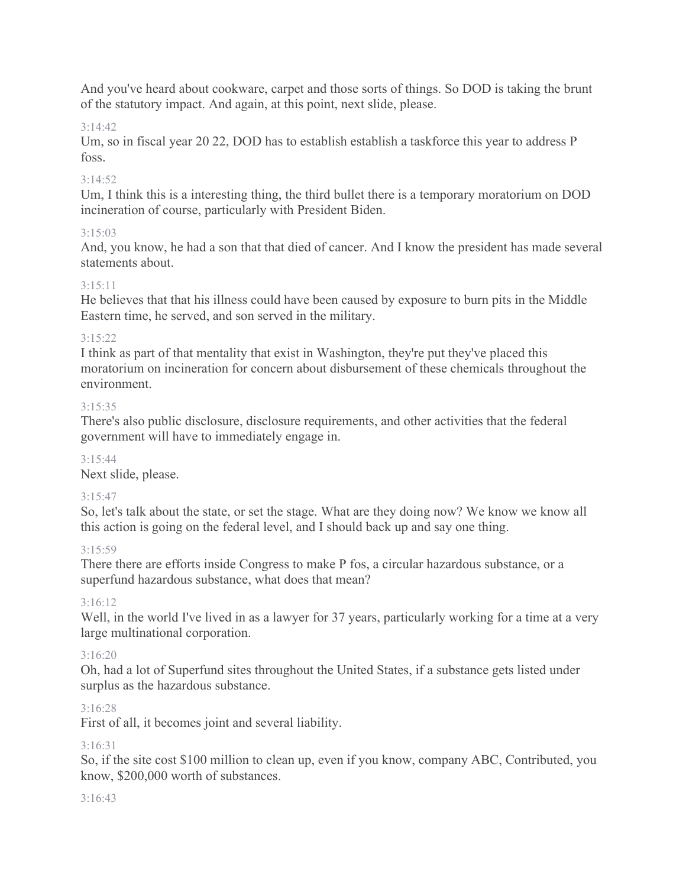And you've heard about cookware, carpet and those sorts of things. So DOD is taking the brunt of the statutory impact. And again, at this point, next slide, please.

# 3:14:42

Um, so in fiscal year 20 22, DOD has to establish establish a taskforce this year to address P foss.

# 3:14:52

Um, I think this is a interesting thing, the third bullet there is a temporary moratorium on DOD incineration of course, particularly with President Biden.

# 3:15:03

And, you know, he had a son that that died of cancer. And I know the president has made several statements about.

# 3:15:11

He believes that that his illness could have been caused by exposure to burn pits in the Middle Eastern time, he served, and son served in the military.

# $3.15.22$

I think as part of that mentality that exist in Washington, they're put they've placed this moratorium on incineration for concern about disbursement of these chemicals throughout the environment.

# 3:15:35

There's also public disclosure, disclosure requirements, and other activities that the federal government will have to immediately engage in.

### 3:15:44

Next slide, please.

# 3:15:47

So, let's talk about the state, or set the stage. What are they doing now? We know we know all this action is going on the federal level, and I should back up and say one thing.

### 3:15:59

There there are efforts inside Congress to make P fos, a circular hazardous substance, or a superfund hazardous substance, what does that mean?

### 3:16:12

Well, in the world I've lived in as a lawyer for 37 years, particularly working for a time at a very large multinational corporation.

### 3:16:20

Oh, had a lot of Superfund sites throughout the United States, if a substance gets listed under surplus as the hazardous substance.

### 3:16:28

First of all, it becomes joint and several liability.

### 3:16:31

So, if the site cost \$100 million to clean up, even if you know, company ABC, Contributed, you know, \$200,000 worth of substances.

### 3:16:43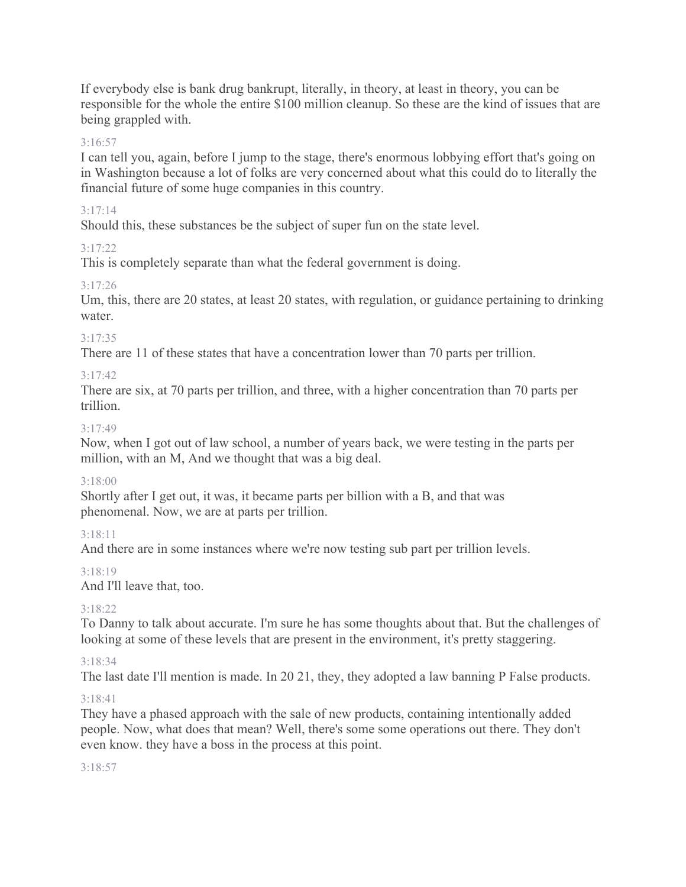If everybody else is bank drug bankrupt, literally, in theory, at least in theory, you can be responsible for the whole the entire \$100 million cleanup. So these are the kind of issues that are being grappled with.

#### 3:16:57

I can tell you, again, before I jump to the stage, there's enormous lobbying effort that's going on in Washington because a lot of folks are very concerned about what this could do to literally the financial future of some huge companies in this country.

#### 3:17:14

Should this, these substances be the subject of super fun on the state level.

#### 3:17:22

This is completely separate than what the federal government is doing.

### 3:17:26

Um, this, there are 20 states, at least 20 states, with regulation, or guidance pertaining to drinking water.

#### 3:17:35

There are 11 of these states that have a concentration lower than 70 parts per trillion.

#### 3:17:42

There are six, at 70 parts per trillion, and three, with a higher concentration than 70 parts per trillion.

#### 3:17:49

Now, when I got out of law school, a number of years back, we were testing in the parts per million, with an M, And we thought that was a big deal.

### 3:18:00

Shortly after I get out, it was, it became parts per billion with a B, and that was phenomenal. Now, we are at parts per trillion.

### 3:18:11

And there are in some instances where we're now testing sub part per trillion levels.

### 3:18:19

And I'll leave that, too.

### 3:18:22

To Danny to talk about accurate. I'm sure he has some thoughts about that. But the challenges of looking at some of these levels that are present in the environment, it's pretty staggering.

#### 3:18:34

The last date I'll mention is made. In 20 21, they, they adopted a law banning P False products.

#### 3:18:41

They have a phased approach with the sale of new products, containing intentionally added people. Now, what does that mean? Well, there's some some operations out there. They don't even know. they have a boss in the process at this point.

#### 3:18:57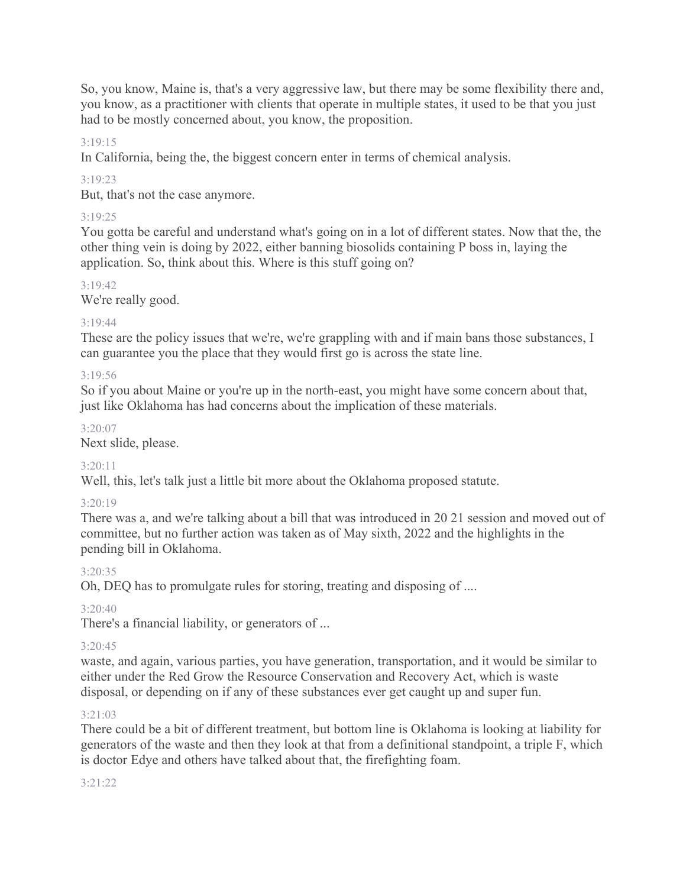So, you know, Maine is, that's a very aggressive law, but there may be some flexibility there and, you know, as a practitioner with clients that operate in multiple states, it used to be that you just had to be mostly concerned about, you know, the proposition.

### 3:19:15

In California, being the, the biggest concern enter in terms of chemical analysis.

# 3:19:23

But, that's not the case anymore.

# 3:19:25

You gotta be careful and understand what's going on in a lot of different states. Now that the, the other thing vein is doing by 2022, either banning biosolids containing P boss in, laying the application. So, think about this. Where is this stuff going on?

# 3:19:42

We're really good.

# 3:19:44

These are the policy issues that we're, we're grappling with and if main bans those substances, I can guarantee you the place that they would first go is across the state line.

# 3:19:56

So if you about Maine or you're up in the north-east, you might have some concern about that, just like Oklahoma has had concerns about the implication of these materials.

# 3:20:07

Next slide, please.

# 3:20:11

Well, this, let's talk just a little bit more about the Oklahoma proposed statute.

# 3:20:19

There was a, and we're talking about a bill that was introduced in 20 21 session and moved out of committee, but no further action was taken as of May sixth, 2022 and the highlights in the pending bill in Oklahoma.

# 3:20:35

Oh, DEQ has to promulgate rules for storing, treating and disposing of ....

# 3:20:40

There's a financial liability, or generators of ...

# 3:20:45

waste, and again, various parties, you have generation, transportation, and it would be similar to either under the Red Grow the Resource Conservation and Recovery Act, which is waste disposal, or depending on if any of these substances ever get caught up and super fun.

# 3:21:03

There could be a bit of different treatment, but bottom line is Oklahoma is looking at liability for generators of the waste and then they look at that from a definitional standpoint, a triple F, which is doctor Edye and others have talked about that, the firefighting foam.

# 3:21:22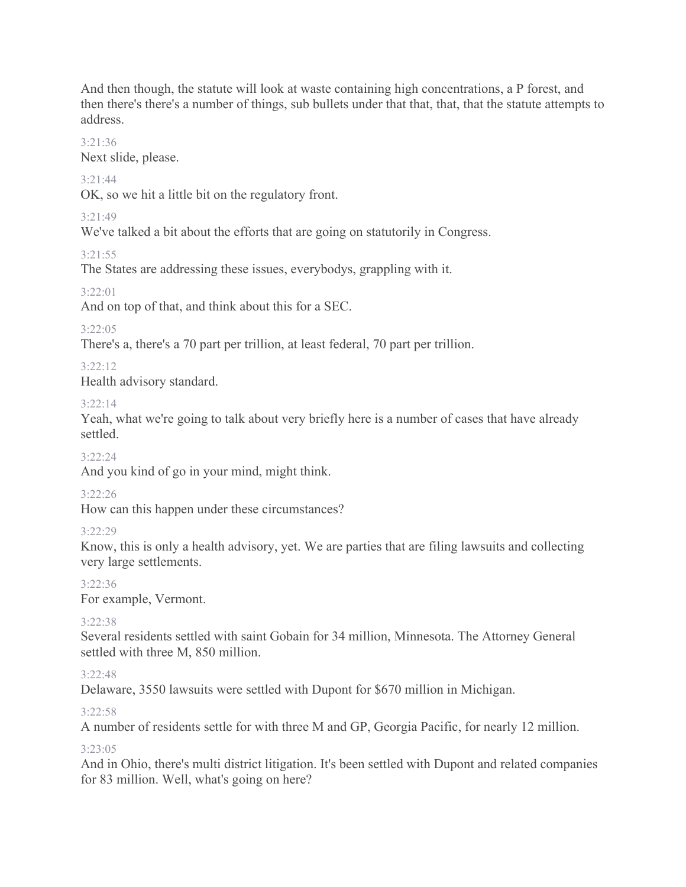And then though, the statute will look at waste containing high concentrations, a P forest, and then there's there's a number of things, sub bullets under that that, that, that the statute attempts to address.

#### 3:21:36

Next slide, please.

### 3:21:44

OK, so we hit a little bit on the regulatory front.

# 3:21:49

We've talked a bit about the efforts that are going on statutorily in Congress.

# 3:21:55

The States are addressing these issues, everybodys, grappling with it.

# 3:22:01

And on top of that, and think about this for a SEC.

# 3:22:05

There's a, there's a 70 part per trillion, at least federal, 70 part per trillion.

# 3:22:12

Health advisory standard.

# 3:22:14

Yeah, what we're going to talk about very briefly here is a number of cases that have already settled.

### 3:22:24

And you kind of go in your mind, might think.

# 3:22:26

How can this happen under these circumstances?

# 3:22:29

Know, this is only a health advisory, yet. We are parties that are filing lawsuits and collecting very large settlements.

3:22:36

For example, Vermont.

# 3:22:38

Several residents settled with saint Gobain for 34 million, Minnesota. The Attorney General settled with three M, 850 million.

### $3.22.48$

Delaware, 3550 lawsuits were settled with Dupont for \$670 million in Michigan.

### 3:22:58

A number of residents settle for with three M and GP, Georgia Pacific, for nearly 12 million.

### $3.23.05$

And in Ohio, there's multi district litigation. It's been settled with Dupont and related companies for 83 million. Well, what's going on here?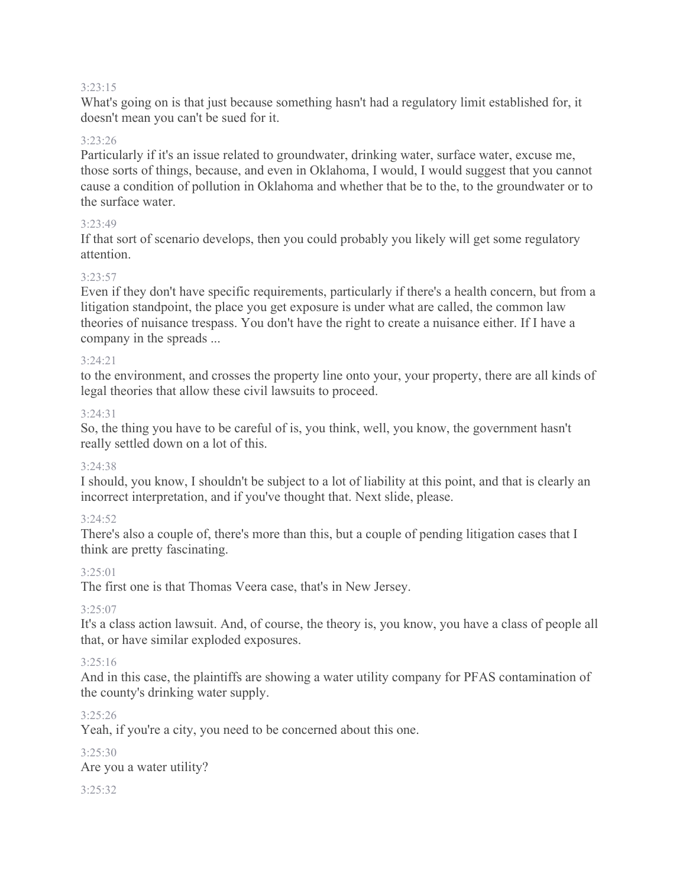#### 3:23:15

What's going on is that just because something hasn't had a regulatory limit established for, it doesn't mean you can't be sued for it.

#### 3:23:26

Particularly if it's an issue related to groundwater, drinking water, surface water, excuse me, those sorts of things, because, and even in Oklahoma, I would, I would suggest that you cannot cause a condition of pollution in Oklahoma and whether that be to the, to the groundwater or to the surface water.

#### 3:23:49

If that sort of scenario develops, then you could probably you likely will get some regulatory attention.

#### 3:23:57

Even if they don't have specific requirements, particularly if there's a health concern, but from a litigation standpoint, the place you get exposure is under what are called, the common law theories of nuisance trespass. You don't have the right to create a nuisance either. If I have a company in the spreads ...

#### 3:24:21

to the environment, and crosses the property line onto your, your property, there are all kinds of legal theories that allow these civil lawsuits to proceed.

#### 3:24:31

So, the thing you have to be careful of is, you think, well, you know, the government hasn't really settled down on a lot of this.

#### 3:24:38

I should, you know, I shouldn't be subject to a lot of liability at this point, and that is clearly an incorrect interpretation, and if you've thought that. Next slide, please.

#### 3:24:52

There's also a couple of, there's more than this, but a couple of pending litigation cases that I think are pretty fascinating.

#### 3:25:01

The first one is that Thomas Veera case, that's in New Jersey.

### $3.25.07$

It's a class action lawsuit. And, of course, the theory is, you know, you have a class of people all that, or have similar exploded exposures.

#### 3:25:16

And in this case, the plaintiffs are showing a water utility company for PFAS contamination of the county's drinking water supply.

#### 3:25:26

Yeah, if you're a city, you need to be concerned about this one.

3:25:30 Are you a water utility? 3:25:32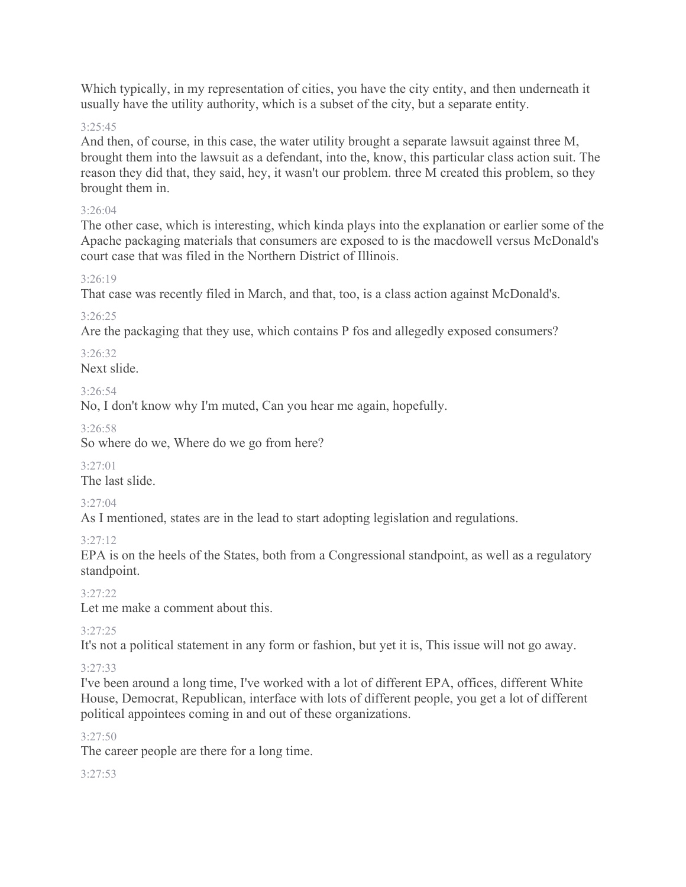Which typically, in my representation of cities, you have the city entity, and then underneath it usually have the utility authority, which is a subset of the city, but a separate entity.

#### 3:25:45

And then, of course, in this case, the water utility brought a separate lawsuit against three M, brought them into the lawsuit as a defendant, into the, know, this particular class action suit. The reason they did that, they said, hey, it wasn't our problem. three M created this problem, so they brought them in.

#### 3:26:04

The other case, which is interesting, which kinda plays into the explanation or earlier some of the Apache packaging materials that consumers are exposed to is the macdowell versus McDonald's court case that was filed in the Northern District of Illinois.

#### 3:26:19

That case was recently filed in March, and that, too, is a class action against McDonald's.

#### 3:26:25

Are the packaging that they use, which contains P fos and allegedly exposed consumers?

3:26:32 Next slide.

 $3.26.54$ 

No, I don't know why I'm muted, Can you hear me again, hopefully.

3:26:58

So where do we, Where do we go from here?

 $3.27 \cdot 01$ The last slide.

3:27:04

As I mentioned, states are in the lead to start adopting legislation and regulations.

3:27:12

EPA is on the heels of the States, both from a Congressional standpoint, as well as a regulatory standpoint.

3:27:22

Let me make a comment about this.

3:27:25

It's not a political statement in any form or fashion, but yet it is, This issue will not go away.

### 3:27:33

I've been around a long time, I've worked with a lot of different EPA, offices, different White House, Democrat, Republican, interface with lots of different people, you get a lot of different political appointees coming in and out of these organizations.

#### 3:27:50

The career people are there for a long time.

3:27:53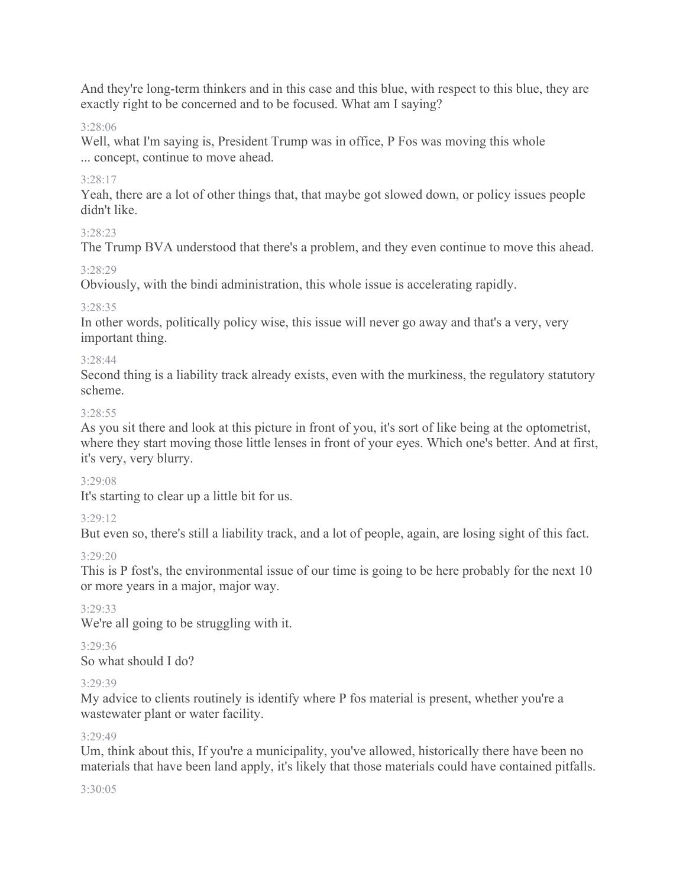And they're long-term thinkers and in this case and this blue, with respect to this blue, they are exactly right to be concerned and to be focused. What am I saying?

#### 3:28:06

Well, what I'm saying is, President Trump was in office, P Fos was moving this whole ... concept, continue to move ahead.

#### 3:28:17

Yeah, there are a lot of other things that, that maybe got slowed down, or policy issues people didn't like.

#### 3:28:23

The Trump BVA understood that there's a problem, and they even continue to move this ahead.

#### 3:28:29

Obviously, with the bindi administration, this whole issue is accelerating rapidly.

#### 3:28:35

In other words, politically policy wise, this issue will never go away and that's a very, very important thing.

#### 3:28:44

Second thing is a liability track already exists, even with the murkiness, the regulatory statutory scheme.

#### 3:28:55

As you sit there and look at this picture in front of you, it's sort of like being at the optometrist, where they start moving those little lenses in front of your eyes. Which one's better. And at first, it's very, very blurry.

#### 3:29:08

It's starting to clear up a little bit for us.

### 3:29:12

But even so, there's still a liability track, and a lot of people, again, are losing sight of this fact.

### 3:29:20

This is P fost's, the environmental issue of our time is going to be here probably for the next 10 or more years in a major, major way.

### 3:29:33

We're all going to be struggling with it.

### 3:29:36

So what should I do?

### 3:29:39

My advice to clients routinely is identify where P fos material is present, whether you're a wastewater plant or water facility.

#### 3:29:49

Um, think about this, If you're a municipality, you've allowed, historically there have been no materials that have been land apply, it's likely that those materials could have contained pitfalls.

#### 3:30:05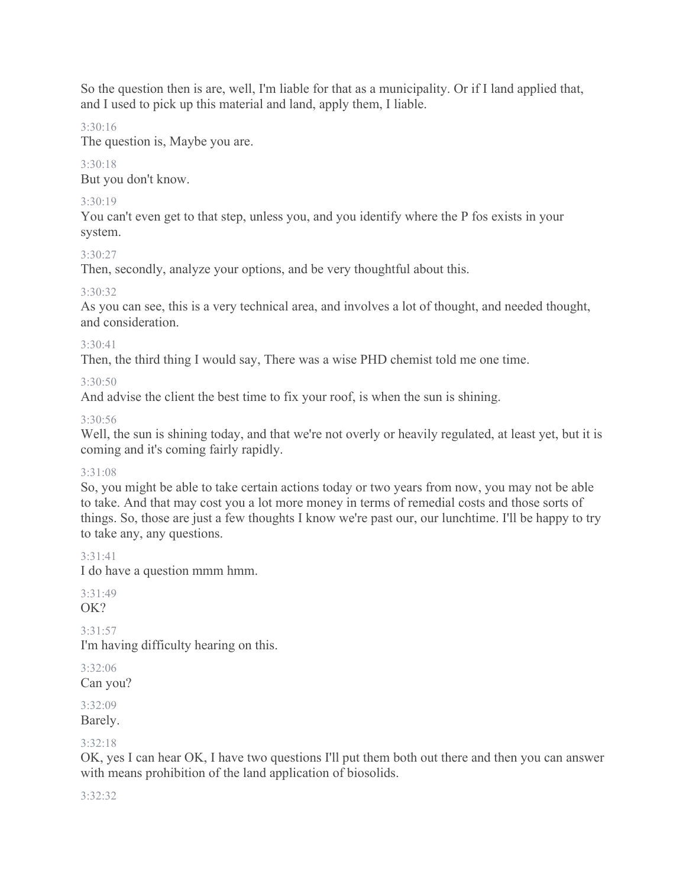So the question then is are, well, I'm liable for that as a municipality. Or if I land applied that, and I used to pick up this material and land, apply them, I liable.

#### 3:30:16

The question is, Maybe you are.

# $3.30.18$

But you don't know.

# 3:30:19

You can't even get to that step, unless you, and you identify where the P fos exists in your system.

# 3:30:27

Then, secondly, analyze your options, and be very thoughtful about this.

# 3:30:32

As you can see, this is a very technical area, and involves a lot of thought, and needed thought, and consideration.

### 3:30:41

Then, the third thing I would say, There was a wise PHD chemist told me one time.

# 3:30:50

And advise the client the best time to fix your roof, is when the sun is shining.

# 3:30:56

Well, the sun is shining today, and that we're not overly or heavily regulated, at least yet, but it is coming and it's coming fairly rapidly.

### 3:31:08

So, you might be able to take certain actions today or two years from now, you may not be able to take. And that may cost you a lot more money in terms of remedial costs and those sorts of things. So, those are just a few thoughts I know we're past our, our lunchtime. I'll be happy to try to take any, any questions.

# 3:31:41

I do have a question mmm hmm.

#### 3:31:49 OK?

3:31:57 I'm having difficulty hearing on this.

3:32:06 Can you?

3:32:09 Barely.

# 3:32:18

OK, yes I can hear OK, I have two questions I'll put them both out there and then you can answer with means prohibition of the land application of biosolids.

### 3:32:32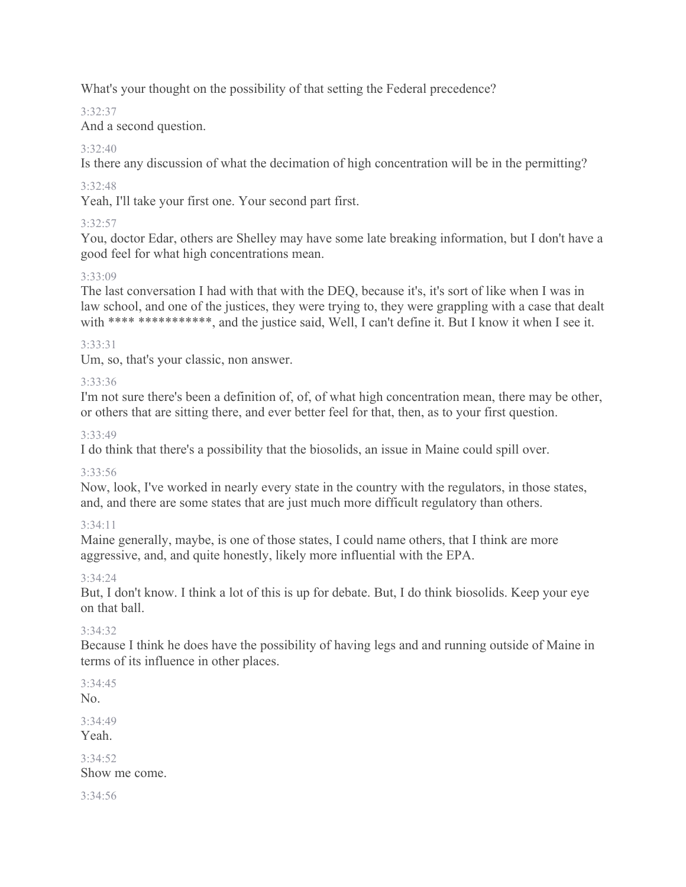What's your thought on the possibility of that setting the Federal precedence?

# 3:32:37

And a second question.

# 3:32:40

Is there any discussion of what the decimation of high concentration will be in the permitting?

# 3:32:48

Yeah, I'll take your first one. Your second part first.

# 3:32:57

You, doctor Edar, others are Shelley may have some late breaking information, but I don't have a good feel for what high concentrations mean.

# 3:33:09

The last conversation I had with that with the DEQ, because it's, it's sort of like when I was in law school, and one of the justices, they were trying to, they were grappling with a case that dealt with \*\*\*\* \*\*\*\*\*\*\*\*\*\*, and the justice said, Well, I can't define it. But I know it when I see it.

# 3:33:31

Um, so, that's your classic, non answer.

# 3:33:36

I'm not sure there's been a definition of, of, of what high concentration mean, there may be other, or others that are sitting there, and ever better feel for that, then, as to your first question.

### 3:33:49

I do think that there's a possibility that the biosolids, an issue in Maine could spill over.

### 3:33:56

Now, look, I've worked in nearly every state in the country with the regulators, in those states, and, and there are some states that are just much more difficult regulatory than others.

# 3:34:11

Maine generally, maybe, is one of those states, I could name others, that I think are more aggressive, and, and quite honestly, likely more influential with the EPA.

### 3:34:24

But, I don't know. I think a lot of this is up for debate. But, I do think biosolids. Keep your eye on that ball.

# 3:34:32

Because I think he does have the possibility of having legs and and running outside of Maine in terms of its influence in other places.

```
3:34:45
No.
```
3:34:49 Yeah.

 $3.34.52$ Show me come.

3:34:56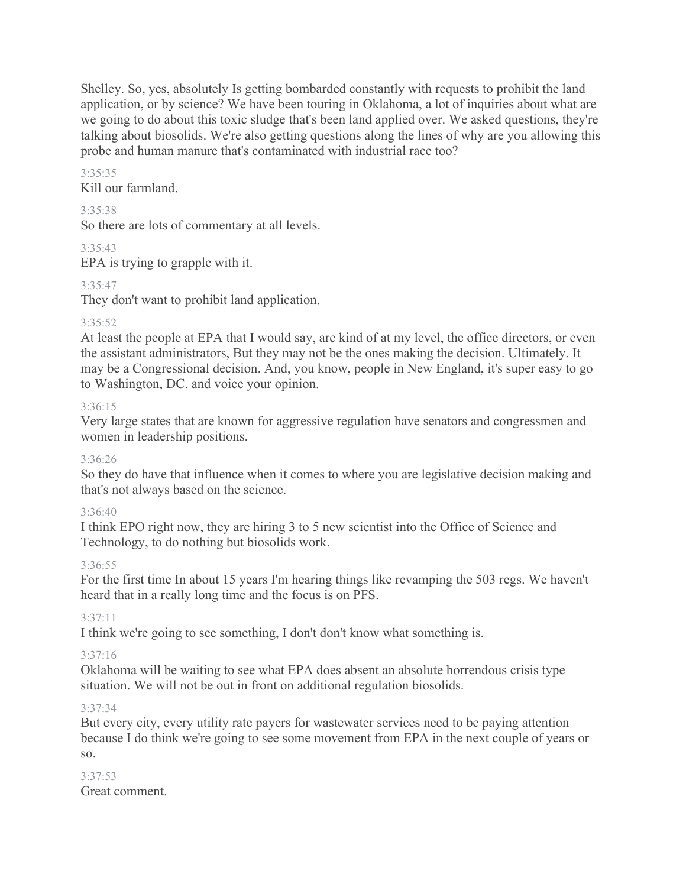Shelley. So, yes, absolutely Is getting bombarded constantly with requests to prohibit the land application, or by science? We have been touring in Oklahoma, a lot of inquiries about what are we going to do about this toxic sludge that's been land applied over. We asked questions, they're talking about biosolids. We're also getting questions along the lines of why are you allowing this probe and human manure that's contaminated with industrial race too?

# 3:35:35

Kill our farmland.

### 3:35:38

So there are lots of commentary at all levels.

3:35:43

EPA is trying to grapple with it.

# 3:35:47

They don't want to prohibit land application.

# 3:35:52

At least the people at EPA that I would say, are kind of at my level, the office directors, or even the assistant administrators, But they may not be the ones making the decision. Ultimately. It may be a Congressional decision. And, you know, people in New England, it's super easy to go to Washington, DC. and voice your opinion.

# 3:36:15

Very large states that are known for aggressive regulation have senators and congressmen and women in leadership positions.

# 3:36:26

So they do have that influence when it comes to where you are legislative decision making and that's not always based on the science.

# 3:36:40

I think EPO right now, they are hiring 3 to 5 new scientist into the Office of Science and Technology, to do nothing but biosolids work.

# 3:36:55

For the first time In about 15 years I'm hearing things like revamping the 503 regs. We haven't heard that in a really long time and the focus is on PFS.

### 3:37:11

I think we're going to see something, I don't don't know what something is.

### 3:37:16

Oklahoma will be waiting to see what EPA does absent an absolute horrendous crisis type situation. We will not be out in front on additional regulation biosolids.

### 3:37:34

But every city, every utility rate payers for wastewater services need to be paying attention because I do think we're going to see some movement from EPA in the next couple of years or so.

#### 3:37:53 Great comment.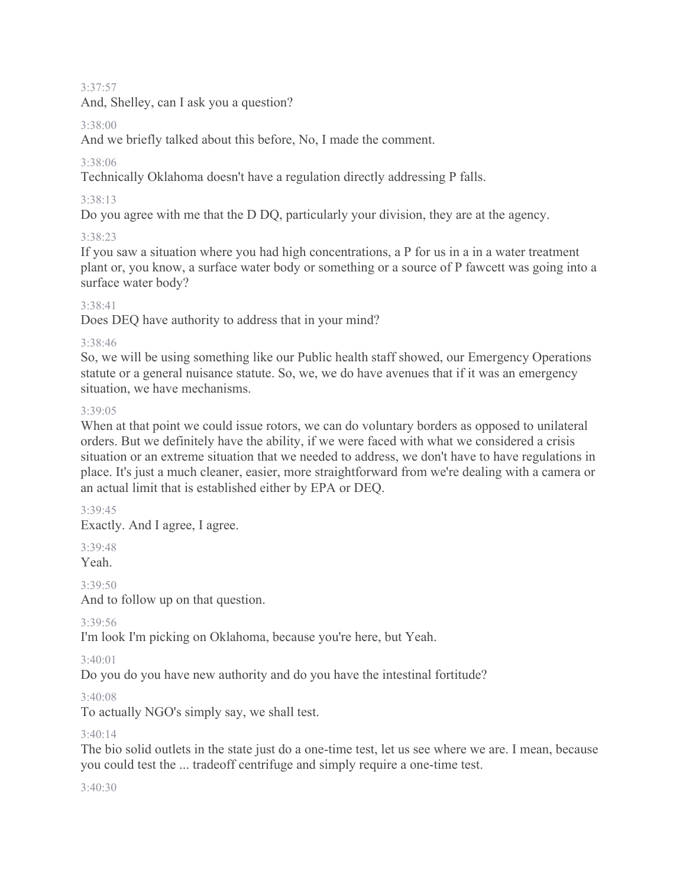3:37:57

And, Shelley, can I ask you a question?

### 3:38:00

And we briefly talked about this before, No, I made the comment.

# 3:38:06

Technically Oklahoma doesn't have a regulation directly addressing P falls.

# 3:38:13

Do you agree with me that the D DQ, particularly your division, they are at the agency.

# 3:38:23

If you saw a situation where you had high concentrations, a P for us in a in a water treatment plant or, you know, a surface water body or something or a source of P fawcett was going into a surface water body?

# 3:38:41

Does DEQ have authority to address that in your mind?

### 3:38:46

So, we will be using something like our Public health staff showed, our Emergency Operations statute or a general nuisance statute. So, we, we do have avenues that if it was an emergency situation, we have mechanisms.

### 3:39:05

When at that point we could issue rotors, we can do voluntary borders as opposed to unilateral orders. But we definitely have the ability, if we were faced with what we considered a crisis situation or an extreme situation that we needed to address, we don't have to have regulations in place. It's just a much cleaner, easier, more straightforward from we're dealing with a camera or an actual limit that is established either by EPA or DEQ.

### 3:39:45

Exactly. And I agree, I agree.

3:39:48

Yeah.

3:39:50

And to follow up on that question.

3:39:56

I'm look I'm picking on Oklahoma, because you're here, but Yeah.

3:40:01

Do you do you have new authority and do you have the intestinal fortitude?

### 3:40:08

To actually NGO's simply say, we shall test.

### $3:40:14$

The bio solid outlets in the state just do a one-time test, let us see where we are. I mean, because you could test the ... tradeoff centrifuge and simply require a one-time test.

3:40:30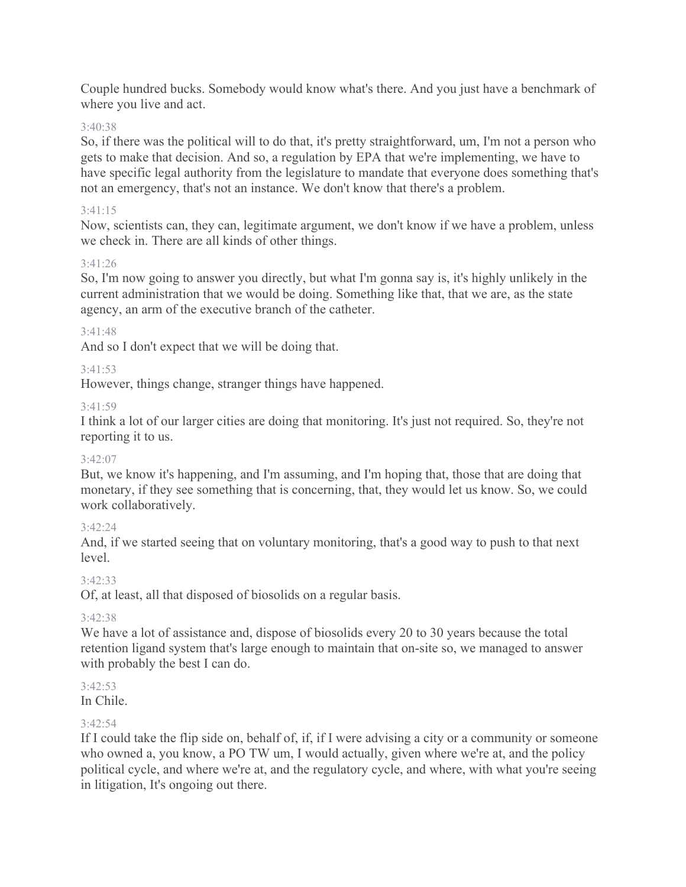Couple hundred bucks. Somebody would know what's there. And you just have a benchmark of where you live and act.

### 3:40:38

So, if there was the political will to do that, it's pretty straightforward, um, I'm not a person who gets to make that decision. And so, a regulation by EPA that we're implementing, we have to have specific legal authority from the legislature to mandate that everyone does something that's not an emergency, that's not an instance. We don't know that there's a problem.

### 3:41:15

Now, scientists can, they can, legitimate argument, we don't know if we have a problem, unless we check in. There are all kinds of other things.

### $3.41.26$

So, I'm now going to answer you directly, but what I'm gonna say is, it's highly unlikely in the current administration that we would be doing. Something like that, that we are, as the state agency, an arm of the executive branch of the catheter.

# 3:41:48

And so I don't expect that we will be doing that.

### 3:41:53

However, things change, stranger things have happened.

### 3:41:59

I think a lot of our larger cities are doing that monitoring. It's just not required. So, they're not reporting it to us.

### 3:42:07

But, we know it's happening, and I'm assuming, and I'm hoping that, those that are doing that monetary, if they see something that is concerning, that, they would let us know. So, we could work collaboratively.

### 3:42:24

And, if we started seeing that on voluntary monitoring, that's a good way to push to that next level.

### 3:42:33

Of, at least, all that disposed of biosolids on a regular basis.

### 3:42:38

We have a lot of assistance and, dispose of biosolids every 20 to 30 years because the total retention ligand system that's large enough to maintain that on-site so, we managed to answer with probably the best I can do.

### 3:42:53

In Chile.

### 3:42:54

If I could take the flip side on, behalf of, if, if I were advising a city or a community or someone who owned a, you know, a PO TW um, I would actually, given where we're at, and the policy political cycle, and where we're at, and the regulatory cycle, and where, with what you're seeing in litigation, It's ongoing out there.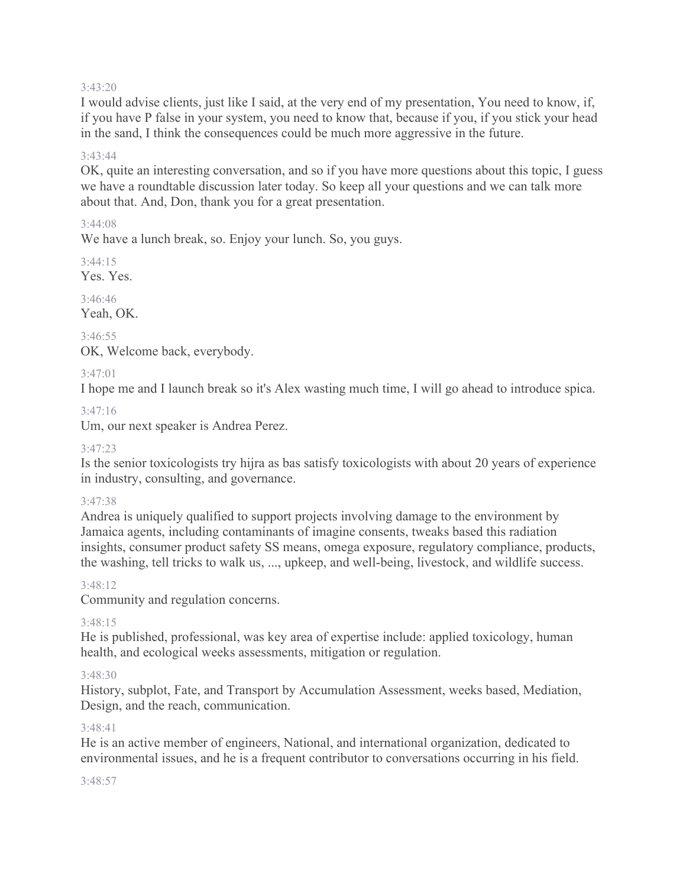#### 3:43:20

I would advise clients, just like I said, at the very end of my presentation, You need to know, if, if you have P false in your system, you need to know that, because if you, if you stick your head in the sand, I think the consequences could be much more aggressive in the future.

### 3:43:44

OK, quite an interesting conversation, and so if you have more questions about this topic, I guess we have a roundtable discussion later today. So keep all your questions and we can talk more about that. And, Don, thank you for a great presentation.

### 3:44:08

We have a lunch break, so. Enjoy your lunch. So, you guys.

 $3:44:15$ Yes. Yes.

3:46:46

Yeah, OK.

3:46:55 OK, Welcome back, everybody.

### 3:47:01

I hope me and I launch break so it's Alex wasting much time, I will go ahead to introduce spica.

### 3:47:16

Um, our next speaker is Andrea Perez.

### 3:47:23

Is the senior toxicologists try hijra as bas satisfy toxicologists with about 20 years of experience in industry, consulting, and governance.

### 3:47:38

Andrea is uniquely qualified to support projects involving damage to the environment by Jamaica agents, including contaminants of imagine consents, tweaks based this radiation insights, consumer product safety SS means, omega exposure, regulatory compliance, products, the washing, tell tricks to walk us, ..., upkeep, and well-being, livestock, and wildlife success.

#### 3:48:12

Community and regulation concerns.

### 3:48:15

He is published, professional, was key area of expertise include: applied toxicology, human health, and ecological weeks assessments, mitigation or regulation.

### 3:48:30

History, subplot, Fate, and Transport by Accumulation Assessment, weeks based, Mediation, Design, and the reach, communication.

#### 3:48:41

He is an active member of engineers, National, and international organization, dedicated to environmental issues, and he is a frequent contributor to conversations occurring in his field.

#### 3:48:57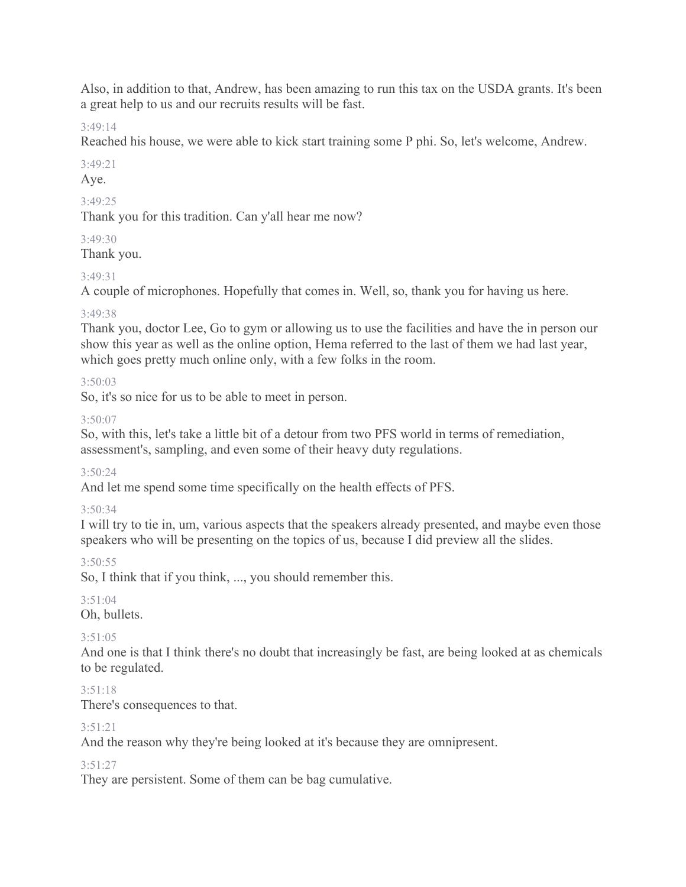Also, in addition to that, Andrew, has been amazing to run this tax on the USDA grants. It's been a great help to us and our recruits results will be fast.

3:49:14

Reached his house, we were able to kick start training some P phi. So, let's welcome, Andrew.

3:49:21

Aye.

3:49:25

Thank you for this tradition. Can y'all hear me now?

# $3.49.30$

Thank you.

# 3:49:31

A couple of microphones. Hopefully that comes in. Well, so, thank you for having us here.

# 3:49:38

Thank you, doctor Lee, Go to gym or allowing us to use the facilities and have the in person our show this year as well as the online option, Hema referred to the last of them we had last year, which goes pretty much online only, with a few folks in the room.

# 3:50:03

So, it's so nice for us to be able to meet in person.

# 3:50:07

So, with this, let's take a little bit of a detour from two PFS world in terms of remediation, assessment's, sampling, and even some of their heavy duty regulations.

3:50:24

And let me spend some time specifically on the health effects of PFS.

# 3:50:34

I will try to tie in, um, various aspects that the speakers already presented, and maybe even those speakers who will be presenting on the topics of us, because I did preview all the slides.

 $3:50:55$ 

So, I think that if you think, ..., you should remember this.

# 3:51:04

Oh, bullets.

# $3.51:05$

And one is that I think there's no doubt that increasingly be fast, are being looked at as chemicals to be regulated.

# $3.51.18$

There's consequences to that.

# 3:51:21

And the reason why they're being looked at it's because they are omnipresent.

# $3.51.27$

They are persistent. Some of them can be bag cumulative.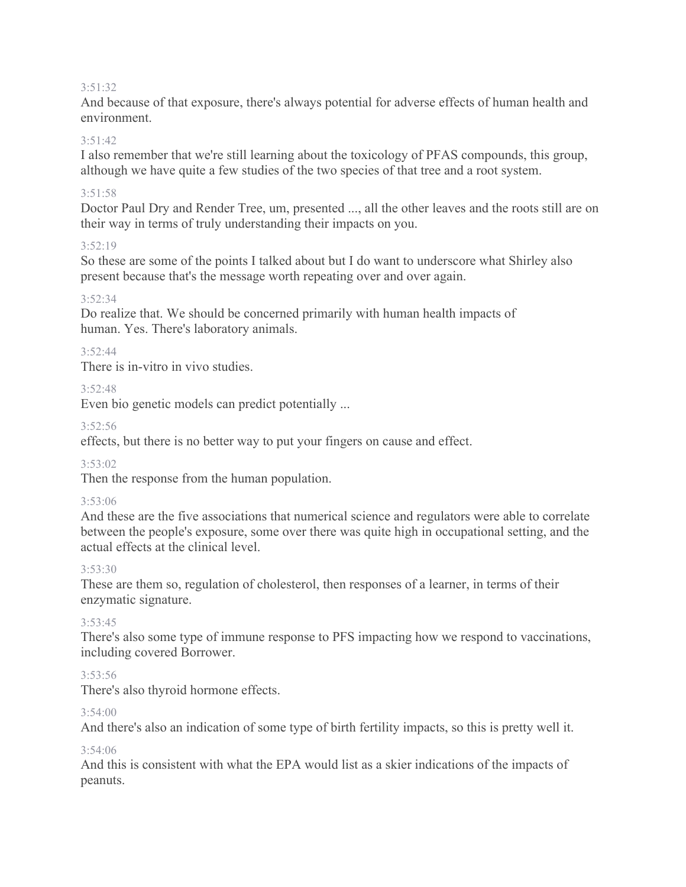#### 3:51:32

And because of that exposure, there's always potential for adverse effects of human health and environment.

#### $3.51.42$

I also remember that we're still learning about the toxicology of PFAS compounds, this group, although we have quite a few studies of the two species of that tree and a root system.

#### 3:51:58

Doctor Paul Dry and Render Tree, um, presented ..., all the other leaves and the roots still are on their way in terms of truly understanding their impacts on you.

#### 3:52:19

So these are some of the points I talked about but I do want to underscore what Shirley also present because that's the message worth repeating over and over again.

### 3:52:34

Do realize that. We should be concerned primarily with human health impacts of human. Yes. There's laboratory animals.

### 3:52:44

There is in-vitro in vivo studies.

### $3.52.48$

Even bio genetic models can predict potentially ...

#### 3:52:56

effects, but there is no better way to put your fingers on cause and effect.

### 3:53:02

Then the response from the human population.

### 3:53:06

And these are the five associations that numerical science and regulators were able to correlate between the people's exposure, some over there was quite high in occupational setting, and the actual effects at the clinical level.

### 3:53:30

These are them so, regulation of cholesterol, then responses of a learner, in terms of their enzymatic signature.

#### 3:53:45

There's also some type of immune response to PFS impacting how we respond to vaccinations, including covered Borrower.

### 3:53:56

There's also thyroid hormone effects.

#### 3:54:00

And there's also an indication of some type of birth fertility impacts, so this is pretty well it.

#### 3:54:06

And this is consistent with what the EPA would list as a skier indications of the impacts of peanuts.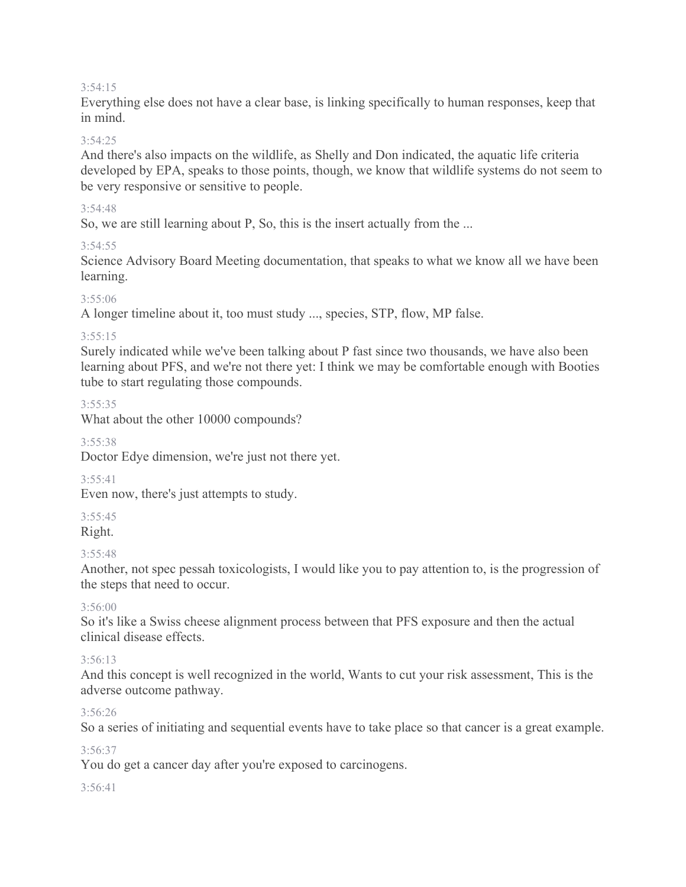#### 3:54:15

Everything else does not have a clear base, is linking specifically to human responses, keep that in mind.

### $3.54.25$

And there's also impacts on the wildlife, as Shelly and Don indicated, the aquatic life criteria developed by EPA, speaks to those points, though, we know that wildlife systems do not seem to be very responsive or sensitive to people.

### 3:54:48

So, we are still learning about P, So, this is the insert actually from the ...

### 3:54:55

Science Advisory Board Meeting documentation, that speaks to what we know all we have been learning.

# 3:55:06

A longer timeline about it, too must study ..., species, STP, flow, MP false.

### 3:55:15

Surely indicated while we've been talking about P fast since two thousands, we have also been learning about PFS, and we're not there yet: I think we may be comfortable enough with Booties tube to start regulating those compounds.

### 3:55:35

What about the other 10000 compounds?

### 3:55:38

Doctor Edye dimension, we're just not there yet.

# $3.55.41$

Even now, there's just attempts to study.

# 3:55:45

Right.

# 3:55:48

Another, not spec pessah toxicologists, I would like you to pay attention to, is the progression of the steps that need to occur.

# $3.56:00$

So it's like a Swiss cheese alignment process between that PFS exposure and then the actual clinical disease effects.

# 3:56:13

And this concept is well recognized in the world, Wants to cut your risk assessment, This is the adverse outcome pathway.

# 3:56:26

So a series of initiating and sequential events have to take place so that cancer is a great example.

### 3:56:37

You do get a cancer day after you're exposed to carcinogens.

### 3:56:41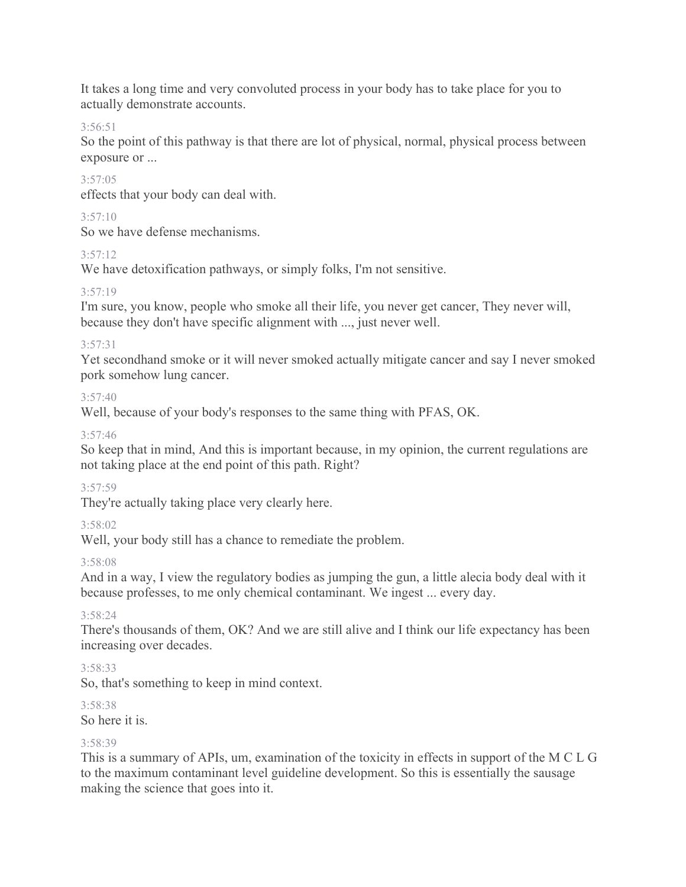It takes a long time and very convoluted process in your body has to take place for you to actually demonstrate accounts.

3:56:51

So the point of this pathway is that there are lot of physical, normal, physical process between exposure or ...

# 3:57:05

effects that your body can deal with.

# $3:57:10$

So we have defense mechanisms.

# 3:57:12

We have detoxification pathways, or simply folks, I'm not sensitive.

# 3:57:19

I'm sure, you know, people who smoke all their life, you never get cancer, They never will, because they don't have specific alignment with ..., just never well.

# 3:57:31

Yet secondhand smoke or it will never smoked actually mitigate cancer and say I never smoked pork somehow lung cancer.

# $3:57:40$

Well, because of your body's responses to the same thing with PFAS, OK.

# $3.57.46$

So keep that in mind, And this is important because, in my opinion, the current regulations are not taking place at the end point of this path. Right?

# 3:57:59

They're actually taking place very clearly here.

# 3:58:02

Well, your body still has a chance to remediate the problem.

# 3:58:08

And in a way, I view the regulatory bodies as jumping the gun, a little alecia body deal with it because professes, to me only chemical contaminant. We ingest ... every day.

# 3:58:24

There's thousands of them, OK? And we are still alive and I think our life expectancy has been increasing over decades.

# 3:58:33

So, that's something to keep in mind context.

# 3:58:38

So here it is.

# 3:58:39

This is a summary of APIs, um, examination of the toxicity in effects in support of the M C L G to the maximum contaminant level guideline development. So this is essentially the sausage making the science that goes into it.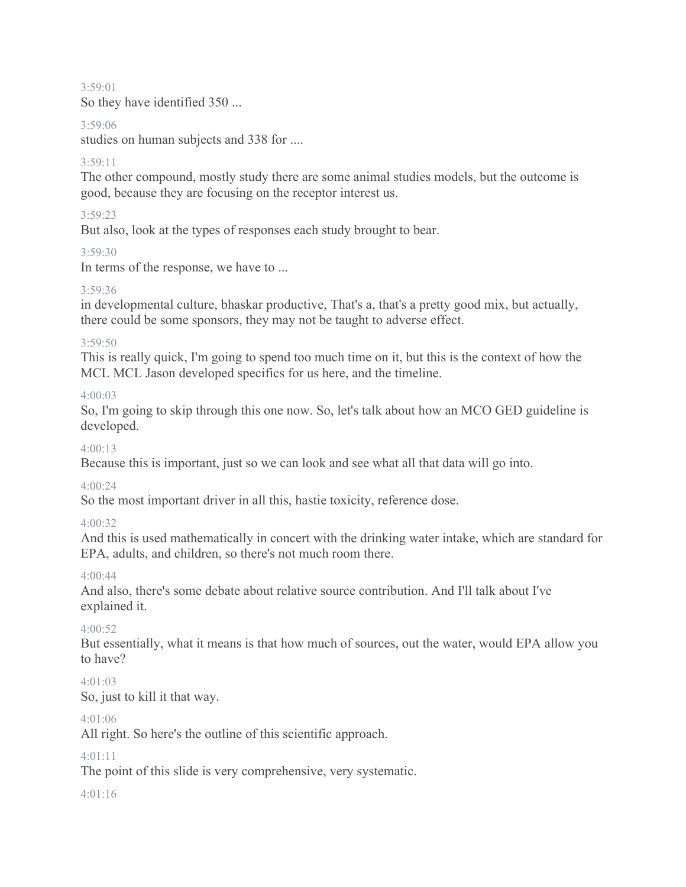3:59:01 So they have identified 350 ...

### 3:59:06

studies on human subjects and 338 for ....

# 3:59:11

The other compound, mostly study there are some animal studies models, but the outcome is good, because they are focusing on the receptor interest us.

### 3:59:23

But also, look at the types of responses each study brought to bear.

### 3:59:30

In terms of the response, we have to ...

### 3:59:36

in developmental culture, bhaskar productive, That's a, that's a pretty good mix, but actually, there could be some sponsors, they may not be taught to adverse effect.

### 3:59:50

This is really quick, I'm going to spend too much time on it, but this is the context of how the MCL MCL Jason developed specifics for us here, and the timeline.

### 4:00:03

So, I'm going to skip through this one now. So, let's talk about how an MCO GED guideline is developed.

### 4:00:13

Because this is important, just so we can look and see what all that data will go into.

### 4:00:24

So the most important driver in all this, hastie toxicity, reference dose.

# 4:00:32

And this is used mathematically in concert with the drinking water intake, which are standard for EPA, adults, and children, so there's not much room there.

# $4.00 \cdot 44$

And also, there's some debate about relative source contribution. And I'll talk about I've explained it.

# 4:00:52

But essentially, what it means is that how much of sources, out the water, would EPA allow you to have?

# $4.01.03$

So, just to kill it that way.

# 4:01:06

All right. So here's the outline of this scientific approach.

# $4.01 \cdot 11$

The point of this slide is very comprehensive, very systematic.

### 4:01:16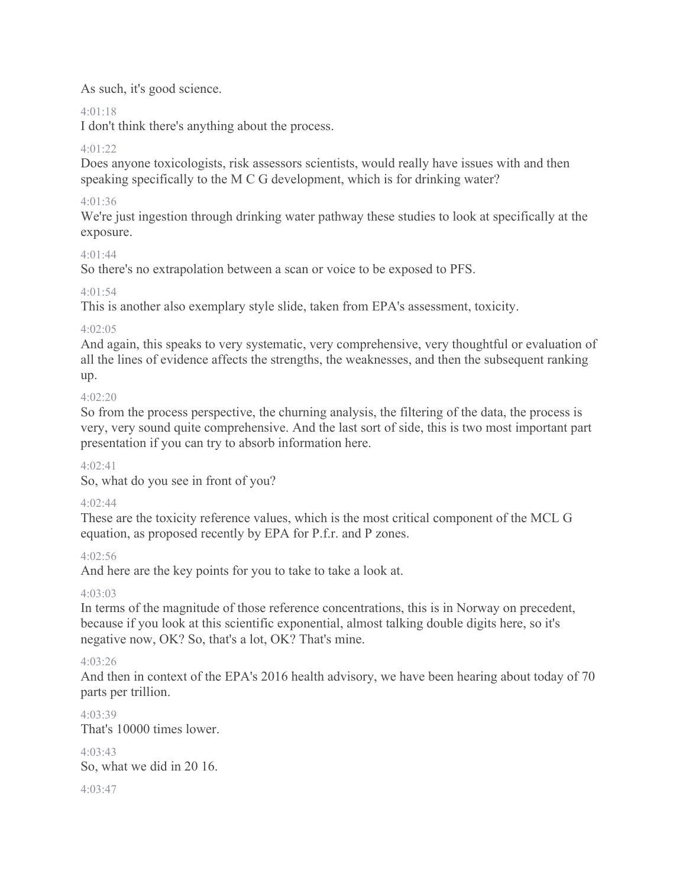# As such, it's good science.

# 4:01:18

I don't think there's anything about the process.

# 4:01:22

Does anyone toxicologists, risk assessors scientists, would really have issues with and then speaking specifically to the M C G development, which is for drinking water?

# 4:01:36

We're just ingestion through drinking water pathway these studies to look at specifically at the exposure.

# 4:01:44

So there's no extrapolation between a scan or voice to be exposed to PFS.

# 4:01:54

This is another also exemplary style slide, taken from EPA's assessment, toxicity.

# 4:02:05

And again, this speaks to very systematic, very comprehensive, very thoughtful or evaluation of all the lines of evidence affects the strengths, the weaknesses, and then the subsequent ranking up.

# 4:02:20

So from the process perspective, the churning analysis, the filtering of the data, the process is very, very sound quite comprehensive. And the last sort of side, this is two most important part presentation if you can try to absorb information here.

# $4.02 \cdot 41$

So, what do you see in front of you?

# 4:02:44

These are the toxicity reference values, which is the most critical component of the MCL G equation, as proposed recently by EPA for P.f.r. and P zones.

# 4:02:56

And here are the key points for you to take to take a look at.

# 4:03:03

In terms of the magnitude of those reference concentrations, this is in Norway on precedent, because if you look at this scientific exponential, almost talking double digits here, so it's negative now, OK? So, that's a lot, OK? That's mine.

# 4:03:26

And then in context of the EPA's 2016 health advisory, we have been hearing about today of 70 parts per trillion.

4:03:39 That's 10000 times lower.

 $4.03.43$ So, what we did in 20 16.

# $4.03.47$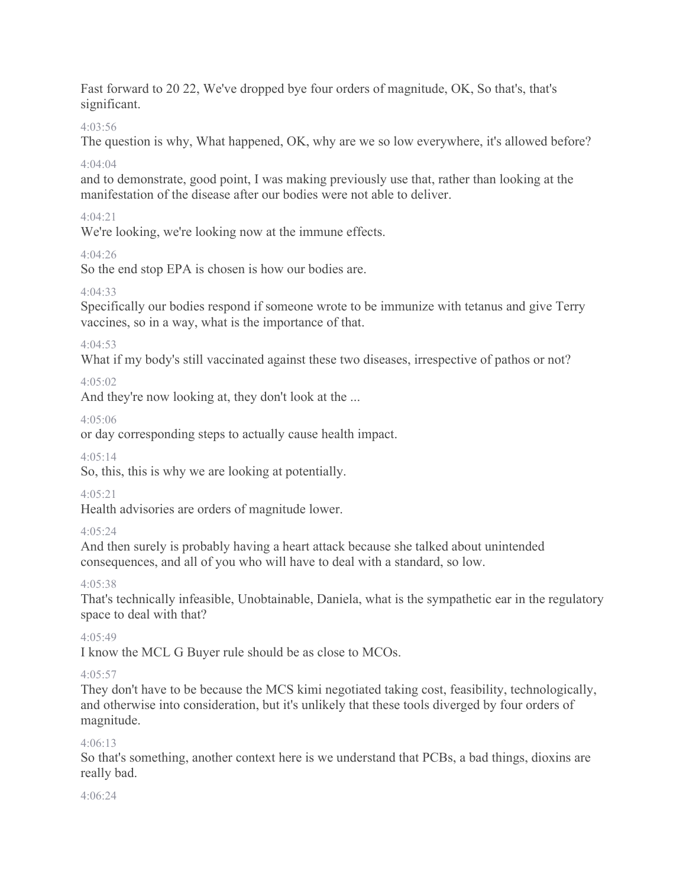Fast forward to 20 22, We've dropped bye four orders of magnitude, OK, So that's, that's significant.

# 4:03:56

The question is why, What happened, OK, why are we so low everywhere, it's allowed before? 4:04:04

and to demonstrate, good point, I was making previously use that, rather than looking at the manifestation of the disease after our bodies were not able to deliver.

# 4:04:21

We're looking, we're looking now at the immune effects.

# 4:04:26

So the end stop EPA is chosen is how our bodies are.

# 4:04:33

Specifically our bodies respond if someone wrote to be immunize with tetanus and give Terry vaccines, so in a way, what is the importance of that.

# 4:04:53

What if my body's still vaccinated against these two diseases, irrespective of pathos or not?

# 4:05:02

And they're now looking at, they don't look at the ...

# 4:05:06

or day corresponding steps to actually cause health impact.

# 4:05:14

So, this, this is why we are looking at potentially.

# 4:05:21

Health advisories are orders of magnitude lower.

# 4:05:24

And then surely is probably having a heart attack because she talked about unintended consequences, and all of you who will have to deal with a standard, so low.

# $4.05.38$

That's technically infeasible, Unobtainable, Daniela, what is the sympathetic ear in the regulatory space to deal with that?

# $4.05.49$

I know the MCL G Buyer rule should be as close to MCOs.

# 4:05:57

They don't have to be because the MCS kimi negotiated taking cost, feasibility, technologically, and otherwise into consideration, but it's unlikely that these tools diverged by four orders of magnitude.

# 4:06:13

So that's something, another context here is we understand that PCBs, a bad things, dioxins are really bad.

# 4:06:24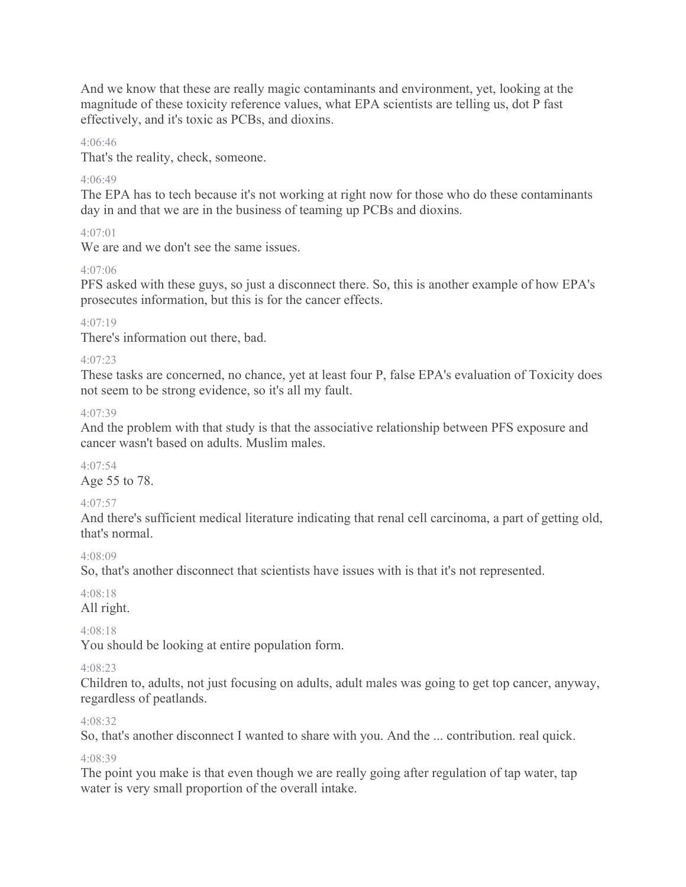And we know that these are really magic contaminants and environment, yet, looking at the magnitude of these toxicity reference values, what EPA scientists are telling us, dot P fast effectively, and it's toxic as PCBs, and dioxins.

### 4:06:46

That's the reality, check, someone.

### 4:06:49

The EPA has to tech because it's not working at right now for those who do these contaminants day in and that we are in the business of teaming up PCBs and dioxins.

### $4.07(01)$

We are and we don't see the same issues.

### 4:07:06

PFS asked with these guys, so just a disconnect there. So, this is another example of how EPA's prosecutes information, but this is for the cancer effects.

### 4:07:19

There's information out there, bad.

### 4:07:23

These tasks are concerned, no chance, yet at least four P, false EPA's evaluation of Toxicity does not seem to be strong evidence, so it's all my fault.

### 4:07:39

And the problem with that study is that the associative relationship between PFS exposure and cancer wasn't based on adults. Muslim males.

#### 4:07:54 Age 55 to 78.

# 4:07:57

And there's sufficient medical literature indicating that renal cell carcinoma, a part of getting old, that's normal.

### 4:08:09

So, that's another disconnect that scientists have issues with is that it's not represented.

# 4:08:18

All right.

# 4:08:18

You should be looking at entire population form.

# 4:08:23

Children to, adults, not just focusing on adults, adult males was going to get top cancer, anyway, regardless of peatlands.

### 4:08:32

So, that's another disconnect I wanted to share with you. And the ... contribution. real quick.

### 4:08:39

The point you make is that even though we are really going after regulation of tap water, tap water is very small proportion of the overall intake.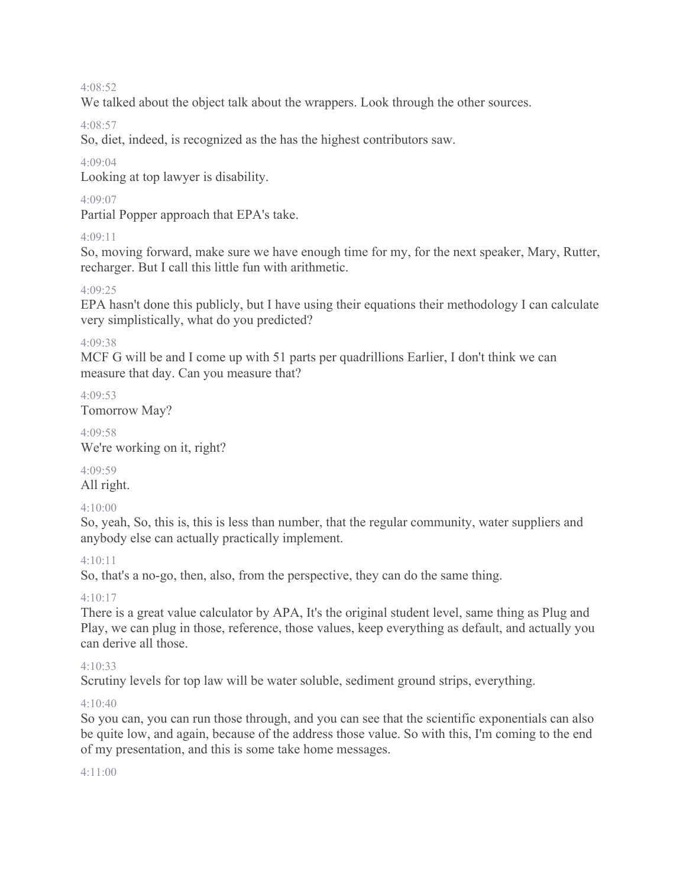#### 4:08:52

We talked about the object talk about the wrappers. Look through the other sources.

4:08:57

So, diet, indeed, is recognized as the has the highest contributors saw.

### 4:09:04

Looking at top lawyer is disability.

### 4:09:07

Partial Popper approach that EPA's take.

# 4:09:11

So, moving forward, make sure we have enough time for my, for the next speaker, Mary, Rutter, recharger. But I call this little fun with arithmetic.

### 4:09:25

EPA hasn't done this publicly, but I have using their equations their methodology I can calculate very simplistically, what do you predicted?

### 4:09:38

MCF G will be and I come up with 51 parts per quadrillions Earlier, I don't think we can measure that day. Can you measure that?

4:09:53 Tomorrow May?

4:09:58 We're working on it, right?

4:09:59 All right.

### 4:10:00

So, yeah, So, this is, this is less than number, that the regular community, water suppliers and anybody else can actually practically implement.

# 4:10:11

So, that's a no-go, then, also, from the perspective, they can do the same thing.

4:10:17

There is a great value calculator by APA, It's the original student level, same thing as Plug and Play, we can plug in those, reference, those values, keep everything as default, and actually you can derive all those.

# 4:10:33

Scrutiny levels for top law will be water soluble, sediment ground strips, everything.

# 4:10:40

So you can, you can run those through, and you can see that the scientific exponentials can also be quite low, and again, because of the address those value. So with this, I'm coming to the end of my presentation, and this is some take home messages.

### 4:11:00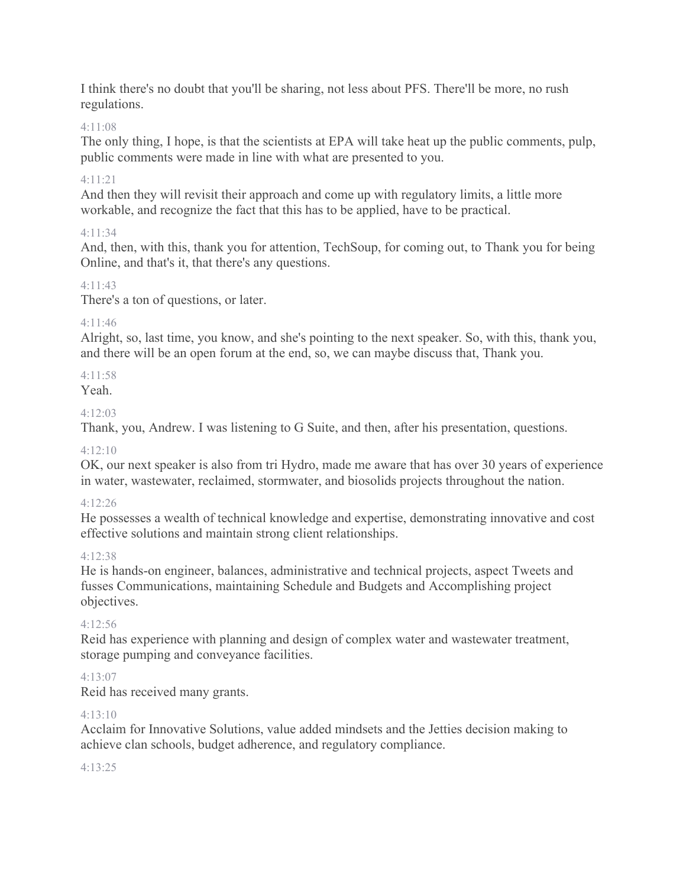I think there's no doubt that you'll be sharing, not less about PFS. There'll be more, no rush regulations.

### 4:11:08

The only thing, I hope, is that the scientists at EPA will take heat up the public comments, pulp, public comments were made in line with what are presented to you.

### 4:11:21

And then they will revisit their approach and come up with regulatory limits, a little more workable, and recognize the fact that this has to be applied, have to be practical.

### 4:11:34

And, then, with this, thank you for attention, TechSoup, for coming out, to Thank you for being Online, and that's it, that there's any questions.

### 4:11:43

There's a ton of questions, or later.

### 4:11:46

Alright, so, last time, you know, and she's pointing to the next speaker. So, with this, thank you, and there will be an open forum at the end, so, we can maybe discuss that, Thank you.

### 4:11:58

Yeah.

### $4.12.03$

Thank, you, Andrew. I was listening to G Suite, and then, after his presentation, questions.

### 4:12:10

OK, our next speaker is also from tri Hydro, made me aware that has over 30 years of experience in water, wastewater, reclaimed, stormwater, and biosolids projects throughout the nation.

### 4:12:26

He possesses a wealth of technical knowledge and expertise, demonstrating innovative and cost effective solutions and maintain strong client relationships.

### 4:12:38

He is hands-on engineer, balances, administrative and technical projects, aspect Tweets and fusses Communications, maintaining Schedule and Budgets and Accomplishing project objectives.

### 4:12:56

Reid has experience with planning and design of complex water and wastewater treatment, storage pumping and conveyance facilities.

### 4:13:07

Reid has received many grants.

### $4.13 \cdot 10$

Acclaim for Innovative Solutions, value added mindsets and the Jetties decision making to achieve clan schools, budget adherence, and regulatory compliance.

### $4.13.25$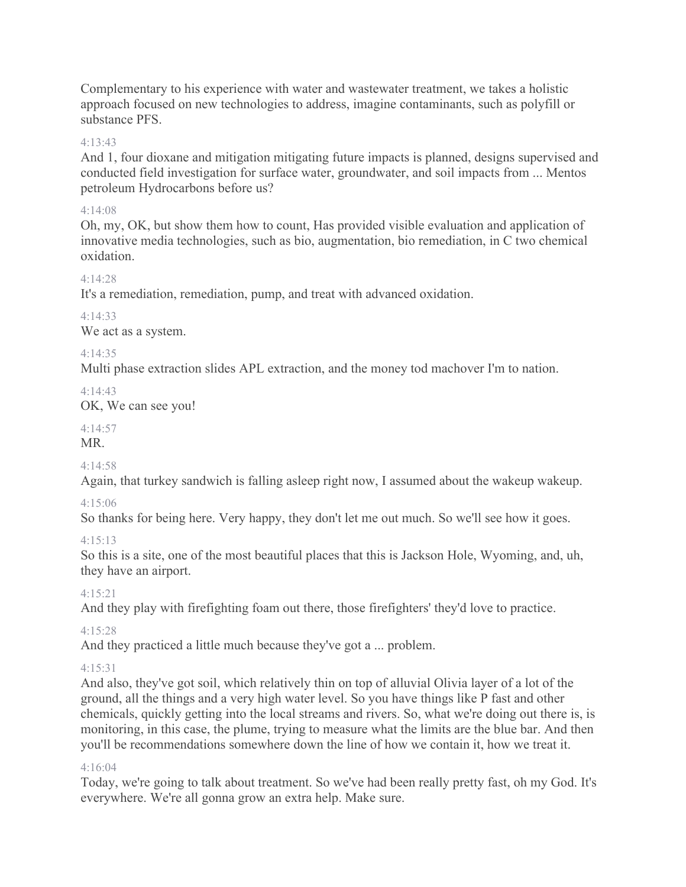Complementary to his experience with water and wastewater treatment, we takes a holistic approach focused on new technologies to address, imagine contaminants, such as polyfill or substance PFS.

### 4:13:43

And 1, four dioxane and mitigation mitigating future impacts is planned, designs supervised and conducted field investigation for surface water, groundwater, and soil impacts from ... Mentos petroleum Hydrocarbons before us?

### 4:14:08

Oh, my, OK, but show them how to count, Has provided visible evaluation and application of innovative media technologies, such as bio, augmentation, bio remediation, in C two chemical oxidation.

### 4:14:28

It's a remediation, remediation, pump, and treat with advanced oxidation.

4:14:33 We act as a system.

### 4:14:35

Multi phase extraction slides APL extraction, and the money tod machover I'm to nation.

 $4.14.43$ 

OK, We can see you!

# 4:14:57

MR.

# $4.14.58$

Again, that turkey sandwich is falling asleep right now, I assumed about the wakeup wakeup.

# 4:15:06

So thanks for being here. Very happy, they don't let me out much. So we'll see how it goes.

# $4.15.13$

So this is a site, one of the most beautiful places that this is Jackson Hole, Wyoming, and, uh, they have an airport.

# 4:15:21

And they play with firefighting foam out there, those firefighters' they'd love to practice.

# 4:15:28

And they practiced a little much because they've got a ... problem.

# 4:15:31

And also, they've got soil, which relatively thin on top of alluvial Olivia layer of a lot of the ground, all the things and a very high water level. So you have things like P fast and other chemicals, quickly getting into the local streams and rivers. So, what we're doing out there is, is monitoring, in this case, the plume, trying to measure what the limits are the blue bar. And then you'll be recommendations somewhere down the line of how we contain it, how we treat it.

# 4:16:04

Today, we're going to talk about treatment. So we've had been really pretty fast, oh my God. It's everywhere. We're all gonna grow an extra help. Make sure.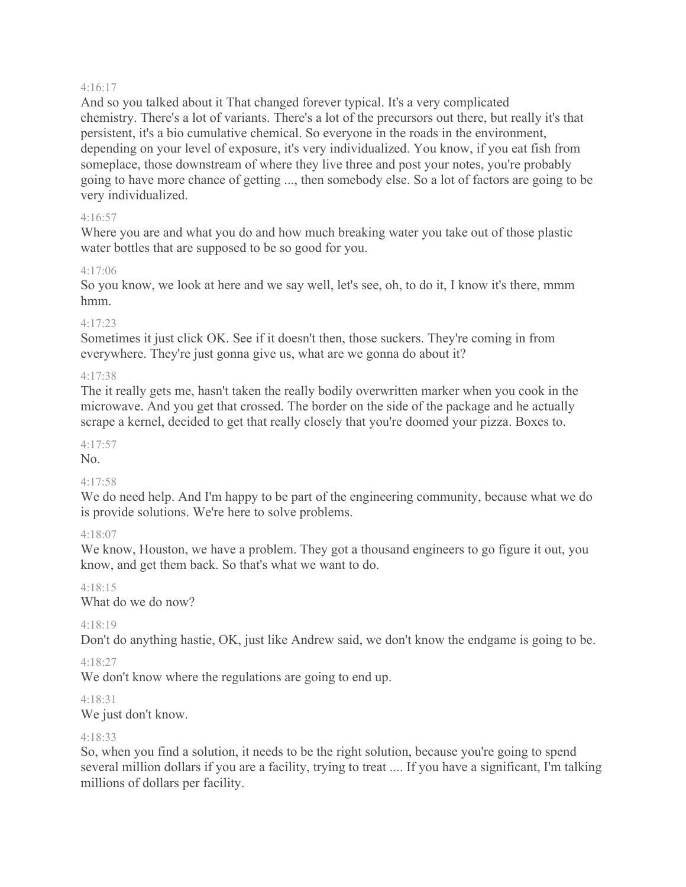#### 4:16:17

And so you talked about it That changed forever typical. It's a very complicated chemistry. There's a lot of variants. There's a lot of the precursors out there, but really it's that persistent, it's a bio cumulative chemical. So everyone in the roads in the environment, depending on your level of exposure, it's very individualized. You know, if you eat fish from someplace, those downstream of where they live three and post your notes, you're probably going to have more chance of getting ..., then somebody else. So a lot of factors are going to be very individualized.

#### 4:16:57

Where you are and what you do and how much breaking water you take out of those plastic water bottles that are supposed to be so good for you.

#### 4:17:06

So you know, we look at here and we say well, let's see, oh, to do it, I know it's there, mmm hmm.

#### 4:17:23

Sometimes it just click OK. See if it doesn't then, those suckers. They're coming in from everywhere. They're just gonna give us, what are we gonna do about it?

#### 4:17:38

The it really gets me, hasn't taken the really bodily overwritten marker when you cook in the microwave. And you get that crossed. The border on the side of the package and he actually scrape a kernel, decided to get that really closely that you're doomed your pizza. Boxes to.

### 4:17:57

No.

### 4:17:58

We do need help. And I'm happy to be part of the engineering community, because what we do is provide solutions. We're here to solve problems.

### 4:18:07

We know, Houston, we have a problem. They got a thousand engineers to go figure it out, you know, and get them back. So that's what we want to do.

### 4:18:15

What do we do now?

### 4:18:19

Don't do anything hastie, OK, just like Andrew said, we don't know the endgame is going to be.

### 4:18:27

We don't know where the regulations are going to end up.

### 4:18:31

We just don't know.

### 4:18:33

So, when you find a solution, it needs to be the right solution, because you're going to spend several million dollars if you are a facility, trying to treat .... If you have a significant, I'm talking millions of dollars per facility.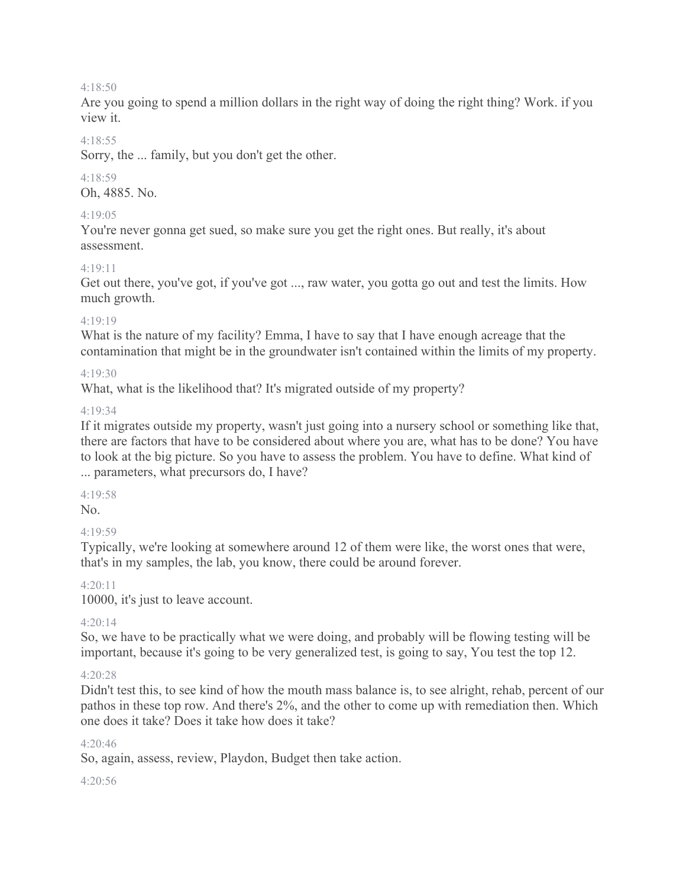#### 4:18:50

Are you going to spend a million dollars in the right way of doing the right thing? Work. if you view it.

#### 4:18:55

Sorry, the ... family, but you don't get the other.

### 4:18:59

Oh, 4885. No.

#### 4:19:05

You're never gonna get sued, so make sure you get the right ones. But really, it's about assessment.

#### $4.19.11$

Get out there, you've got, if you've got ..., raw water, you gotta go out and test the limits. How much growth.

#### 4:19:19

What is the nature of my facility? Emma, I have to say that I have enough acreage that the contamination that might be in the groundwater isn't contained within the limits of my property.

### 4:19:30

What, what is the likelihood that? It's migrated outside of my property?

#### 4:19:34

If it migrates outside my property, wasn't just going into a nursery school or something like that, there are factors that have to be considered about where you are, what has to be done? You have to look at the big picture. So you have to assess the problem. You have to define. What kind of ... parameters, what precursors do, I have?

### 4:19:58

No.

### $4.19.59$

Typically, we're looking at somewhere around 12 of them were like, the worst ones that were, that's in my samples, the lab, you know, there could be around forever.

#### 4:20:11

10000, it's just to leave account.

### 4:20:14

So, we have to be practically what we were doing, and probably will be flowing testing will be important, because it's going to be very generalized test, is going to say, You test the top 12.

### 4:20:28

Didn't test this, to see kind of how the mouth mass balance is, to see alright, rehab, percent of our pathos in these top row. And there's 2%, and the other to come up with remediation then. Which one does it take? Does it take how does it take?

### 4:20:46

So, again, assess, review, Playdon, Budget then take action.

#### 4:20:56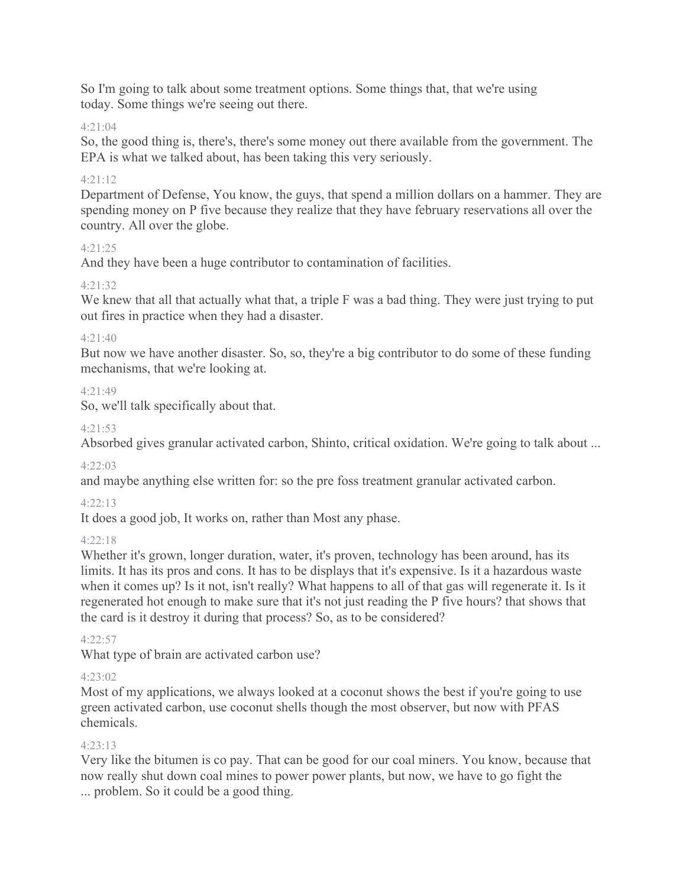So I'm going to talk about some treatment options. Some things that, that we're using today. Some things we're seeing out there.

### 4:21:04

So, the good thing is, there's, there's some money out there available from the government. The EPA is what we talked about, has been taking this very seriously.

### 4:21:12

Department of Defense, You know, the guys, that spend a million dollars on a hammer. They are spending money on P five because they realize that they have february reservations all over the country. All over the globe.

### 4:21:25

And they have been a huge contributor to contamination of facilities.

### 4:21:32

We knew that all that actually what that, a triple F was a bad thing. They were just trying to put out fires in practice when they had a disaster.

### $4.21 \cdot 40$

But now we have another disaster. So, so, they're a big contributor to do some of these funding mechanisms, that we're looking at.

### $4.21.49$

So, we'll talk specifically about that.

### 4:21:53

Absorbed gives granular activated carbon, Shinto, critical oxidation. We're going to talk about ...

# $4.22.03$

and maybe anything else written for: so the pre foss treatment granular activated carbon.

# 4:22:13

It does a good job, It works on, rather than Most any phase.

### $4.22.18$

Whether it's grown, longer duration, water, it's proven, technology has been around, has its limits. It has its pros and cons. It has to be displays that it's expensive. Is it a hazardous waste when it comes up? Is it not, isn't really? What happens to all of that gas will regenerate it. Is it regenerated hot enough to make sure that it's not just reading the P five hours? that shows that the card is it destroy it during that process? So, as to be considered?

### 4:22:57

What type of brain are activated carbon use?

### 4:23:02

Most of my applications, we always looked at a coconut shows the best if you're going to use green activated carbon, use coconut shells though the most observer, but now with PFAS chemicals.

# 4:23:13

Very like the bitumen is co pay. That can be good for our coal miners. You know, because that now really shut down coal mines to power power plants, but now, we have to go fight the ... problem. So it could be a good thing.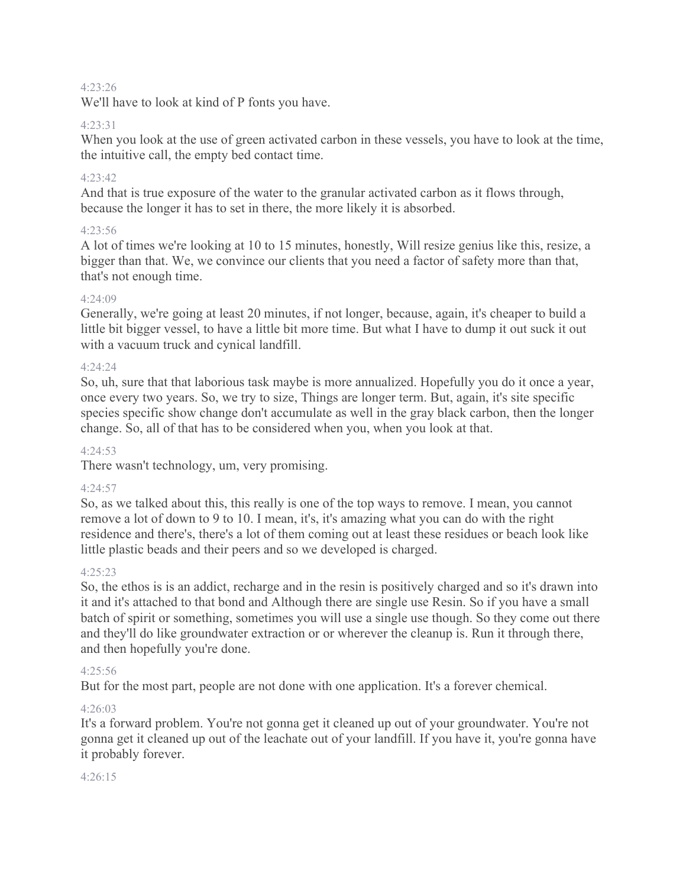#### 4:23:26

We'll have to look at kind of P fonts you have.

### 4:23:31

When you look at the use of green activated carbon in these vessels, you have to look at the time, the intuitive call, the empty bed contact time.

#### $4.23.42$

And that is true exposure of the water to the granular activated carbon as it flows through, because the longer it has to set in there, the more likely it is absorbed.

#### 4:23:56

A lot of times we're looking at 10 to 15 minutes, honestly, Will resize genius like this, resize, a bigger than that. We, we convince our clients that you need a factor of safety more than that, that's not enough time.

#### $4.24.09$

Generally, we're going at least 20 minutes, if not longer, because, again, it's cheaper to build a little bit bigger vessel, to have a little bit more time. But what I have to dump it out suck it out with a vacuum truck and cynical landfill.

#### 4:24:24

So, uh, sure that that laborious task maybe is more annualized. Hopefully you do it once a year, once every two years. So, we try to size, Things are longer term. But, again, it's site specific species specific show change don't accumulate as well in the gray black carbon, then the longer change. So, all of that has to be considered when you, when you look at that.

#### 4:24:53

There wasn't technology, um, very promising.

#### 4:24:57

So, as we talked about this, this really is one of the top ways to remove. I mean, you cannot remove a lot of down to 9 to 10. I mean, it's, it's amazing what you can do with the right residence and there's, there's a lot of them coming out at least these residues or beach look like little plastic beads and their peers and so we developed is charged.

### $4.25.23$

So, the ethos is is an addict, recharge and in the resin is positively charged and so it's drawn into it and it's attached to that bond and Although there are single use Resin. So if you have a small batch of spirit or something, sometimes you will use a single use though. So they come out there and they'll do like groundwater extraction or or wherever the cleanup is. Run it through there, and then hopefully you're done.

#### 4:25:56

But for the most part, people are not done with one application. It's a forever chemical.

#### $4.26:03$

It's a forward problem. You're not gonna get it cleaned up out of your groundwater. You're not gonna get it cleaned up out of the leachate out of your landfill. If you have it, you're gonna have it probably forever.

#### 4:26:15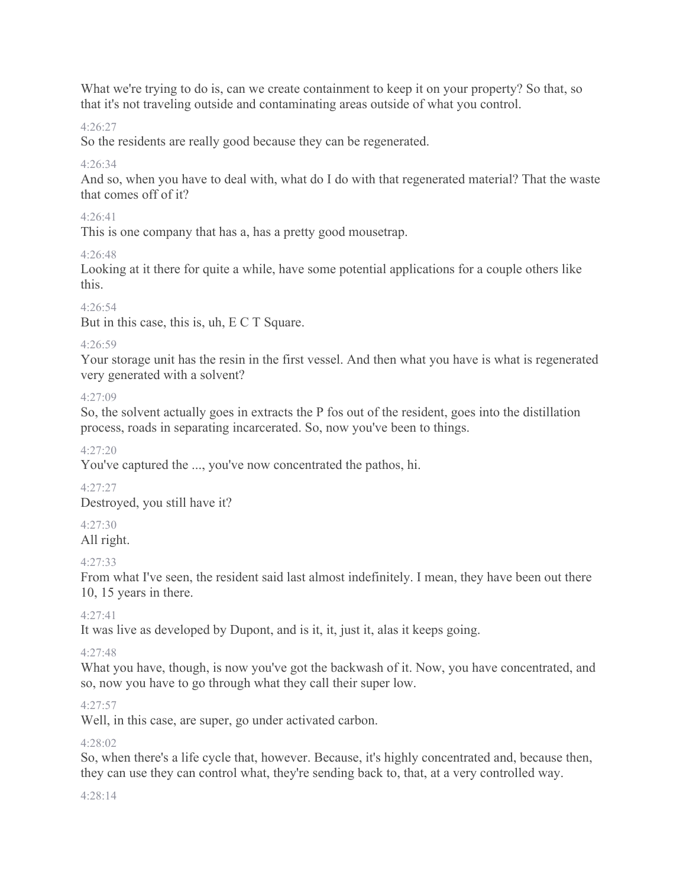What we're trying to do is, can we create containment to keep it on your property? So that, so that it's not traveling outside and contaminating areas outside of what you control.

### 4:26:27

So the residents are really good because they can be regenerated.

### $4.26.34$

And so, when you have to deal with, what do I do with that regenerated material? That the waste that comes off of it?

### 4:26:41

This is one company that has a, has a pretty good mousetrap.

# 4:26:48

Looking at it there for quite a while, have some potential applications for a couple others like this.

### 4:26:54

But in this case, this is, uh, E C T Square.

### 4:26:59

Your storage unit has the resin in the first vessel. And then what you have is what is regenerated very generated with a solvent?

 $4.27 \cdot 09$ 

So, the solvent actually goes in extracts the P fos out of the resident, goes into the distillation process, roads in separating incarcerated. So, now you've been to things.

4:27:20

You've captured the ..., you've now concentrated the pathos, hi.

4:27:27 Destroyed, you still have it?

# 4:27:30

All right.

# 4:27:33

From what I've seen, the resident said last almost indefinitely. I mean, they have been out there 10, 15 years in there.

4:27:41

It was live as developed by Dupont, and is it, it, just it, alas it keeps going.

### 4:27:48

What you have, though, is now you've got the backwash of it. Now, you have concentrated, and so, now you have to go through what they call their super low.

# 4:27:57

Well, in this case, are super, go under activated carbon.

# $4.28 \cdot 02$

So, when there's a life cycle that, however. Because, it's highly concentrated and, because then, they can use they can control what, they're sending back to, that, at a very controlled way.

### 4:28:14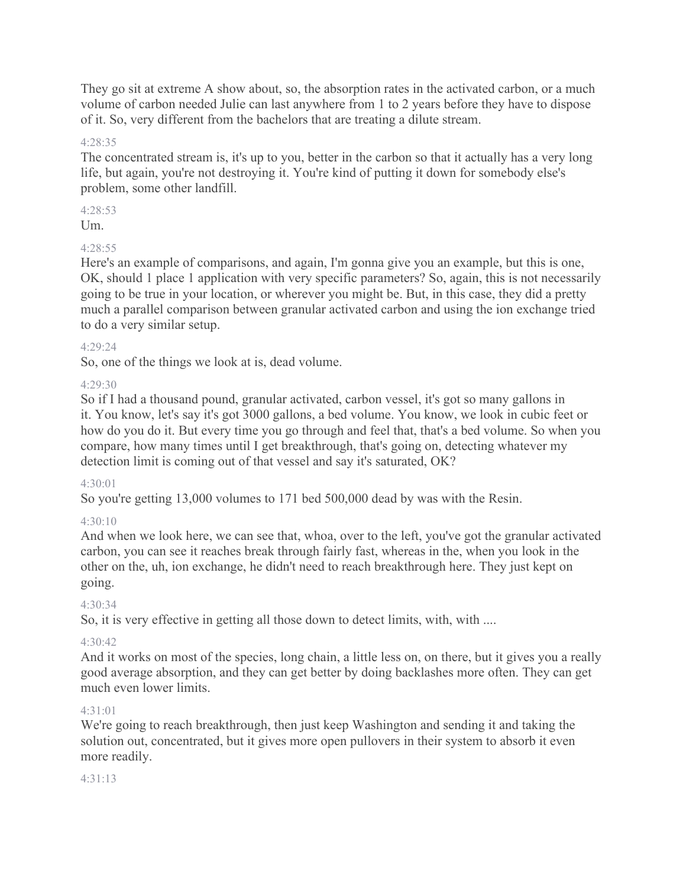They go sit at extreme A show about, so, the absorption rates in the activated carbon, or a much volume of carbon needed Julie can last anywhere from 1 to 2 years before they have to dispose of it. So, very different from the bachelors that are treating a dilute stream.

### 4:28:35

The concentrated stream is, it's up to you, better in the carbon so that it actually has a very long life, but again, you're not destroying it. You're kind of putting it down for somebody else's problem, some other landfill.

4:28:53

Um.

# 4:28:55

Here's an example of comparisons, and again, I'm gonna give you an example, but this is one, OK, should 1 place 1 application with very specific parameters? So, again, this is not necessarily going to be true in your location, or wherever you might be. But, in this case, they did a pretty much a parallel comparison between granular activated carbon and using the ion exchange tried to do a very similar setup.

### 4:29:24

So, one of the things we look at is, dead volume.

### 4:29:30

So if I had a thousand pound, granular activated, carbon vessel, it's got so many gallons in it. You know, let's say it's got 3000 gallons, a bed volume. You know, we look in cubic feet or how do you do it. But every time you go through and feel that, that's a bed volume. So when you compare, how many times until I get breakthrough, that's going on, detecting whatever my detection limit is coming out of that vessel and say it's saturated, OK?

### $4.30 \cdot 01$

So you're getting 13,000 volumes to 171 bed 500,000 dead by was with the Resin.

# 4:30:10

And when we look here, we can see that, whoa, over to the left, you've got the granular activated carbon, you can see it reaches break through fairly fast, whereas in the, when you look in the other on the, uh, ion exchange, he didn't need to reach breakthrough here. They just kept on going.

### 4:30:34

So, it is very effective in getting all those down to detect limits, with, with ....

### $4.30.42$

And it works on most of the species, long chain, a little less on, on there, but it gives you a really good average absorption, and they can get better by doing backlashes more often. They can get much even lower limits.

### 4:31:01

We're going to reach breakthrough, then just keep Washington and sending it and taking the solution out, concentrated, but it gives more open pullovers in their system to absorb it even more readily.

### 4:31:13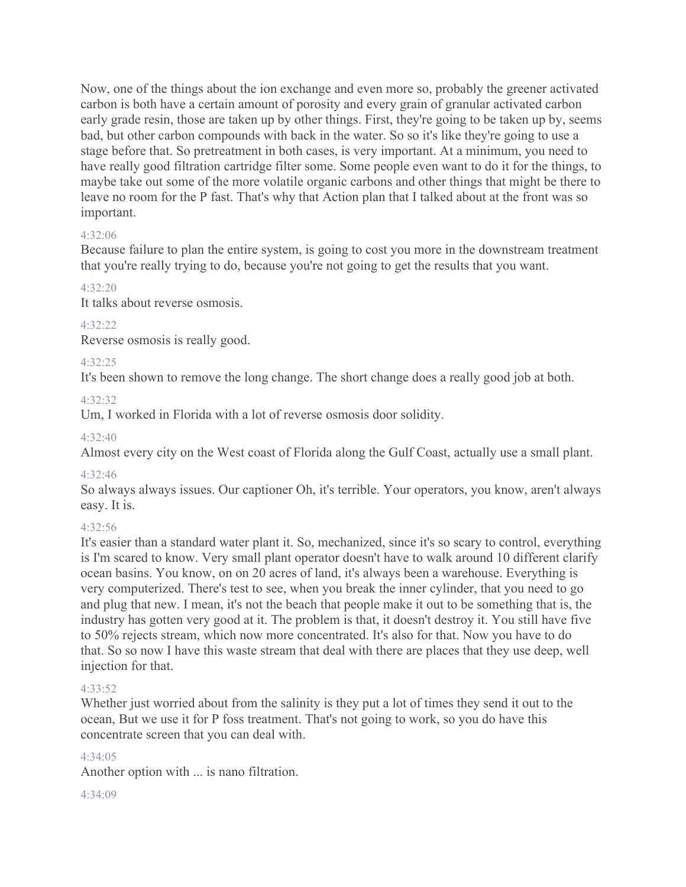Now, one of the things about the ion exchange and even more so, probably the greener activated carbon is both have a certain amount of porosity and every grain of granular activated carbon early grade resin, those are taken up by other things. First, they're going to be taken up by, seems bad, but other carbon compounds with back in the water. So so it's like they're going to use a stage before that. So pretreatment in both cases, is very important. At a minimum, you need to have really good filtration cartridge filter some. Some people even want to do it for the things, to maybe take out some of the more volatile organic carbons and other things that might be there to leave no room for the P fast. That's why that Action plan that I talked about at the front was so important.

### 4:32:06

Because failure to plan the entire system, is going to cost you more in the downstream treatment that you're really trying to do, because you're not going to get the results that you want.

#### 4:32:20

It talks about reverse osmosis.

#### 4:32:22

Reverse osmosis is really good.

#### 4:32:25

It's been shown to remove the long change. The short change does a really good job at both.

#### 4:32:32

Um, I worked in Florida with a lot of reverse osmosis door solidity.

#### 4:32:40

Almost every city on the West coast of Florida along the Gulf Coast, actually use a small plant.

### 4:32:46

So always always issues. Our captioner Oh, it's terrible. Your operators, you know, aren't always easy. It is.

### 4:32:56

It's easier than a standard water plant it. So, mechanized, since it's so scary to control, everything is I'm scared to know. Very small plant operator doesn't have to walk around 10 different clarify ocean basins. You know, on on 20 acres of land, it's always been a warehouse. Everything is very computerized. There's test to see, when you break the inner cylinder, that you need to go and plug that new. I mean, it's not the beach that people make it out to be something that is, the industry has gotten very good at it. The problem is that, it doesn't destroy it. You still have five to 50% rejects stream, which now more concentrated. It's also for that. Now you have to do that. So so now I have this waste stream that deal with there are places that they use deep, well injection for that.

#### 4:33:52

Whether just worried about from the salinity is they put a lot of times they send it out to the ocean, But we use it for P foss treatment. That's not going to work, so you do have this concentrate screen that you can deal with.

### 4:34:05

Another option with ... is nano filtration.

 $4.34(09)$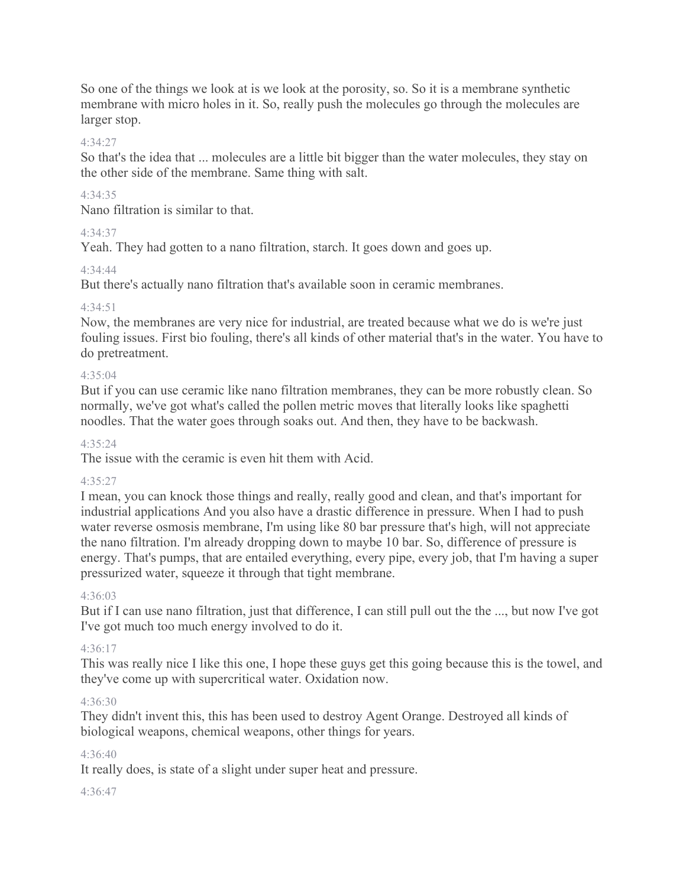So one of the things we look at is we look at the porosity, so. So it is a membrane synthetic membrane with micro holes in it. So, really push the molecules go through the molecules are larger stop.

### 4:34:27

So that's the idea that ... molecules are a little bit bigger than the water molecules, they stay on the other side of the membrane. Same thing with salt.

### 4:34:35

Nano filtration is similar to that.

### 4:34:37

Yeah. They had gotten to a nano filtration, starch. It goes down and goes up.

### 4:34:44

But there's actually nano filtration that's available soon in ceramic membranes.

### 4:34:51

Now, the membranes are very nice for industrial, are treated because what we do is we're just fouling issues. First bio fouling, there's all kinds of other material that's in the water. You have to do pretreatment.

### 4:35:04

But if you can use ceramic like nano filtration membranes, they can be more robustly clean. So normally, we've got what's called the pollen metric moves that literally looks like spaghetti noodles. That the water goes through soaks out. And then, they have to be backwash.

### 4:35:24

The issue with the ceramic is even hit them with Acid.

### 4:35:27

I mean, you can knock those things and really, really good and clean, and that's important for industrial applications And you also have a drastic difference in pressure. When I had to push water reverse osmosis membrane, I'm using like 80 bar pressure that's high, will not appreciate the nano filtration. I'm already dropping down to maybe 10 bar. So, difference of pressure is energy. That's pumps, that are entailed everything, every pipe, every job, that I'm having a super pressurized water, squeeze it through that tight membrane.

### 4:36:03

But if I can use nano filtration, just that difference, I can still pull out the the ..., but now I've got I've got much too much energy involved to do it.

# 4:36:17

This was really nice I like this one, I hope these guys get this going because this is the towel, and they've come up with supercritical water. Oxidation now.

# 4:36:30

They didn't invent this, this has been used to destroy Agent Orange. Destroyed all kinds of biological weapons, chemical weapons, other things for years.

### 4:36:40

It really does, is state of a slight under super heat and pressure.

### 4:36:47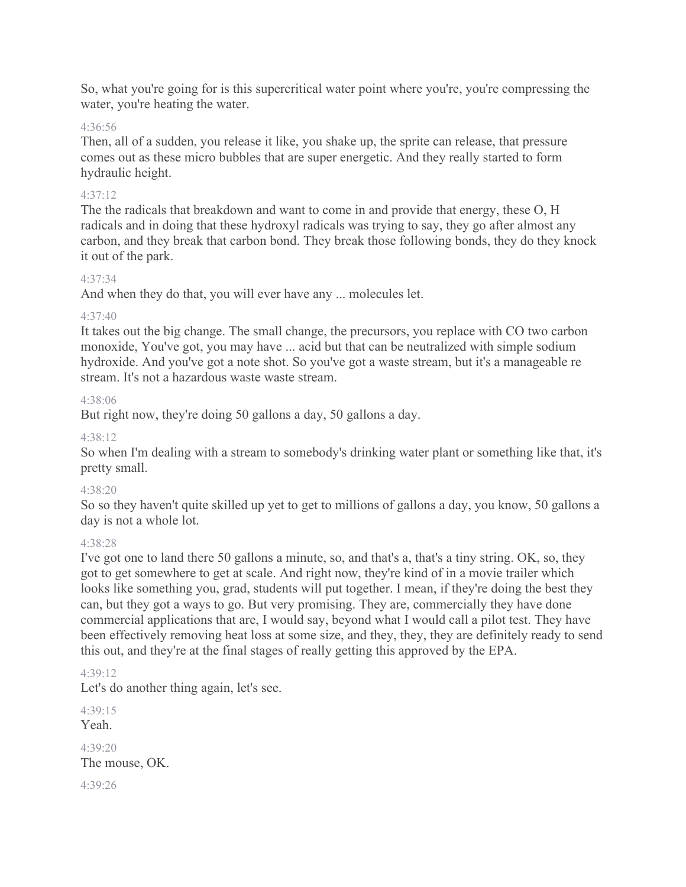So, what you're going for is this supercritical water point where you're, you're compressing the water, you're heating the water.

### 4:36:56

Then, all of a sudden, you release it like, you shake up, the sprite can release, that pressure comes out as these micro bubbles that are super energetic. And they really started to form hydraulic height.

### 4:37:12

The the radicals that breakdown and want to come in and provide that energy, these O, H radicals and in doing that these hydroxyl radicals was trying to say, they go after almost any carbon, and they break that carbon bond. They break those following bonds, they do they knock it out of the park.

### 4:37:34

And when they do that, you will ever have any ... molecules let.

### 4:37:40

It takes out the big change. The small change, the precursors, you replace with CO two carbon monoxide, You've got, you may have ... acid but that can be neutralized with simple sodium hydroxide. And you've got a note shot. So you've got a waste stream, but it's a manageable re stream. It's not a hazardous waste waste stream.

### 4:38:06

But right now, they're doing 50 gallons a day, 50 gallons a day.

### 4:38:12

So when I'm dealing with a stream to somebody's drinking water plant or something like that, it's pretty small.

### $4.38.20$

So so they haven't quite skilled up yet to get to millions of gallons a day, you know, 50 gallons a day is not a whole lot.

### 4:38:28

I've got one to land there 50 gallons a minute, so, and that's a, that's a tiny string. OK, so, they got to get somewhere to get at scale. And right now, they're kind of in a movie trailer which looks like something you, grad, students will put together. I mean, if they're doing the best they can, but they got a ways to go. But very promising. They are, commercially they have done commercial applications that are, I would say, beyond what I would call a pilot test. They have been effectively removing heat loss at some size, and they, they, they are definitely ready to send this out, and they're at the final stages of really getting this approved by the EPA.

4:39:12 Let's do another thing again, let's see.

4:39:15 Yeah. 4:39:20 The mouse, OK. 4:39:26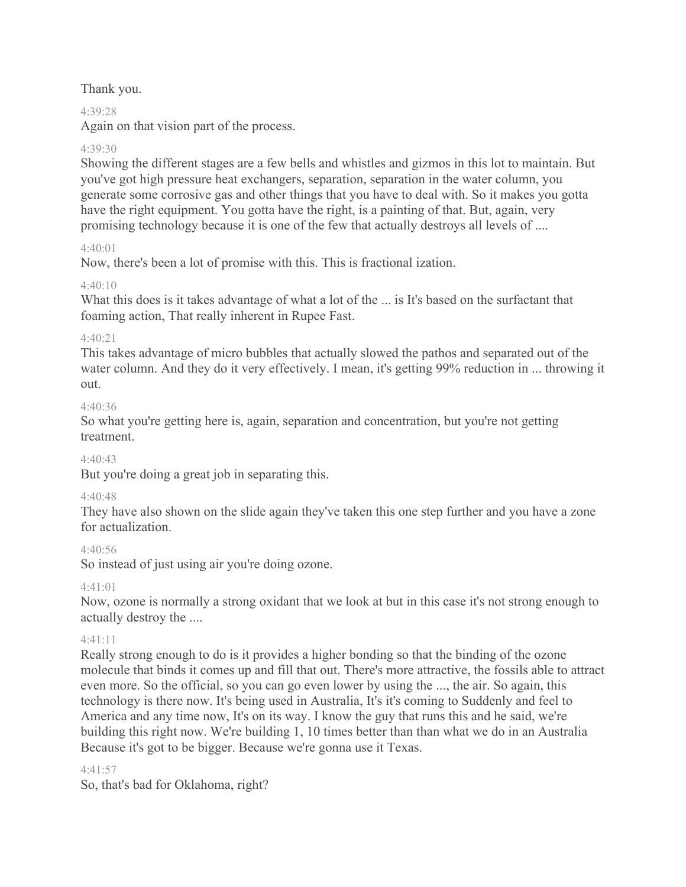Thank you.

### 4:39:28

Again on that vision part of the process.

# 4:39:30

Showing the different stages are a few bells and whistles and gizmos in this lot to maintain. But you've got high pressure heat exchangers, separation, separation in the water column, you generate some corrosive gas and other things that you have to deal with. So it makes you gotta have the right equipment. You gotta have the right, is a painting of that. But, again, very promising technology because it is one of the few that actually destroys all levels of ....

### 4:40:01

Now, there's been a lot of promise with this. This is fractional ization.

### 4:40:10

What this does is it takes advantage of what a lot of the ... is It's based on the surfactant that foaming action, That really inherent in Rupee Fast.

### $4.40.21$

This takes advantage of micro bubbles that actually slowed the pathos and separated out of the water column. And they do it very effectively. I mean, it's getting 99% reduction in ... throwing it out.

### 4:40:36

So what you're getting here is, again, separation and concentration, but you're not getting treatment.

# $4.40.43$

But you're doing a great job in separating this.

# 4:40:48

They have also shown on the slide again they've taken this one step further and you have a zone for actualization.

### 4:40:56

So instead of just using air you're doing ozone.

# 4:41:01

Now, ozone is normally a strong oxidant that we look at but in this case it's not strong enough to actually destroy the ....

### 4:41:11

Really strong enough to do is it provides a higher bonding so that the binding of the ozone molecule that binds it comes up and fill that out. There's more attractive, the fossils able to attract even more. So the official, so you can go even lower by using the ..., the air. So again, this technology is there now. It's being used in Australia, It's it's coming to Suddenly and feel to America and any time now, It's on its way. I know the guy that runs this and he said, we're building this right now. We're building 1, 10 times better than than what we do in an Australia Because it's got to be bigger. Because we're gonna use it Texas.

### $4.41.57$

So, that's bad for Oklahoma, right?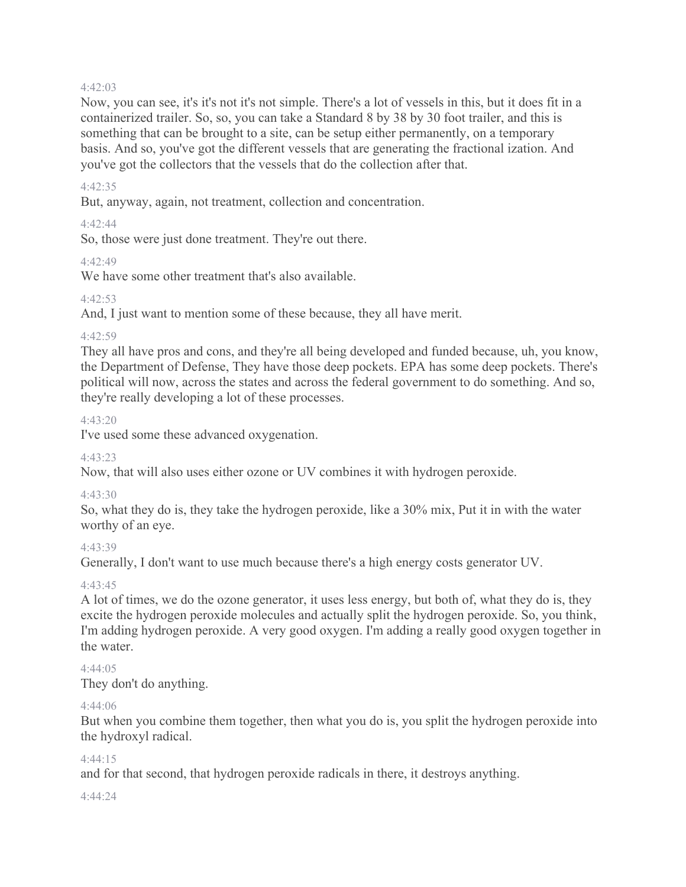#### 4:42:03

Now, you can see, it's it's not it's not simple. There's a lot of vessels in this, but it does fit in a containerized trailer. So, so, you can take a Standard 8 by 38 by 30 foot trailer, and this is something that can be brought to a site, can be setup either permanently, on a temporary basis. And so, you've got the different vessels that are generating the fractional ization. And you've got the collectors that the vessels that do the collection after that.

### 4:42:35

But, anyway, again, not treatment, collection and concentration.

### 4:42:44

So, those were just done treatment. They're out there.

# 4:42:49

We have some other treatment that's also available.

### $4.42.53$

And, I just want to mention some of these because, they all have merit.

### 4:42:59

They all have pros and cons, and they're all being developed and funded because, uh, you know, the Department of Defense, They have those deep pockets. EPA has some deep pockets. There's political will now, across the states and across the federal government to do something. And so, they're really developing a lot of these processes.

### 4:43:20

I've used some these advanced oxygenation.

### 4:43:23

Now, that will also uses either ozone or UV combines it with hydrogen peroxide.

### 4:43:30

So, what they do is, they take the hydrogen peroxide, like a 30% mix, Put it in with the water worthy of an eye.

### 4:43:39

Generally, I don't want to use much because there's a high energy costs generator UV.

### 4:43:45

A lot of times, we do the ozone generator, it uses less energy, but both of, what they do is, they excite the hydrogen peroxide molecules and actually split the hydrogen peroxide. So, you think, I'm adding hydrogen peroxide. A very good oxygen. I'm adding a really good oxygen together in the water.

### 4:44:05

They don't do anything.

### 4:44:06

But when you combine them together, then what you do is, you split the hydrogen peroxide into the hydroxyl radical.

### $4.44.15$

and for that second, that hydrogen peroxide radicals in there, it destroys anything.

#### 4:44:24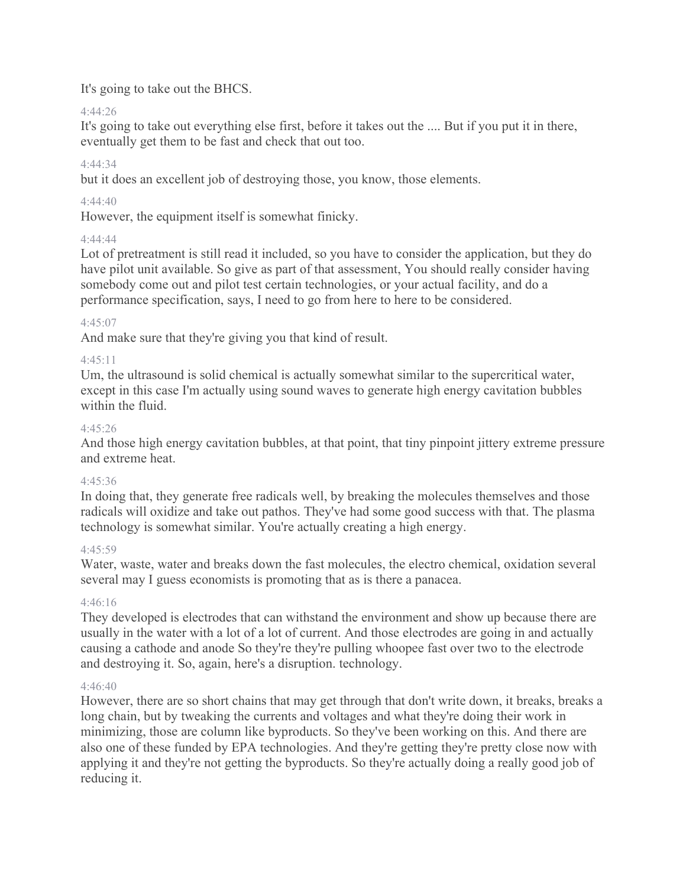# It's going to take out the BHCS.

### 4:44:26

It's going to take out everything else first, before it takes out the .... But if you put it in there, eventually get them to be fast and check that out too.

# 4:44:34

but it does an excellent job of destroying those, you know, those elements.

# 4:44:40

However, the equipment itself is somewhat finicky.

# 4:44:44

Lot of pretreatment is still read it included, so you have to consider the application, but they do have pilot unit available. So give as part of that assessment, You should really consider having somebody come out and pilot test certain technologies, or your actual facility, and do a performance specification, says, I need to go from here to here to be considered.

### 4:45:07

And make sure that they're giving you that kind of result.

### 4:45:11

Um, the ultrasound is solid chemical is actually somewhat similar to the supercritical water, except in this case I'm actually using sound waves to generate high energy cavitation bubbles within the fluid.

### 4:45:26

And those high energy cavitation bubbles, at that point, that tiny pinpoint jittery extreme pressure and extreme heat.

### 4:45:36

In doing that, they generate free radicals well, by breaking the molecules themselves and those radicals will oxidize and take out pathos. They've had some good success with that. The plasma technology is somewhat similar. You're actually creating a high energy.

### 4:45:59

Water, waste, water and breaks down the fast molecules, the electro chemical, oxidation several several may I guess economists is promoting that as is there a panacea.

### 4:46:16

They developed is electrodes that can withstand the environment and show up because there are usually in the water with a lot of a lot of current. And those electrodes are going in and actually causing a cathode and anode So they're they're pulling whoopee fast over two to the electrode and destroying it. So, again, here's a disruption. technology.

### 4:46:40

However, there are so short chains that may get through that don't write down, it breaks, breaks a long chain, but by tweaking the currents and voltages and what they're doing their work in minimizing, those are column like byproducts. So they've been working on this. And there are also one of these funded by EPA technologies. And they're getting they're pretty close now with applying it and they're not getting the byproducts. So they're actually doing a really good job of reducing it.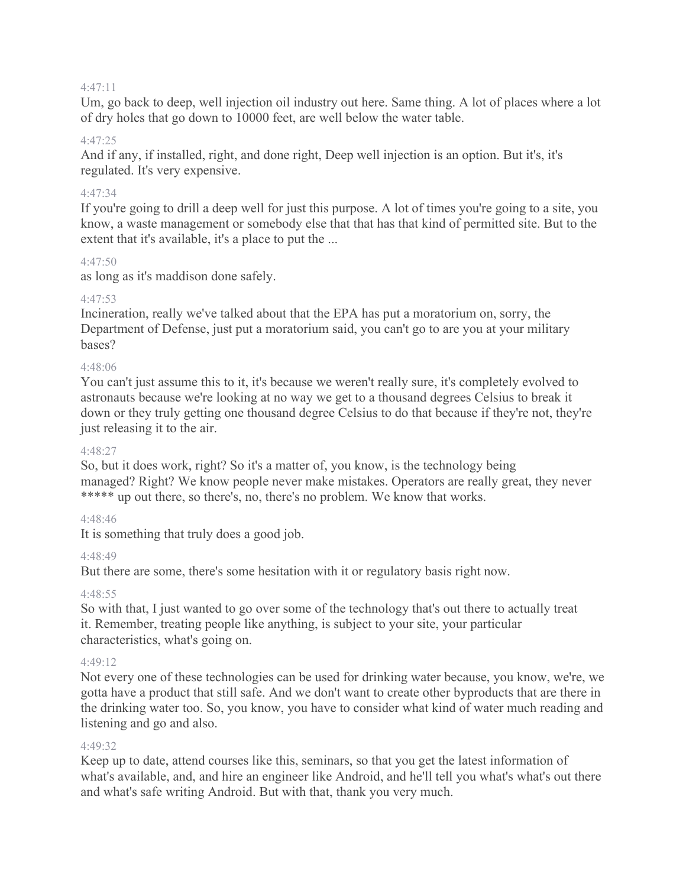#### 4:47:11

Um, go back to deep, well injection oil industry out here. Same thing. A lot of places where a lot of dry holes that go down to 10000 feet, are well below the water table.

### 4:47:25

And if any, if installed, right, and done right, Deep well injection is an option. But it's, it's regulated. It's very expensive.

### 4:47:34

If you're going to drill a deep well for just this purpose. A lot of times you're going to a site, you know, a waste management or somebody else that that has that kind of permitted site. But to the extent that it's available, it's a place to put the ...

#### 4:47:50

as long as it's maddison done safely.

#### 4:47:53

Incineration, really we've talked about that the EPA has put a moratorium on, sorry, the Department of Defense, just put a moratorium said, you can't go to are you at your military bases?

#### 4:48:06

You can't just assume this to it, it's because we weren't really sure, it's completely evolved to astronauts because we're looking at no way we get to a thousand degrees Celsius to break it down or they truly getting one thousand degree Celsius to do that because if they're not, they're just releasing it to the air.

#### 4:48:27

So, but it does work, right? So it's a matter of, you know, is the technology being managed? Right? We know people never make mistakes. Operators are really great, they never \*\*\*\*\*\* up out there, so there's, no, there's no problem. We know that works.

### 4:48:46

It is something that truly does a good job.

#### 4:48:49

But there are some, there's some hesitation with it or regulatory basis right now.

#### 4:48:55

So with that, I just wanted to go over some of the technology that's out there to actually treat it. Remember, treating people like anything, is subject to your site, your particular characteristics, what's going on.

#### 4:49:12

Not every one of these technologies can be used for drinking water because, you know, we're, we gotta have a product that still safe. And we don't want to create other byproducts that are there in the drinking water too. So, you know, you have to consider what kind of water much reading and listening and go and also.

#### 4:49:32

Keep up to date, attend courses like this, seminars, so that you get the latest information of what's available, and, and hire an engineer like Android, and he'll tell you what's what's out there and what's safe writing Android. But with that, thank you very much.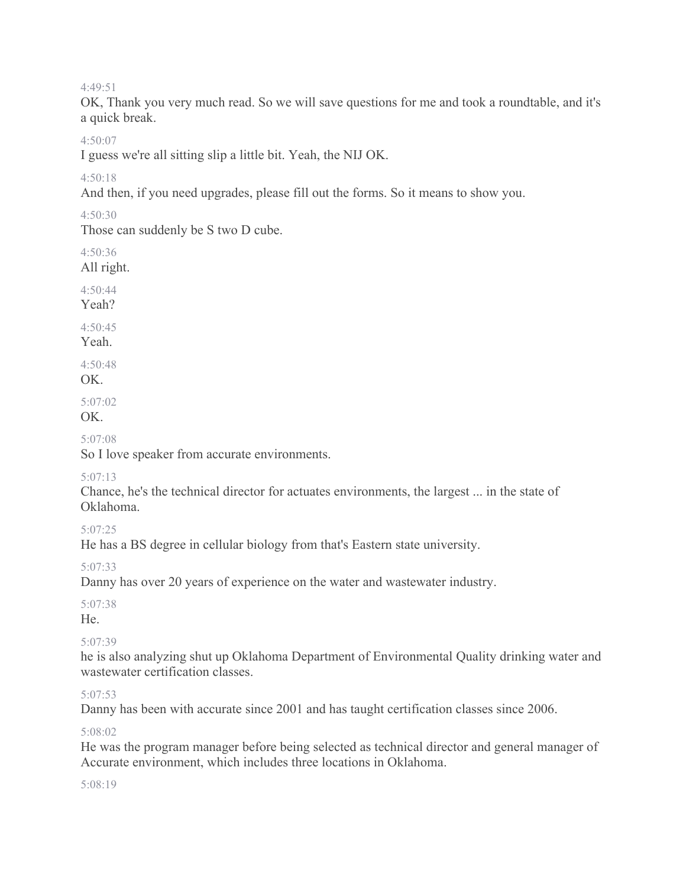4:49:51

OK, Thank you very much read. So we will save questions for me and took a roundtable, and it's a quick break.

4:50:07

I guess we're all sitting slip a little bit. Yeah, the NIJ OK.

4:50:18

And then, if you need upgrades, please fill out the forms. So it means to show you.

4:50:30

Those can suddenly be S two D cube.

4:50:36

All right.

4:50:44

Yeah?

 $4.50.45$ 

Yeah.

4:50:48

OK.

5:07:02

OK.

5:07:08

So I love speaker from accurate environments.

### 5:07:13

Chance, he's the technical director for actuates environments, the largest ... in the state of Oklahoma.

5:07:25

He has a BS degree in cellular biology from that's Eastern state university.

5:07:33

Danny has over 20 years of experience on the water and wastewater industry.

5:07:38

He.

# 5:07:39

he is also analyzing shut up Oklahoma Department of Environmental Quality drinking water and wastewater certification classes.

### 5:07:53

Danny has been with accurate since 2001 and has taught certification classes since 2006.

### 5:08:02

He was the program manager before being selected as technical director and general manager of Accurate environment, which includes three locations in Oklahoma.

#### 5:08:19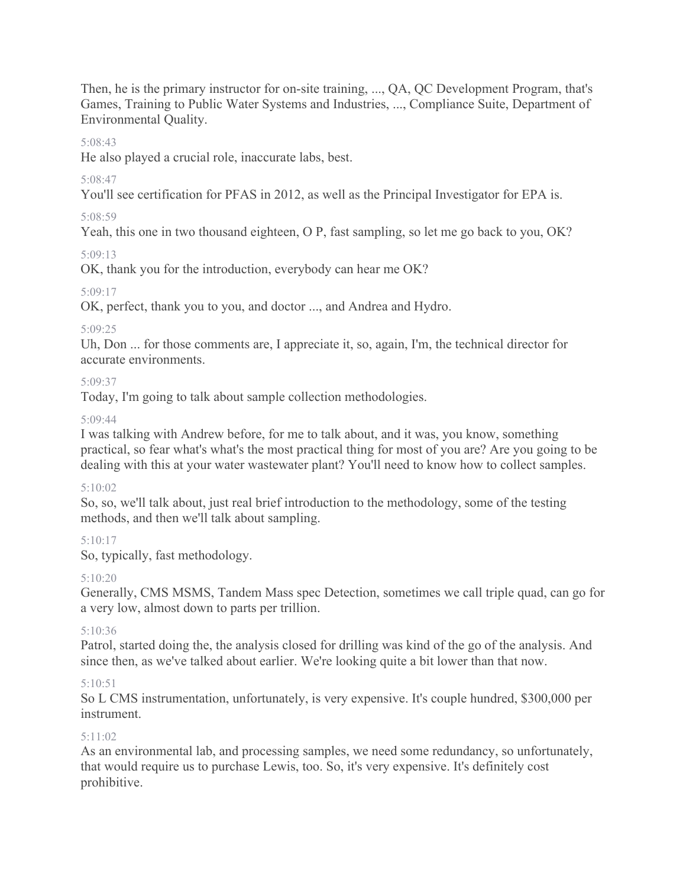Then, he is the primary instructor for on-site training, ..., QA, QC Development Program, that's Games, Training to Public Water Systems and Industries, ..., Compliance Suite, Department of Environmental Quality.

### 5:08:43

He also played a crucial role, inaccurate labs, best.

### 5:08:47

You'll see certification for PFAS in 2012, as well as the Principal Investigator for EPA is.

### 5:08:59

Yeah, this one in two thousand eighteen, O P, fast sampling, so let me go back to you, OK?

### 5:09:13

OK, thank you for the introduction, everybody can hear me OK?

### 5:09:17

OK, perfect, thank you to you, and doctor ..., and Andrea and Hydro.

### 5:09:25

Uh, Don ... for those comments are, I appreciate it, so, again, I'm, the technical director for accurate environments.

### 5:09:37

Today, I'm going to talk about sample collection methodologies.

### 5:09:44

I was talking with Andrew before, for me to talk about, and it was, you know, something practical, so fear what's what's the most practical thing for most of you are? Are you going to be dealing with this at your water wastewater plant? You'll need to know how to collect samples.

### 5:10:02

So, so, we'll talk about, just real brief introduction to the methodology, some of the testing methods, and then we'll talk about sampling.

# $5:10:17$

So, typically, fast methodology.

### 5:10:20

Generally, CMS MSMS, Tandem Mass spec Detection, sometimes we call triple quad, can go for a very low, almost down to parts per trillion.

# 5:10:36

Patrol, started doing the, the analysis closed for drilling was kind of the go of the analysis. And since then, as we've talked about earlier. We're looking quite a bit lower than that now.

# 5:10:51

So L CMS instrumentation, unfortunately, is very expensive. It's couple hundred, \$300,000 per instrument.

# 5:11:02

As an environmental lab, and processing samples, we need some redundancy, so unfortunately, that would require us to purchase Lewis, too. So, it's very expensive. It's definitely cost prohibitive.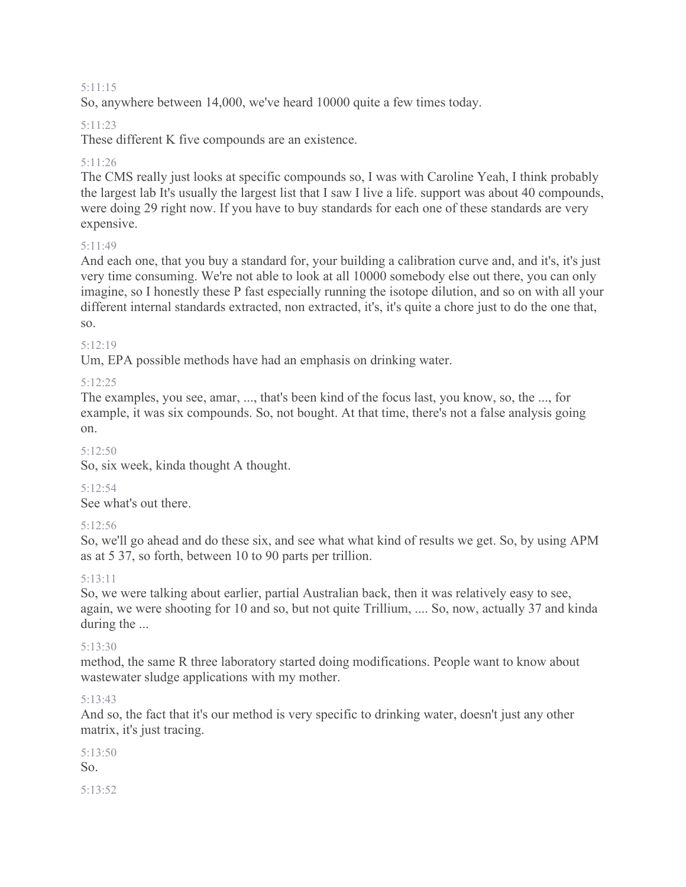#### 5:11:15

So, anywhere between 14,000, we've heard 10000 quite a few times today.

### 5:11:23

These different K five compounds are an existence.

### 5:11:26

The CMS really just looks at specific compounds so, I was with Caroline Yeah, I think probably the largest lab It's usually the largest list that I saw I live a life. support was about 40 compounds, were doing 29 right now. If you have to buy standards for each one of these standards are very expensive.

### 5:11:49

And each one, that you buy a standard for, your building a calibration curve and, and it's, it's just very time consuming. We're not able to look at all 10000 somebody else out there, you can only imagine, so I honestly these P fast especially running the isotope dilution, and so on with all your different internal standards extracted, non extracted, it's, it's quite a chore just to do the one that, so.

### 5:12:19

Um, EPA possible methods have had an emphasis on drinking water.

### 5:12:25

The examples, you see, amar, ..., that's been kind of the focus last, you know, so, the ..., for example, it was six compounds. So, not bought. At that time, there's not a false analysis going on.

### 5:12:50

So, six week, kinda thought A thought.

### 5:12:54

See what's out there.

### 5:12:56

So, we'll go ahead and do these six, and see what what kind of results we get. So, by using APM as at 5 37, so forth, between 10 to 90 parts per trillion.

### 5:13:11

So, we were talking about earlier, partial Australian back, then it was relatively easy to see, again, we were shooting for 10 and so, but not quite Trillium, .... So, now, actually 37 and kinda during the ...

### 5:13:30

method, the same R three laboratory started doing modifications. People want to know about wastewater sludge applications with my mother.

### 5:13:43

And so, the fact that it's our method is very specific to drinking water, doesn't just any other matrix, it's just tracing.

5:13:50 So. 5:13:52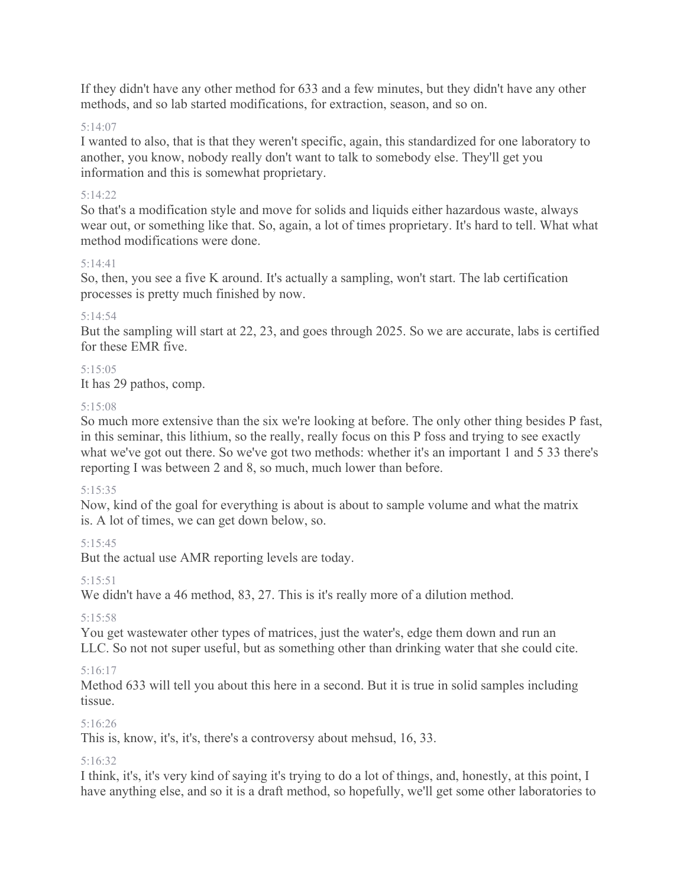If they didn't have any other method for 633 and a few minutes, but they didn't have any other methods, and so lab started modifications, for extraction, season, and so on.

### 5:14:07

I wanted to also, that is that they weren't specific, again, this standardized for one laboratory to another, you know, nobody really don't want to talk to somebody else. They'll get you information and this is somewhat proprietary.

### 5:14:22

So that's a modification style and move for solids and liquids either hazardous waste, always wear out, or something like that. So, again, a lot of times proprietary. It's hard to tell. What what method modifications were done.

### 5:14:41

So, then, you see a five K around. It's actually a sampling, won't start. The lab certification processes is pretty much finished by now.

# 5:14:54

But the sampling will start at 22, 23, and goes through 2025. So we are accurate, labs is certified for these EMR five.

# 5:15:05

It has 29 pathos, comp.

### 5:15:08

So much more extensive than the six we're looking at before. The only other thing besides P fast, in this seminar, this lithium, so the really, really focus on this P foss and trying to see exactly what we've got out there. So we've got two methods: whether it's an important 1 and 5 33 there's reporting I was between 2 and 8, so much, much lower than before.

### 5:15:35

Now, kind of the goal for everything is about is about to sample volume and what the matrix is. A lot of times, we can get down below, so.

# $5.15.45$

But the actual use AMR reporting levels are today.

### 5:15:51

We didn't have a 46 method, 83, 27. This is it's really more of a dilution method.

### 5:15:58

You get wastewater other types of matrices, just the water's, edge them down and run an LLC. So not not super useful, but as something other than drinking water that she could cite.

# 5:16:17

Method 633 will tell you about this here in a second. But it is true in solid samples including tissue.

# 5:16:26

This is, know, it's, it's, there's a controversy about mehsud, 16, 33.

### 5:16:32

I think, it's, it's very kind of saying it's trying to do a lot of things, and, honestly, at this point, I have anything else, and so it is a draft method, so hopefully, we'll get some other laboratories to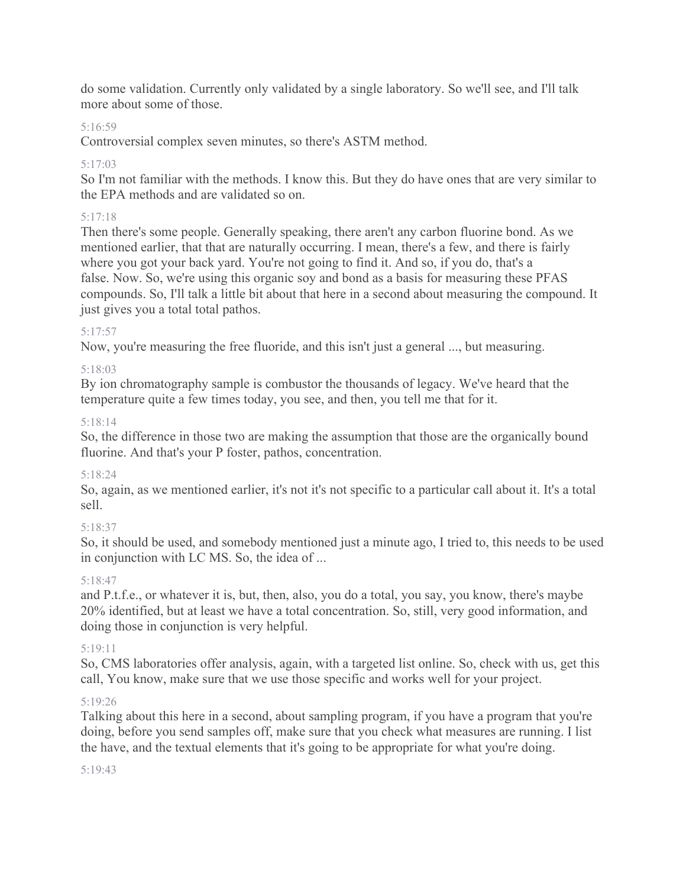do some validation. Currently only validated by a single laboratory. So we'll see, and I'll talk more about some of those.

# 5:16:59

Controversial complex seven minutes, so there's ASTM method.

# 5:17:03

So I'm not familiar with the methods. I know this. But they do have ones that are very similar to the EPA methods and are validated so on.

# 5:17:18

Then there's some people. Generally speaking, there aren't any carbon fluorine bond. As we mentioned earlier, that that are naturally occurring. I mean, there's a few, and there is fairly where you got your back yard. You're not going to find it. And so, if you do, that's a false. Now. So, we're using this organic soy and bond as a basis for measuring these PFAS compounds. So, I'll talk a little bit about that here in a second about measuring the compound. It just gives you a total total pathos.

# 5:17:57

Now, you're measuring the free fluoride, and this isn't just a general ..., but measuring.

# 5:18:03

By ion chromatography sample is combustor the thousands of legacy. We've heard that the temperature quite a few times today, you see, and then, you tell me that for it.

# 5:18:14

So, the difference in those two are making the assumption that those are the organically bound fluorine. And that's your P foster, pathos, concentration.

# 5:18:24

So, again, as we mentioned earlier, it's not it's not specific to a particular call about it. It's a total sell.

# 5:18:37

So, it should be used, and somebody mentioned just a minute ago, I tried to, this needs to be used in conjunction with LC MS. So, the idea of ...

# 5:18:47

and P.t.f.e., or whatever it is, but, then, also, you do a total, you say, you know, there's maybe 20% identified, but at least we have a total concentration. So, still, very good information, and doing those in conjunction is very helpful.

# 5:19:11

So, CMS laboratories offer analysis, again, with a targeted list online. So, check with us, get this call, You know, make sure that we use those specific and works well for your project.

# 5:19:26

Talking about this here in a second, about sampling program, if you have a program that you're doing, before you send samples off, make sure that you check what measures are running. I list the have, and the textual elements that it's going to be appropriate for what you're doing.

### 5:19:43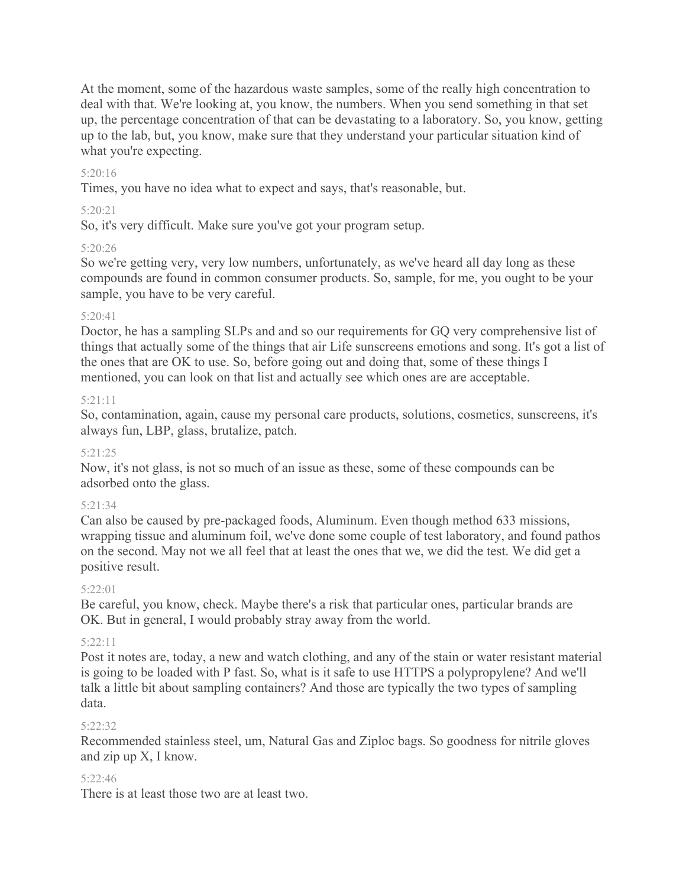At the moment, some of the hazardous waste samples, some of the really high concentration to deal with that. We're looking at, you know, the numbers. When you send something in that set up, the percentage concentration of that can be devastating to a laboratory. So, you know, getting up to the lab, but, you know, make sure that they understand your particular situation kind of what you're expecting.

### 5:20:16

Times, you have no idea what to expect and says, that's reasonable, but.

### 5:20:21

So, it's very difficult. Make sure you've got your program setup.

### 5:20:26

So we're getting very, very low numbers, unfortunately, as we've heard all day long as these compounds are found in common consumer products. So, sample, for me, you ought to be your sample, you have to be very careful.

### 5:20:41

Doctor, he has a sampling SLPs and and so our requirements for GQ very comprehensive list of things that actually some of the things that air Life sunscreens emotions and song. It's got a list of the ones that are OK to use. So, before going out and doing that, some of these things I mentioned, you can look on that list and actually see which ones are are acceptable.

### 5:21:11

So, contamination, again, cause my personal care products, solutions, cosmetics, sunscreens, it's always fun, LBP, glass, brutalize, patch.

### 5:21:25

Now, it's not glass, is not so much of an issue as these, some of these compounds can be adsorbed onto the glass.

# 5:21:34

Can also be caused by pre-packaged foods, Aluminum. Even though method 633 missions, wrapping tissue and aluminum foil, we've done some couple of test laboratory, and found pathos on the second. May not we all feel that at least the ones that we, we did the test. We did get a positive result.

# $5:22:01$

Be careful, you know, check. Maybe there's a risk that particular ones, particular brands are OK. But in general, I would probably stray away from the world.

### 5:22:11

Post it notes are, today, a new and watch clothing, and any of the stain or water resistant material is going to be loaded with P fast. So, what is it safe to use HTTPS a polypropylene? And we'll talk a little bit about sampling containers? And those are typically the two types of sampling data.

### 5:22:32

Recommended stainless steel, um, Natural Gas and Ziploc bags. So goodness for nitrile gloves and zip up X, I know.

### 5:22:46

There is at least those two are at least two.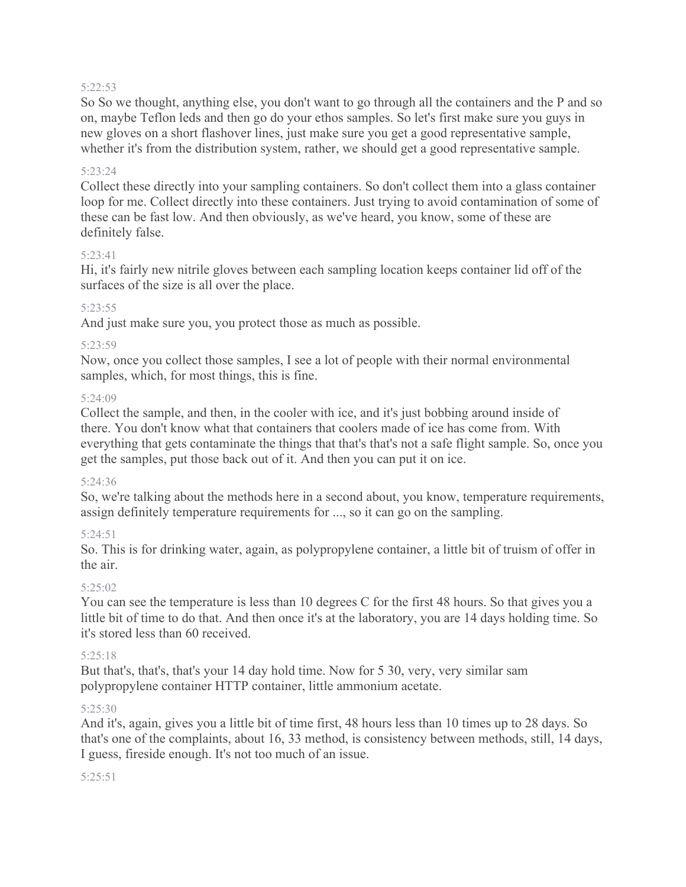#### 5:22:53

So So we thought, anything else, you don't want to go through all the containers and the P and so on, maybe Teflon leds and then go do your ethos samples. So let's first make sure you guys in new gloves on a short flashover lines, just make sure you get a good representative sample, whether it's from the distribution system, rather, we should get a good representative sample.

#### 5:23:24

Collect these directly into your sampling containers. So don't collect them into a glass container loop for me. Collect directly into these containers. Just trying to avoid contamination of some of these can be fast low. And then obviously, as we've heard, you know, some of these are definitely false.

#### 5:23:41

Hi, it's fairly new nitrile gloves between each sampling location keeps container lid off of the surfaces of the size is all over the place.

#### 5:23:55

And just make sure you, you protect those as much as possible.

#### 5:23:59

Now, once you collect those samples, I see a lot of people with their normal environmental samples, which, for most things, this is fine.

#### 5:24:09

Collect the sample, and then, in the cooler with ice, and it's just bobbing around inside of there. You don't know what that containers that coolers made of ice has come from. With everything that gets contaminate the things that that's that's not a safe flight sample. So, once you get the samples, put those back out of it. And then you can put it on ice.

#### 5:24:36

So, we're talking about the methods here in a second about, you know, temperature requirements, assign definitely temperature requirements for ..., so it can go on the sampling.

#### 5:24:51

So. This is for drinking water, again, as polypropylene container, a little bit of truism of offer in the air.

#### 5:25:02

You can see the temperature is less than 10 degrees C for the first 48 hours. So that gives you a little bit of time to do that. And then once it's at the laboratory, you are 14 days holding time. So it's stored less than 60 received.

#### 5:25:18

But that's, that's, that's your 14 day hold time. Now for 5 30, very, very similar sam polypropylene container HTTP container, little ammonium acetate.

#### 5:25:30

And it's, again, gives you a little bit of time first, 48 hours less than 10 times up to 28 days. So that's one of the complaints, about 16, 33 method, is consistency between methods, still, 14 days, I guess, fireside enough. It's not too much of an issue.

#### 5:25:51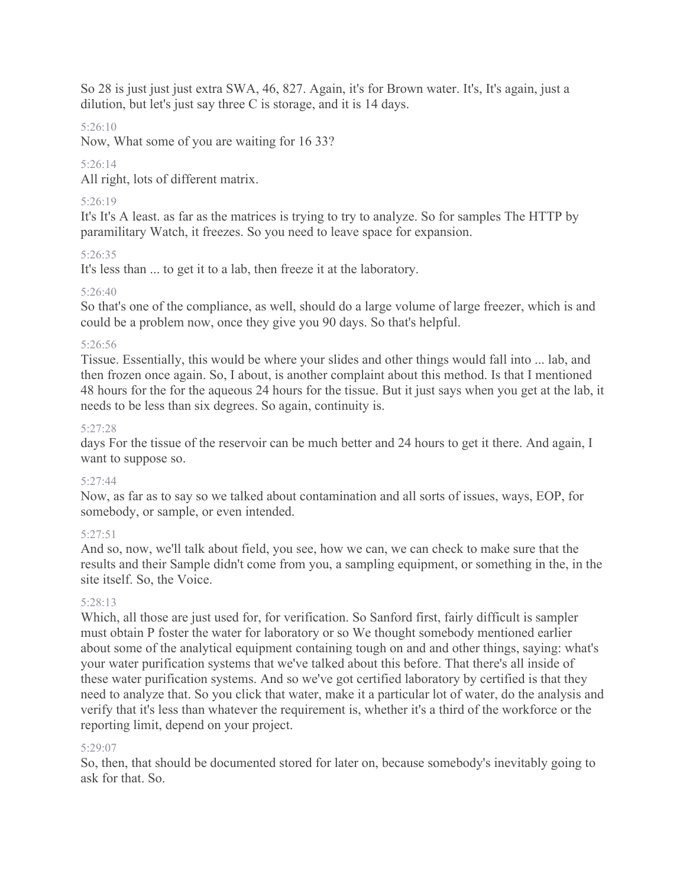So 28 is just just just extra SWA, 46, 827. Again, it's for Brown water. It's, It's again, just a dilution, but let's just say three C is storage, and it is 14 days.

# 5:26:10

Now, What some of you are waiting for 16 33?

# 5:26:14

All right, lots of different matrix.

# 5:26:19

It's It's A least. as far as the matrices is trying to try to analyze. So for samples The HTTP by paramilitary Watch, it freezes. So you need to leave space for expansion.

# 5:26:35

It's less than ... to get it to a lab, then freeze it at the laboratory.

# 5:26:40

So that's one of the compliance, as well, should do a large volume of large freezer, which is and could be a problem now, once they give you 90 days. So that's helpful.

# 5:26:56

Tissue. Essentially, this would be where your slides and other things would fall into ... lab, and then frozen once again. So, I about, is another complaint about this method. Is that I mentioned 48 hours for the for the aqueous 24 hours for the tissue. But it just says when you get at the lab, it needs to be less than six degrees. So again, continuity is.

# 5:27:28

days For the tissue of the reservoir can be much better and 24 hours to get it there. And again, I want to suppose so.

# 5:27:44

Now, as far as to say so we talked about contamination and all sorts of issues, ways, EOP, for somebody, or sample, or even intended.

# 5:27:51

And so, now, we'll talk about field, you see, how we can, we can check to make sure that the results and their Sample didn't come from you, a sampling equipment, or something in the, in the site itself. So, the Voice.

# 5:28:13

Which, all those are just used for, for verification. So Sanford first, fairly difficult is sampler must obtain P foster the water for laboratory or so We thought somebody mentioned earlier about some of the analytical equipment containing tough on and and other things, saying: what's your water purification systems that we've talked about this before. That there's all inside of these water purification systems. And so we've got certified laboratory by certified is that they need to analyze that. So you click that water, make it a particular lot of water, do the analysis and verify that it's less than whatever the requirement is, whether it's a third of the workforce or the reporting limit, depend on your project.

# 5:29:07

So, then, that should be documented stored for later on, because somebody's inevitably going to ask for that. So.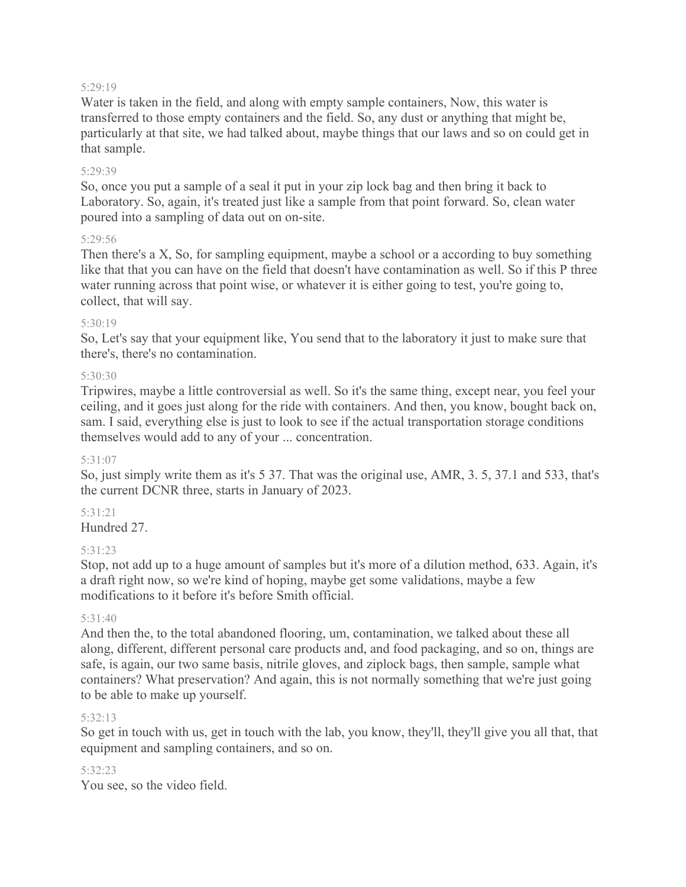#### 5:29:19

Water is taken in the field, and along with empty sample containers, Now, this water is transferred to those empty containers and the field. So, any dust or anything that might be, particularly at that site, we had talked about, maybe things that our laws and so on could get in that sample.

#### 5:29:39

So, once you put a sample of a seal it put in your zip lock bag and then bring it back to Laboratory. So, again, it's treated just like a sample from that point forward. So, clean water poured into a sampling of data out on on-site.

## 5:29:56

Then there's a X, So, for sampling equipment, maybe a school or a according to buy something like that that you can have on the field that doesn't have contamination as well. So if this P three water running across that point wise, or whatever it is either going to test, you're going to, collect, that will say.

### 5:30:19

So, Let's say that your equipment like, You send that to the laboratory it just to make sure that there's, there's no contamination.

## 5:30:30

Tripwires, maybe a little controversial as well. So it's the same thing, except near, you feel your ceiling, and it goes just along for the ride with containers. And then, you know, bought back on, sam. I said, everything else is just to look to see if the actual transportation storage conditions themselves would add to any of your ... concentration.

### 5:31:07

So, just simply write them as it's 5 37. That was the original use, AMR, 3. 5, 37.1 and 533, that's the current DCNR three, starts in January of 2023.

# 5:31:21

Hundred 27.

### 5:31:23

Stop, not add up to a huge amount of samples but it's more of a dilution method, 633. Again, it's a draft right now, so we're kind of hoping, maybe get some validations, maybe a few modifications to it before it's before Smith official.

### 5:31:40

And then the, to the total abandoned flooring, um, contamination, we talked about these all along, different, different personal care products and, and food packaging, and so on, things are safe, is again, our two same basis, nitrile gloves, and ziplock bags, then sample, sample what containers? What preservation? And again, this is not normally something that we're just going to be able to make up yourself.

### 5:32:13

So get in touch with us, get in touch with the lab, you know, they'll, they'll give you all that, that equipment and sampling containers, and so on.

### 5:32:23

You see, so the video field.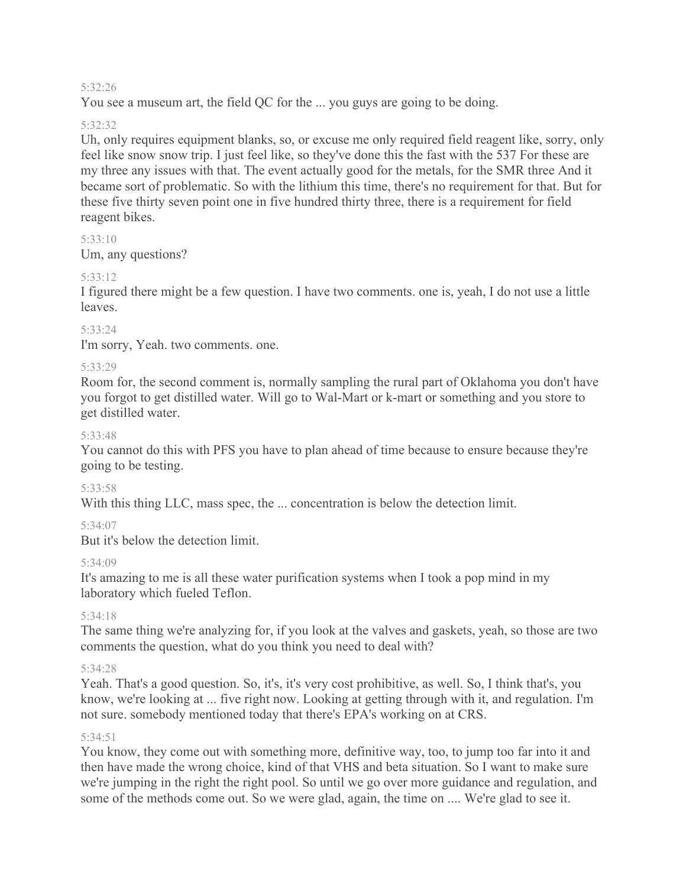#### 5:32:26

You see a museum art, the field QC for the ... you guys are going to be doing.

#### 5:32:32

Uh, only requires equipment blanks, so, or excuse me only required field reagent like, sorry, only feel like snow snow trip. I just feel like, so they've done this the fast with the 537 For these are my three any issues with that. The event actually good for the metals, for the SMR three And it became sort of problematic. So with the lithium this time, there's no requirement for that. But for these five thirty seven point one in five hundred thirty three, there is a requirement for field reagent bikes.

### 5:33:10

Um, any questions?

### 5:33:12

I figured there might be a few question. I have two comments. one is, yeah, I do not use a little leaves.

#### 5:33:24

I'm sorry, Yeah. two comments. one.

### 5:33:29

Room for, the second comment is, normally sampling the rural part of Oklahoma you don't have you forgot to get distilled water. Will go to Wal-Mart or k-mart or something and you store to get distilled water.

#### 5:33:48

You cannot do this with PFS you have to plan ahead of time because to ensure because they're going to be testing.

#### 5:33:58

With this thing LLC, mass spec, the ... concentration is below the detection limit.

### 5:34:07

But it's below the detection limit.

#### 5:34:09

It's amazing to me is all these water purification systems when I took a pop mind in my laboratory which fueled Teflon.

#### 5:34:18

The same thing we're analyzing for, if you look at the valves and gaskets, yeah, so those are two comments the question, what do you think you need to deal with?

### 5:34:28

Yeah. That's a good question. So, it's, it's very cost prohibitive, as well. So, I think that's, you know, we're looking at ... five right now. Looking at getting through with it, and regulation. I'm not sure. somebody mentioned today that there's EPA's working on at CRS.

#### 5:34:51

You know, they come out with something more, definitive way, too, to jump too far into it and then have made the wrong choice, kind of that VHS and beta situation. So I want to make sure we're jumping in the right the right pool. So until we go over more guidance and regulation, and some of the methods come out. So we were glad, again, the time on .... We're glad to see it.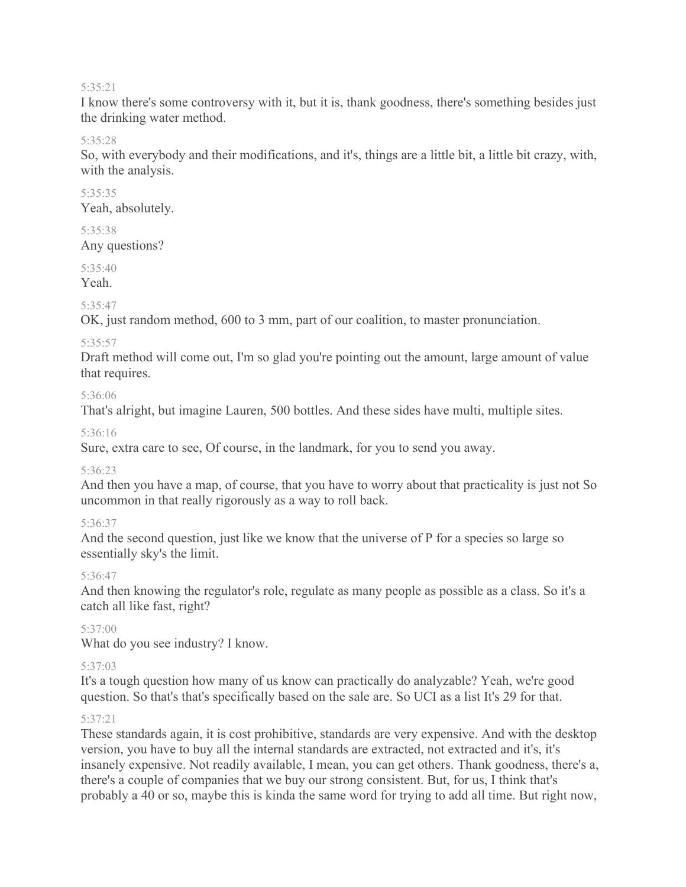#### 5:35:21

I know there's some controversy with it, but it is, thank goodness, there's something besides just the drinking water method.

#### 5:35:28

So, with everybody and their modifications, and it's, things are a little bit, a little bit crazy, with, with the analysis.

#### 5:35:35 Yeah, absolutely.

#### 5:35:38 Any questions?

# 5:35:40

Yeah.

# 5:35:47

OK, just random method, 600 to 3 mm, part of our coalition, to master pronunciation.

## 5:35:57

Draft method will come out, I'm so glad you're pointing out the amount, large amount of value that requires.

## 5:36:06

That's alright, but imagine Lauren, 500 bottles. And these sides have multi, multiple sites.

## 5:36:16

Sure, extra care to see, Of course, in the landmark, for you to send you away.

### 5:36:23

And then you have a map, of course, that you have to worry about that practicality is just not So uncommon in that really rigorously as a way to roll back.

# 5:36:37

And the second question, just like we know that the universe of P for a species so large so essentially sky's the limit.

# 5:36:47

And then knowing the regulator's role, regulate as many people as possible as a class. So it's a catch all like fast, right?

# 5:37:00

What do you see industry? I know.

# 5:37:03

It's a tough question how many of us know can practically do analyzable? Yeah, we're good question. So that's that's specifically based on the sale are. So UCI as a list It's 29 for that.

# 5:37:21

These standards again, it is cost prohibitive, standards are very expensive. And with the desktop version, you have to buy all the internal standards are extracted, not extracted and it's, it's insanely expensive. Not readily available, I mean, you can get others. Thank goodness, there's a, there's a couple of companies that we buy our strong consistent. But, for us, I think that's probably a 40 or so, maybe this is kinda the same word for trying to add all time. But right now,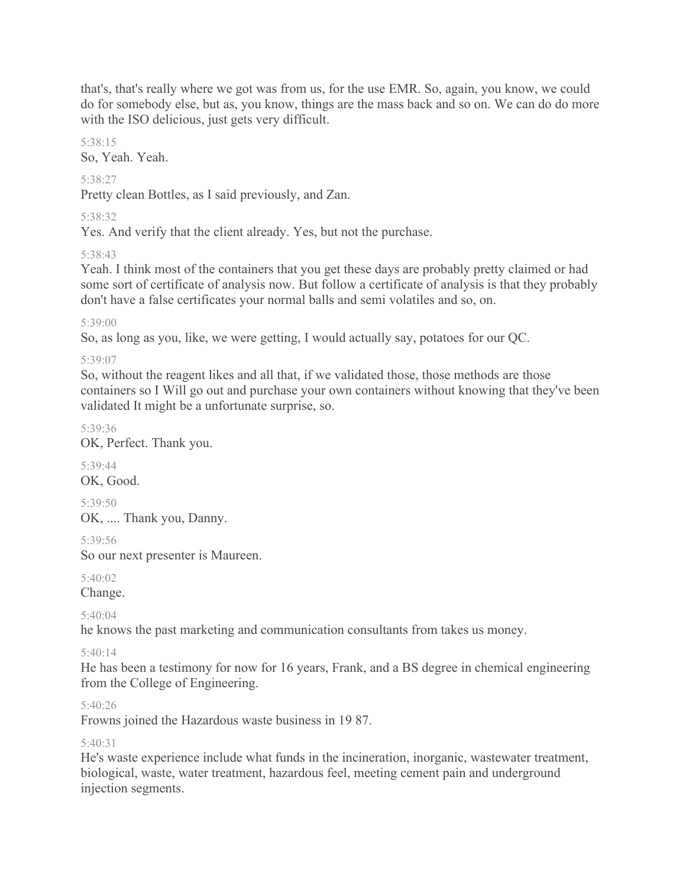that's, that's really where we got was from us, for the use EMR. So, again, you know, we could do for somebody else, but as, you know, things are the mass back and so on. We can do do more with the ISO delicious, just gets very difficult.

5:38:15

So, Yeah. Yeah.

# 5:38:27

Pretty clean Bottles, as I said previously, and Zan.

# 5:38:32

Yes. And verify that the client already. Yes, but not the purchase.

# 5:38:43

Yeah. I think most of the containers that you get these days are probably pretty claimed or had some sort of certificate of analysis now. But follow a certificate of analysis is that they probably don't have a false certificates your normal balls and semi volatiles and so, on.

# 5:39:00

So, as long as you, like, we were getting, I would actually say, potatoes for our QC.

# 5:39:07

So, without the reagent likes and all that, if we validated those, those methods are those containers so I Will go out and purchase your own containers without knowing that they've been validated It might be a unfortunate surprise, so.

# 5:39:36

OK, Perfect. Thank you.

5:39:44 OK, Good.

5:39:50 OK, .... Thank you, Danny.

5:39:56

So our next presenter is Maureen.

5:40:02 Change.

# $5.40.04$

he knows the past marketing and communication consultants from takes us money.

# 5:40:14

He has been a testimony for now for 16 years, Frank, and a BS degree in chemical engineering from the College of Engineering.

# 5:40:26

Frowns joined the Hazardous waste business in 19 87.

# 5:40:31

He's waste experience include what funds in the incineration, inorganic, wastewater treatment, biological, waste, water treatment, hazardous feel, meeting cement pain and underground injection segments.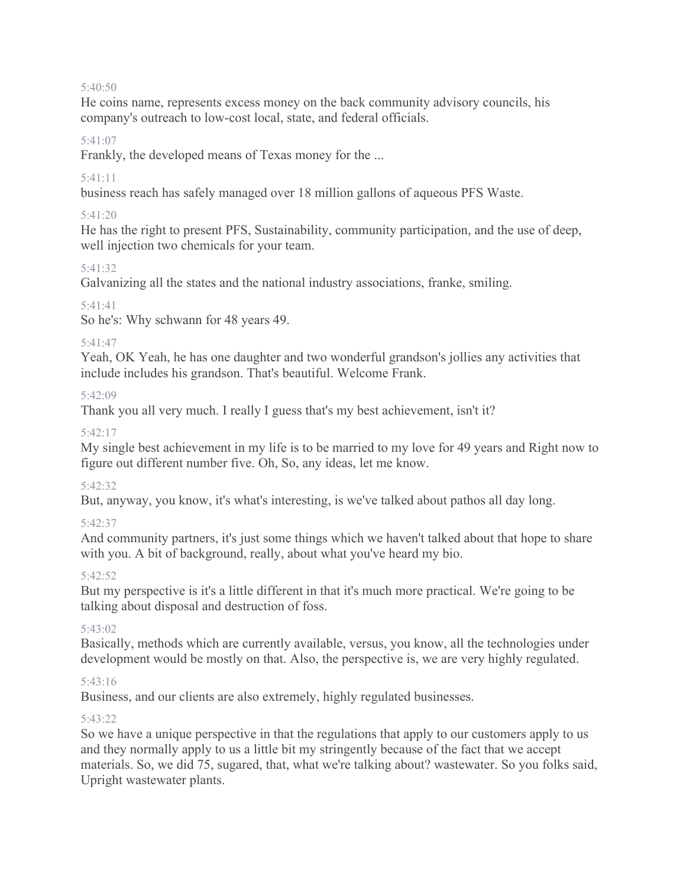#### 5:40:50

He coins name, represents excess money on the back community advisory councils, his company's outreach to low-cost local, state, and federal officials.

### 5:41:07

Frankly, the developed means of Texas money for the ...

## 5:41:11

business reach has safely managed over 18 million gallons of aqueous PFS Waste.

## 5:41:20

He has the right to present PFS, Sustainability, community participation, and the use of deep, well injection two chemicals for your team.

## 5:41:32

Galvanizing all the states and the national industry associations, franke, smiling.

## 5:41:41

So he's: Why schwann for 48 years 49.

## 5:41:47

Yeah, OK Yeah, he has one daughter and two wonderful grandson's jollies any activities that include includes his grandson. That's beautiful. Welcome Frank.

## 5:42:09

Thank you all very much. I really I guess that's my best achievement, isn't it?

## 5:42:17

My single best achievement in my life is to be married to my love for 49 years and Right now to figure out different number five. Oh, So, any ideas, let me know.

### 5:42:32

But, anyway, you know, it's what's interesting, is we've talked about pathos all day long.

# 5:42:37

And community partners, it's just some things which we haven't talked about that hope to share with you. A bit of background, really, about what you've heard my bio.

# 5:42:52

But my perspective is it's a little different in that it's much more practical. We're going to be talking about disposal and destruction of foss.

# 5:43:02

Basically, methods which are currently available, versus, you know, all the technologies under development would be mostly on that. Also, the perspective is, we are very highly regulated.

### 5:43:16

Business, and our clients are also extremely, highly regulated businesses.

# 5:43:22

So we have a unique perspective in that the regulations that apply to our customers apply to us and they normally apply to us a little bit my stringently because of the fact that we accept materials. So, we did 75, sugared, that, what we're talking about? wastewater. So you folks said, Upright wastewater plants.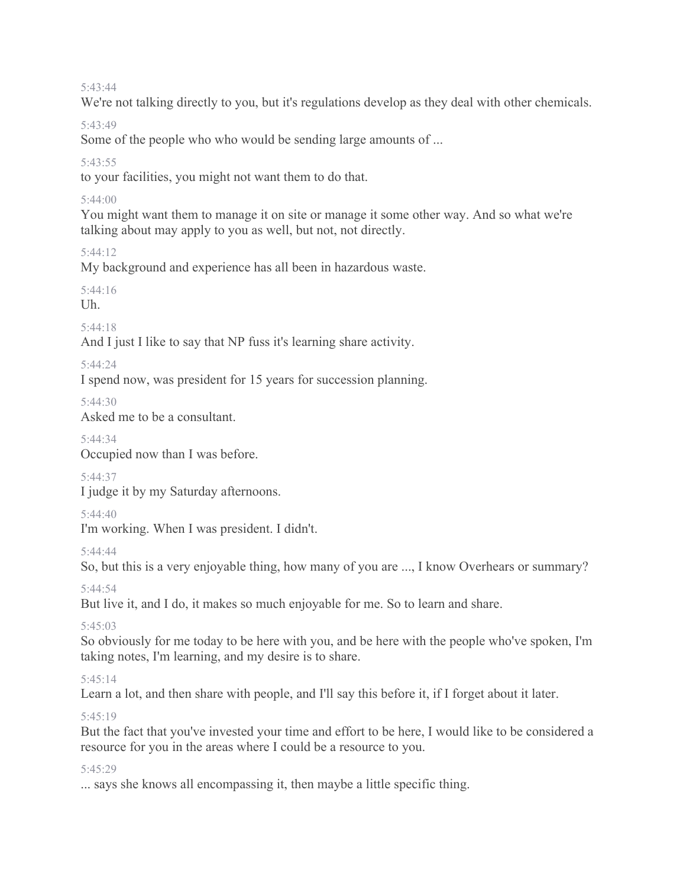#### 5:43:44

We're not talking directly to you, but it's regulations develop as they deal with other chemicals.

#### 5:43:49

Some of the people who who would be sending large amounts of ...

### 5:43:55

to your facilities, you might not want them to do that.

### 5:44:00

You might want them to manage it on site or manage it some other way. And so what we're talking about may apply to you as well, but not, not directly.

### $5.44.12$

My background and experience has all been in hazardous waste.

# 5:44:16

Uh.

## 5:44:18

And I just I like to say that NP fuss it's learning share activity.

## 5:44:24

I spend now, was president for 15 years for succession planning.

5:44:30

Asked me to be a consultant.

# 5:44:34

Occupied now than I was before.

### 5:44:37

I judge it by my Saturday afternoons.

### 5:44:40

I'm working. When I was president. I didn't.

### 5:44:44

So, but this is a very enjoyable thing, how many of you are ..., I know Overhears or summary?

5:44:54

But live it, and I do, it makes so much enjoyable for me. So to learn and share.

# 5:45:03

So obviously for me today to be here with you, and be here with the people who've spoken, I'm taking notes, I'm learning, and my desire is to share.

# 5:45:14

Learn a lot, and then share with people, and I'll say this before it, if I forget about it later.

# 5:45:19

But the fact that you've invested your time and effort to be here, I would like to be considered a resource for you in the areas where I could be a resource to you.

### 5:45:29

... says she knows all encompassing it, then maybe a little specific thing.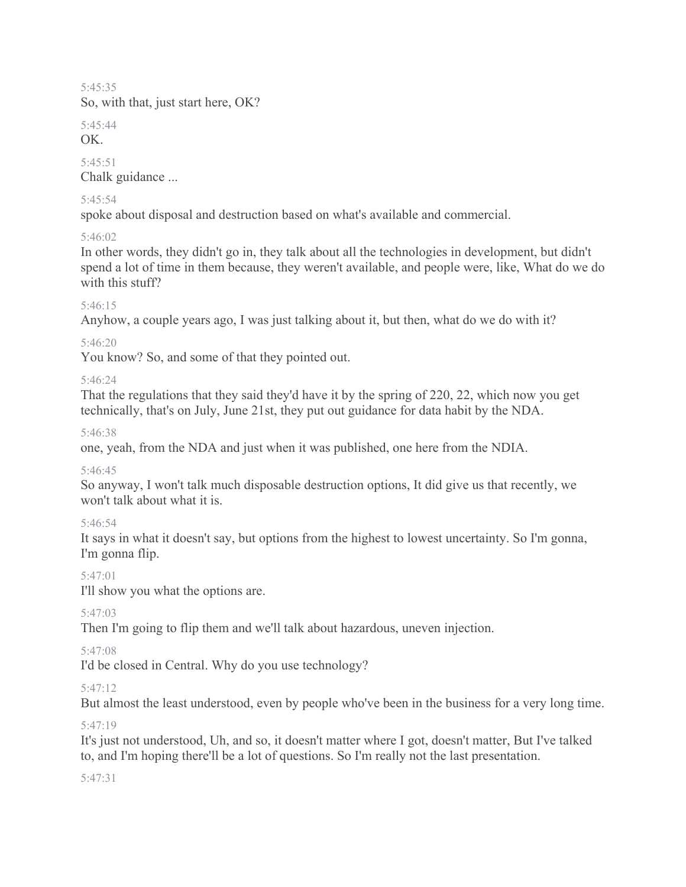#### 5:45:35

So, with that, just start here, OK?

5:45:44

OK.

5:45:51 Chalk guidance ...

## 5:45:54

spoke about disposal and destruction based on what's available and commercial.

# 5:46:02

In other words, they didn't go in, they talk about all the technologies in development, but didn't spend a lot of time in them because, they weren't available, and people were, like, What do we do with this stuff?

# 5:46:15

Anyhow, a couple years ago, I was just talking about it, but then, what do we do with it?

# 5:46:20

You know? So, and some of that they pointed out.

## 5:46:24

That the regulations that they said they'd have it by the spring of 220, 22, which now you get technically, that's on July, June 21st, they put out guidance for data habit by the NDA.

### 5:46:38

one, yeah, from the NDA and just when it was published, one here from the NDIA.

### 5:46:45

So anyway, I won't talk much disposable destruction options, It did give us that recently, we won't talk about what it is.

# 5:46:54

It says in what it doesn't say, but options from the highest to lowest uncertainty. So I'm gonna, I'm gonna flip.

# 5:47:01

I'll show you what the options are.

# 5:47:03

Then I'm going to flip them and we'll talk about hazardous, uneven injection.

# 5:47:08

I'd be closed in Central. Why do you use technology?

# 5:47:12

But almost the least understood, even by people who've been in the business for a very long time.

# 5:47:19

It's just not understood, Uh, and so, it doesn't matter where I got, doesn't matter, But I've talked to, and I'm hoping there'll be a lot of questions. So I'm really not the last presentation.

# 5:47:31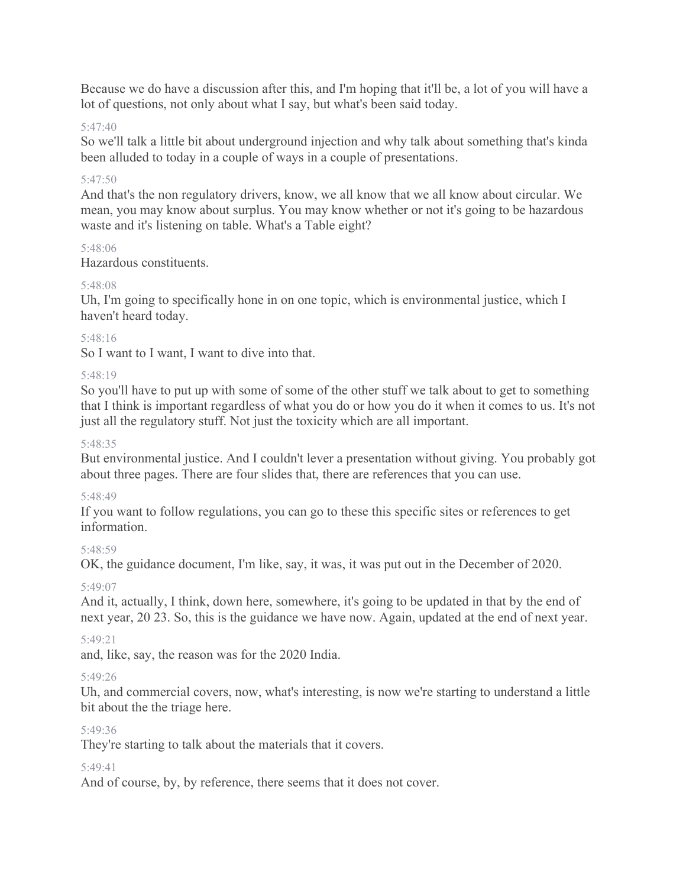Because we do have a discussion after this, and I'm hoping that it'll be, a lot of you will have a lot of questions, not only about what I say, but what's been said today.

# 5:47:40

So we'll talk a little bit about underground injection and why talk about something that's kinda been alluded to today in a couple of ways in a couple of presentations.

## 5:47:50

And that's the non regulatory drivers, know, we all know that we all know about circular. We mean, you may know about surplus. You may know whether or not it's going to be hazardous waste and it's listening on table. What's a Table eight?

### 5:48:06

Hazardous constituents.

### 5:48:08

Uh, I'm going to specifically hone in on one topic, which is environmental justice, which I haven't heard today.

### 5:48:16

So I want to I want, I want to dive into that.

### 5:48:19

So you'll have to put up with some of some of the other stuff we talk about to get to something that I think is important regardless of what you do or how you do it when it comes to us. It's not just all the regulatory stuff. Not just the toxicity which are all important.

### 5:48:35

But environmental justice. And I couldn't lever a presentation without giving. You probably got about three pages. There are four slides that, there are references that you can use.

### 5:48:49

If you want to follow regulations, you can go to these this specific sites or references to get information.

### 5:48:59

OK, the guidance document, I'm like, say, it was, it was put out in the December of 2020.

### 5:49:07

And it, actually, I think, down here, somewhere, it's going to be updated in that by the end of next year, 20 23. So, this is the guidance we have now. Again, updated at the end of next year.

### 5:49:21

and, like, say, the reason was for the 2020 India.

### 5:49:26

Uh, and commercial covers, now, what's interesting, is now we're starting to understand a little bit about the the triage here.

#### 5:49:36

They're starting to talk about the materials that it covers.

#### 5:49:41

And of course, by, by reference, there seems that it does not cover.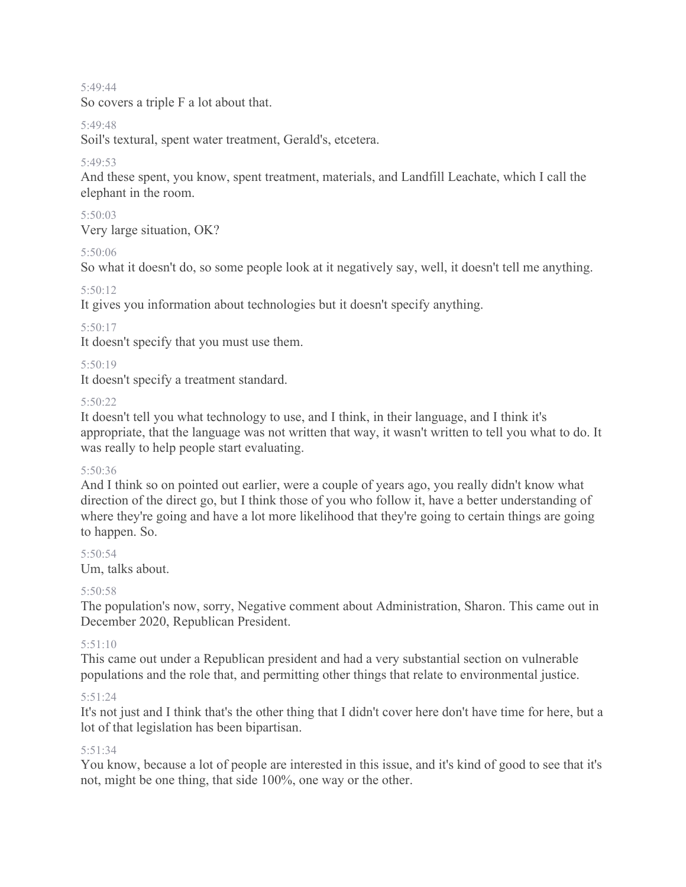5:49:44

So covers a triple F a lot about that.

### 5:49:48

Soil's textural, spent water treatment, Gerald's, etcetera.

# 5:49:53

And these spent, you know, spent treatment, materials, and Landfill Leachate, which I call the elephant in the room.

### 5:50:03

Very large situation, OK?

## 5:50:06

So what it doesn't do, so some people look at it negatively say, well, it doesn't tell me anything.

## 5:50:12

It gives you information about technologies but it doesn't specify anything.

## 5:50:17

It doesn't specify that you must use them.

### 5:50:19

It doesn't specify a treatment standard.

### 5:50:22

It doesn't tell you what technology to use, and I think, in their language, and I think it's appropriate, that the language was not written that way, it wasn't written to tell you what to do. It was really to help people start evaluating.

### 5:50:36

And I think so on pointed out earlier, were a couple of years ago, you really didn't know what direction of the direct go, but I think those of you who follow it, have a better understanding of where they're going and have a lot more likelihood that they're going to certain things are going to happen. So.

# 5:50:54

Um, talks about.

# 5:50:58

The population's now, sorry, Negative comment about Administration, Sharon. This came out in December 2020, Republican President.

# 5:51:10

This came out under a Republican president and had a very substantial section on vulnerable populations and the role that, and permitting other things that relate to environmental justice.

### 5:51:24

It's not just and I think that's the other thing that I didn't cover here don't have time for here, but a lot of that legislation has been bipartisan.

### 5:51:34

You know, because a lot of people are interested in this issue, and it's kind of good to see that it's not, might be one thing, that side 100%, one way or the other.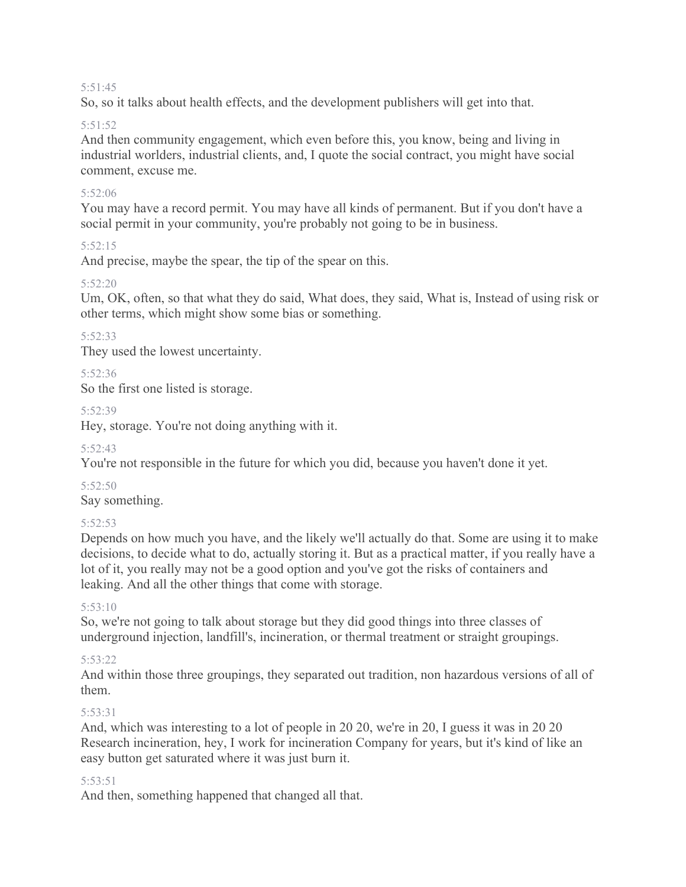#### 5:51:45

So, so it talks about health effects, and the development publishers will get into that.

# 5:51:52

And then community engagement, which even before this, you know, being and living in industrial worlders, industrial clients, and, I quote the social contract, you might have social comment, excuse me.

## 5:52:06

You may have a record permit. You may have all kinds of permanent. But if you don't have a social permit in your community, you're probably not going to be in business.

## 5:52:15

And precise, maybe the spear, the tip of the spear on this.

## 5:52:20

Um, OK, often, so that what they do said, What does, they said, What is, Instead of using risk or other terms, which might show some bias or something.

## 5:52:33

They used the lowest uncertainty.

## 5:52:36

So the first one listed is storage.

### 5:52:39

Hey, storage. You're not doing anything with it.

### 5:52:43

You're not responsible in the future for which you did, because you haven't done it yet.

### 5:52:50

Say something.

# 5:52:53

Depends on how much you have, and the likely we'll actually do that. Some are using it to make decisions, to decide what to do, actually storing it. But as a practical matter, if you really have a lot of it, you really may not be a good option and you've got the risks of containers and leaking. And all the other things that come with storage.

### $5.53 \cdot 10$

So, we're not going to talk about storage but they did good things into three classes of underground injection, landfill's, incineration, or thermal treatment or straight groupings.

### 5:53:22

And within those three groupings, they separated out tradition, non hazardous versions of all of them.

# 5:53:31

And, which was interesting to a lot of people in 20 20, we're in 20, I guess it was in 20 20 Research incineration, hey, I work for incineration Company for years, but it's kind of like an easy button get saturated where it was just burn it.

### 5:53:51

And then, something happened that changed all that.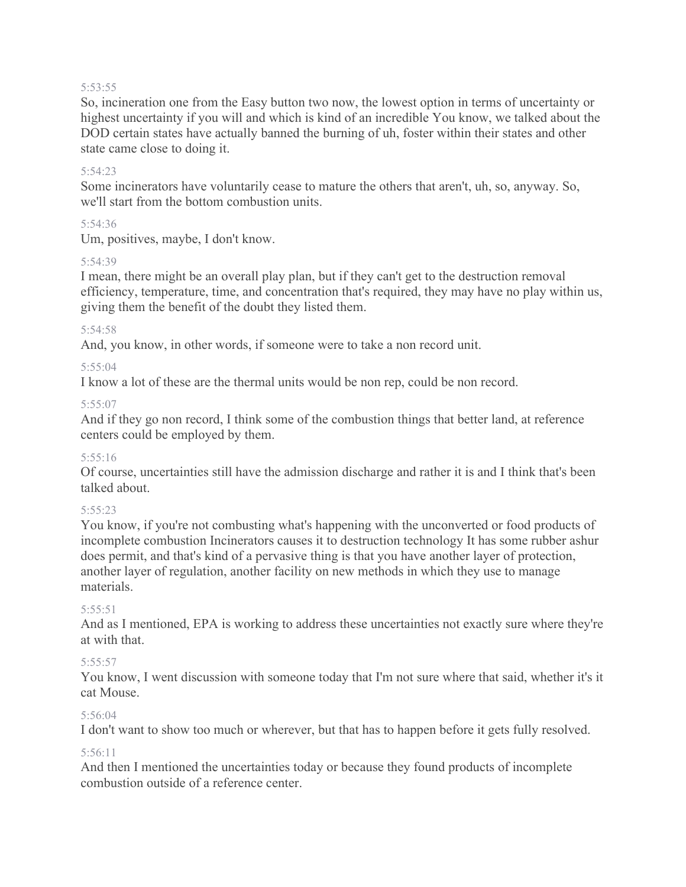#### 5:53:55

So, incineration one from the Easy button two now, the lowest option in terms of uncertainty or highest uncertainty if you will and which is kind of an incredible You know, we talked about the DOD certain states have actually banned the burning of uh, foster within their states and other state came close to doing it.

### 5:54:23

Some incinerators have voluntarily cease to mature the others that aren't, uh, so, anyway. So, we'll start from the bottom combustion units.

## 5:54:36

Um, positives, maybe, I don't know.

## 5:54:39

I mean, there might be an overall play plan, but if they can't get to the destruction removal efficiency, temperature, time, and concentration that's required, they may have no play within us, giving them the benefit of the doubt they listed them.

## 5:54:58

And, you know, in other words, if someone were to take a non record unit.

## 5:55:04

I know a lot of these are the thermal units would be non rep, could be non record.

## $5.55.07$

And if they go non record, I think some of the combustion things that better land, at reference centers could be employed by them.

### 5:55:16

Of course, uncertainties still have the admission discharge and rather it is and I think that's been talked about.

### $5.55.23$

You know, if you're not combusting what's happening with the unconverted or food products of incomplete combustion Incinerators causes it to destruction technology It has some rubber ashur does permit, and that's kind of a pervasive thing is that you have another layer of protection, another layer of regulation, another facility on new methods in which they use to manage materials.

### $5.55.51$

And as I mentioned, EPA is working to address these uncertainties not exactly sure where they're at with that.

### 5:55:57

You know, I went discussion with someone today that I'm not sure where that said, whether it's it cat Mouse.

### 5:56:04

I don't want to show too much or wherever, but that has to happen before it gets fully resolved.

### 5:56:11

And then I mentioned the uncertainties today or because they found products of incomplete combustion outside of a reference center.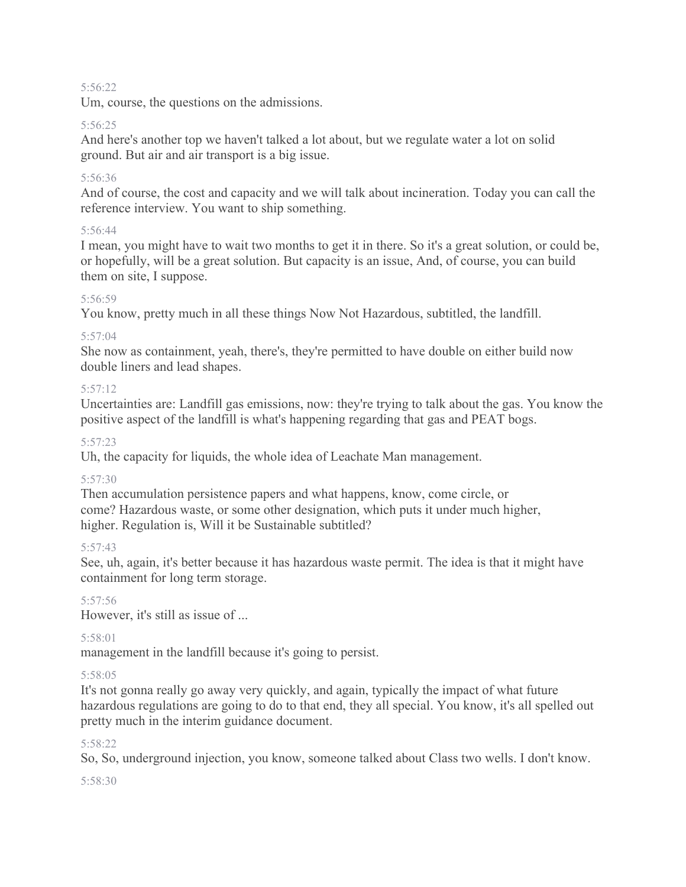### 5:56:22

Um, course, the questions on the admissions.

### 5:56:25

And here's another top we haven't talked a lot about, but we regulate water a lot on solid ground. But air and air transport is a big issue.

# 5:56:36

And of course, the cost and capacity and we will talk about incineration. Today you can call the reference interview. You want to ship something.

## 5:56:44

I mean, you might have to wait two months to get it in there. So it's a great solution, or could be, or hopefully, will be a great solution. But capacity is an issue, And, of course, you can build them on site, I suppose.

## 5:56:59

You know, pretty much in all these things Now Not Hazardous, subtitled, the landfill.

## 5:57:04

She now as containment, yeah, there's, they're permitted to have double on either build now double liners and lead shapes.

## $5.57.12$

Uncertainties are: Landfill gas emissions, now: they're trying to talk about the gas. You know the positive aspect of the landfill is what's happening regarding that gas and PEAT bogs.

## $5.57.23$

Uh, the capacity for liquids, the whole idea of Leachate Man management.

# 5:57:30

Then accumulation persistence papers and what happens, know, come circle, or come? Hazardous waste, or some other designation, which puts it under much higher, higher. Regulation is, Will it be Sustainable subtitled?

### 5:57:43

See, uh, again, it's better because it has hazardous waste permit. The idea is that it might have containment for long term storage.

### 5:57:56

However, it's still as issue of ...

### 5:58:01

management in the landfill because it's going to persist.

### 5:58:05

It's not gonna really go away very quickly, and again, typically the impact of what future hazardous regulations are going to do to that end, they all special. You know, it's all spelled out pretty much in the interim guidance document.

### 5:58:22

So, So, underground injection, you know, someone talked about Class two wells. I don't know.

### 5:58:30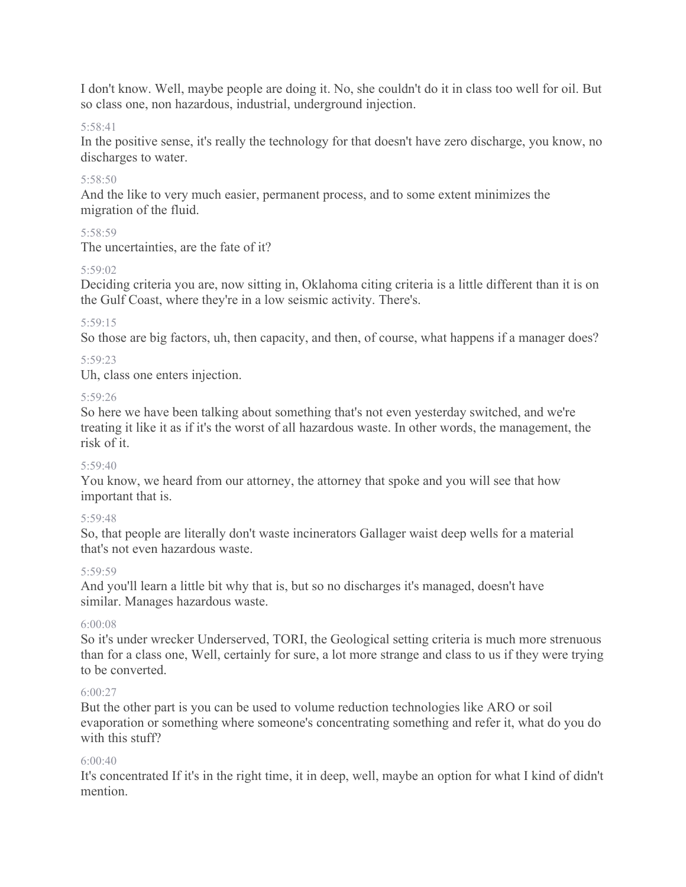I don't know. Well, maybe people are doing it. No, she couldn't do it in class too well for oil. But so class one, non hazardous, industrial, underground injection.

### 5:58:41

In the positive sense, it's really the technology for that doesn't have zero discharge, you know, no discharges to water.

### 5:58:50

And the like to very much easier, permanent process, and to some extent minimizes the migration of the fluid.

#### 5:58:59

The uncertainties, are the fate of it?

#### 5:59:02

Deciding criteria you are, now sitting in, Oklahoma citing criteria is a little different than it is on the Gulf Coast, where they're in a low seismic activity. There's.

#### 5:59:15

So those are big factors, uh, then capacity, and then, of course, what happens if a manager does?

#### 5:59:23

Uh, class one enters injection.

#### 5:59:26

So here we have been talking about something that's not even yesterday switched, and we're treating it like it as if it's the worst of all hazardous waste. In other words, the management, the risk of it.

#### $5.59:40$

You know, we heard from our attorney, the attorney that spoke and you will see that how important that is.

### 5:59:48

So, that people are literally don't waste incinerators Gallager waist deep wells for a material that's not even hazardous waste.

#### 5:59:59

And you'll learn a little bit why that is, but so no discharges it's managed, doesn't have similar. Manages hazardous waste.

#### 6:00:08

So it's under wrecker Underserved, TORI, the Geological setting criteria is much more strenuous than for a class one, Well, certainly for sure, a lot more strange and class to us if they were trying to be converted.

#### $6:00:27$

But the other part is you can be used to volume reduction technologies like ARO or soil evaporation or something where someone's concentrating something and refer it, what do you do with this stuff?

#### $6.00.40$

It's concentrated If it's in the right time, it in deep, well, maybe an option for what I kind of didn't mention.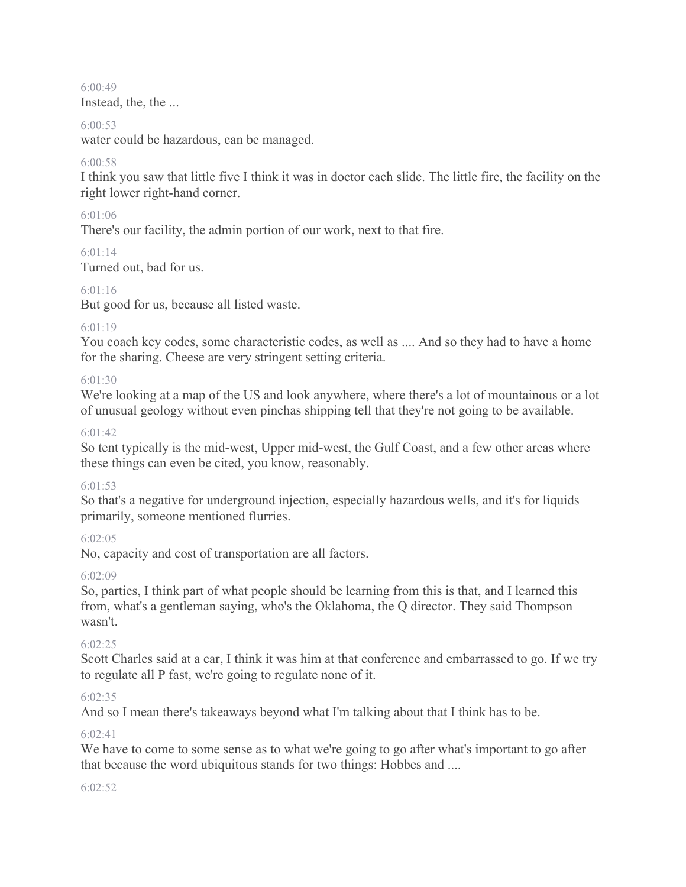6:00:49 Instead, the, the ...

#### 6:00:53

water could be hazardous, can be managed.

### 6:00:58

I think you saw that little five I think it was in doctor each slide. The little fire, the facility on the right lower right-hand corner.

### 6:01:06

There's our facility, the admin portion of our work, next to that fire.

### $6.01.14$

Turned out, bad for us.

## 6:01:16

But good for us, because all listed waste.

## $6.01.19$

You coach key codes, some characteristic codes, as well as .... And so they had to have a home for the sharing. Cheese are very stringent setting criteria.

## 6:01:30

We're looking at a map of the US and look anywhere, where there's a lot of mountainous or a lot of unusual geology without even pinchas shipping tell that they're not going to be available.

### 6:01:42

So tent typically is the mid-west, Upper mid-west, the Gulf Coast, and a few other areas where these things can even be cited, you know, reasonably.

### 6:01:53

So that's a negative for underground injection, especially hazardous wells, and it's for liquids primarily, someone mentioned flurries.

### 6:02:05

No, capacity and cost of transportation are all factors.

### $6.02.09$

So, parties, I think part of what people should be learning from this is that, and I learned this from, what's a gentleman saying, who's the Oklahoma, the Q director. They said Thompson wasn't.

### 6:02:25

Scott Charles said at a car, I think it was him at that conference and embarrassed to go. If we try to regulate all P fast, we're going to regulate none of it.

### 6:02:35

And so I mean there's takeaways beyond what I'm talking about that I think has to be.

### 6:02:41

We have to come to some sense as to what we're going to go after what's important to go after that because the word ubiquitous stands for two things: Hobbes and ....

#### 6:02:52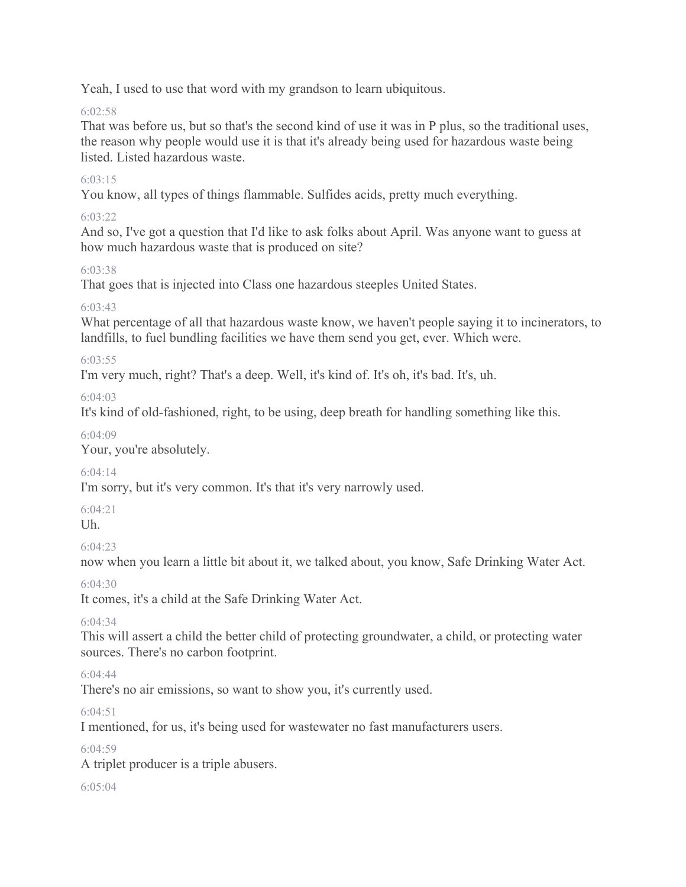Yeah, I used to use that word with my grandson to learn ubiquitous.

# $6.02.58$

That was before us, but so that's the second kind of use it was in P plus, so the traditional uses, the reason why people would use it is that it's already being used for hazardous waste being listed. Listed hazardous waste.

# 6:03:15

You know, all types of things flammable. Sulfides acids, pretty much everything.

# 6:03:22

And so, I've got a question that I'd like to ask folks about April. Was anyone want to guess at how much hazardous waste that is produced on site?

# 6:03:38

That goes that is injected into Class one hazardous steeples United States.

# 6:03:43

What percentage of all that hazardous waste know, we haven't people saying it to incinerators, to landfills, to fuel bundling facilities we have them send you get, ever. Which were.

# 6:03:55

I'm very much, right? That's a deep. Well, it's kind of. It's oh, it's bad. It's, uh.

6:04:03

It's kind of old-fashioned, right, to be using, deep breath for handling something like this.

# $6.04.09$

Your, you're absolutely.

# 6:04:14

I'm sorry, but it's very common. It's that it's very narrowly used.

6:04:21

# Uh.

 $6.04.23$ 

now when you learn a little bit about it, we talked about, you know, Safe Drinking Water Act.

# $6.04.30$

It comes, it's a child at the Safe Drinking Water Act.

# 6:04:34

This will assert a child the better child of protecting groundwater, a child, or protecting water sources. There's no carbon footprint.

# 6:04:44

There's no air emissions, so want to show you, it's currently used.

 $6.04.51$ 

I mentioned, for us, it's being used for wastewater no fast manufacturers users.

6:04:59

A triplet producer is a triple abusers.

 $6.05.04$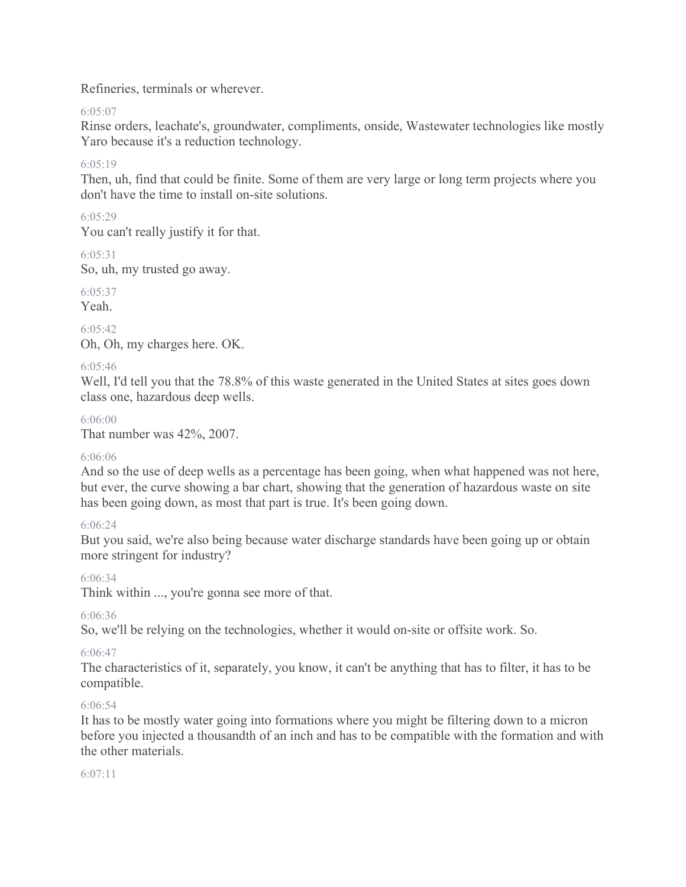Refineries, terminals or wherever.

 $6.05.07$ 

Rinse orders, leachate's, groundwater, compliments, onside, Wastewater technologies like mostly Yaro because it's a reduction technology.

 $6.05.19$ 

Then, uh, find that could be finite. Some of them are very large or long term projects where you don't have the time to install on-site solutions.

# 6:05:29

You can't really justify it for that.

6:05:31

So, uh, my trusted go away.

6:05:37

Yeah.

6:05:42 Oh, Oh, my charges here. OK.

# 6:05:46

Well, I'd tell you that the 78.8% of this waste generated in the United States at sites goes down class one, hazardous deep wells.

6:06:00

That number was 42%, 2007.

### 6:06:06

And so the use of deep wells as a percentage has been going, when what happened was not here, but ever, the curve showing a bar chart, showing that the generation of hazardous waste on site has been going down, as most that part is true. It's been going down.

### 6:06:24

But you said, we're also being because water discharge standards have been going up or obtain more stringent for industry?

6:06:34

Think within ..., you're gonna see more of that.

6:06:36

So, we'll be relying on the technologies, whether it would on-site or offsite work. So.

### 6:06:47

The characteristics of it, separately, you know, it can't be anything that has to filter, it has to be compatible.

# 6:06:54

It has to be mostly water going into formations where you might be filtering down to a micron before you injected a thousandth of an inch and has to be compatible with the formation and with the other materials.

### 6:07:11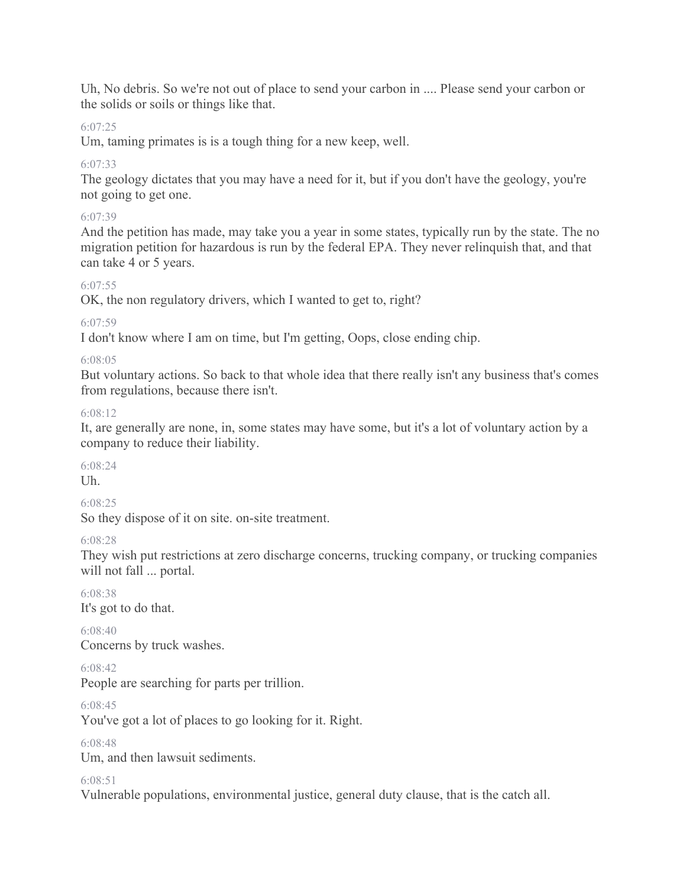Uh, No debris. So we're not out of place to send your carbon in .... Please send your carbon or the solids or soils or things like that.

# 6:07:25

Um, taming primates is is a tough thing for a new keep, well.

# 6:07:33

The geology dictates that you may have a need for it, but if you don't have the geology, you're not going to get one.

# 6:07:39

And the petition has made, may take you a year in some states, typically run by the state. The no migration petition for hazardous is run by the federal EPA. They never relinquish that, and that can take 4 or 5 years.

# 6:07:55

OK, the non regulatory drivers, which I wanted to get to, right?

## 6:07:59

I don't know where I am on time, but I'm getting, Oops, close ending chip.

## 6:08:05

But voluntary actions. So back to that whole idea that there really isn't any business that's comes from regulations, because there isn't.

## $6.08.12$

It, are generally are none, in, some states may have some, but it's a lot of voluntary action by a company to reduce their liability.

#### $6.08.24$ Uh.

### 6:08:25

So they dispose of it on site. on-site treatment.

### 6:08:28

They wish put restrictions at zero discharge concerns, trucking company, or trucking companies will not fall ... portal.

## 6:08:38 It's got to do that.

6:08:40 Concerns by truck washes.

# 6:08:42

People are searching for parts per trillion.

6:08:45

You've got a lot of places to go looking for it. Right.

6:08:48

Um, and then lawsuit sediments.

# 6:08:51

Vulnerable populations, environmental justice, general duty clause, that is the catch all.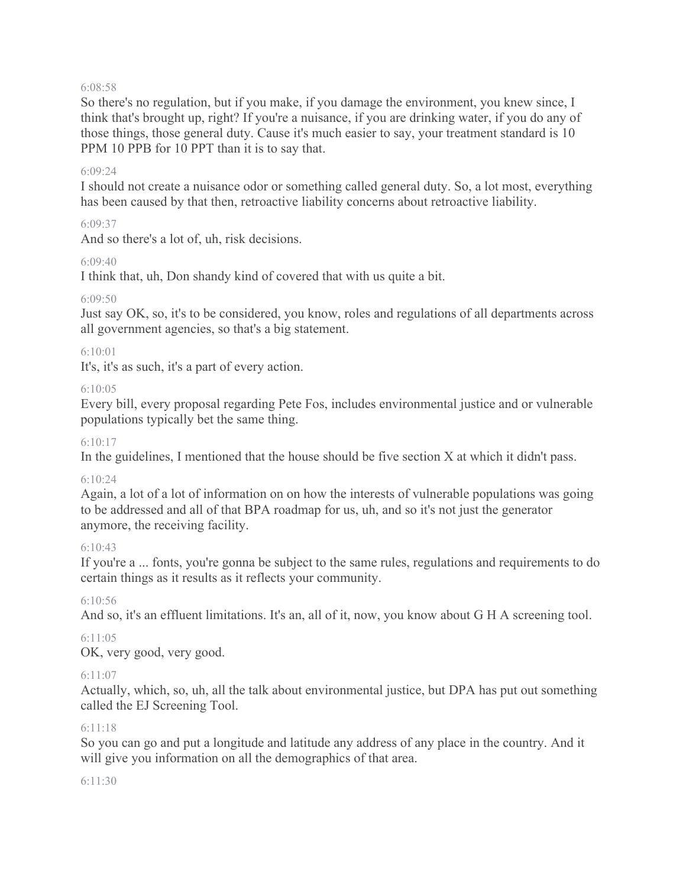#### 6:08:58

So there's no regulation, but if you make, if you damage the environment, you knew since, I think that's brought up, right? If you're a nuisance, if you are drinking water, if you do any of those things, those general duty. Cause it's much easier to say, your treatment standard is 10 PPM 10 PPB for 10 PPT than it is to say that.

#### 6:09:24

I should not create a nuisance odor or something called general duty. So, a lot most, everything has been caused by that then, retroactive liability concerns about retroactive liability.

#### 6:09:37

And so there's a lot of, uh, risk decisions.

#### 6:09:40

I think that, uh, Don shandy kind of covered that with us quite a bit.

#### 6:09:50

Just say OK, so, it's to be considered, you know, roles and regulations of all departments across all government agencies, so that's a big statement.

### 6:10:01

It's, it's as such, it's a part of every action.

#### 6:10:05

Every bill, every proposal regarding Pete Fos, includes environmental justice and or vulnerable populations typically bet the same thing.

#### 6:10:17

In the guidelines, I mentioned that the house should be five section X at which it didn't pass.

### $6.10.24$

Again, a lot of a lot of information on on how the interests of vulnerable populations was going to be addressed and all of that BPA roadmap for us, uh, and so it's not just the generator anymore, the receiving facility.

#### 6:10:43

If you're a ... fonts, you're gonna be subject to the same rules, regulations and requirements to do certain things as it results as it reflects your community.

#### 6:10:56

And so, it's an effluent limitations. It's an, all of it, now, you know about G H A screening tool.

#### 6:11:05

OK, very good, very good.

#### 6:11:07

Actually, which, so, uh, all the talk about environmental justice, but DPA has put out something called the EJ Screening Tool.

#### 6:11:18

So you can go and put a longitude and latitude any address of any place in the country. And it will give you information on all the demographics of that area.

#### 6:11:30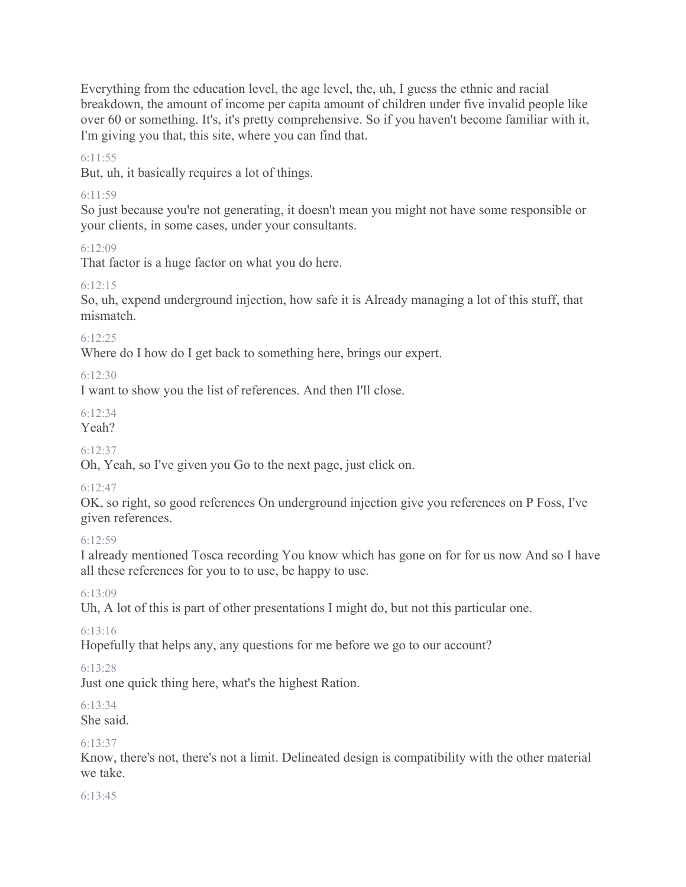Everything from the education level, the age level, the, uh, I guess the ethnic and racial breakdown, the amount of income per capita amount of children under five invalid people like over 60 or something. It's, it's pretty comprehensive. So if you haven't become familiar with it, I'm giving you that, this site, where you can find that.

6:11:55

But, uh, it basically requires a lot of things.

## 6:11:59

So just because you're not generating, it doesn't mean you might not have some responsible or your clients, in some cases, under your consultants.

6:12:09

That factor is a huge factor on what you do here.

# 6:12:15

So, uh, expend underground injection, how safe it is Already managing a lot of this stuff, that mismatch.

## $6.12.25$

Where do I how do I get back to something here, brings our expert.

6:12:30

I want to show you the list of references. And then I'll close.

 $6.12.34$ 

Yeah?

6:12:37

Oh, Yeah, so I've given you Go to the next page, just click on.

# 6:12:47

OK, so right, so good references On underground injection give you references on P Foss, I've given references.

### $6.12.59$

I already mentioned Tosca recording You know which has gone on for for us now And so I have all these references for you to to use, be happy to use.

6:13:09

Uh, A lot of this is part of other presentations I might do, but not this particular one.

# 6:13:16

Hopefully that helps any, any questions for me before we go to our account?

# 6:13:28

Just one quick thing here, what's the highest Ration.

#### 6:13:34 She said.

6:13:37

Know, there's not, there's not a limit. Delineated design is compatibility with the other material we take.

6:13:45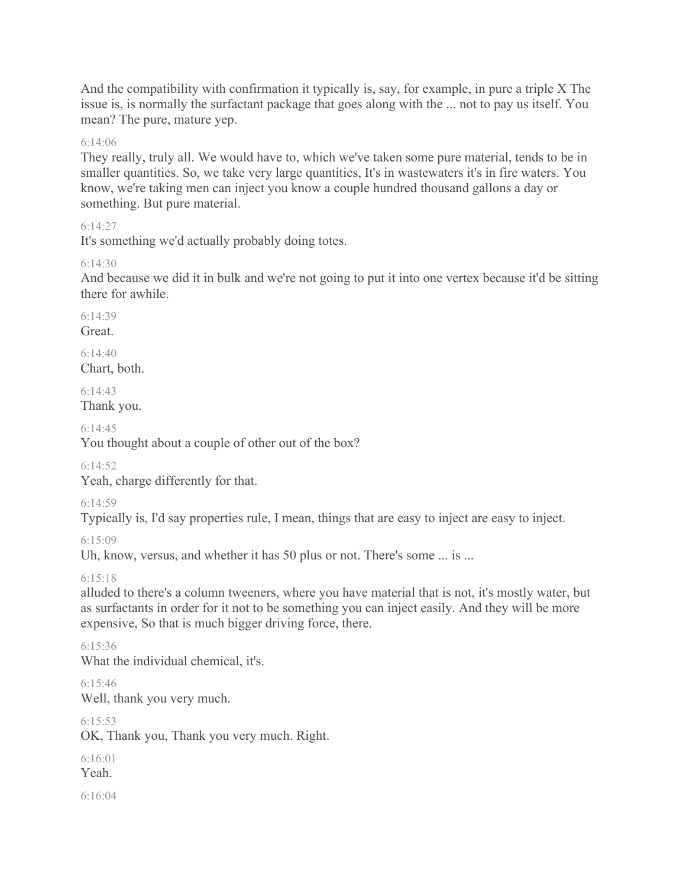And the compatibility with confirmation it typically is, say, for example, in pure a triple X The issue is, is normally the surfactant package that goes along with the ... not to pay us itself. You mean? The pure, mature yep.

#### 6:14:06

They really, truly all. We would have to, which we've taken some pure material, tends to be in smaller quantities. So, we take very large quantities, It's in wastewaters it's in fire waters. You know, we're taking men can inject you know a couple hundred thousand gallons a day or something. But pure material.

#### 6:14:27

It's something we'd actually probably doing totes.

#### $6.14.30$

And because we did it in bulk and we're not going to put it into one vertex because it'd be sitting there for awhile.

 $6.14.39$ 

Great.

6:14:40 Chart, both.

 $6.14.43$ Thank you.

6:14:45

You thought about a couple of other out of the box?

 $6.14.52$ 

Yeah, charge differently for that.

6:14:59

Typically is, I'd say properties rule, I mean, things that are easy to inject are easy to inject.

 $6.15.09$ 

Uh, know, versus, and whether it has 50 plus or not. There's some ... is ...

6:15:18

alluded to there's a column tweeners, where you have material that is not, it's mostly water, but as surfactants in order for it not to be something you can inject easily. And they will be more expensive, So that is much bigger driving force, there.

6:15:36 What the individual chemical, it's.

6:15:46 Well, thank you very much.

6:15:53 OK, Thank you, Thank you very much. Right.

6:16:01 Yeah.

6:16:04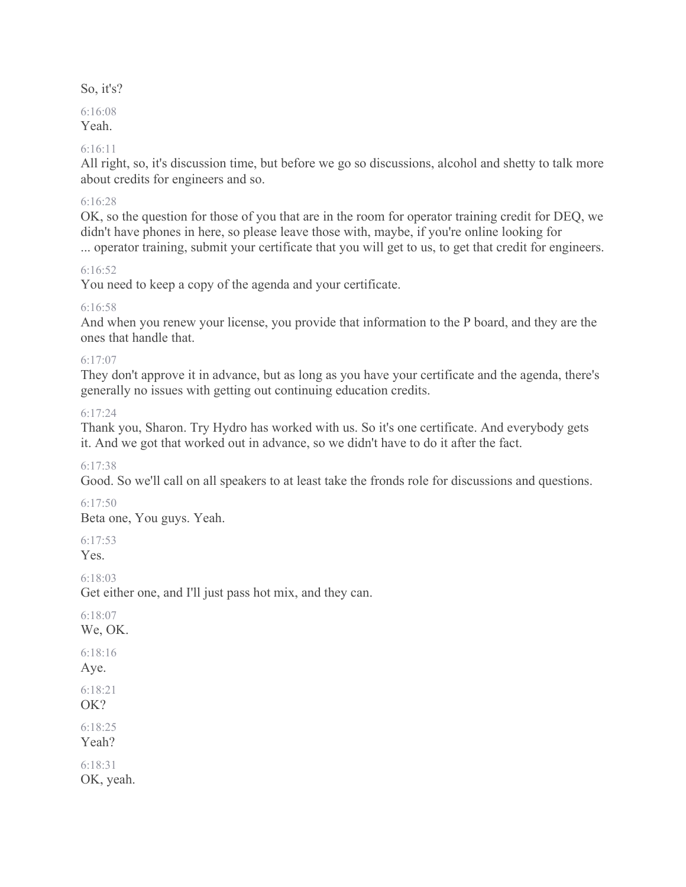### So, it's?

# 6:16:08

Yeah.

### 6:16:11

All right, so, it's discussion time, but before we go so discussions, alcohol and shetty to talk more about credits for engineers and so.

### 6:16:28

OK, so the question for those of you that are in the room for operator training credit for DEQ, we didn't have phones in here, so please leave those with, maybe, if you're online looking for ... operator training, submit your certificate that you will get to us, to get that credit for engineers.

## 6:16:52

You need to keep a copy of the agenda and your certificate.

## 6:16:58

And when you renew your license, you provide that information to the P board, and they are the ones that handle that.

### 6:17:07

They don't approve it in advance, but as long as you have your certificate and the agenda, there's generally no issues with getting out continuing education credits.

## $6.17.24$

Thank you, Sharon. Try Hydro has worked with us. So it's one certificate. And everybody gets it. And we got that worked out in advance, so we didn't have to do it after the fact.

# $6.17.38$

Good. So we'll call on all speakers to at least take the fronds role for discussions and questions.

# 6:17:50

Beta one, You guys. Yeah.

 $6.17.53$ Yes.

6:18:03

Get either one, and I'll just pass hot mix, and they can.

6:18:07 We, OK. 6:18:16 Aye. 6:18:21

OK?

6:18:25 Yeah?

6:18:31 OK, yeah.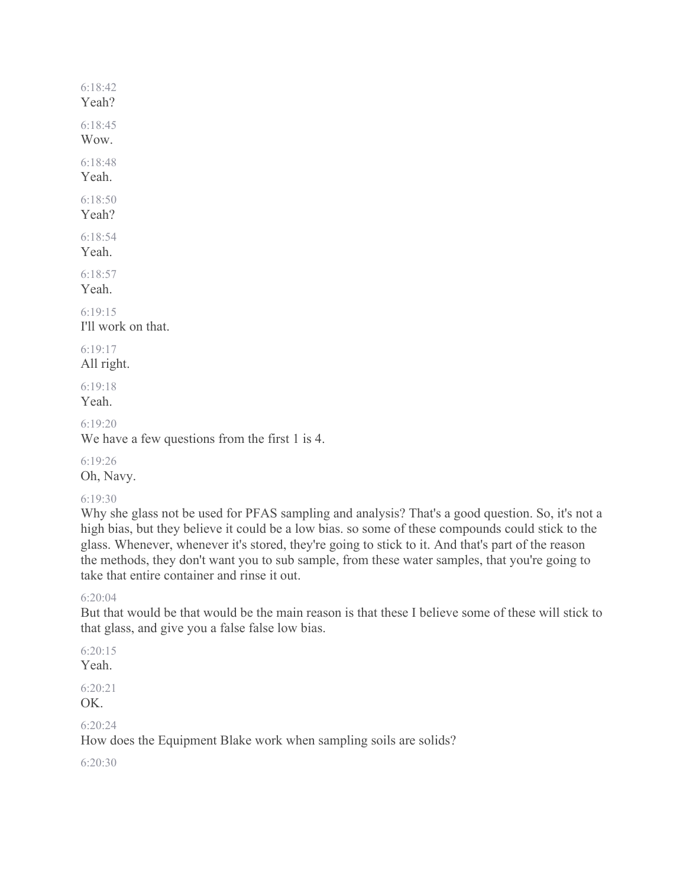```
6:18:42
Yeah?
6:18:45
Wow.
6:18:48
Yeah.
6:18:50
Yeah?
6:18:54
Yeah.
6:18:57
Yeah.
6:19:15
I'll work on that. 
6:19:17
All right.
```

```
6:19:18
Yeah.
```
6:19:20

We have a few questions from the first 1 is 4.

6:19:26 Oh, Navy.

# 6:19:30

Why she glass not be used for PFAS sampling and analysis? That's a good question. So, it's not a high bias, but they believe it could be a low bias. so some of these compounds could stick to the glass. Whenever, whenever it's stored, they're going to stick to it. And that's part of the reason the methods, they don't want you to sub sample, from these water samples, that you're going to take that entire container and rinse it out.

### 6:20:04

But that would be that would be the main reason is that these I believe some of these will stick to that glass, and give you a false false low bias.

6:20:15

Yeah.

6:20:21 OK.

6:20:24

How does the Equipment Blake work when sampling soils are solids?

6:20:30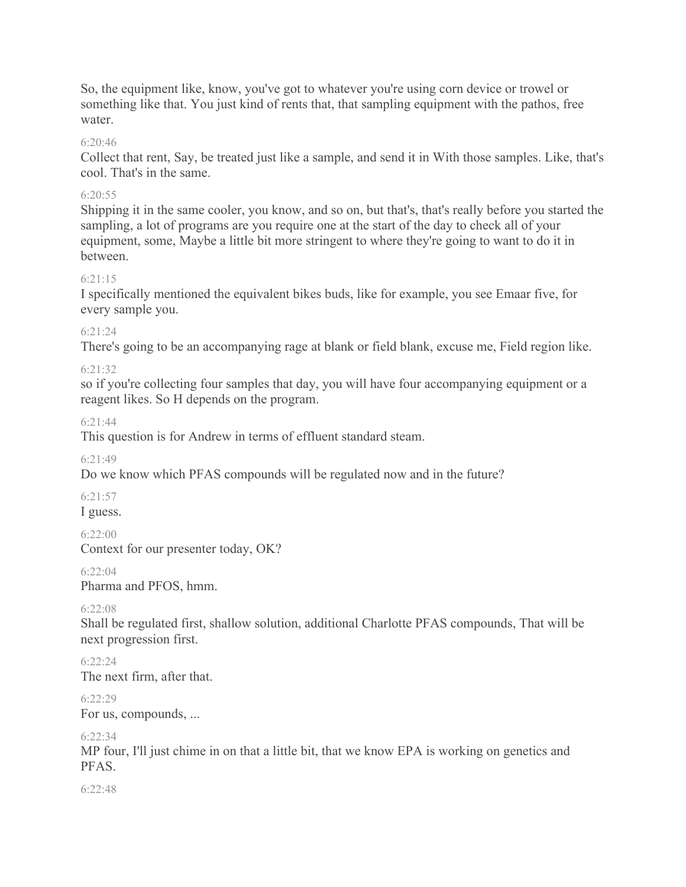So, the equipment like, know, you've got to whatever you're using corn device or trowel or something like that. You just kind of rents that, that sampling equipment with the pathos, free water.

# 6:20:46

Collect that rent, Say, be treated just like a sample, and send it in With those samples. Like, that's cool. That's in the same.

# 6:20:55

Shipping it in the same cooler, you know, and so on, but that's, that's really before you started the sampling, a lot of programs are you require one at the start of the day to check all of your equipment, some, Maybe a little bit more stringent to where they're going to want to do it in between.

# 6:21:15

I specifically mentioned the equivalent bikes buds, like for example, you see Emaar five, for every sample you.

# 6:21:24

There's going to be an accompanying rage at blank or field blank, excuse me, Field region like.

# 6:21:32

so if you're collecting four samples that day, you will have four accompanying equipment or a reagent likes. So H depends on the program.

# 6:21:44

This question is for Andrew in terms of effluent standard steam.

# 6:21:49

Do we know which PFAS compounds will be regulated now and in the future?

# 6:21:57

I guess.

# 6:22:00

Context for our presenter today, OK?

# 6:22:04

Pharma and PFOS, hmm.

# 6:22:08

Shall be regulated first, shallow solution, additional Charlotte PFAS compounds, That will be next progression first.

# $6.22.24$

The next firm, after that.

# 6:22:29

For us, compounds, ...

# 6:22:34

MP four, I'll just chime in on that a little bit, that we know EPA is working on genetics and PFAS.

 $6.22.48$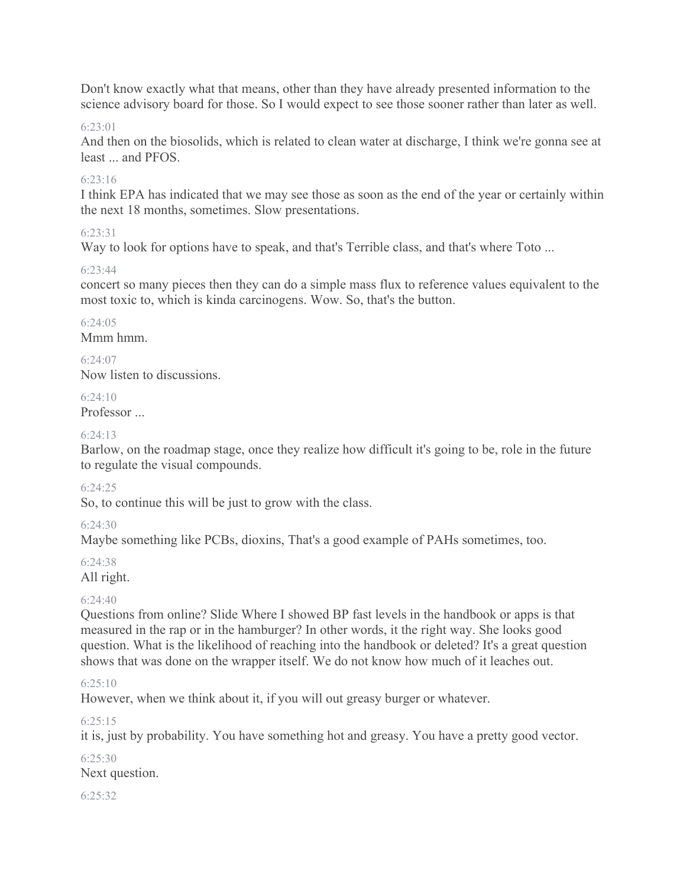Don't know exactly what that means, other than they have already presented information to the science advisory board for those. So I would expect to see those sooner rather than later as well.

## 6:23:01

And then on the biosolids, which is related to clean water at discharge, I think we're gonna see at least ... and PFOS.

## 6:23:16

I think EPA has indicated that we may see those as soon as the end of the year or certainly within the next 18 months, sometimes. Slow presentations.

## 6:23:31

Way to look for options have to speak, and that's Terrible class, and that's where Toto ...

## 6:23:44

concert so many pieces then they can do a simple mass flux to reference values equivalent to the most toxic to, which is kinda carcinogens. Wow. So, that's the button.

# 6:24:05

Mmm hmm.

 $6.24.07$ Now listen to discussions.

# $6.24.10$

Professor ...

## $6.24.13$

Barlow, on the roadmap stage, once they realize how difficult it's going to be, role in the future to regulate the visual compounds.

### 6:24:25

So, to continue this will be just to grow with the class.

### 6:24:30

Maybe something like PCBs, dioxins, That's a good example of PAHs sometimes, too.

### 6:24:38

All right.

# 6:24:40

Questions from online? Slide Where I showed BP fast levels in the handbook or apps is that measured in the rap or in the hamburger? In other words, it the right way. She looks good question. What is the likelihood of reaching into the handbook or deleted? It's a great question shows that was done on the wrapper itself. We do not know how much of it leaches out.

# 6:25:10

However, when we think about it, if you will out greasy burger or whatever.

# 6:25:15

it is, just by probability. You have something hot and greasy. You have a pretty good vector.

6:25:30 Next question.

## 6:25:32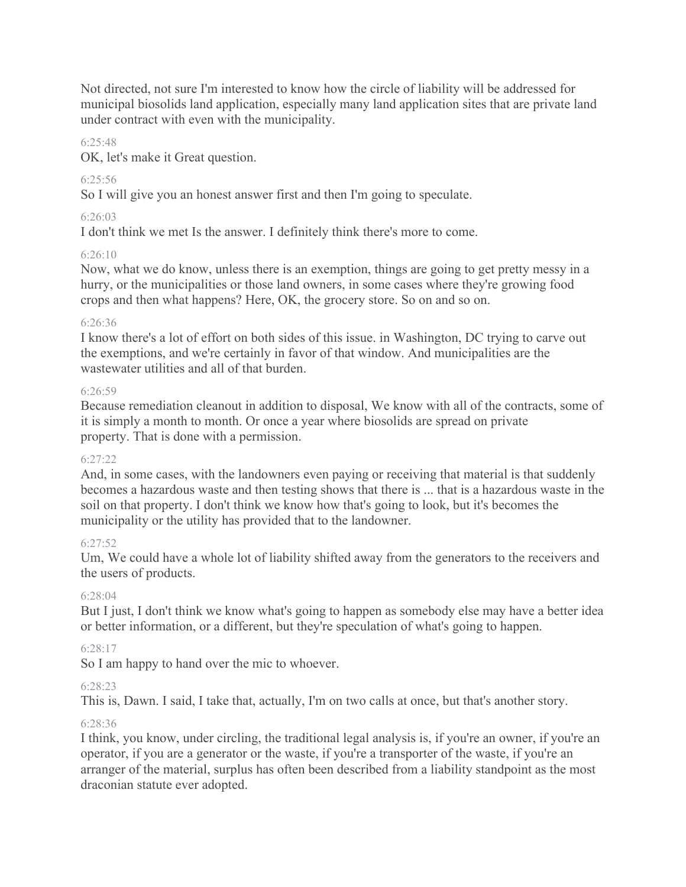Not directed, not sure I'm interested to know how the circle of liability will be addressed for municipal biosolids land application, especially many land application sites that are private land under contract with even with the municipality.

## 6:25:48

OK, let's make it Great question.

# 6:25:56

So I will give you an honest answer first and then I'm going to speculate.

## 6:26:03

I don't think we met Is the answer. I definitely think there's more to come.

## 6:26:10

Now, what we do know, unless there is an exemption, things are going to get pretty messy in a hurry, or the municipalities or those land owners, in some cases where they're growing food crops and then what happens? Here, OK, the grocery store. So on and so on.

### 6:26:36

I know there's a lot of effort on both sides of this issue. in Washington, DC trying to carve out the exemptions, and we're certainly in favor of that window. And municipalities are the wastewater utilities and all of that burden.

### $6.26.59$

Because remediation cleanout in addition to disposal, We know with all of the contracts, some of it is simply a month to month. Or once a year where biosolids are spread on private property. That is done with a permission.

### 6:27:22

And, in some cases, with the landowners even paying or receiving that material is that suddenly becomes a hazardous waste and then testing shows that there is ... that is a hazardous waste in the soil on that property. I don't think we know how that's going to look, but it's becomes the municipality or the utility has provided that to the landowner.

# $6.27.52$

Um, We could have a whole lot of liability shifted away from the generators to the receivers and the users of products.

# 6:28:04

But I just, I don't think we know what's going to happen as somebody else may have a better idea or better information, or a different, but they're speculation of what's going to happen.

# 6:28:17

So I am happy to hand over the mic to whoever.

# 6:28:23

This is, Dawn. I said, I take that, actually, I'm on two calls at once, but that's another story.

### 6:28:36

I think, you know, under circling, the traditional legal analysis is, if you're an owner, if you're an operator, if you are a generator or the waste, if you're a transporter of the waste, if you're an arranger of the material, surplus has often been described from a liability standpoint as the most draconian statute ever adopted.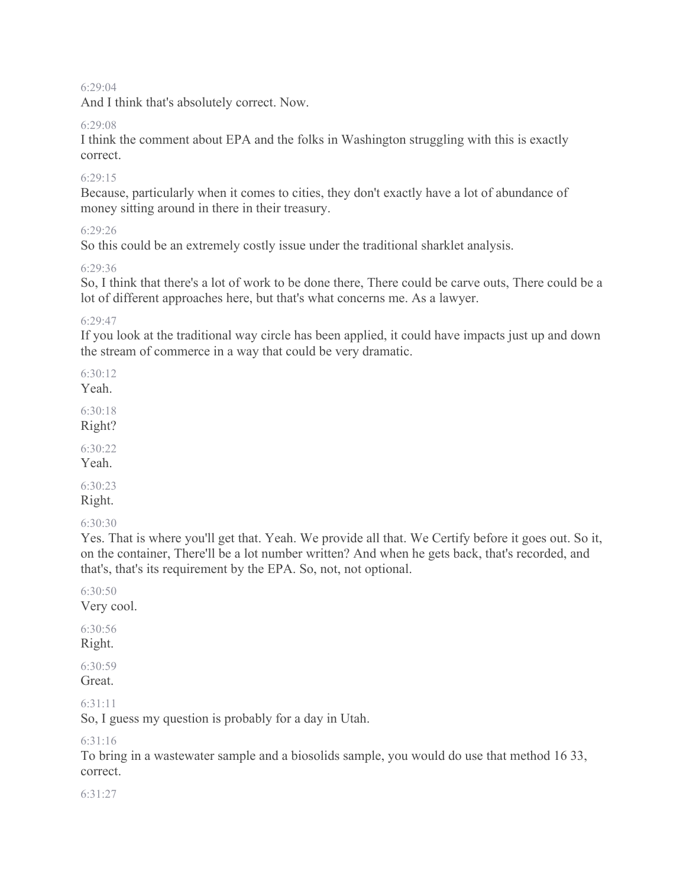#### 6:29:04

And I think that's absolutely correct. Now.

#### 6:29:08

I think the comment about EPA and the folks in Washington struggling with this is exactly correct.

#### $6.29.15$

Because, particularly when it comes to cities, they don't exactly have a lot of abundance of money sitting around in there in their treasury.

#### 6:29:26

So this could be an extremely costly issue under the traditional sharklet analysis.

#### 6:29:36

So, I think that there's a lot of work to be done there, There could be carve outs, There could be a lot of different approaches here, but that's what concerns me. As a lawyer.

6:29:47

If you look at the traditional way circle has been applied, it could have impacts just up and down the stream of commerce in a way that could be very dramatic.

6:30:12

Yeah.

6:30:18 Right?

6:30:22

Yeah.

6:30:23 Right.

6:30:30

Yes. That is where you'll get that. Yeah. We provide all that. We Certify before it goes out. So it, on the container, There'll be a lot number written? And when he gets back, that's recorded, and that's, that's its requirement by the EPA. So, not, not optional.

6:30:50 Very cool.

6:30:56 Right.

6:30:59 Great.

6:31:11

So, I guess my question is probably for a day in Utah.

6:31:16

To bring in a wastewater sample and a biosolids sample, you would do use that method 16 33, correct.

6:31:27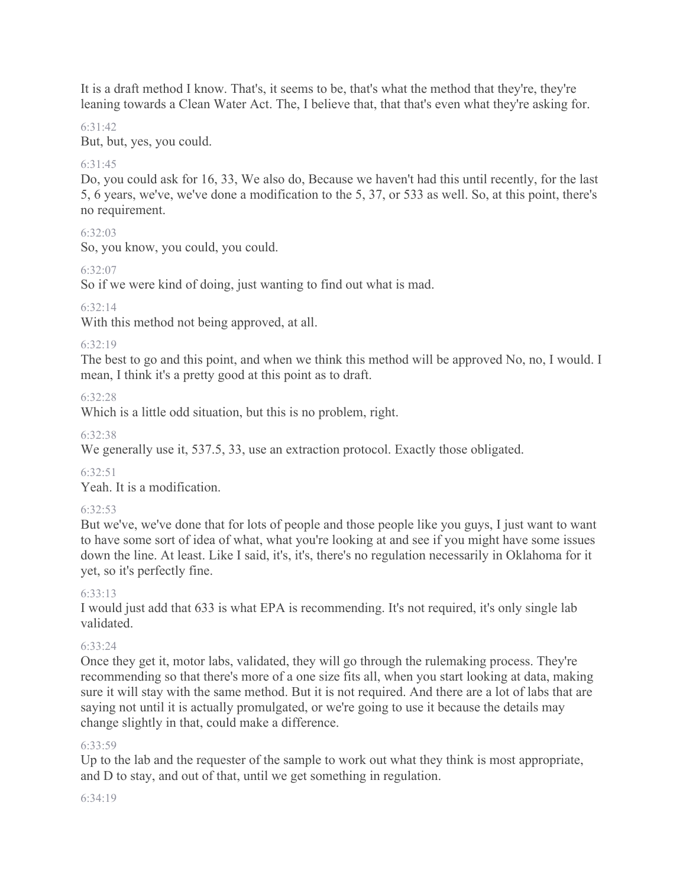It is a draft method I know. That's, it seems to be, that's what the method that they're, they're leaning towards a Clean Water Act. The, I believe that, that that's even what they're asking for.

## 6:31:42

But, but, yes, you could.

# $6.31.45$

Do, you could ask for 16, 33, We also do, Because we haven't had this until recently, for the last 5, 6 years, we've, we've done a modification to the 5, 37, or 533 as well. So, at this point, there's no requirement.

## 6:32:03

So, you know, you could, you could.

## 6:32:07

So if we were kind of doing, just wanting to find out what is mad.

## 6:32:14

With this method not being approved, at all.

## 6:32:19

The best to go and this point, and when we think this method will be approved No, no, I would. I mean, I think it's a pretty good at this point as to draft.

## 6:32:28

Which is a little odd situation, but this is no problem, right.

## 6:32:38

We generally use it, 537.5, 33, use an extraction protocol. Exactly those obligated.

### $6.32.51$

Yeah. It is a modification.

### $6.32.53$

But we've, we've done that for lots of people and those people like you guys, I just want to want to have some sort of idea of what, what you're looking at and see if you might have some issues down the line. At least. Like I said, it's, it's, there's no regulation necessarily in Oklahoma for it yet, so it's perfectly fine.

# 6:33:13

I would just add that 633 is what EPA is recommending. It's not required, it's only single lab validated.

# 6:33:24

Once they get it, motor labs, validated, they will go through the rulemaking process. They're recommending so that there's more of a one size fits all, when you start looking at data, making sure it will stay with the same method. But it is not required. And there are a lot of labs that are saying not until it is actually promulgated, or we're going to use it because the details may change slightly in that, could make a difference.

### 6:33:59

Up to the lab and the requester of the sample to work out what they think is most appropriate, and D to stay, and out of that, until we get something in regulation.

### 6:34:19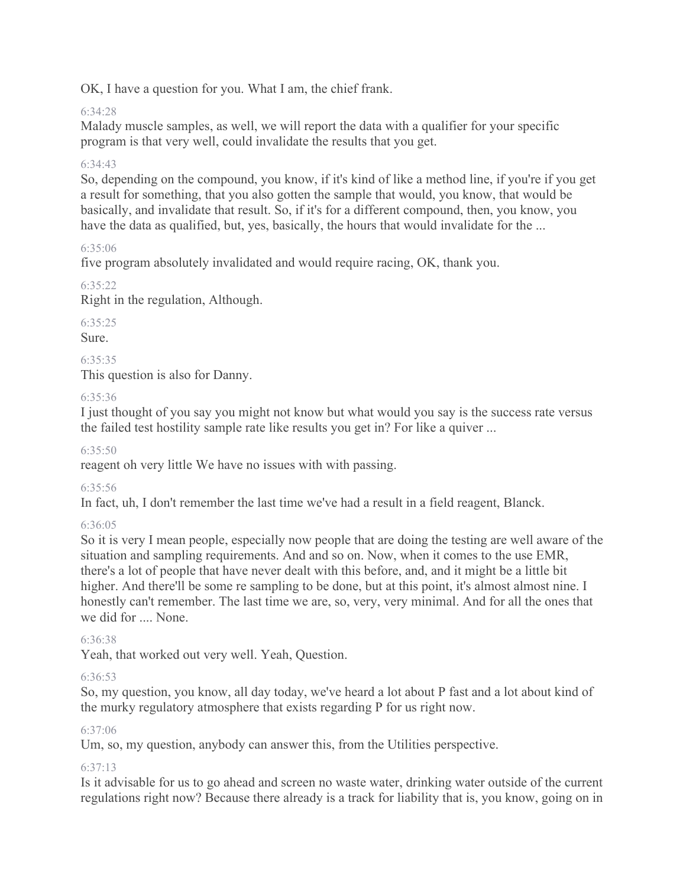OK, I have a question for you. What I am, the chief frank.

# 6:34:28

Malady muscle samples, as well, we will report the data with a qualifier for your specific program is that very well, could invalidate the results that you get.

# 6:34:43

So, depending on the compound, you know, if it's kind of like a method line, if you're if you get a result for something, that you also gotten the sample that would, you know, that would be basically, and invalidate that result. So, if it's for a different compound, then, you know, you have the data as qualified, but, yes, basically, the hours that would invalidate for the ...

# 6:35:06

five program absolutely invalidated and would require racing, OK, thank you.

# 6:35:22

Right in the regulation, Although.

6:35:25

Sure.

6:35:35

This question is also for Danny.

## 6:35:36

I just thought of you say you might not know but what would you say is the success rate versus the failed test hostility sample rate like results you get in? For like a quiver ...

6:35:50

reagent oh very little We have no issues with with passing.

6:35:56

In fact, uh, I don't remember the last time we've had a result in a field reagent, Blanck.

### 6:36:05

So it is very I mean people, especially now people that are doing the testing are well aware of the situation and sampling requirements. And and so on. Now, when it comes to the use EMR, there's a lot of people that have never dealt with this before, and, and it might be a little bit higher. And there'll be some re sampling to be done, but at this point, it's almost almost nine. I honestly can't remember. The last time we are, so, very, very minimal. And for all the ones that we did for .... None.

### 6:36:38

Yeah, that worked out very well. Yeah, Question.

### 6:36:53

So, my question, you know, all day today, we've heard a lot about P fast and a lot about kind of the murky regulatory atmosphere that exists regarding P for us right now.

### 6:37:06

Um, so, my question, anybody can answer this, from the Utilities perspective.

# 6:37:13

Is it advisable for us to go ahead and screen no waste water, drinking water outside of the current regulations right now? Because there already is a track for liability that is, you know, going on in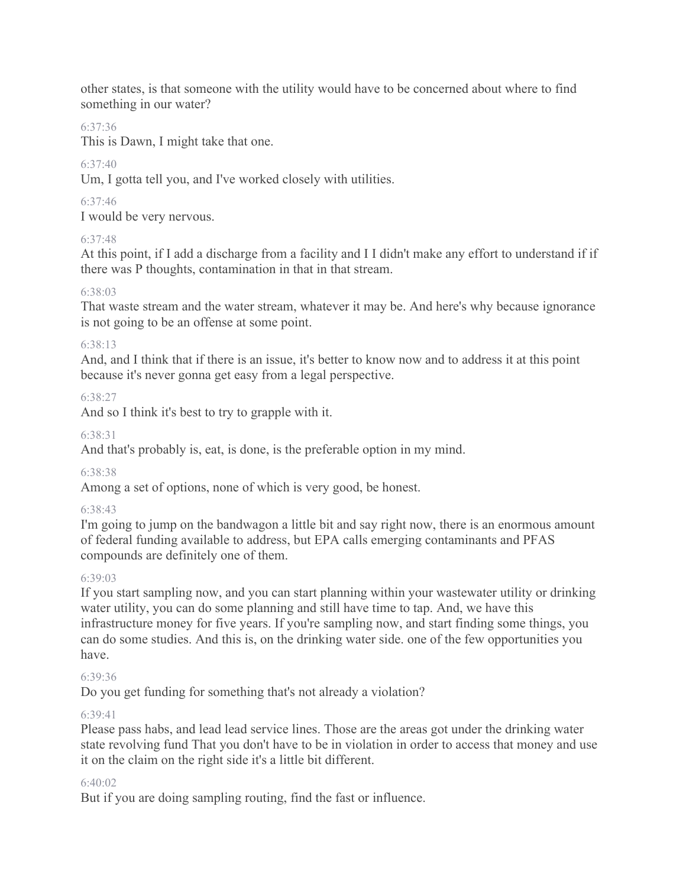other states, is that someone with the utility would have to be concerned about where to find something in our water?

# 6:37:36

This is Dawn, I might take that one.

# $6.37.40$

Um, I gotta tell you, and I've worked closely with utilities.

# 6:37:46

I would be very nervous.

# 6:37:48

At this point, if I add a discharge from a facility and I I didn't make any effort to understand if if there was P thoughts, contamination in that in that stream.

# 6:38:03

That waste stream and the water stream, whatever it may be. And here's why because ignorance is not going to be an offense at some point.

## 6:38:13

And, and I think that if there is an issue, it's better to know now and to address it at this point because it's never gonna get easy from a legal perspective.

# 6:38:27

And so I think it's best to try to grapple with it.

# 6:38:31

And that's probably is, eat, is done, is the preferable option in my mind.

# 6:38:38

Among a set of options, none of which is very good, be honest.

# 6:38:43

I'm going to jump on the bandwagon a little bit and say right now, there is an enormous amount of federal funding available to address, but EPA calls emerging contaminants and PFAS compounds are definitely one of them.

# 6:39:03

If you start sampling now, and you can start planning within your wastewater utility or drinking water utility, you can do some planning and still have time to tap. And, we have this infrastructure money for five years. If you're sampling now, and start finding some things, you can do some studies. And this is, on the drinking water side. one of the few opportunities you have.

# 6:39:36

Do you get funding for something that's not already a violation?

# 6:39:41

Please pass habs, and lead lead service lines. Those are the areas got under the drinking water state revolving fund That you don't have to be in violation in order to access that money and use it on the claim on the right side it's a little bit different.

# 6:40:02

But if you are doing sampling routing, find the fast or influence.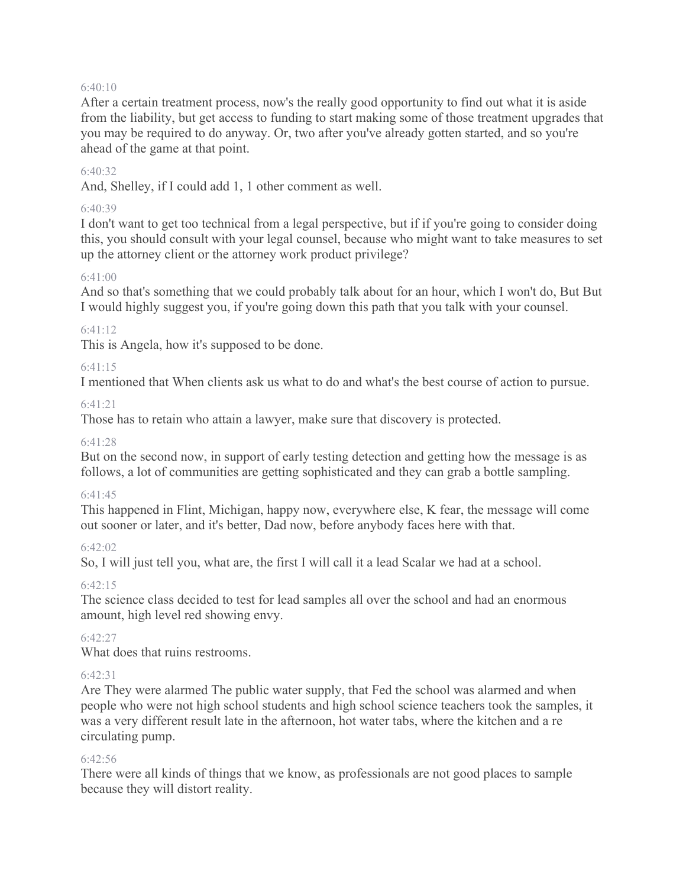#### $6:40:10$

After a certain treatment process, now's the really good opportunity to find out what it is aside from the liability, but get access to funding to start making some of those treatment upgrades that you may be required to do anyway. Or, two after you've already gotten started, and so you're ahead of the game at that point.

#### 6:40:32

And, Shelley, if I could add 1, 1 other comment as well.

#### 6:40:39

I don't want to get too technical from a legal perspective, but if if you're going to consider doing this, you should consult with your legal counsel, because who might want to take measures to set up the attorney client or the attorney work product privilege?

### 6:41:00

And so that's something that we could probably talk about for an hour, which I won't do, But But I would highly suggest you, if you're going down this path that you talk with your counsel.

#### $6.41.12$

This is Angela, how it's supposed to be done.

#### 6:41:15

I mentioned that When clients ask us what to do and what's the best course of action to pursue.

#### $6.41.21$

Those has to retain who attain a lawyer, make sure that discovery is protected.

#### 6:41:28

But on the second now, in support of early testing detection and getting how the message is as follows, a lot of communities are getting sophisticated and they can grab a bottle sampling.

#### 6:41:45

This happened in Flint, Michigan, happy now, everywhere else, K fear, the message will come out sooner or later, and it's better, Dad now, before anybody faces here with that.

#### 6:42:02

So, I will just tell you, what are, the first I will call it a lead Scalar we had at a school.

#### 6:42:15

The science class decided to test for lead samples all over the school and had an enormous amount, high level red showing envy.

#### $6.42.27$

What does that ruins restrooms.

#### 6:42:31

Are They were alarmed The public water supply, that Fed the school was alarmed and when people who were not high school students and high school science teachers took the samples, it was a very different result late in the afternoon, hot water tabs, where the kitchen and a re circulating pump.

#### 6:42:56

There were all kinds of things that we know, as professionals are not good places to sample because they will distort reality.